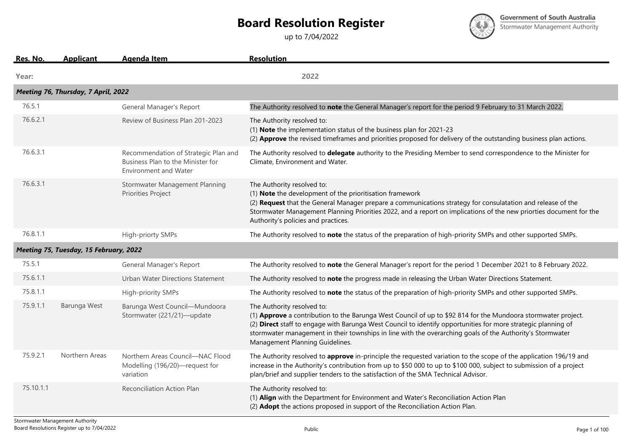## **Board Resolution Register**

up to 7/04/2022



**Government of South Australia** Stormwater Management Authority

| Res. No.  | <b>Applicant</b>                       | <b>Agenda Item</b>                                                                                 | <b>Resolution</b>                                                                                                                                                                                                                                                                                                                                                                                            |
|-----------|----------------------------------------|----------------------------------------------------------------------------------------------------|--------------------------------------------------------------------------------------------------------------------------------------------------------------------------------------------------------------------------------------------------------------------------------------------------------------------------------------------------------------------------------------------------------------|
| Year:     |                                        |                                                                                                    | 2022                                                                                                                                                                                                                                                                                                                                                                                                         |
|           | Meeting 76, Thursday, 7 April, 2022    |                                                                                                    |                                                                                                                                                                                                                                                                                                                                                                                                              |
| 76.5.1    |                                        | General Manager's Report                                                                           | The Authority resolved to note the General Manager's report for the period 9 February to 31 March 2022.                                                                                                                                                                                                                                                                                                      |
| 76.6.2.1  |                                        | Review of Business Plan 201-2023                                                                   | The Authority resolved to:<br>(1) Note the implementation status of the business plan for 2021-23<br>(2) Approve the revised timeframes and priorities proposed for delivery of the outstanding business plan actions.                                                                                                                                                                                       |
| 76.6.3.1  |                                        | Recommendation of Strategic Plan and<br>Business Plan to the Minister for<br>Environment and Water | The Authority resolved to delegate authority to the Presiding Member to send correspondence to the Minister for<br>Climate, Environment and Water.                                                                                                                                                                                                                                                           |
| 76.6.3.1  |                                        | Stormwater Management Planning<br>Priorities Project                                               | The Authority resolved to:<br>(1) Note the development of the prioritisation framework<br>(2) Request that the General Manager prepare a communications strategy for consulatation and release of the<br>Stormwater Management Planning Priorities 2022, and a report on implications of the new priorties document for the<br>Authority's policies and practices.                                           |
| 76.8.1.1  |                                        | High-priorty SMPs                                                                                  | The Authority resolved to note the status of the preparation of high-priority SMPs and other supported SMPs.                                                                                                                                                                                                                                                                                                 |
|           | Meeting 75, Tuesday, 15 February, 2022 |                                                                                                    |                                                                                                                                                                                                                                                                                                                                                                                                              |
| 75.5.1    |                                        | General Manager's Report                                                                           | The Authority resolved to note the General Manager's report for the period 1 December 2021 to 8 February 2022.                                                                                                                                                                                                                                                                                               |
| 75.6.1.1  |                                        | Urban Water Directions Statement                                                                   | The Authority resolved to note the progress made in releasing the Urban Water Directions Statement.                                                                                                                                                                                                                                                                                                          |
| 75.8.1.1  |                                        | High-priority SMPs                                                                                 | The Authority resolved to note the status of the preparation of high-priority SMPs and other supported SMPs.                                                                                                                                                                                                                                                                                                 |
| 75.9.1.1  | Barunga West                           | Barunga West Council-Mundoora<br>Stormwater (221/21)-update                                        | The Authority resolved to:<br>(1) Approve a contribution to the Barunga West Council of up to \$92 814 for the Mundoora stormwater project.<br>(2) Direct staff to engage with Barunga West Council to identify opportunities for more strategic planning of<br>stormwater management in their townships in line with the overarching goals of the Authority's Stormwater<br>Management Planning Guidelines. |
| 75.9.2.1  | Northern Areas                         | Northern Areas Council-NAC Flood<br>Modelling (196/20)-request for<br>variation                    | The Authority resolved to approve in-principle the requested variation to the scope of the application 196/19 and<br>increase in the Authority's contribution from up to \$50 000 to up to \$100 000, subject to submission of a project<br>plan/brief and supplier tenders to the satisfaction of the SMA Technical Advisor.                                                                                |
| 75.10.1.1 |                                        | Reconciliation Action Plan                                                                         | The Authority resolved to:<br>(1) Align with the Department for Environment and Water's Reconciliation Action Plan<br>(2) Adopt the actions proposed in support of the Reconciliation Action Plan.                                                                                                                                                                                                           |
|           |                                        |                                                                                                    |                                                                                                                                                                                                                                                                                                                                                                                                              |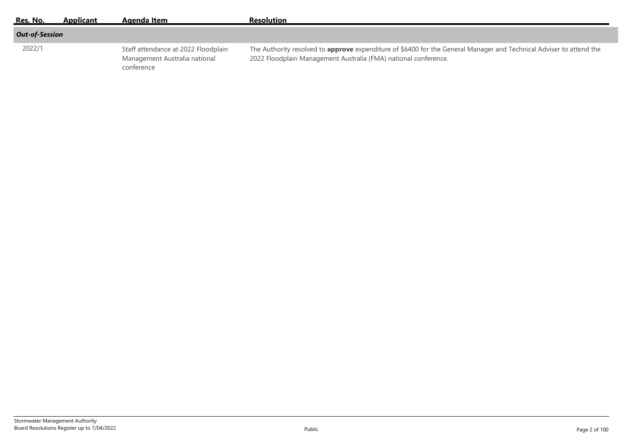| Res. No.              | Applicant | Aaenda Item                                                                        | <b>Resolution</b>                                                                                                                                                                      |
|-----------------------|-----------|------------------------------------------------------------------------------------|----------------------------------------------------------------------------------------------------------------------------------------------------------------------------------------|
| <b>Out-of-Session</b> |           |                                                                                    |                                                                                                                                                                                        |
| 2022/1                |           | Staff attendance at 2022 Floodplain<br>Management Australia national<br>conference | The Authority resolved to approve expenditure of \$6400 for the General Manager and Technical Adviser to attend the<br>2022 Floodplain Management Australia (FMA) national conference. |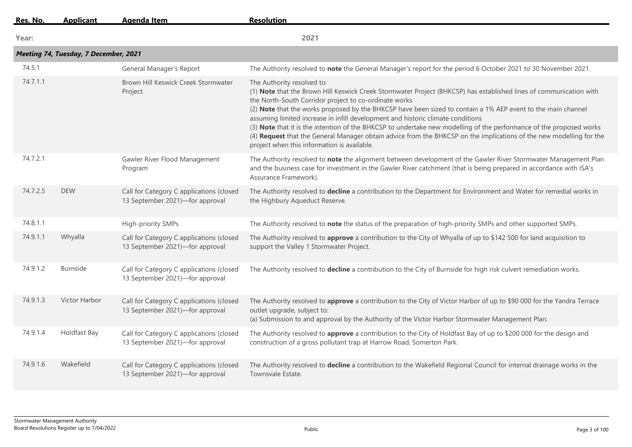| Res. No. | <b>Applicant</b>                      | Agenda Item                                                                 | <b>Resolution</b>                                                                                                                                                                                                                                                                                                                                                                                                                                                                                                                                                                                                                                                                                         |
|----------|---------------------------------------|-----------------------------------------------------------------------------|-----------------------------------------------------------------------------------------------------------------------------------------------------------------------------------------------------------------------------------------------------------------------------------------------------------------------------------------------------------------------------------------------------------------------------------------------------------------------------------------------------------------------------------------------------------------------------------------------------------------------------------------------------------------------------------------------------------|
| Year:    |                                       |                                                                             | 2021                                                                                                                                                                                                                                                                                                                                                                                                                                                                                                                                                                                                                                                                                                      |
|          | Meeting 74, Tuesday, 7 December, 2021 |                                                                             |                                                                                                                                                                                                                                                                                                                                                                                                                                                                                                                                                                                                                                                                                                           |
| 74.5.1   |                                       | General Manager's Report                                                    | The Authority resolved to note the General Manager's report for the period 6 October 2021 to 30 November 2021.                                                                                                                                                                                                                                                                                                                                                                                                                                                                                                                                                                                            |
| 74.7.1.1 |                                       | Brown Hill Keswick Creek Stormwater<br>Project                              | The Authority resolved to:<br>(1) Note that the Brown Hill Keswick Creek Stormwater Project (BHKCSP) has established lines of communication with<br>the North-South Corridor project to co-ordinate works<br>(2) Note that the works proposed by the BHKCSP have been sized to contain a 1% AEP event to the main channel<br>assuming limited increase in infill development and historic climate conditions<br>(3) Note that it is the intention of the BHKCSP to undertake new modelling of the performance of the proposed works<br>(4) Request that the General Manager obtain advice from the BHKCSP on the implications of the new modelling for the<br>project when this information is available. |
| 74.7.2.1 |                                       | Gawler River Flood Management<br>Program                                    | The Authority resolved to note the alignment between development of the Gawler River Stormwater Management Plan<br>and the business case for investment in the Gawler River catchment (that is being prepared in accordance with ISA's<br>Assurance Framework).                                                                                                                                                                                                                                                                                                                                                                                                                                           |
| 74.7.2.5 | <b>DEW</b>                            | Call for Category C applications (closed<br>13 September 2021)-for approval | The Authority resolved to decline a contribution to the Department for Environment and Water for remedial works in<br>the Highbury Aqueduct Reserve.                                                                                                                                                                                                                                                                                                                                                                                                                                                                                                                                                      |
| 74.8.1.1 |                                       | High-priority SMPs                                                          | The Authority resolved to note the status of the preparation of high-priority SMPs and other supported SMPs.                                                                                                                                                                                                                                                                                                                                                                                                                                                                                                                                                                                              |
| 74.9.1.1 | Whyalla                               | Call for Category C applications (closed<br>13 September 2021)-for approval | The Authority resolved to approve a contribution to the City of Whyalla of up to \$142 500 for land acquisition to<br>support the Valley 1 Stormwater Project.                                                                                                                                                                                                                                                                                                                                                                                                                                                                                                                                            |
| 74.9.1.2 | <b>Burnside</b>                       | Call for Category C applications (closed<br>13 September 2021)-for approval | The Authority resolved to decline a contribution to the City of Burnside for high risk culvert remediation works.                                                                                                                                                                                                                                                                                                                                                                                                                                                                                                                                                                                         |
| 74.9.1.3 | Victor Harbor                         | Call for Category C applications (closed<br>13 September 2021)-for approval | The Authority resolved to approve a contribution to the City of Victor Harbor of up to \$90 000 for the Yandra Terrace<br>outlet upgrade, subject to:<br>(a) Submission to and approval by the Authority of the Victor Harbor Stormwater Management Plan.                                                                                                                                                                                                                                                                                                                                                                                                                                                 |
| 74.9.1.4 | Holdfast Bay                          | Call for Category C applications (closed<br>13 September 2021)-for approval | The Authority resolved to approve a contribution to the City of Holdfast Bay of up to \$200 000 for the design and<br>construction of a gross pollutant trap at Harrow Road, Somerton Park.                                                                                                                                                                                                                                                                                                                                                                                                                                                                                                               |
| 74.9.1.6 | Wakefield                             | Call for Category C applications (closed<br>13 September 2021)-for approval | The Authority resolved to decline a contribution to the Wakefield Regional Council for internal drainage works in the<br>Townsvale Estate.                                                                                                                                                                                                                                                                                                                                                                                                                                                                                                                                                                |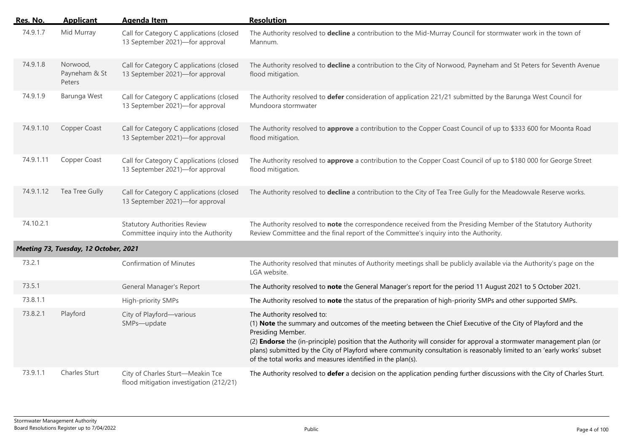| Res. No.  | <b>Applicant</b>                      | <b>Agenda Item</b>                                                          | <b>Resolution</b>                                                                                                                                                                                                                                                                                                                                                                                                                                                                 |
|-----------|---------------------------------------|-----------------------------------------------------------------------------|-----------------------------------------------------------------------------------------------------------------------------------------------------------------------------------------------------------------------------------------------------------------------------------------------------------------------------------------------------------------------------------------------------------------------------------------------------------------------------------|
| 74.9.1.7  | Mid Murray                            | Call for Category C applications (closed<br>13 September 2021)-for approval | The Authority resolved to decline a contribution to the Mid-Murray Council for stormwater work in the town of<br>Mannum.                                                                                                                                                                                                                                                                                                                                                          |
| 74.9.1.8  | Norwood,<br>Payneham & St<br>Peters   | Call for Category C applications (closed<br>13 September 2021)-for approval | The Authority resolved to decline a contribution to the City of Norwood, Payneham and St Peters for Seventh Avenue<br>flood mitigation.                                                                                                                                                                                                                                                                                                                                           |
| 74.9.1.9  | Barunga West                          | Call for Category C applications (closed<br>13 September 2021)-for approval | The Authority resolved to defer consideration of application 221/21 submitted by the Barunga West Council for<br>Mundoora stormwater                                                                                                                                                                                                                                                                                                                                              |
| 74.9.1.10 | Copper Coast                          | Call for Category C applications (closed<br>13 September 2021)-for approval | The Authority resolved to approve a contribution to the Copper Coast Council of up to \$333 600 for Moonta Road<br>flood mitigation.                                                                                                                                                                                                                                                                                                                                              |
| 74.9.1.11 | Copper Coast                          | Call for Category C applications (closed<br>13 September 2021)-for approval | The Authority resolved to approve a contribution to the Copper Coast Council of up to \$180 000 for George Street<br>flood mitigation.                                                                                                                                                                                                                                                                                                                                            |
| 74.9.1.12 | Tea Tree Gully                        | Call for Category C applications (closed<br>13 September 2021)-for approval | The Authority resolved to decline a contribution to the City of Tea Tree Gully for the Meadowvale Reserve works.                                                                                                                                                                                                                                                                                                                                                                  |
| 74.10.2.1 |                                       | <b>Statutory Authorities Review</b><br>Committee inquiry into the Authority | The Authority resolved to note the correspondence received from the Presiding Member of the Statutory Authority<br>Review Committee and the final report of the Committee's inquiry into the Authority.                                                                                                                                                                                                                                                                           |
|           | Meeting 73, Tuesday, 12 October, 2021 |                                                                             |                                                                                                                                                                                                                                                                                                                                                                                                                                                                                   |
| 73.2.1    |                                       | <b>Confirmation of Minutes</b>                                              | The Authority resolved that minutes of Authority meetings shall be publicly available via the Authority's page on the<br>LGA website.                                                                                                                                                                                                                                                                                                                                             |
| 73.5.1    |                                       | <b>General Manager's Report</b>                                             | The Authority resolved to note the General Manager's report for the period 11 August 2021 to 5 October 2021.                                                                                                                                                                                                                                                                                                                                                                      |
| 73.8.1.1  |                                       | High-priority SMPs                                                          | The Authority resolved to note the status of the preparation of high-priority SMPs and other supported SMPs.                                                                                                                                                                                                                                                                                                                                                                      |
| 73.8.2.1  | Playford                              | City of Playford-various<br>SMPs-update                                     | The Authority resolved to:<br>(1) Note the summary and outcomes of the meeting between the Chief Executive of the City of Playford and the<br>Presiding Member.<br>(2) Endorse the (in-principle) position that the Authority will consider for approval a stormwater management plan (or<br>plans) submitted by the City of Playford where community consultation is reasonably limited to an 'early works' subset<br>of the total works and measures identified in the plan(s). |
| 73.9.1.1  | Charles Sturt                         | City of Charles Sturt-Meakin Tce<br>flood mitigation investigation (212/21) | The Authority resolved to defer a decision on the application pending further discussions with the City of Charles Sturt.                                                                                                                                                                                                                                                                                                                                                         |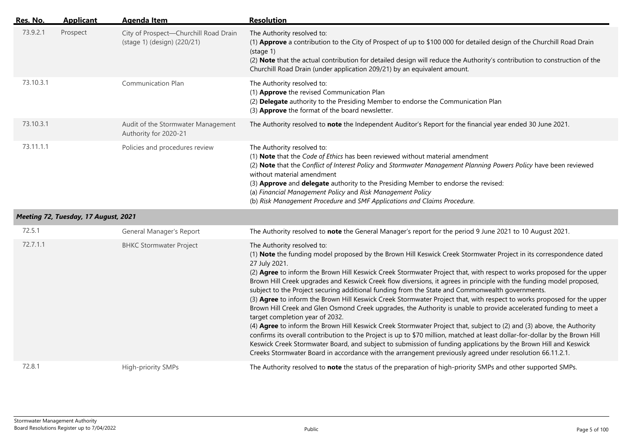| Res. No.  | <b>Applicant</b>                     | <b>Agenda Item</b>                                                   | <b>Resolution</b>                                                                                                                                                                                                                                                                                                                                                                                                                                                                                                                                                                                                                                                                                                                                                                                                                                                                                                                                                                                                                                                                                                                                                                                                                                                                                |
|-----------|--------------------------------------|----------------------------------------------------------------------|--------------------------------------------------------------------------------------------------------------------------------------------------------------------------------------------------------------------------------------------------------------------------------------------------------------------------------------------------------------------------------------------------------------------------------------------------------------------------------------------------------------------------------------------------------------------------------------------------------------------------------------------------------------------------------------------------------------------------------------------------------------------------------------------------------------------------------------------------------------------------------------------------------------------------------------------------------------------------------------------------------------------------------------------------------------------------------------------------------------------------------------------------------------------------------------------------------------------------------------------------------------------------------------------------|
| 73.9.2.1  | Prospect                             | City of Prospect-Churchill Road Drain<br>(stage 1) (design) (220/21) | The Authority resolved to:<br>(1) Approve a contribution to the City of Prospect of up to \$100 000 for detailed design of the Churchill Road Drain<br>(stat)<br>(2) Note that the actual contribution for detailed design will reduce the Authority's contribution to construction of the<br>Churchill Road Drain (under application 209/21) by an equivalent amount.                                                                                                                                                                                                                                                                                                                                                                                                                                                                                                                                                                                                                                                                                                                                                                                                                                                                                                                           |
| 73.10.3.1 |                                      | Communication Plan                                                   | The Authority resolved to:<br>(1) Approve the revised Communication Plan<br>(2) Delegate authority to the Presiding Member to endorse the Communication Plan<br>(3) Approve the format of the board newsletter.                                                                                                                                                                                                                                                                                                                                                                                                                                                                                                                                                                                                                                                                                                                                                                                                                                                                                                                                                                                                                                                                                  |
| 73.10.3.1 |                                      | Audit of the Stormwater Management<br>Authority for 2020-21          | The Authority resolved to note the Independent Auditor's Report for the financial year ended 30 June 2021.                                                                                                                                                                                                                                                                                                                                                                                                                                                                                                                                                                                                                                                                                                                                                                                                                                                                                                                                                                                                                                                                                                                                                                                       |
| 73.11.1.1 |                                      | Policies and procedures review                                       | The Authority resolved to:<br>(1) Note that the Code of Ethics has been reviewed without material amendment<br>(2) Note that the Conflict of Interest Policy and Stormwater Management Planning Powers Policy have been reviewed<br>without material amendment<br>(3) Approve and delegate authority to the Presiding Member to endorse the revised:<br>(a) Financial Management Policy and Risk Management Policy<br>(b) Risk Management Procedure and SMF Applications and Claims Procedure.                                                                                                                                                                                                                                                                                                                                                                                                                                                                                                                                                                                                                                                                                                                                                                                                   |
|           | Meeting 72, Tuesday, 17 August, 2021 |                                                                      |                                                                                                                                                                                                                                                                                                                                                                                                                                                                                                                                                                                                                                                                                                                                                                                                                                                                                                                                                                                                                                                                                                                                                                                                                                                                                                  |
| 72.5.1    |                                      | General Manager's Report                                             | The Authority resolved to note the General Manager's report for the period 9 June 2021 to 10 August 2021.                                                                                                                                                                                                                                                                                                                                                                                                                                                                                                                                                                                                                                                                                                                                                                                                                                                                                                                                                                                                                                                                                                                                                                                        |
| 72.7.1.1  |                                      | <b>BHKC Stormwater Project</b>                                       | The Authority resolved to:<br>(1) Note the funding model proposed by the Brown Hill Keswick Creek Stormwater Project in its correspondence dated<br>27 July 2021.<br>(2) Agree to inform the Brown Hill Keswick Creek Stormwater Project that, with respect to works proposed for the upper<br>Brown Hill Creek upgrades and Keswick Creek flow diversions, it agrees in principle with the funding model proposed,<br>subject to the Project securing additional funding from the State and Commonwealth governments.<br>(3) Agree to inform the Brown Hill Keswick Creek Stormwater Project that, with respect to works proposed for the upper<br>Brown Hill Creek and Glen Osmond Creek upgrades, the Authority is unable to provide accelerated funding to meet a<br>target completion year of 2032.<br>(4) Agree to inform the Brown Hill Keswick Creek Stormwater Project that, subject to (2) and (3) above, the Authority<br>confirms its overall contribution to the Project is up to \$70 million, matched at least dollar-for-dollar by the Brown Hill<br>Keswick Creek Stormwater Board, and subject to submission of funding applications by the Brown Hill and Keswick<br>Creeks Stormwater Board in accordance with the arrangement previously agreed under resolution 66.11.2.1. |
| 72.8.1    |                                      | High-priority SMPs                                                   | The Authority resolved to note the status of the preparation of high-priority SMPs and other supported SMPs.                                                                                                                                                                                                                                                                                                                                                                                                                                                                                                                                                                                                                                                                                                                                                                                                                                                                                                                                                                                                                                                                                                                                                                                     |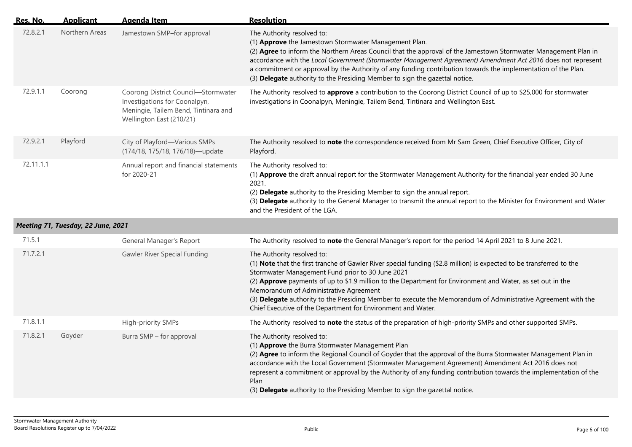| Res. No.  | <b>Applicant</b>                   | <b>Agenda Item</b>                                                                                                                       | <b>Resolution</b>                                                                                                                                                                                                                                                                                                                                                                                                                                                                                                                               |
|-----------|------------------------------------|------------------------------------------------------------------------------------------------------------------------------------------|-------------------------------------------------------------------------------------------------------------------------------------------------------------------------------------------------------------------------------------------------------------------------------------------------------------------------------------------------------------------------------------------------------------------------------------------------------------------------------------------------------------------------------------------------|
| 72.8.2.1  | Northern Areas                     | Jamestown SMP-for approval                                                                                                               | The Authority resolved to:<br>(1) Approve the Jamestown Stormwater Management Plan.<br>(2) Agree to inform the Northern Areas Council that the approval of the Jamestown Stormwater Management Plan in<br>accordance with the Local Government (Stormwater Management Agreement) Amendment Act 2016 does not represent<br>a commitment or approval by the Authority of any funding contribution towards the implementation of the Plan.<br>(3) Delegate authority to the Presiding Member to sign the gazettal notice.                          |
| 72.9.1.1  | Coorong                            | Coorong District Council-Stormwater<br>Investigations for Coonalpyn,<br>Meningie, Tailem Bend, Tintinara and<br>Wellington East (210/21) | The Authority resolved to approve a contribution to the Coorong District Council of up to \$25,000 for stormwater<br>investigations in Coonalpyn, Meningie, Tailem Bend, Tintinara and Wellington East.                                                                                                                                                                                                                                                                                                                                         |
| 72.9.2.1  | Playford                           | City of Playford-Various SMPs<br>(174/18, 175/18, 176/18)-update                                                                         | The Authority resolved to note the correspondence received from Mr Sam Green, Chief Executive Officer, City of<br>Playford.                                                                                                                                                                                                                                                                                                                                                                                                                     |
| 72.11.1.1 |                                    | Annual report and financial statements<br>for 2020-21                                                                                    | The Authority resolved to:<br>(1) Approve the draft annual report for the Stormwater Management Authority for the financial year ended 30 June<br>2021.<br>(2) Delegate authority to the Presiding Member to sign the annual report.<br>(3) Delegate authority to the General Manager to transmit the annual report to the Minister for Environment and Water<br>and the President of the LGA.                                                                                                                                                  |
|           | Meeting 71, Tuesday, 22 June, 2021 |                                                                                                                                          |                                                                                                                                                                                                                                                                                                                                                                                                                                                                                                                                                 |
| 71.5.1    |                                    | General Manager's Report                                                                                                                 | The Authority resolved to note the General Manager's report for the period 14 April 2021 to 8 June 2021.                                                                                                                                                                                                                                                                                                                                                                                                                                        |
| 71.7.2.1  |                                    | Gawler River Special Funding                                                                                                             | The Authority resolved to:<br>(1) Note that the first tranche of Gawler River special funding (\$2.8 million) is expected to be transferred to the<br>Stormwater Management Fund prior to 30 June 2021<br>(2) Approve payments of up to \$1.9 million to the Department for Environment and Water, as set out in the<br>Memorandum of Administrative Agreement<br>(3) Delegate authority to the Presiding Member to execute the Memorandum of Administrative Agreement with the<br>Chief Executive of the Department for Environment and Water. |
| 71.8.1.1  |                                    | High-priority SMPs                                                                                                                       | The Authority resolved to note the status of the preparation of high-priority SMPs and other supported SMPs.                                                                                                                                                                                                                                                                                                                                                                                                                                    |
| 71.8.2.1  | Goyder                             | Burra SMP - for approval                                                                                                                 | The Authority resolved to:<br>(1) Approve the Burra Stormwater Management Plan<br>(2) Agree to inform the Regional Council of Goyder that the approval of the Burra Stormwater Management Plan in<br>accordance with the Local Government (Stormwater Management Agreement) Amendment Act 2016 does not<br>represent a commitment or approval by the Authority of any funding contribution towards the implementation of the<br>Plan<br>(3) Delegate authority to the Presiding Member to sign the gazettal notice.                             |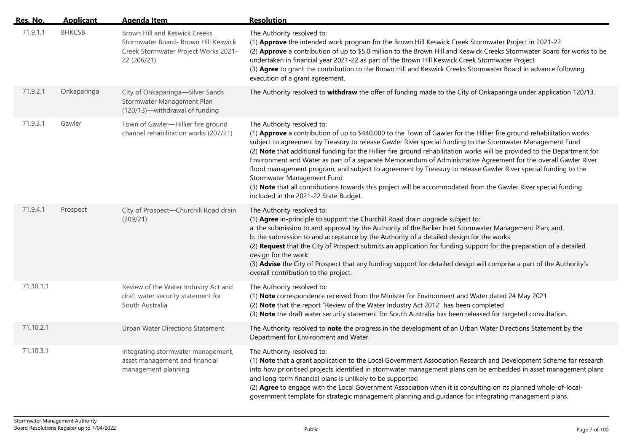| Res. No.  | <b>Applicant</b> | <b>Agenda Item</b>                                                                                                           | <b>Resolution</b>                                                                                                                                                                                                                                                                                                                                                                                                                                                                                                                                                                                                                                                                                                                                                                                                          |
|-----------|------------------|------------------------------------------------------------------------------------------------------------------------------|----------------------------------------------------------------------------------------------------------------------------------------------------------------------------------------------------------------------------------------------------------------------------------------------------------------------------------------------------------------------------------------------------------------------------------------------------------------------------------------------------------------------------------------------------------------------------------------------------------------------------------------------------------------------------------------------------------------------------------------------------------------------------------------------------------------------------|
| 71.9.1.1  | <b>BHKCSB</b>    | Brown Hill and Keswick Creeks<br>Stormwater Board- Brown Hill Keswick<br>Creek Stormwater Project Works 2021-<br>22 (206/21) | The Authority resolved to:<br>(1) Approve the intended work program for the Brown Hill Keswick Creek Stormwater Project in 2021-22<br>(2) Approve a contribution of up to \$5.0 million to the Brown Hill and Keswick Creeks Stormwater Board for works to be<br>undertaken in financial year 2021-22 as part of the Brown Hill Keswick Creek Stormwater Project<br>(3) Agree to grant the contribution to the Brown Hill and Keswick Creeks Stormwater Board in advance following<br>execution of a grant agreement.                                                                                                                                                                                                                                                                                                      |
| 71.9.2.1  | Onkaparinga      | City of Onkaparinga-Silver Sands<br>Stormwater Management Plan<br>(120/13)-withdrawal of funding                             | The Authority resolved to withdraw the offer of funding made to the City of Onkaparinga under application 120/13.                                                                                                                                                                                                                                                                                                                                                                                                                                                                                                                                                                                                                                                                                                          |
| 71.9.3.1  | Gawler           | Town of Gawler-Hillier fire ground<br>channel rehabilitation works (207/21)                                                  | The Authority resolved to:<br>(1) Approve a contribution of up to \$440,000 to the Town of Gawler for the Hillier fire ground rehabilitation works<br>subject to agreement by Treasury to release Gawler River special funding to the Stormwater Management Fund<br>(2) Note that additional funding for the Hillier fire ground rehabilitation works will be provided to the Department for<br>Environment and Water as part of a separate Memorandum of Administrative Agreement for the overall Gawler River<br>flood management program, and subject to agreement by Treasury to release Gawler River special funding to the<br>Stormwater Management Fund<br>(3) Note that all contributions towards this project will be accommodated from the Gawler River special funding<br>included in the 2021-22 State Budget. |
| 71.9.4.1  | Prospect         | City of Prospect-Churchill Road drain<br>(209/21)                                                                            | The Authority resolved to:<br>(1) Agree in-principle to support the Churchill Road drain upgrade subject to:<br>a. the submission to and approval by the Authority of the Barker Inlet Stormwater Management Plan; and,<br>b. the submission to and acceptance by the Authority of a detailed design for the works<br>(2) Request that the City of Prospect submits an application for funding support for the preparation of a detailed<br>design for the work<br>(3) Advise the City of Prospect that any funding support for detailed design will comprise a part of the Authority's<br>overall contribution to the project.                                                                                                                                                                                            |
| 71.10.1.1 |                  | Review of the Water Industry Act and<br>draft water security statement for<br>South Australia                                | The Authority resolved to:<br>(1) Note correspondence received from the Minister for Environment and Water dated 24 May 2021<br>(2) Note that the report "Review of the Water Industry Act 2012" has been completed<br>(3) Note the draft water security statement for South Australia has been released for targeted consultation.                                                                                                                                                                                                                                                                                                                                                                                                                                                                                        |
| 71.10.2.1 |                  | <b>Urban Water Directions Statement</b>                                                                                      | The Authority resolved to note the progress in the development of an Urban Water Directions Statement by the<br>Department for Environment and Water.                                                                                                                                                                                                                                                                                                                                                                                                                                                                                                                                                                                                                                                                      |
| 71.10.3.1 |                  | Integrating stormwater management,<br>asset management and financial<br>management planning                                  | The Authority resolved to:<br>(1) Note that a grant application to the Local Government Association Research and Development Scheme for research<br>into how prioritised projects identified in stormwater management plans can be embedded in asset management plans<br>and long-term financial plans is unlikely to be supported<br>(2) Agree to engage with the Local Government Association when it is consulting on its planned whole-of-local-<br>government template for strategic management planning and guidance for integrating management plans.                                                                                                                                                                                                                                                               |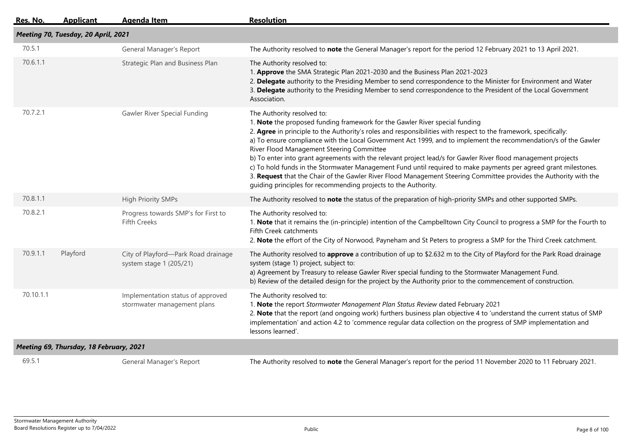| Res. No.  | <b>Applicant</b>                        | <b>Agenda Item</b>                                               | <b>Resolution</b>                                                                                                                                                                                                                                                                                                                                                                                                                                                                                                                                                                                                                                                                                                                                                                                                        |  |  |  |
|-----------|-----------------------------------------|------------------------------------------------------------------|--------------------------------------------------------------------------------------------------------------------------------------------------------------------------------------------------------------------------------------------------------------------------------------------------------------------------------------------------------------------------------------------------------------------------------------------------------------------------------------------------------------------------------------------------------------------------------------------------------------------------------------------------------------------------------------------------------------------------------------------------------------------------------------------------------------------------|--|--|--|
|           | Meeting 70, Tuesday, 20 April, 2021     |                                                                  |                                                                                                                                                                                                                                                                                                                                                                                                                                                                                                                                                                                                                                                                                                                                                                                                                          |  |  |  |
| 70.5.1    |                                         | General Manager's Report                                         | The Authority resolved to note the General Manager's report for the period 12 February 2021 to 13 April 2021.                                                                                                                                                                                                                                                                                                                                                                                                                                                                                                                                                                                                                                                                                                            |  |  |  |
| 70.6.1.1  |                                         | Strategic Plan and Business Plan                                 | The Authority resolved to:<br>1. Approve the SMA Strategic Plan 2021-2030 and the Business Plan 2021-2023<br>2. Delegate authority to the Presiding Member to send correspondence to the Minister for Environment and Water<br>3. Delegate authority to the Presiding Member to send correspondence to the President of the Local Government<br>Association.                                                                                                                                                                                                                                                                                                                                                                                                                                                             |  |  |  |
| 70.7.2.1  |                                         | Gawler River Special Funding                                     | The Authority resolved to:<br>1. Note the proposed funding framework for the Gawler River special funding<br>2. Agree in principle to the Authority's roles and responsibilities with respect to the framework, specifically:<br>a) To ensure compliance with the Local Government Act 1999, and to implement the recommendation/s of the Gawler<br>River Flood Management Steering Committee<br>b) To enter into grant agreements with the relevant project lead/s for Gawler River flood management projects<br>c) To hold funds in the Stormwater Management Fund until required to make payments per agreed grant milestones.<br>3. Request that the Chair of the Gawler River Flood Management Steering Committee provides the Authority with the<br>guiding principles for recommending projects to the Authority. |  |  |  |
| 70.8.1.1  |                                         | <b>High Priority SMPs</b>                                        | The Authority resolved to note the status of the preparation of high-priority SMPs and other supported SMPs.                                                                                                                                                                                                                                                                                                                                                                                                                                                                                                                                                                                                                                                                                                             |  |  |  |
| 70.8.2.1  |                                         | Progress towards SMP's for First to<br><b>Fifth Creeks</b>       | The Authority resolved to:<br>1. Note that it remains the (in-principle) intention of the Campbelltown City Council to progress a SMP for the Fourth to<br>Fifth Creek catchments<br>2. Note the effort of the City of Norwood, Payneham and St Peters to progress a SMP for the Third Creek catchment.                                                                                                                                                                                                                                                                                                                                                                                                                                                                                                                  |  |  |  |
| 70.9.1.1  | Playford                                | City of Playford-Park Road drainage<br>system stage 1 (205/21)   | The Authority resolved to approve a contribution of up to \$2.632 m to the City of Playford for the Park Road drainage<br>system (stage 1) project, subject to:<br>a) Agreement by Treasury to release Gawler River special funding to the Stormwater Management Fund.<br>b) Review of the detailed design for the project by the Authority prior to the commencement of construction.                                                                                                                                                                                                                                                                                                                                                                                                                                   |  |  |  |
| 70.10.1.1 |                                         | Implementation status of approved<br>stormwater management plans | The Authority resolved to:<br>1. Note the report Stormwater Management Plan Status Review dated February 2021<br>2. Note that the report (and ongoing work) furthers business plan objective 4 to 'understand the current status of SMP<br>implementation' and action 4.2 to 'commence regular data collection on the progress of SMP implementation and<br>lessons learned'.                                                                                                                                                                                                                                                                                                                                                                                                                                            |  |  |  |
|           | Meeting 69, Thursday, 18 February, 2021 |                                                                  |                                                                                                                                                                                                                                                                                                                                                                                                                                                                                                                                                                                                                                                                                                                                                                                                                          |  |  |  |
| 69.5.1    |                                         | General Manager's Report                                         | The Authority resolved to note the General Manager's report for the period 11 November 2020 to 11 February 2021.                                                                                                                                                                                                                                                                                                                                                                                                                                                                                                                                                                                                                                                                                                         |  |  |  |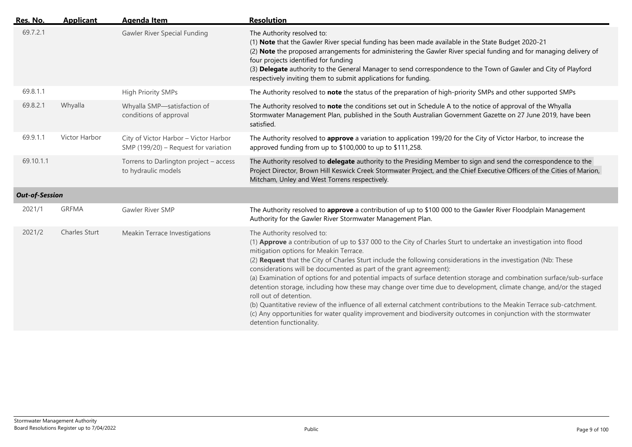| Res. No.              | <b>Applicant</b> | <b>Agenda Item</b>                                                            | <b>Resolution</b>                                                                                                                                                                                                                                                                                                                                                                                                                                                                                                                                                                                                                                                                                                                                                                                                                                                                                                                    |
|-----------------------|------------------|-------------------------------------------------------------------------------|--------------------------------------------------------------------------------------------------------------------------------------------------------------------------------------------------------------------------------------------------------------------------------------------------------------------------------------------------------------------------------------------------------------------------------------------------------------------------------------------------------------------------------------------------------------------------------------------------------------------------------------------------------------------------------------------------------------------------------------------------------------------------------------------------------------------------------------------------------------------------------------------------------------------------------------|
| 69.7.2.1              |                  | Gawler River Special Funding                                                  | The Authority resolved to:<br>(1) Note that the Gawler River special funding has been made available in the State Budget 2020-21<br>(2) Note the proposed arrangements for administering the Gawler River special funding and for managing delivery of<br>four projects identified for funding<br>(3) Delegate authority to the General Manager to send correspondence to the Town of Gawler and City of Playford<br>respectively inviting them to submit applications for funding.                                                                                                                                                                                                                                                                                                                                                                                                                                                  |
| 69.8.1.1              |                  | <b>High Priority SMPs</b>                                                     | The Authority resolved to note the status of the preparation of high-priority SMPs and other supported SMPs                                                                                                                                                                                                                                                                                                                                                                                                                                                                                                                                                                                                                                                                                                                                                                                                                          |
| 69.8.2.1              | Whyalla          | Whyalla SMP-satisfaction of<br>conditions of approval                         | The Authority resolved to note the conditions set out in Schedule A to the notice of approval of the Whyalla<br>Stormwater Management Plan, published in the South Australian Government Gazette on 27 June 2019, have been<br>satisfied.                                                                                                                                                                                                                                                                                                                                                                                                                                                                                                                                                                                                                                                                                            |
| 69.9.1.1              | Victor Harbor    | City of Victor Harbor - Victor Harbor<br>SMP (199/20) - Request for variation | The Authority resolved to approve a variation to application 199/20 for the City of Victor Harbor, to increase the<br>approved funding from up to \$100,000 to up to \$111,258.                                                                                                                                                                                                                                                                                                                                                                                                                                                                                                                                                                                                                                                                                                                                                      |
| 69.10.1.1             |                  | Torrens to Darlington project - access<br>to hydraulic models                 | The Authority resolved to delegate authority to the Presiding Member to sign and send the correspondence to the<br>Project Director, Brown Hill Keswick Creek Stormwater Project, and the Chief Executive Officers of the Cities of Marion,<br>Mitcham, Unley and West Torrens respectively.                                                                                                                                                                                                                                                                                                                                                                                                                                                                                                                                                                                                                                         |
| <b>Out-of-Session</b> |                  |                                                                               |                                                                                                                                                                                                                                                                                                                                                                                                                                                                                                                                                                                                                                                                                                                                                                                                                                                                                                                                      |
| 2021/1                | <b>GRFMA</b>     | Gawler River SMP                                                              | The Authority resolved to approve a contribution of up to \$100 000 to the Gawler River Floodplain Management<br>Authority for the Gawler River Stormwater Management Plan.                                                                                                                                                                                                                                                                                                                                                                                                                                                                                                                                                                                                                                                                                                                                                          |
| 2021/2                | Charles Sturt    | Meakin Terrace Investigations                                                 | The Authority resolved to:<br>(1) Approve a contribution of up to \$37 000 to the City of Charles Sturt to undertake an investigation into flood<br>mitigation options for Meakin Terrace.<br>(2) Request that the City of Charles Sturt include the following considerations in the investigation (Nb: These<br>considerations will be documented as part of the grant agreement):<br>(a) Examination of options for and potential impacts of surface detention storage and combination surface/sub-surface<br>detention storage, including how these may change over time due to development, climate change, and/or the staged<br>roll out of detention.<br>(b) Quantitative review of the influence of all external catchment contributions to the Meakin Terrace sub-catchment.<br>(c) Any opportunities for water quality improvement and biodiversity outcomes in conjunction with the stormwater<br>detention functionality. |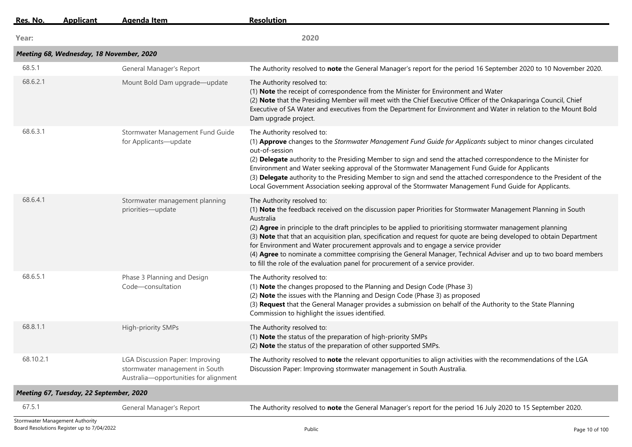| Res. No.  | <b>Applicant</b>                         | <b>Agenda Item</b>                                                                                         | <b>Resolution</b>                                                                                                                                                                                                                                                                                                                                                                                                                                                                                                                                                                                                                                                                         |
|-----------|------------------------------------------|------------------------------------------------------------------------------------------------------------|-------------------------------------------------------------------------------------------------------------------------------------------------------------------------------------------------------------------------------------------------------------------------------------------------------------------------------------------------------------------------------------------------------------------------------------------------------------------------------------------------------------------------------------------------------------------------------------------------------------------------------------------------------------------------------------------|
| Year:     |                                          |                                                                                                            | 2020                                                                                                                                                                                                                                                                                                                                                                                                                                                                                                                                                                                                                                                                                      |
|           | Meeting 68, Wednesday, 18 November, 2020 |                                                                                                            |                                                                                                                                                                                                                                                                                                                                                                                                                                                                                                                                                                                                                                                                                           |
| 68.5.1    |                                          | General Manager's Report                                                                                   | The Authority resolved to note the General Manager's report for the period 16 September 2020 to 10 November 2020.                                                                                                                                                                                                                                                                                                                                                                                                                                                                                                                                                                         |
| 68.6.2.1  |                                          | Mount Bold Dam upgrade-update                                                                              | The Authority resolved to:<br>(1) Note the receipt of correspondence from the Minister for Environment and Water<br>(2) Note that the Presiding Member will meet with the Chief Executive Officer of the Onkaparinga Council, Chief<br>Executive of SA Water and executives from the Department for Environment and Water in relation to the Mount Bold<br>Dam upgrade project.                                                                                                                                                                                                                                                                                                           |
| 68.6.3.1  |                                          | Stormwater Management Fund Guide<br>for Applicants-update                                                  | The Authority resolved to:<br>(1) Approve changes to the Stormwater Management Fund Guide for Applicants subject to minor changes circulated<br>out-of-session<br>(2) Delegate authority to the Presiding Member to sign and send the attached correspondence to the Minister for<br>Environment and Water seeking approval of the Stormwater Management Fund Guide for Applicants<br>(3) Delegate authority to the Presiding Member to sign and send the attached correspondence to the President of the<br>Local Government Association seeking approval of the Stormwater Management Fund Guide for Applicants.                                                                        |
| 68.6.4.1  |                                          | Stormwater management planning<br>priorities-update                                                        | The Authority resolved to:<br>(1) Note the feedback received on the discussion paper Priorities for Stormwater Management Planning in South<br>Australia<br>(2) Agree in principle to the draft principles to be applied to prioritising stormwater management planning<br>(3) Note that that an acquisition plan, specification and request for quote are being developed to obtain Department<br>for Environment and Water procurement approvals and to engage a service provider<br>(4) Agree to nominate a committee comprising the General Manager, Technical Adviser and up to two board members<br>to fill the role of the evaluation panel for procurement of a service provider. |
| 68.6.5.1  |                                          | Phase 3 Planning and Design<br>Code-consultation                                                           | The Authority resolved to:<br>(1) Note the changes proposed to the Planning and Design Code (Phase 3)<br>(2) Note the issues with the Planning and Design Code (Phase 3) as proposed<br>(3) Request that the General Manager provides a submission on behalf of the Authority to the State Planning<br>Commission to highlight the issues identified.                                                                                                                                                                                                                                                                                                                                     |
| 68.8.1.1  |                                          | High-priority SMPs                                                                                         | The Authority resolved to:<br>(1) Note the status of the preparation of high-priority SMPs<br>(2) Note the status of the preparation of other supported SMPs.                                                                                                                                                                                                                                                                                                                                                                                                                                                                                                                             |
| 68.10.2.1 |                                          | LGA Discussion Paper: Improving<br>stormwater management in South<br>Australia-opportunities for alignment | The Authority resolved to note the relevant opportunities to align activities with the recommendations of the LGA<br>Discussion Paper: Improving stormwater management in South Australia.                                                                                                                                                                                                                                                                                                                                                                                                                                                                                                |
|           | Meeting 67, Tuesday, 22 September, 2020  |                                                                                                            |                                                                                                                                                                                                                                                                                                                                                                                                                                                                                                                                                                                                                                                                                           |
| 67.5.1    |                                          | General Manager's Report                                                                                   | The Authority resolved to note the General Manager's report for the period 16 July 2020 to 15 September 2020.                                                                                                                                                                                                                                                                                                                                                                                                                                                                                                                                                                             |
|           |                                          |                                                                                                            |                                                                                                                                                                                                                                                                                                                                                                                                                                                                                                                                                                                                                                                                                           |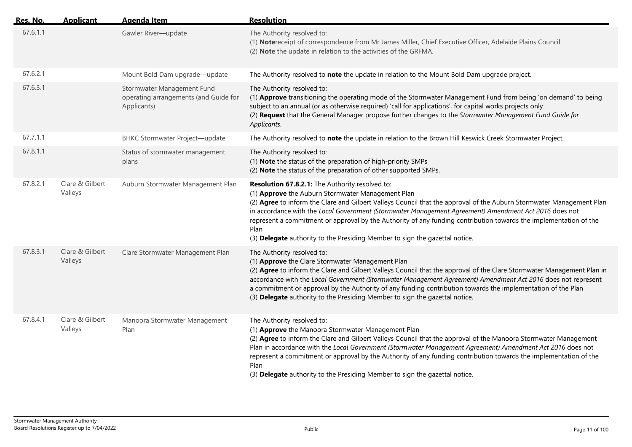| <u>Res. No.</u> | <b>Applicant</b>           | <b>Agenda Item</b>                                                                 | <b>Resolution</b>                                                                                                                                                                                                                                                                                                                                                                                                                                                                                                                                 |
|-----------------|----------------------------|------------------------------------------------------------------------------------|---------------------------------------------------------------------------------------------------------------------------------------------------------------------------------------------------------------------------------------------------------------------------------------------------------------------------------------------------------------------------------------------------------------------------------------------------------------------------------------------------------------------------------------------------|
| 67.6.1.1        |                            | Gawler River-update                                                                | The Authority resolved to:<br>(1) Notereceipt of correspondence from Mr James Miller, Chief Executive Officer, Adelaide Plains Council<br>(2) Note the update in relation to the activities of the GRFMA.                                                                                                                                                                                                                                                                                                                                         |
| 67.6.2.1        |                            | Mount Bold Dam upgrade-update                                                      | The Authority resolved to note the update in relation to the Mount Bold Dam upgrade project.                                                                                                                                                                                                                                                                                                                                                                                                                                                      |
| 67.6.3.1        |                            | Stormwater Management Fund<br>operating arrangements (and Guide for<br>Applicants) | The Authority resolved to:<br>(1) Approve transitioning the operating mode of the Stormwater Management Fund from being 'on demand' to being<br>subject to an annual (or as otherwise required) 'call for applications', for capital works projects only<br>(2) Request that the General Manager propose further changes to the Stormwater Management Fund Guide for<br>Applicants.                                                                                                                                                               |
| 67.7.1.1        |                            | <b>BHKC Stormwater Project-update</b>                                              | The Authority resolved to note the update in relation to the Brown Hill Keswick Creek Stormwater Project.                                                                                                                                                                                                                                                                                                                                                                                                                                         |
| 67.8.1.1        |                            | Status of stormwater management<br>plans                                           | The Authority resolved to:<br>(1) Note the status of the preparation of high-priority SMPs<br>(2) Note the status of the preparation of other supported SMPs.                                                                                                                                                                                                                                                                                                                                                                                     |
| 67.8.2.1        | Clare & Gilbert<br>Valleys | Auburn Stormwater Management Plan                                                  | Resolution 67.8.2.1: The Authority resolved to:<br>(1) Approve the Auburn Stormwater Management Plan<br>(2) Agree to inform the Clare and Gilbert Valleys Council that the approval of the Auburn Stormwater Management Plan<br>in accordance with the Local Government (Stormwater Management Agreement) Amendment Act 2016 does not<br>represent a commitment or approval by the Authority of any funding contribution towards the implementation of the<br>Plan<br>(3) Delegate authority to the Presiding Member to sign the gazettal notice. |
| 67.8.3.1        | Clare & Gilbert<br>Valleys | Clare Stormwater Management Plan                                                   | The Authority resolved to:<br>(1) Approve the Clare Stormwater Management Plan<br>(2) Agree to inform the Clare and Gilbert Valleys Council that the approval of the Clare Stormwater Management Plan in<br>accordance with the Local Government (Stormwater Management Agreement) Amendment Act 2016 does not represent<br>a commitment or approval by the Authority of any funding contribution towards the implementation of the Plan<br>(3) Delegate authority to the Presiding Member to sign the gazettal notice.                           |
| 67.8.4.1        | Clare & Gilbert<br>Valleys | Manoora Stormwater Management<br>Plan                                              | The Authority resolved to:<br>(1) Approve the Manoora Stormwater Management Plan<br>(2) Agree to inform the Clare and Gilbert Valleys Council that the approval of the Manoora Stormwater Management<br>Plan in accordance with the Local Government (Stormwater Management Agreement) Amendment Act 2016 does not<br>represent a commitment or approval by the Authority of any funding contribution towards the implementation of the<br>Plan<br>(3) Delegate authority to the Presiding Member to sign the gazettal notice.                    |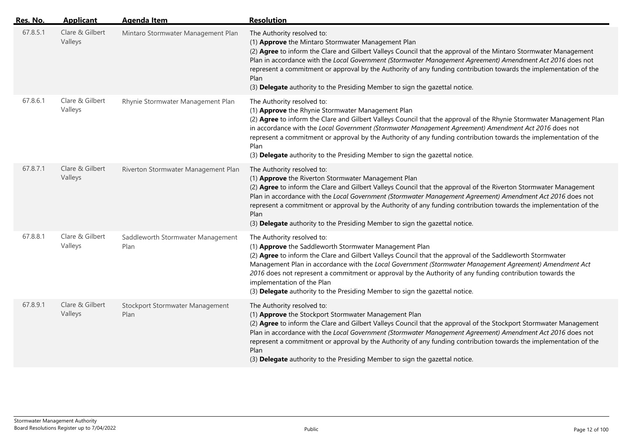| <u>Res. No.</u> | <b>Applicant</b>           | <b>Agenda Item</b>                        | <b>Resolution</b>                                                                                                                                                                                                                                                                                                                                                                                                                                                                                                                      |
|-----------------|----------------------------|-------------------------------------------|----------------------------------------------------------------------------------------------------------------------------------------------------------------------------------------------------------------------------------------------------------------------------------------------------------------------------------------------------------------------------------------------------------------------------------------------------------------------------------------------------------------------------------------|
| 67.8.5.1        | Clare & Gilbert<br>Valleys | Mintaro Stormwater Management Plan        | The Authority resolved to:<br>(1) Approve the Mintaro Stormwater Management Plan<br>(2) Agree to inform the Clare and Gilbert Valleys Council that the approval of the Mintaro Stormwater Management<br>Plan in accordance with the Local Government (Stormwater Management Agreement) Amendment Act 2016 does not<br>represent a commitment or approval by the Authority of any funding contribution towards the implementation of the<br>Plan<br>(3) Delegate authority to the Presiding Member to sign the gazettal notice.         |
| 67.8.6.1        | Clare & Gilbert<br>Valleys | Rhynie Stormwater Management Plan         | The Authority resolved to:<br>(1) Approve the Rhynie Stormwater Management Plan<br>(2) Agree to inform the Clare and Gilbert Valleys Council that the approval of the Rhynie Stormwater Management Plan<br>in accordance with the Local Government (Stormwater Management Agreement) Amendment Act 2016 does not<br>represent a commitment or approval by the Authority of any funding contribution towards the implementation of the<br>Plan<br>(3) Delegate authority to the Presiding Member to sign the gazettal notice.           |
| 67.8.7.1        | Clare & Gilbert<br>Valleys | Riverton Stormwater Management Plan       | The Authority resolved to:<br>(1) Approve the Riverton Stormwater Management Plan<br>(2) Agree to inform the Clare and Gilbert Valleys Council that the approval of the Riverton Stormwater Management<br>Plan in accordance with the Local Government (Stormwater Management Agreement) Amendment Act 2016 does not<br>represent a commitment or approval by the Authority of any funding contribution towards the implementation of the<br>Plan<br>(3) Delegate authority to the Presiding Member to sign the gazettal notice.       |
| 67.8.8.1        | Clare & Gilbert<br>Valleys | Saddleworth Stormwater Management<br>Plan | The Authority resolved to:<br>(1) Approve the Saddleworth Stormwater Management Plan<br>(2) Agree to inform the Clare and Gilbert Valleys Council that the approval of the Saddleworth Stormwater<br>Management Plan in accordance with the Local Government (Stormwater Management Agreement) Amendment Act<br>2016 does not represent a commitment or approval by the Authority of any funding contribution towards the<br>implementation of the Plan<br>(3) Delegate authority to the Presiding Member to sign the gazettal notice. |
| 67.8.9.1        | Clare & Gilbert<br>Valleys | Stockport Stormwater Management<br>Plan   | The Authority resolved to:<br>(1) Approve the Stockport Stormwater Management Plan<br>(2) Agree to inform the Clare and Gilbert Valleys Council that the approval of the Stockport Stormwater Management<br>Plan in accordance with the Local Government (Stormwater Management Agreement) Amendment Act 2016 does not<br>represent a commitment or approval by the Authority of any funding contribution towards the implementation of the<br>Plan<br>(3) Delegate authority to the Presiding Member to sign the gazettal notice.     |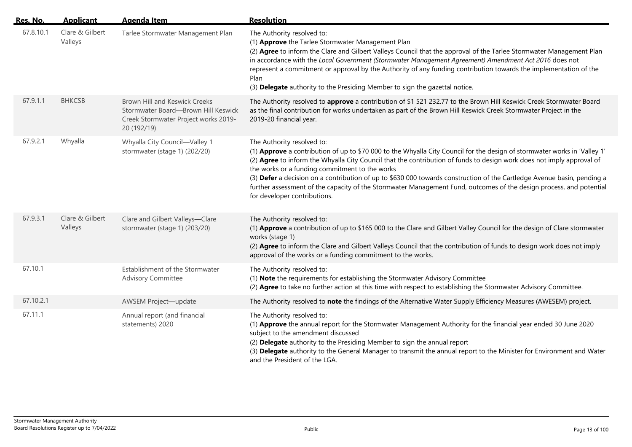| Res. No.  | <b>Applicant</b>           | <b>Agenda Item</b>                                                                                                                 | <b>Resolution</b>                                                                                                                                                                                                                                                                                                                                                                                                                                                                                                                                                                                                    |
|-----------|----------------------------|------------------------------------------------------------------------------------------------------------------------------------|----------------------------------------------------------------------------------------------------------------------------------------------------------------------------------------------------------------------------------------------------------------------------------------------------------------------------------------------------------------------------------------------------------------------------------------------------------------------------------------------------------------------------------------------------------------------------------------------------------------------|
| 67.8.10.1 | Clare & Gilbert<br>Valleys | Tarlee Stormwater Management Plan                                                                                                  | The Authority resolved to:<br>(1) Approve the Tarlee Stormwater Management Plan<br>(2) Agree to inform the Clare and Gilbert Valleys Council that the approval of the Tarlee Stormwater Management Plan<br>in accordance with the Local Government (Stormwater Management Agreement) Amendment Act 2016 does not<br>represent a commitment or approval by the Authority of any funding contribution towards the implementation of the<br>Plan<br>(3) Delegate authority to the Presiding Member to sign the gazettal notice.                                                                                         |
| 67.9.1.1  | <b>BHKCSB</b>              | <b>Brown Hill and Keswick Creeks</b><br>Stormwater Board-Brown Hill Keswick<br>Creek Stormwater Project works 2019-<br>20 (192/19) | The Authority resolved to approve a contribution of \$1 521 232.77 to the Brown Hill Keswick Creek Stormwater Board<br>as the final contribution for works undertaken as part of the Brown Hill Keswick Creek Stormwater Project in the<br>2019-20 financial year.                                                                                                                                                                                                                                                                                                                                                   |
| 67.9.2.1  | Whyalla                    | Whyalla City Council-Valley 1<br>stormwater (stage 1) (202/20)                                                                     | The Authority resolved to:<br>(1) Approve a contribution of up to \$70 000 to the Whyalla City Council for the design of stormwater works in 'Valley 1'<br>(2) Agree to inform the Whyalla City Council that the contribution of funds to design work does not imply approval of<br>the works or a funding commitment to the works<br>(3) Defer a decision on a contribution of up to \$630 000 towards construction of the Cartledge Avenue basin, pending a<br>further assessment of the capacity of the Stormwater Management Fund, outcomes of the design process, and potential<br>for developer contributions. |
| 67.9.3.1  | Clare & Gilbert<br>Valleys | Clare and Gilbert Valleys-Clare<br>stormwater (stage 1) (203/20)                                                                   | The Authority resolved to:<br>(1) Approve a contribution of up to \$165 000 to the Clare and Gilbert Valley Council for the design of Clare stormwater<br>works (stage 1)<br>(2) Agree to inform the Clare and Gilbert Valleys Council that the contribution of funds to design work does not imply<br>approval of the works or a funding commitment to the works.                                                                                                                                                                                                                                                   |
| 67.10.1   |                            | Establishment of the Stormwater<br><b>Advisory Committee</b>                                                                       | The Authority resolved to:<br>(1) Note the requirements for establishing the Stormwater Advisory Committee<br>(2) Agree to take no further action at this time with respect to establishing the Stormwater Advisory Committee.                                                                                                                                                                                                                                                                                                                                                                                       |
| 67.10.2.1 |                            | AWSEM Project-update                                                                                                               | The Authority resolved to note the findings of the Alternative Water Supply Efficiency Measures (AWESEM) project.                                                                                                                                                                                                                                                                                                                                                                                                                                                                                                    |
| 67.11.1   |                            | Annual report (and financial<br>statements) 2020                                                                                   | The Authority resolved to:<br>(1) Approve the annual report for the Stormwater Management Authority for the financial year ended 30 June 2020<br>subject to the amendment discussed<br>(2) Delegate authority to the Presiding Member to sign the annual report<br>(3) Delegate authority to the General Manager to transmit the annual report to the Minister for Environment and Water<br>and the President of the LGA.                                                                                                                                                                                            |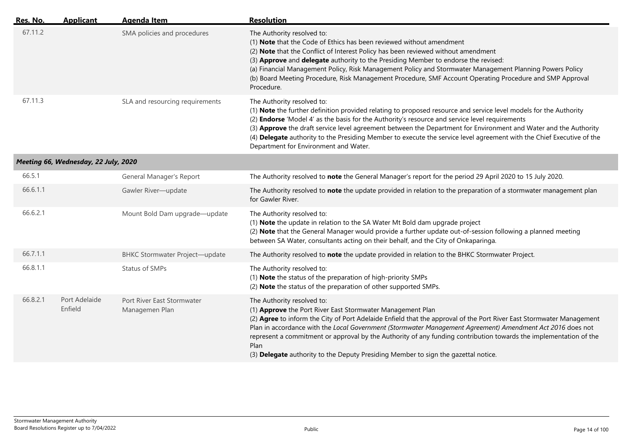| Res. No. | <b>Applicant</b>                     | <b>Agenda Item</b>                           | <b>Resolution</b>                                                                                                                                                                                                                                                                                                                                                                                                                                                                                                                                 |
|----------|--------------------------------------|----------------------------------------------|---------------------------------------------------------------------------------------------------------------------------------------------------------------------------------------------------------------------------------------------------------------------------------------------------------------------------------------------------------------------------------------------------------------------------------------------------------------------------------------------------------------------------------------------------|
| 67.11.2  |                                      | SMA policies and procedures                  | The Authority resolved to:<br>(1) Note that the Code of Ethics has been reviewed without amendment<br>(2) Note that the Conflict of Interest Policy has been reviewed without amendment<br>(3) Approve and delegate authority to the Presiding Member to endorse the revised:<br>(a) Financial Management Policy, Risk Management Policy and Stormwater Management Planning Powers Policy<br>(b) Board Meeting Procedure, Risk Management Procedure, SMF Account Operating Procedure and SMP Approval<br>Procedure.                               |
| 67.11.3  |                                      | SLA and resourcing requirements              | The Authority resolved to:<br>(1) Note the further definition provided relating to proposed resource and service level models for the Authority<br>(2) <b>Endorse</b> 'Model 4' as the basis for the Authority's resource and service level requirements<br>(3) Approve the draft service level agreement between the Department for Environment and Water and the Authority<br>(4) Delegate authority to the Presiding Member to execute the service level agreement with the Chief Executive of the<br>Department for Environment and Water.    |
|          | Meeting 66, Wednesday, 22 July, 2020 |                                              |                                                                                                                                                                                                                                                                                                                                                                                                                                                                                                                                                   |
| 66.5.1   |                                      | General Manager's Report                     | The Authority resolved to note the General Manager's report for the period 29 April 2020 to 15 July 2020.                                                                                                                                                                                                                                                                                                                                                                                                                                         |
| 66.6.1.1 |                                      | Gawler River-update                          | The Authority resolved to note the update provided in relation to the preparation of a stormwater management plan<br>for Gawler River.                                                                                                                                                                                                                                                                                                                                                                                                            |
| 66.6.2.1 |                                      | Mount Bold Dam upgrade-update                | The Authority resolved to:<br>(1) Note the update in relation to the SA Water Mt Bold dam upgrade project<br>(2) Note that the General Manager would provide a further update out-of-session following a planned meeting<br>between SA Water, consultants acting on their behalf, and the City of Onkaparinga.                                                                                                                                                                                                                                    |
| 66.7.1.1 |                                      | <b>BHKC Stormwater Project-update</b>        | The Authority resolved to note the update provided in relation to the BHKC Stormwater Project.                                                                                                                                                                                                                                                                                                                                                                                                                                                    |
| 66.8.1.1 |                                      | Status of SMPs                               | The Authority resolved to:<br>(1) Note the status of the preparation of high-priority SMPs<br>(2) Note the status of the preparation of other supported SMPs.                                                                                                                                                                                                                                                                                                                                                                                     |
| 66.8.2.1 | Port Adelaide<br>Enfield             | Port River East Stormwater<br>Managemen Plan | The Authority resolved to:<br>(1) Approve the Port River East Stormwater Management Plan<br>(2) Agree to inform the City of Port Adelaide Enfield that the approval of the Port River East Stormwater Management<br>Plan in accordance with the Local Government (Stormwater Management Agreement) Amendment Act 2016 does not<br>represent a commitment or approval by the Authority of any funding contribution towards the implementation of the<br>Plan<br>(3) Delegate authority to the Deputy Presiding Member to sign the gazettal notice. |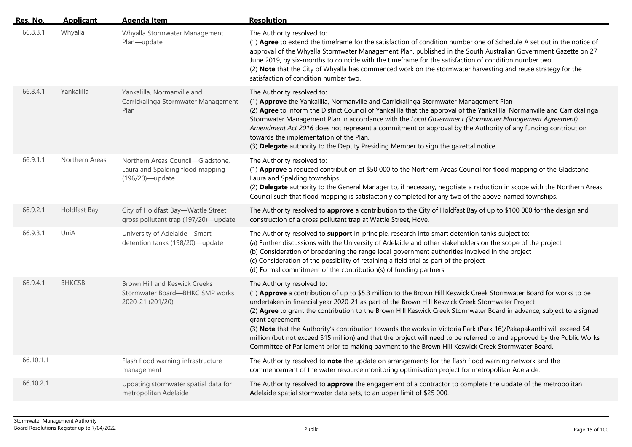| Res. No.  | <b>Applicant</b>    | <b>Agenda Item</b>                                                                          | <b>Resolution</b>                                                                                                                                                                                                                                                                                                                                                                                                                                                                                                                                                                                                                                                                                                                                      |
|-----------|---------------------|---------------------------------------------------------------------------------------------|--------------------------------------------------------------------------------------------------------------------------------------------------------------------------------------------------------------------------------------------------------------------------------------------------------------------------------------------------------------------------------------------------------------------------------------------------------------------------------------------------------------------------------------------------------------------------------------------------------------------------------------------------------------------------------------------------------------------------------------------------------|
| 66.8.3.1  | Whyalla             | Whyalla Stormwater Management<br>Plan-update                                                | The Authority resolved to:<br>(1) Agree to extend the timeframe for the satisfaction of condition number one of Schedule A set out in the notice of<br>approval of the Whyalla Stormwater Management Plan, published in the South Australian Government Gazette on 27<br>June 2019, by six-months to coincide with the timeframe for the satisfaction of condition number two<br>(2) Note that the City of Whyalla has commenced work on the stormwater harvesting and reuse strategy for the<br>satisfaction of condition number two.                                                                                                                                                                                                                 |
| 66.8.4.1  | Yankalilla          | Yankalilla, Normanville and<br>Carrickalinga Stormwater Management<br>Plan                  | The Authority resolved to:<br>(1) Approve the Yankalilla, Normanville and Carrickalinga Stormwater Management Plan<br>(2) Agree to inform the District Council of Yankalilla that the approval of the Yankalilla, Normanville and Carrickalinga<br>Stormwater Management Plan in accordance with the Local Government (Stormwater Management Agreement)<br>Amendment Act 2016 does not represent a commitment or approval by the Authority of any funding contribution<br>towards the implementation of the Plan.<br>(3) Delegate authority to the Deputy Presiding Member to sign the gazettal notice.                                                                                                                                                |
| 66.9.1.1  | Northern Areas      | Northern Areas Council-Gladstone,<br>Laura and Spalding flood mapping<br>(196/20)-update    | The Authority resolved to:<br>(1) Approve a reduced contribution of \$50 000 to the Northern Areas Council for flood mapping of the Gladstone,<br>Laura and Spalding townships<br>(2) Delegate authority to the General Manager to, if necessary, negotiate a reduction in scope with the Northern Areas<br>Council such that flood mapping is satisfactorily completed for any two of the above-named townships.                                                                                                                                                                                                                                                                                                                                      |
| 66.9.2.1  | <b>Holdfast Bay</b> | City of Holdfast Bay-Wattle Street<br>gross pollutant trap (197/20)-update                  | The Authority resolved to approve a contribution to the City of Holdfast Bay of up to \$100 000 for the design and<br>construction of a gross pollutant trap at Wattle Street, Hove.                                                                                                                                                                                                                                                                                                                                                                                                                                                                                                                                                                   |
| 66.9.3.1  | UniA                | University of Adelaide-Smart<br>detention tanks (198/20)-update                             | The Authority resolved to support in-principle, research into smart detention tanks subject to:<br>(a) Further discussions with the University of Adelaide and other stakeholders on the scope of the project<br>(b) Consideration of broadening the range local government authorities involved in the project<br>(c) Consideration of the possibility of retaining a field trial as part of the project<br>(d) Formal commitment of the contribution(s) of funding partners                                                                                                                                                                                                                                                                          |
| 66.9.4.1  | <b>BHKCSB</b>       | <b>Brown Hill and Keswick Creeks</b><br>Stormwater Board-BHKC SMP works<br>2020-21 (201/20) | The Authority resolved to:<br>(1) Approve a contribution of up to \$5.3 million to the Brown Hill Keswick Creek Stormwater Board for works to be<br>undertaken in financial year 2020-21 as part of the Brown Hill Keswick Creek Stormwater Project<br>(2) Agree to grant the contribution to the Brown Hill Keswick Creek Stormwater Board in advance, subject to a signed<br>grant agreement<br>(3) Note that the Authority's contribution towards the works in Victoria Park (Park 16)/Pakapakanthi will exceed \$4<br>million (but not exceed \$15 million) and that the project will need to be referred to and approved by the Public Works<br>Committee of Parliament prior to making payment to the Brown Hill Keswick Creek Stormwater Board. |
| 66.10.1.1 |                     | Flash flood warning infrastructure<br>management                                            | The Authority resolved to note the update on arrangements for the flash flood warning network and the<br>commencement of the water resource monitoring optimisation project for metropolitan Adelaide.                                                                                                                                                                                                                                                                                                                                                                                                                                                                                                                                                 |
| 66.10.2.1 |                     | Updating stormwater spatial data for<br>metropolitan Adelaide                               | The Authority resolved to approve the engagement of a contractor to complete the update of the metropolitan<br>Adelaide spatial stormwater data sets, to an upper limit of \$25 000.                                                                                                                                                                                                                                                                                                                                                                                                                                                                                                                                                                   |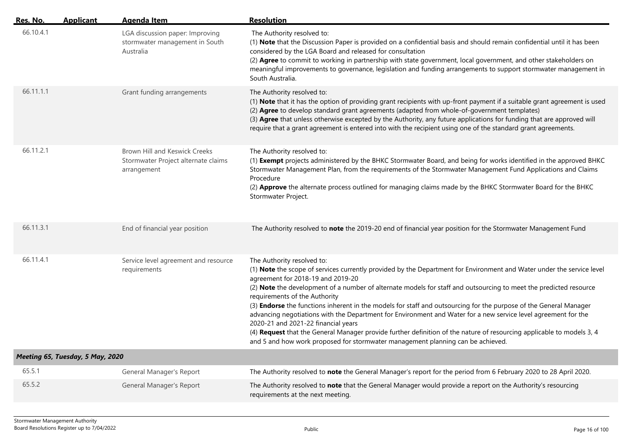| Res. No.  | <b>Applicant</b>                 | <b>Agenda Item</b>                                                                         | <b>Resolution</b>                                                                                                                                                                                                                                                                                                                                                                                                                                                                                                                                                                                                                                                                                                                                                                                                                        |
|-----------|----------------------------------|--------------------------------------------------------------------------------------------|------------------------------------------------------------------------------------------------------------------------------------------------------------------------------------------------------------------------------------------------------------------------------------------------------------------------------------------------------------------------------------------------------------------------------------------------------------------------------------------------------------------------------------------------------------------------------------------------------------------------------------------------------------------------------------------------------------------------------------------------------------------------------------------------------------------------------------------|
| 66.10.4.1 |                                  | LGA discussion paper: Improving<br>stormwater management in South<br>Australia             | The Authority resolved to:<br>(1) Note that the Discussion Paper is provided on a confidential basis and should remain confidential until it has been<br>considered by the LGA Board and released for consultation<br>(2) Agree to commit to working in partnership with state government, local government, and other stakeholders on<br>meaningful improvements to governance, legislation and funding arrangements to support stormwater management in<br>South Australia.                                                                                                                                                                                                                                                                                                                                                            |
| 66.11.1.1 |                                  | Grant funding arrangements                                                                 | The Authority resolved to:<br>(1) Note that it has the option of providing grant recipients with up-front payment if a suitable grant agreement is used<br>(2) Agree to develop standard grant agreements (adapted from whole-of-government templates)<br>(3) Agree that unless otherwise excepted by the Authority, any future applications for funding that are approved will<br>require that a grant agreement is entered into with the recipient using one of the standard grant agreements.                                                                                                                                                                                                                                                                                                                                         |
| 66.11.2.1 |                                  | <b>Brown Hill and Keswick Creeks</b><br>Stormwater Project alternate claims<br>arrangement | The Authority resolved to:<br>(1) Exempt projects administered by the BHKC Stormwater Board, and being for works identified in the approved BHKC<br>Stormwater Management Plan, from the requirements of the Stormwater Management Fund Applications and Claims<br>Procedure<br>(2) Approve the alternate process outlined for managing claims made by the BHKC Stormwater Board for the BHKC<br>Stormwater Project.                                                                                                                                                                                                                                                                                                                                                                                                                     |
| 66.11.3.1 |                                  | End of financial year position                                                             | The Authority resolved to note the 2019-20 end of financial year position for the Stormwater Management Fund                                                                                                                                                                                                                                                                                                                                                                                                                                                                                                                                                                                                                                                                                                                             |
| 66.11.4.1 |                                  | Service level agreement and resource<br>requirements                                       | The Authority resolved to:<br>(1) Note the scope of services currently provided by the Department for Environment and Water under the service level<br>agreement for 2018-19 and 2019-20<br>(2) Note the development of a number of alternate models for staff and outsourcing to meet the predicted resource<br>requirements of the Authority<br>(3) Endorse the functions inherent in the models for staff and outsourcing for the purpose of the General Manager<br>advancing negotiations with the Department for Environment and Water for a new service level agreement for the<br>2020-21 and 2021-22 financial years<br>(4) Request that the General Manager provide further definition of the nature of resourcing applicable to models 3, 4<br>and 5 and how work proposed for stormwater management planning can be achieved. |
|           | Meeting 65, Tuesday, 5 May, 2020 |                                                                                            |                                                                                                                                                                                                                                                                                                                                                                                                                                                                                                                                                                                                                                                                                                                                                                                                                                          |
| 65.5.1    |                                  | General Manager's Report                                                                   | The Authority resolved to note the General Manager's report for the period from 6 February 2020 to 28 April 2020.                                                                                                                                                                                                                                                                                                                                                                                                                                                                                                                                                                                                                                                                                                                        |
| 65.5.2    |                                  | General Manager's Report                                                                   | The Authority resolved to note that the General Manager would provide a report on the Authority's resourcing<br>requirements at the next meeting.                                                                                                                                                                                                                                                                                                                                                                                                                                                                                                                                                                                                                                                                                        |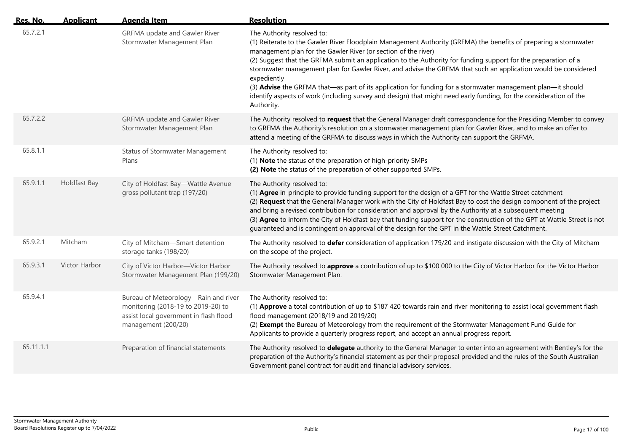| Res. No.  | <b>Applicant</b> | <b>Agenda Item</b>                                                                                                                          | <b>Resolution</b>                                                                                                                                                                                                                                                                                                                                                                                                                                                                                                                                                                                                                                                                                                      |
|-----------|------------------|---------------------------------------------------------------------------------------------------------------------------------------------|------------------------------------------------------------------------------------------------------------------------------------------------------------------------------------------------------------------------------------------------------------------------------------------------------------------------------------------------------------------------------------------------------------------------------------------------------------------------------------------------------------------------------------------------------------------------------------------------------------------------------------------------------------------------------------------------------------------------|
| 65.7.2.1  |                  | <b>GRFMA</b> update and Gawler River<br>Stormwater Management Plan                                                                          | The Authority resolved to:<br>(1) Reiterate to the Gawler River Floodplain Management Authority (GRFMA) the benefits of preparing a stormwater<br>management plan for the Gawler River (or section of the river)<br>(2) Suggest that the GRFMA submit an application to the Authority for funding support for the preparation of a<br>stormwater management plan for Gawler River, and advise the GRFMA that such an application would be considered<br>expediently<br>(3) Advise the GRFMA that—as part of its application for funding for a stormwater management plan—it should<br>identify aspects of work (including survey and design) that might need early funding, for the consideration of the<br>Authority. |
| 65.7.2.2  |                  | <b>GRFMA</b> update and Gawler River<br>Stormwater Management Plan                                                                          | The Authority resolved to request that the General Manager draft correspondence for the Presiding Member to convey<br>to GRFMA the Authority's resolution on a stormwater management plan for Gawler River, and to make an offer to<br>attend a meeting of the GRFMA to discuss ways in which the Authority can support the GRFMA.                                                                                                                                                                                                                                                                                                                                                                                     |
| 65.8.1.1  |                  | <b>Status of Stormwater Management</b><br>Plans                                                                                             | The Authority resolved to:<br>(1) Note the status of the preparation of high-priority SMPs<br>(2) Note the status of the preparation of other supported SMPs.                                                                                                                                                                                                                                                                                                                                                                                                                                                                                                                                                          |
| 65.9.1.1  | Holdfast Bay     | City of Holdfast Bay-Wattle Avenue<br>gross pollutant trap (197/20)                                                                         | The Authority resolved to:<br>(1) Agree in-principle to provide funding support for the design of a GPT for the Wattle Street catchment<br>(2) Request that the General Manager work with the City of Holdfast Bay to cost the design component of the project<br>and bring a revised contribution for consideration and approval by the Authority at a subsequent meeting<br>(3) Agree to inform the City of Holdfast bay that funding support for the construction of the GPT at Wattle Street is not<br>guaranteed and is contingent on approval of the design for the GPT in the Wattle Street Catchment.                                                                                                          |
| 65.9.2.1  | Mitcham          | City of Mitcham-Smart detention<br>storage tanks (198/20)                                                                                   | The Authority resolved to defer consideration of application 179/20 and instigate discussion with the City of Mitcham<br>on the scope of the project.                                                                                                                                                                                                                                                                                                                                                                                                                                                                                                                                                                  |
| 65.9.3.1  | Victor Harbor    | City of Victor Harbor-Victor Harbor<br>Stormwater Management Plan (199/20)                                                                  | The Authority resolved to approve a contribution of up to \$100 000 to the City of Victor Harbor for the Victor Harbor<br>Stormwater Management Plan.                                                                                                                                                                                                                                                                                                                                                                                                                                                                                                                                                                  |
| 65.9.4.1  |                  | Bureau of Meteorology-Rain and river<br>monitoring (2018-19 to 2019-20) to<br>assist local government in flash flood<br>management (200/20) | The Authority resolved to:<br>(1) Approve a total contribution of up to \$187 420 towards rain and river monitoring to assist local government flash<br>flood management (2018/19 and 2019/20)<br>(2) Exempt the Bureau of Meteorology from the requirement of the Stormwater Management Fund Guide for<br>Applicants to provide a quarterly progress report, and accept an annual progress report.                                                                                                                                                                                                                                                                                                                    |
| 65.11.1.1 |                  | Preparation of financial statements                                                                                                         | The Authority resolved to delegate authority to the General Manager to enter into an agreement with Bentley's for the<br>preparation of the Authority's financial statement as per their proposal provided and the rules of the South Australian<br>Government panel contract for audit and financial advisory services.                                                                                                                                                                                                                                                                                                                                                                                               |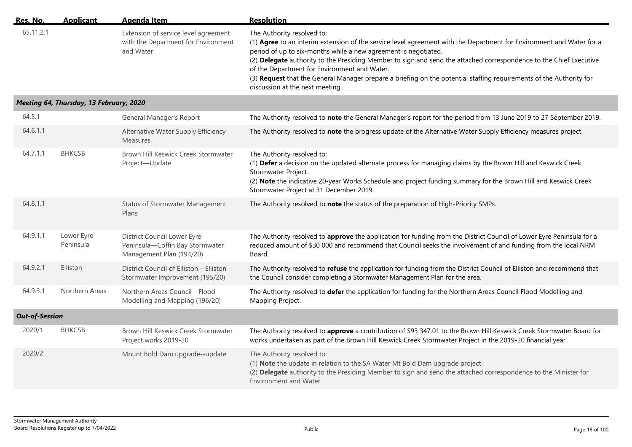| Res. No.  | Applicant | Agenda Item                                                                              | <b>Resolution</b>                                                                                                                                                                                                                                                                                                                                                                                                                                                                                                                                     |
|-----------|-----------|------------------------------------------------------------------------------------------|-------------------------------------------------------------------------------------------------------------------------------------------------------------------------------------------------------------------------------------------------------------------------------------------------------------------------------------------------------------------------------------------------------------------------------------------------------------------------------------------------------------------------------------------------------|
| 65.11.2.1 |           | Extension of service level agreement<br>with the Department for Environment<br>and Water | The Authority resolved to:<br>(1) Agree to an interim extension of the service level agreement with the Department for Environment and Water for a<br>period of up to six-months while a new agreement is negotiated.<br>(2) Delegate authority to the Presiding Member to sign and send the attached correspondence to the Chief Executive<br>of the Department for Environment and Water.<br>(3) Request that the General Manager prepare a briefing on the potential staffing requirements of the Authority for<br>discussion at the next meeting. |

## *Meeting 64, Thursday, 13 February, 2020*

| 64.5.1                |                         | General Manager's Report                                                                   | The Authority resolved to note the General Manager's report for the period from 13 June 2019 to 27 September 2019.                                                                                                                                                                                                               |
|-----------------------|-------------------------|--------------------------------------------------------------------------------------------|----------------------------------------------------------------------------------------------------------------------------------------------------------------------------------------------------------------------------------------------------------------------------------------------------------------------------------|
| 64.6.1.1              |                         | Alternative Water Supply Efficiency<br><b>Measures</b>                                     | The Authority resolved to note the progress update of the Alternative Water Supply Efficiency measures project.                                                                                                                                                                                                                  |
| 64.7.1.1              | <b>BHKCSB</b>           | Brown Hill Keswick Creek Stormwater<br>Project-Update                                      | The Authority resolved to:<br>(1) Defer a decision on the updated alternate process for managing claims by the Brown Hill and Keswick Creek<br>Stormwater Project.<br>(2) Note the indicative 20-year Works Schedule and project funding summary for the Brown Hill and Keswick Creek<br>Stormwater Project at 31 December 2019. |
| 64.8.1.1              |                         | <b>Status of Stormwater Management</b><br>Plans                                            | The Authority resolved to note the status of the preparation of High-Priority SMPs.                                                                                                                                                                                                                                              |
| 64.9.1.1              | Lower Eyre<br>Peninsula | District Council Lower Eyre<br>Peninsula-Coffin Bay Stormwater<br>Management Plan (194/20) | The Authority resolved to approve the application for funding from the District Council of Lower Eyre Peninsula for a<br>reduced amount of \$30 000 and recommend that Council seeks the involvement of and funding from the local NRM<br>Board.                                                                                 |
| 64.9.2.1              | Elliston                | District Council of Elliston - Elliston<br>Stormwater Improvement (195/20)                 | The Authority resolved to refuse the application for funding from the District Council of Elliston and recommend that<br>the Council consider completing a Stormwater Management Plan for the area.                                                                                                                              |
| 64.9.3.1              | Northern Areas          | Northern Areas Council-Flood<br>Modelling and Mapping (196/20)                             | The Authority resolved to defer the application for funding for the Northern Areas Council Flood Modelling and<br>Mapping Project.                                                                                                                                                                                               |
| <b>Out-of-Session</b> |                         |                                                                                            |                                                                                                                                                                                                                                                                                                                                  |
| 2020/1                | <b>BHKCSB</b>           | Brown Hill Keswick Creek Stormwater<br>Project works 2019-20                               | The Authority resolved to approve a contribution of \$93 347.01 to the Brown Hill Keswick Creek Stormwater Board for<br>works undertaken as part of the Brown Hill Keswick Creek Stormwater Project in the 2019-20 financial year.                                                                                               |
| 2020/2                |                         | Mount Bold Dam upgrade--update                                                             | The Authority resolved to:<br>(1) Note the update in relation to the SA Water Mt Bold Dam upgrade project<br>(2) Delegate authority to the Presiding Member to sign and send the attached correspondence to the Minister for<br><b>Environment and Water</b>                                                                     |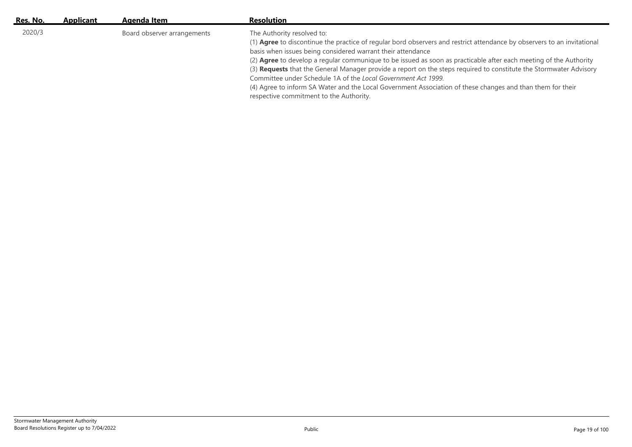| Res. No. | <b>Applicant</b> | Agenda Item                 | <b>Resolution</b>                                                                                                                                                                                                                                                                                                                                                                                                                                                                                                                                                                                                                                                                         |
|----------|------------------|-----------------------------|-------------------------------------------------------------------------------------------------------------------------------------------------------------------------------------------------------------------------------------------------------------------------------------------------------------------------------------------------------------------------------------------------------------------------------------------------------------------------------------------------------------------------------------------------------------------------------------------------------------------------------------------------------------------------------------------|
| 2020/3   |                  | Board observer arrangements | The Authority resolved to:<br>(1) Agree to discontinue the practice of regular bord observers and restrict attendance by observers to an invitational<br>basis when issues being considered warrant their attendance<br>(2) Agree to develop a regular communique to be issued as soon as practicable after each meeting of the Authority<br>(3) Requests that the General Manager provide a report on the steps required to constitute the Stormwater Advisory<br>Committee under Schedule 1A of the Local Government Act 1999.<br>(4) Agree to inform SA Water and the Local Government Association of these changes and than them for their<br>respective commitment to the Authority. |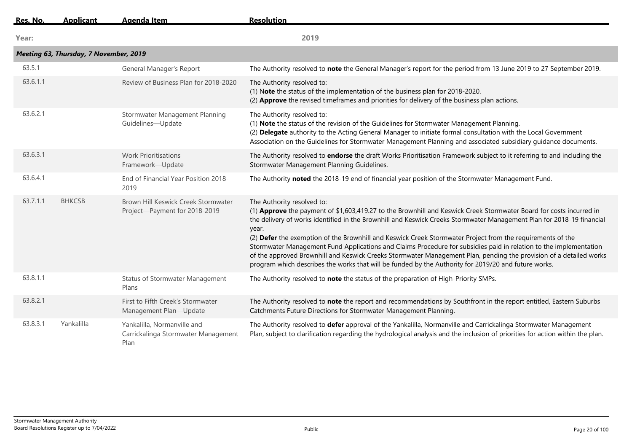| Res. No. | <b>Applicant</b>                       | <b>Agenda Item</b>                                                         | <b>Resolution</b>                                                                                                                                                                                                                                                                                                                                                                                                                                                                                                                                                                                                                                                                                                                                    |
|----------|----------------------------------------|----------------------------------------------------------------------------|------------------------------------------------------------------------------------------------------------------------------------------------------------------------------------------------------------------------------------------------------------------------------------------------------------------------------------------------------------------------------------------------------------------------------------------------------------------------------------------------------------------------------------------------------------------------------------------------------------------------------------------------------------------------------------------------------------------------------------------------------|
| Year:    |                                        |                                                                            | 2019                                                                                                                                                                                                                                                                                                                                                                                                                                                                                                                                                                                                                                                                                                                                                 |
|          | Meeting 63, Thursday, 7 November, 2019 |                                                                            |                                                                                                                                                                                                                                                                                                                                                                                                                                                                                                                                                                                                                                                                                                                                                      |
| 63.5.1   |                                        | General Manager's Report                                                   | The Authority resolved to note the General Manager's report for the period from 13 June 2019 to 27 September 2019.                                                                                                                                                                                                                                                                                                                                                                                                                                                                                                                                                                                                                                   |
| 63.6.1.1 |                                        | Review of Business Plan for 2018-2020                                      | The Authority resolved to:<br>(1) Note the status of the implementation of the business plan for 2018-2020.<br>(2) Approve the revised timeframes and priorities for delivery of the business plan actions.                                                                                                                                                                                                                                                                                                                                                                                                                                                                                                                                          |
| 63.6.2.1 |                                        | Stormwater Management Planning<br>Guidelines-Update                        | The Authority resolved to:<br>(1) Note the status of the revision of the Guidelines for Stormwater Management Planning.<br>(2) Delegate authority to the Acting General Manager to initiate formal consultation with the Local Government<br>Association on the Guidelines for Stormwater Management Planning and associated subsidiary guidance documents.                                                                                                                                                                                                                                                                                                                                                                                          |
| 63.6.3.1 |                                        | <b>Work Prioritisations</b><br>Framework-Update                            | The Authority resolved to endorse the draft Works Prioritisation Framework subject to it referring to and including the<br>Stormwater Management Planning Guidelines.                                                                                                                                                                                                                                                                                                                                                                                                                                                                                                                                                                                |
| 63.6.4.1 |                                        | End of Financial Year Position 2018-<br>2019                               | The Authority noted the 2018-19 end of financial year position of the Stormwater Management Fund.                                                                                                                                                                                                                                                                                                                                                                                                                                                                                                                                                                                                                                                    |
| 63.7.1.1 | <b>BHKCSB</b>                          | Brown Hill Keswick Creek Stormwater<br>Project-Payment for 2018-2019       | The Authority resolved to:<br>(1) Approve the payment of \$1,603,419.27 to the Brownhill and Keswick Creek Stormwater Board for costs incurred in<br>the delivery of works identified in the Brownhill and Keswick Creeks Stormwater Management Plan for 2018-19 financial<br>year.<br>(2) Defer the exemption of the Brownhill and Keswick Creek Stormwater Project from the requirements of the<br>Stormwater Management Fund Applications and Claims Procedure for subsidies paid in relation to the implementation<br>of the approved Brownhill and Keswick Creeks Stormwater Management Plan, pending the provision of a detailed works<br>program which describes the works that will be funded by the Authority for 2019/20 and future works. |
| 63.8.1.1 |                                        | <b>Status of Stormwater Management</b><br>Plans                            | The Authority resolved to note the status of the preparation of High-Priority SMPs.                                                                                                                                                                                                                                                                                                                                                                                                                                                                                                                                                                                                                                                                  |
| 63.8.2.1 |                                        | First to Fifth Creek's Stormwater<br>Management Plan-Update                | The Authority resolved to note the report and recommendations by Southfront in the report entitled, Eastern Suburbs<br>Catchments Future Directions for Stormwater Management Planning.                                                                                                                                                                                                                                                                                                                                                                                                                                                                                                                                                              |
| 63.8.3.1 | Yankalilla                             | Yankalilla, Normanville and<br>Carrickalinga Stormwater Management<br>Plan | The Authority resolved to defer approval of the Yankalilla, Normanville and Carrickalinga Stormwater Management<br>Plan, subject to clarification regarding the hydrological analysis and the inclusion of priorities for action within the plan.                                                                                                                                                                                                                                                                                                                                                                                                                                                                                                    |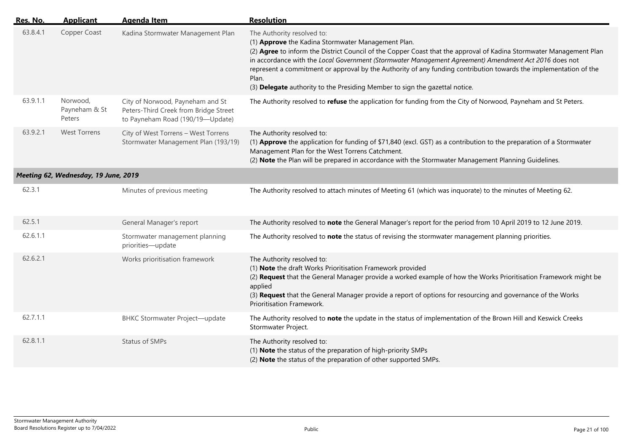| Res. No. | <b>Applicant</b>                     | <b>Agenda Item</b>                                                                                            | <b>Resolution</b>                                                                                                                                                                                                                                                                                                                                                                                                                                                                                                             |
|----------|--------------------------------------|---------------------------------------------------------------------------------------------------------------|-------------------------------------------------------------------------------------------------------------------------------------------------------------------------------------------------------------------------------------------------------------------------------------------------------------------------------------------------------------------------------------------------------------------------------------------------------------------------------------------------------------------------------|
| 63.8.4.1 | Copper Coast                         | Kadina Stormwater Management Plan                                                                             | The Authority resolved to:<br>(1) Approve the Kadina Stormwater Management Plan.<br>(2) Agree to inform the District Council of the Copper Coast that the approval of Kadina Stormwater Management Plan<br>in accordance with the Local Government (Stormwater Management Agreement) Amendment Act 2016 does not<br>represent a commitment or approval by the Authority of any funding contribution towards the implementation of the<br>Plan.<br>(3) Delegate authority to the Presiding Member to sign the gazettal notice. |
| 63.9.1.1 | Norwood,<br>Payneham & St<br>Peters  | City of Norwood, Payneham and St<br>Peters-Third Creek from Bridge Street<br>to Payneham Road (190/19-Update) | The Authority resolved to refuse the application for funding from the City of Norwood, Payneham and St Peters.                                                                                                                                                                                                                                                                                                                                                                                                                |
| 63.9.2.1 | <b>West Torrens</b>                  | City of West Torrens - West Torrens<br>Stormwater Management Plan (193/19)                                    | The Authority resolved to:<br>(1) Approve the application for funding of \$71,840 (excl. GST) as a contribution to the preparation of a Stormwater<br>Management Plan for the West Torrens Catchment.<br>(2) Note the Plan will be prepared in accordance with the Stormwater Management Planning Guidelines.                                                                                                                                                                                                                 |
|          | Meeting 62, Wednesday, 19 June, 2019 |                                                                                                               |                                                                                                                                                                                                                                                                                                                                                                                                                                                                                                                               |
| 62.3.1   |                                      | Minutes of previous meeting                                                                                   | The Authority resolved to attach minutes of Meeting 61 (which was inquorate) to the minutes of Meeting 62.                                                                                                                                                                                                                                                                                                                                                                                                                    |
| 62.5.1   |                                      | General Manager's report                                                                                      | The Authority resolved to note the General Manager's report for the period from 10 April 2019 to 12 June 2019.                                                                                                                                                                                                                                                                                                                                                                                                                |
| 62.6.1.1 |                                      | Stormwater management planning<br>priorities-update                                                           | The Authority resolved to note the status of revising the stormwater management planning priorities.                                                                                                                                                                                                                                                                                                                                                                                                                          |
| 62.6.2.1 |                                      | Works prioritisation framework                                                                                | The Authority resolved to:<br>(1) Note the draft Works Prioritisation Framework provided<br>(2) Request that the General Manager provide a worked example of how the Works Prioritisation Framework might be<br>applied<br>(3) Request that the General Manager provide a report of options for resourcing and governance of the Works<br>Prioritisation Framework.                                                                                                                                                           |
| 62.7.1.1 |                                      | <b>BHKC Stormwater Project-update</b>                                                                         | The Authority resolved to note the update in the status of implementation of the Brown Hill and Keswick Creeks<br>Stormwater Project.                                                                                                                                                                                                                                                                                                                                                                                         |
| 62.8.1.1 |                                      | Status of SMPs                                                                                                | The Authority resolved to:<br>(1) Note the status of the preparation of high-priority SMPs<br>(2) Note the status of the preparation of other supported SMPs.                                                                                                                                                                                                                                                                                                                                                                 |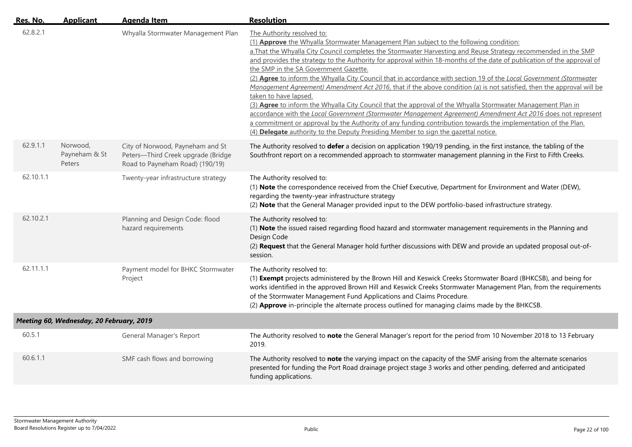| Res. No.  | <b>Applicant</b>                         | <b>Agenda Item</b>                                                                                        | <b>Resolution</b>                                                                                                                                                                                                                                                                                                                                                                                                                                                                                                                                                                                                                                                                                                                                                                                                                                                                                                                                                                                                                                                                                                        |
|-----------|------------------------------------------|-----------------------------------------------------------------------------------------------------------|--------------------------------------------------------------------------------------------------------------------------------------------------------------------------------------------------------------------------------------------------------------------------------------------------------------------------------------------------------------------------------------------------------------------------------------------------------------------------------------------------------------------------------------------------------------------------------------------------------------------------------------------------------------------------------------------------------------------------------------------------------------------------------------------------------------------------------------------------------------------------------------------------------------------------------------------------------------------------------------------------------------------------------------------------------------------------------------------------------------------------|
| 62.8.2.1  |                                          | Whyalla Stormwater Management Plan                                                                        | The Authority resolved to:<br>(1) Approve the Whyalla Stormwater Management Plan subject to the following condition:<br>a. That the Whyalla City Council completes the Stormwater Harvesting and Reuse Strategy recommended in the SMP<br>and provides the strategy to the Authority for approval within 18-months of the date of publication of the approval of<br>the SMP in the SA Government Gazette.<br>(2) Agree to inform the Whyalla City Council that in accordance with section 19 of the Local Government (Stormwater<br>Management Agreement) Amendment Act 2016, that if the above condition (a) is not satisfied, then the approval will be<br>taken to have lapsed.<br>(3) Agree to inform the Whyalla City Council that the approval of the Whyalla Stormwater Management Plan in<br>accordance with the Local Government (Stormwater Management Agreement) Amendment Act 2016 does not represent<br>a commitment or approval by the Authority of any funding contribution towards the implementation of the Plan.<br>(4) Delegate authority to the Deputy Presiding Member to sign the gazettal notice. |
| 62.9.1.1  | Norwood,<br>Payneham & St<br>Peters      | City of Norwood, Payneham and St<br>Peters-Third Creek upgrade (Bridge<br>Road to Payneham Road) (190/19) | The Authority resolved to defer a decision on application 190/19 pending, in the first instance, the tabling of the<br>Southfront report on a recommended approach to stormwater management planning in the First to Fifth Creeks.                                                                                                                                                                                                                                                                                                                                                                                                                                                                                                                                                                                                                                                                                                                                                                                                                                                                                       |
| 62.10.1.1 |                                          | Twenty-year infrastructure strategy                                                                       | The Authority resolved to:<br>(1) Note the correspondence received from the Chief Executive, Department for Environment and Water (DEW),<br>regarding the twenty-year infrastructure strategy<br>(2) Note that the General Manager provided input to the DEW portfolio-based infrastructure strategy.                                                                                                                                                                                                                                                                                                                                                                                                                                                                                                                                                                                                                                                                                                                                                                                                                    |
| 62.10.2.1 |                                          | Planning and Design Code: flood<br>hazard requirements                                                    | The Authority resolved to:<br>(1) Note the issued raised regarding flood hazard and stormwater management requirements in the Planning and<br>Design Code<br>(2) Request that the General Manager hold further discussions with DEW and provide an updated proposal out-of-<br>session.                                                                                                                                                                                                                                                                                                                                                                                                                                                                                                                                                                                                                                                                                                                                                                                                                                  |
| 62.11.1.1 |                                          | Payment model for BHKC Stormwater<br>Project                                                              | The Authority resolved to:<br>(1) Exempt projects administered by the Brown Hill and Keswick Creeks Stormwater Board (BHKCSB), and being for<br>works identified in the approved Brown Hill and Keswick Creeks Stormwater Management Plan, from the requirements<br>of the Stormwater Management Fund Applications and Claims Procedure.<br>(2) Approve in-principle the alternate process outlined for managing claims made by the BHKCSB.                                                                                                                                                                                                                                                                                                                                                                                                                                                                                                                                                                                                                                                                              |
|           | Meeting 60, Wednesday, 20 February, 2019 |                                                                                                           |                                                                                                                                                                                                                                                                                                                                                                                                                                                                                                                                                                                                                                                                                                                                                                                                                                                                                                                                                                                                                                                                                                                          |
| 60.5.1    |                                          | General Manager's Report                                                                                  | The Authority resolved to note the General Manager's report for the period from 10 November 2018 to 13 February<br>2019.                                                                                                                                                                                                                                                                                                                                                                                                                                                                                                                                                                                                                                                                                                                                                                                                                                                                                                                                                                                                 |
| 60.6.1.1  |                                          | SMF cash flows and borrowing                                                                              | The Authority resolved to note the varying impact on the capacity of the SMF arising from the alternate scenarios<br>presented for funding the Port Road drainage project stage 3 works and other pending, deferred and anticipated<br>funding applications.                                                                                                                                                                                                                                                                                                                                                                                                                                                                                                                                                                                                                                                                                                                                                                                                                                                             |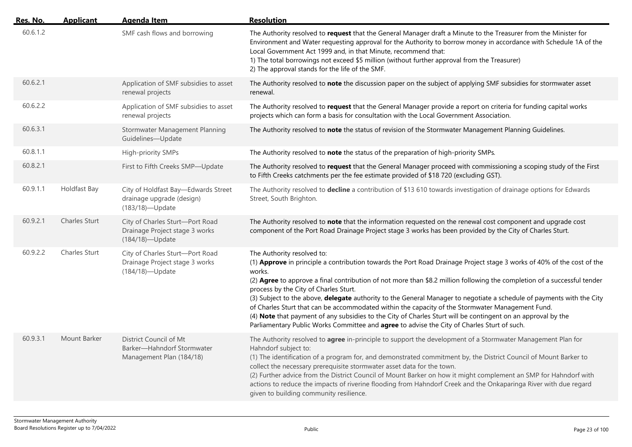| Res. No. | <b>Applicant</b> | <b>Agenda Item</b>                                                                   | <b>Resolution</b>                                                                                                                                                                                                                                                                                                                                                                                                                                                                                                                                                                                                                                                                                                                                                               |
|----------|------------------|--------------------------------------------------------------------------------------|---------------------------------------------------------------------------------------------------------------------------------------------------------------------------------------------------------------------------------------------------------------------------------------------------------------------------------------------------------------------------------------------------------------------------------------------------------------------------------------------------------------------------------------------------------------------------------------------------------------------------------------------------------------------------------------------------------------------------------------------------------------------------------|
| 60.6.1.2 |                  | SMF cash flows and borrowing                                                         | The Authority resolved to request that the General Manager draft a Minute to the Treasurer from the Minister for<br>Environment and Water requesting approval for the Authority to borrow money in accordance with Schedule 1A of the<br>Local Government Act 1999 and, in that Minute, recommend that:<br>1) The total borrowings not exceed \$5 million (without further approval from the Treasurer)<br>2) The approval stands for the life of the SMF.                                                                                                                                                                                                                                                                                                                      |
| 60.6.2.1 |                  | Application of SMF subsidies to asset<br>renewal projects                            | The Authority resolved to note the discussion paper on the subject of applying SMF subsidies for stormwater asset<br>renewal.                                                                                                                                                                                                                                                                                                                                                                                                                                                                                                                                                                                                                                                   |
| 60.6.2.2 |                  | Application of SMF subsidies to asset<br>renewal projects                            | The Authority resolved to request that the General Manager provide a report on criteria for funding capital works<br>projects which can form a basis for consultation with the Local Government Association.                                                                                                                                                                                                                                                                                                                                                                                                                                                                                                                                                                    |
| 60.6.3.1 |                  | Stormwater Management Planning<br>Guidelines-Update                                  | The Authority resolved to note the status of revision of the Stormwater Management Planning Guidelines.                                                                                                                                                                                                                                                                                                                                                                                                                                                                                                                                                                                                                                                                         |
| 60.8.1.1 |                  | High-priority SMPs                                                                   | The Authority resolved to note the status of the preparation of high-priority SMPs.                                                                                                                                                                                                                                                                                                                                                                                                                                                                                                                                                                                                                                                                                             |
| 60.8.2.1 |                  | First to Fifth Creeks SMP-Update                                                     | The Authority resolved to request that the General Manager proceed with commissioning a scoping study of the First<br>to Fifth Creeks catchments per the fee estimate provided of \$18 720 (excluding GST).                                                                                                                                                                                                                                                                                                                                                                                                                                                                                                                                                                     |
| 60.9.1.1 | Holdfast Bay     | City of Holdfast Bay-Edwards Street<br>drainage upgrade (design)<br>(183/18)-Update  | The Authority resolved to decline a contribution of \$13 610 towards investigation of drainage options for Edwards<br>Street, South Brighton.                                                                                                                                                                                                                                                                                                                                                                                                                                                                                                                                                                                                                                   |
| 60.9.2.1 | Charles Sturt    | City of Charles Sturt-Port Road<br>Drainage Project stage 3 works<br>(184/18)-Update | The Authority resolved to note that the information requested on the renewal cost component and upgrade cost<br>component of the Port Road Drainage Project stage 3 works has been provided by the City of Charles Sturt.                                                                                                                                                                                                                                                                                                                                                                                                                                                                                                                                                       |
| 60.9.2.2 | Charles Sturt    | City of Charles Sturt-Port Road<br>Drainage Project stage 3 works<br>(184/18)-Update | The Authority resolved to:<br>(1) Approve in principle a contribution towards the Port Road Drainage Project stage 3 works of 40% of the cost of the<br>works.<br>(2) Agree to approve a final contribution of not more than \$8.2 million following the completion of a successful tender<br>process by the City of Charles Sturt.<br>(3) Subject to the above, delegate authority to the General Manager to negotiate a schedule of payments with the City<br>of Charles Sturt that can be accommodated within the capacity of the Stormwater Management Fund.<br>(4) Note that payment of any subsidies to the City of Charles Sturt will be contingent on an approval by the<br>Parliamentary Public Works Committee and agree to advise the City of Charles Sturt of such. |
| 60.9.3.1 | Mount Barker     | District Council of Mt<br>Barker-Hahndorf Stormwater<br>Management Plan (184/18)     | The Authority resolved to agree in-principle to support the development of a Stormwater Management Plan for<br>Hahndorf subject to:<br>(1) The identification of a program for, and demonstrated commitment by, the District Council of Mount Barker to<br>collect the necessary prerequisite stormwater asset data for the town.<br>(2) Further advice from the District Council of Mount Barker on how it might complement an SMP for Hahndorf with<br>actions to reduce the impacts of riverine flooding from Hahndorf Creek and the Onkaparinga River with due regard<br>given to building community resilience.                                                                                                                                                            |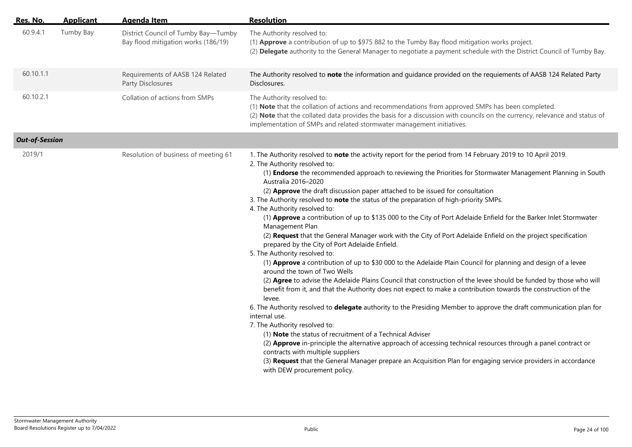| Res. No.              | <b>Applicant</b> | <b>Agenda Item</b>                                                         | <b>Resolution</b>                                                                                                                                                                                                                                                                                                                                                                                                                                                                                                                                                                                                                                                                                                                                                                                                                                                                                                                                                                                                                                                                                                                                                                                                                                                                                                                                                                                                                                                                                                                                                                                                                                                                                                                                                                                    |
|-----------------------|------------------|----------------------------------------------------------------------------|------------------------------------------------------------------------------------------------------------------------------------------------------------------------------------------------------------------------------------------------------------------------------------------------------------------------------------------------------------------------------------------------------------------------------------------------------------------------------------------------------------------------------------------------------------------------------------------------------------------------------------------------------------------------------------------------------------------------------------------------------------------------------------------------------------------------------------------------------------------------------------------------------------------------------------------------------------------------------------------------------------------------------------------------------------------------------------------------------------------------------------------------------------------------------------------------------------------------------------------------------------------------------------------------------------------------------------------------------------------------------------------------------------------------------------------------------------------------------------------------------------------------------------------------------------------------------------------------------------------------------------------------------------------------------------------------------------------------------------------------------------------------------------------------------|
| 60.9.4.1              | Tumby Bay        | District Council of Tumby Bay-Tumby<br>Bay flood mitigation works (186/19) | The Authority resolved to:<br>(1) Approve a contribution of up to \$975 882 to the Tumby Bay flood mitigation works project.<br>(2) Delegate authority to the General Manager to negotiate a payment schedule with the District Council of Tumby Bay.                                                                                                                                                                                                                                                                                                                                                                                                                                                                                                                                                                                                                                                                                                                                                                                                                                                                                                                                                                                                                                                                                                                                                                                                                                                                                                                                                                                                                                                                                                                                                |
| 60.10.1.1             |                  | Requirements of AASB 124 Related<br>Party Disclosures                      | The Authority resolved to note the information and guidance provided on the requiements of AASB 124 Related Party<br>Disclosures.                                                                                                                                                                                                                                                                                                                                                                                                                                                                                                                                                                                                                                                                                                                                                                                                                                                                                                                                                                                                                                                                                                                                                                                                                                                                                                                                                                                                                                                                                                                                                                                                                                                                    |
| 60.10.2.1             |                  | Collation of actions from SMPs                                             | The Authority resolved to:<br>(1) Note that the collation of actions and recommendations from approved SMPs has been completed.<br>(2) Note that the collated data provides the basis for a discussion with councils on the currency, relevance and status of<br>implementation of SMPs and related stormwater management initiatives.                                                                                                                                                                                                                                                                                                                                                                                                                                                                                                                                                                                                                                                                                                                                                                                                                                                                                                                                                                                                                                                                                                                                                                                                                                                                                                                                                                                                                                                               |
| <b>Out-of-Session</b> |                  |                                                                            |                                                                                                                                                                                                                                                                                                                                                                                                                                                                                                                                                                                                                                                                                                                                                                                                                                                                                                                                                                                                                                                                                                                                                                                                                                                                                                                                                                                                                                                                                                                                                                                                                                                                                                                                                                                                      |
| 2019/1                |                  | Resolution of business of meeting 61                                       | 1. The Authority resolved to note the activity report for the period from 14 February 2019 to 10 April 2019.<br>2. The Authority resolved to:<br>(1) <b>Endorse</b> the recommended approach to reviewing the Priorities for Stormwater Management Planning in South<br>Australia 2016-2020<br>(2) Approve the draft discussion paper attached to be issued for consultation<br>3. The Authority resolved to note the status of the preparation of high-priority SMPs.<br>4. The Authority resolved to:<br>(1) Approve a contribution of up to \$135 000 to the City of Port Adelaide Enfield for the Barker Inlet Stormwater<br>Management Plan<br>(2) Request that the General Manager work with the City of Port Adelaide Enfield on the project specification<br>prepared by the City of Port Adelaide Enfield.<br>5. The Authority resolved to:<br>(1) Approve a contribution of up to \$30 000 to the Adelaide Plain Council for planning and design of a levee<br>around the town of Two Wells<br>(2) Agree to advise the Adelaide Plains Council that construction of the levee should be funded by those who will<br>benefit from it, and that the Authority does not expect to make a contribution towards the construction of the<br>levee.<br>6. The Authority resolved to delegate authority to the Presiding Member to approve the draft communication plan for<br>internal use.<br>7. The Authority resolved to:<br>(1) Note the status of recruitment of a Technical Adviser<br>(2) Approve in-principle the alternative approach of accessing technical resources through a panel contract or<br>contracts with multiple suppliers<br>(3) Request that the General Manager prepare an Acquisition Plan for engaging service providers in accordance<br>with DEW procurement policy. |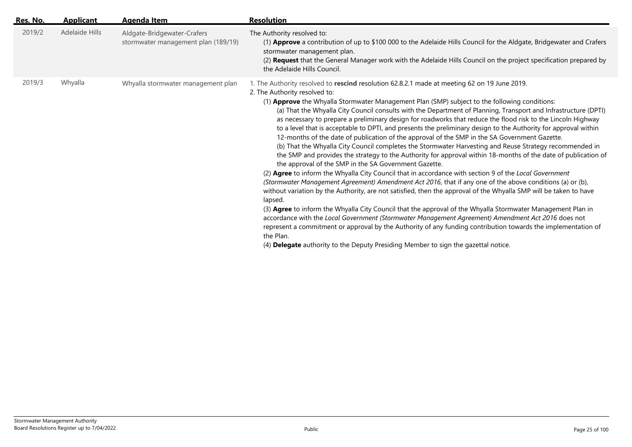| Res. No.          | <b>Resolution</b><br><b>Applicant</b><br>Agenda Item                                                                                                                                                                                                                                                                                                                                                                                                                                                                                                                                                                                                                                                                                                                                                                                                                                                                                                                                                                                                                                                                                                                                                                                                                                                                                                                                                                                                                                                                                                                                                                                                                                                                                                                                                              |  |
|-------------------|-------------------------------------------------------------------------------------------------------------------------------------------------------------------------------------------------------------------------------------------------------------------------------------------------------------------------------------------------------------------------------------------------------------------------------------------------------------------------------------------------------------------------------------------------------------------------------------------------------------------------------------------------------------------------------------------------------------------------------------------------------------------------------------------------------------------------------------------------------------------------------------------------------------------------------------------------------------------------------------------------------------------------------------------------------------------------------------------------------------------------------------------------------------------------------------------------------------------------------------------------------------------------------------------------------------------------------------------------------------------------------------------------------------------------------------------------------------------------------------------------------------------------------------------------------------------------------------------------------------------------------------------------------------------------------------------------------------------------------------------------------------------------------------------------------------------|--|
| 2019/2            | Adelaide Hills<br>Aldgate-Bridgewater-Crafers<br>The Authority resolved to:<br>stormwater management plan (189/19)<br>(1) Approve a contribution of up to \$100 000 to the Adelaide Hills Council for the Aldgate, Bridgewater and Crafers<br>stormwater management plan.<br>(2) Request that the General Manager work with the Adelaide Hills Council on the project specification prepared by<br>the Adelaide Hills Council.                                                                                                                                                                                                                                                                                                                                                                                                                                                                                                                                                                                                                                                                                                                                                                                                                                                                                                                                                                                                                                                                                                                                                                                                                                                                                                                                                                                    |  |
| Whyalla<br>2019/3 | Whyalla stormwater management plan<br>1. The Authority resolved to rescind resolution 62.8.2.1 made at meeting 62 on 19 June 2019.<br>2. The Authority resolved to:<br>(1) Approve the Whyalla Stormwater Management Plan (SMP) subject to the following conditions:<br>(a) That the Whyalla City Council consults with the Department of Planning, Transport and Infrastructure (DPTI)<br>as necessary to prepare a preliminary design for roadworks that reduce the flood risk to the Lincoln Highway<br>to a level that is acceptable to DPTI, and presents the preliminary design to the Authority for approval within<br>12-months of the date of publication of the approval of the SMP in the SA Government Gazette.<br>(b) That the Whyalla City Council completes the Stormwater Harvesting and Reuse Strategy recommended in<br>the SMP and provides the strategy to the Authority for approval within 18-months of the date of publication of<br>the approval of the SMP in the SA Government Gazette.<br>(2) Agree to inform the Whyalla City Council that in accordance with section 9 of the Local Government<br>(Stormwater Management Agreement) Amendment Act 2016, that if any one of the above conditions (a) or (b),<br>without variation by the Authority, are not satisfied, then the approval of the Whyalla SMP will be taken to have<br>lapsed.<br>(3) Agree to inform the Whyalla City Council that the approval of the Whyalla Stormwater Management Plan in<br>accordance with the Local Government (Stormwater Management Agreement) Amendment Act 2016 does not<br>represent a commitment or approval by the Authority of any funding contribution towards the implementation of<br>the Plan.<br>(4) Delegate authority to the Deputy Presiding Member to sign the gazettal notice. |  |
|                   |                                                                                                                                                                                                                                                                                                                                                                                                                                                                                                                                                                                                                                                                                                                                                                                                                                                                                                                                                                                                                                                                                                                                                                                                                                                                                                                                                                                                                                                                                                                                                                                                                                                                                                                                                                                                                   |  |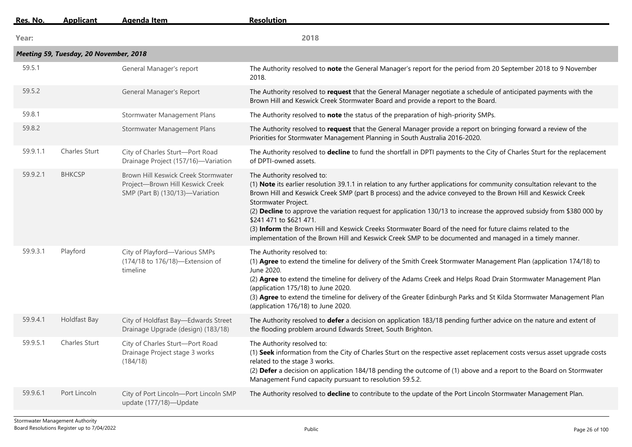| Res. No. | <b>Applicant</b>                       | <b>Agenda Item</b>                                                                                         | <b>Resolution</b>                                                                                                                                                                                                                                                                                                                                                                                                                                                                                                                                                                                                                                                             |
|----------|----------------------------------------|------------------------------------------------------------------------------------------------------------|-------------------------------------------------------------------------------------------------------------------------------------------------------------------------------------------------------------------------------------------------------------------------------------------------------------------------------------------------------------------------------------------------------------------------------------------------------------------------------------------------------------------------------------------------------------------------------------------------------------------------------------------------------------------------------|
| Year:    |                                        |                                                                                                            | 2018                                                                                                                                                                                                                                                                                                                                                                                                                                                                                                                                                                                                                                                                          |
|          | Meeting 59, Tuesday, 20 November, 2018 |                                                                                                            |                                                                                                                                                                                                                                                                                                                                                                                                                                                                                                                                                                                                                                                                               |
| 59.5.1   |                                        | General Manager's report                                                                                   | The Authority resolved to note the General Manager's report for the period from 20 September 2018 to 9 November<br>2018.                                                                                                                                                                                                                                                                                                                                                                                                                                                                                                                                                      |
| 59.5.2   |                                        | General Manager's Report                                                                                   | The Authority resolved to request that the General Manager negotiate a schedule of anticipated payments with the<br>Brown Hill and Keswick Creek Stormwater Board and provide a report to the Board.                                                                                                                                                                                                                                                                                                                                                                                                                                                                          |
| 59.8.1   |                                        | Stormwater Management Plans                                                                                | The Authority resolved to note the status of the preparation of high-priority SMPs.                                                                                                                                                                                                                                                                                                                                                                                                                                                                                                                                                                                           |
| 59.8.2   |                                        | Stormwater Management Plans                                                                                | The Authority resolved to request that the General Manager provide a report on bringing forward a review of the<br>Priorities for Stormwater Management Planning in South Australia 2016-2020.                                                                                                                                                                                                                                                                                                                                                                                                                                                                                |
| 59.9.1.1 | <b>Charles Sturt</b>                   | City of Charles Sturt-Port Road<br>Drainage Project (157/16)-Variation                                     | The Authority resolved to decline to fund the shortfall in DPTI payments to the City of Charles Sturt for the replacement<br>of DPTI-owned assets.                                                                                                                                                                                                                                                                                                                                                                                                                                                                                                                            |
| 59.9.2.1 | <b>BHKCSP</b>                          | Brown Hill Keswick Creek Stormwater<br>Project-Brown Hill Keswick Creek<br>SMP (Part B) (130/13)-Variation | The Authority resolved to:<br>(1) Note its earlier resolution 39.1.1 in relation to any further applications for community consultation relevant to the<br>Brown Hill and Keswick Creek SMP (part B process) and the advice conveyed to the Brown Hill and Keswick Creek<br>Stormwater Project.<br>(2) Decline to approve the variation request for application 130/13 to increase the approved subsidy from \$380 000 by<br>\$241 471 to \$621 471.<br>(3) Inform the Brown Hill and Keswick Creeks Stormwater Board of the need for future claims related to the<br>implementation of the Brown Hill and Keswick Creek SMP to be documented and managed in a timely manner. |
| 59.9.3.1 | Playford                               | City of Playford-Various SMPs<br>(174/18 to 176/18)-Extension of<br>timeline                               | The Authority resolved to:<br>(1) Agree to extend the timeline for delivery of the Smith Creek Stormwater Management Plan (application 174/18) to<br>June 2020.<br>(2) Agree to extend the timeline for delivery of the Adams Creek and Helps Road Drain Stormwater Management Plan<br>(application 175/18) to June 2020.<br>(3) Agree to extend the timeline for delivery of the Greater Edinburgh Parks and St Kilda Stormwater Management Plan<br>(application 176/18) to June 2020.                                                                                                                                                                                       |
| 59.9.4.1 | Holdfast Bay                           | City of Holdfast Bay-Edwards Street<br>Drainage Upgrade (design) (183/18)                                  | The Authority resolved to defer a decision on application 183/18 pending further advice on the nature and extent of<br>the flooding problem around Edwards Street, South Brighton.                                                                                                                                                                                                                                                                                                                                                                                                                                                                                            |
| 59.9.5.1 | <b>Charles Sturt</b>                   | City of Charles Sturt-Port Road<br>Drainage Project stage 3 works<br>(184/18)                              | The Authority resolved to:<br>(1) Seek information from the City of Charles Sturt on the respective asset replacement costs versus asset upgrade costs<br>related to the stage 3 works.<br>(2) Defer a decision on application 184/18 pending the outcome of (1) above and a report to the Board on Stormwater<br>Management Fund capacity pursuant to resolution 59.5.2.                                                                                                                                                                                                                                                                                                     |
| 59.9.6.1 | Port Lincoln                           | City of Port Lincoln-Port Lincoln SMP<br>update (177/18)-Update                                            | The Authority resolved to decline to contribute to the update of the Port Lincoln Stormwater Management Plan.                                                                                                                                                                                                                                                                                                                                                                                                                                                                                                                                                                 |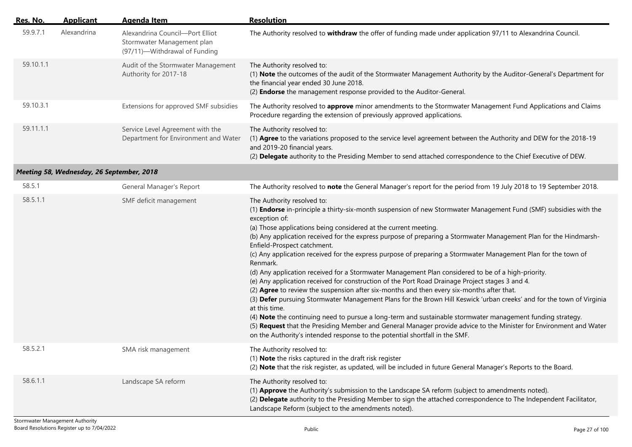| Res. No.  | <b>Applicant</b>                          | <b>Agenda Item</b>                                                                             | <b>Resolution</b>                                                                                                                                                                                                                                                                                                                                                                                                                                                                                                                                                                                                                                                                                                                                                                                                                                                                                                                                                                                                                                                                                                                                                                                                                                                                        |
|-----------|-------------------------------------------|------------------------------------------------------------------------------------------------|------------------------------------------------------------------------------------------------------------------------------------------------------------------------------------------------------------------------------------------------------------------------------------------------------------------------------------------------------------------------------------------------------------------------------------------------------------------------------------------------------------------------------------------------------------------------------------------------------------------------------------------------------------------------------------------------------------------------------------------------------------------------------------------------------------------------------------------------------------------------------------------------------------------------------------------------------------------------------------------------------------------------------------------------------------------------------------------------------------------------------------------------------------------------------------------------------------------------------------------------------------------------------------------|
| 59.9.7.1  | Alexandrina                               | Alexandrina Council-Port Elliot<br>Stormwater Management plan<br>(97/11)-Withdrawal of Funding | The Authority resolved to withdraw the offer of funding made under application 97/11 to Alexandrina Council.                                                                                                                                                                                                                                                                                                                                                                                                                                                                                                                                                                                                                                                                                                                                                                                                                                                                                                                                                                                                                                                                                                                                                                             |
| 59.10.1.1 |                                           | Audit of the Stormwater Management<br>Authority for 2017-18                                    | The Authority resolved to:<br>(1) Note the outcomes of the audit of the Stormwater Management Authority by the Auditor-General's Department for<br>the financial year ended 30 June 2018.<br>(2) Endorse the management response provided to the Auditor-General.                                                                                                                                                                                                                                                                                                                                                                                                                                                                                                                                                                                                                                                                                                                                                                                                                                                                                                                                                                                                                        |
| 59.10.3.1 |                                           | Extensions for approved SMF subsidies                                                          | The Authority resolved to approve minor amendments to the Stormwater Management Fund Applications and Claims<br>Procedure regarding the extension of previously approved applications.                                                                                                                                                                                                                                                                                                                                                                                                                                                                                                                                                                                                                                                                                                                                                                                                                                                                                                                                                                                                                                                                                                   |
| 59.11.1.1 |                                           | Service Level Agreement with the<br>Department for Environment and Water                       | The Authority resolved to:<br>(1) Agree to the variations proposed to the service level agreement between the Authority and DEW for the 2018-19<br>and 2019-20 financial years.<br>(2) Delegate authority to the Presiding Member to send attached correspondence to the Chief Executive of DEW.                                                                                                                                                                                                                                                                                                                                                                                                                                                                                                                                                                                                                                                                                                                                                                                                                                                                                                                                                                                         |
|           | Meeting 58, Wednesday, 26 September, 2018 |                                                                                                |                                                                                                                                                                                                                                                                                                                                                                                                                                                                                                                                                                                                                                                                                                                                                                                                                                                                                                                                                                                                                                                                                                                                                                                                                                                                                          |
| 58.5.1    |                                           | General Manager's Report                                                                       | The Authority resolved to note the General Manager's report for the period from 19 July 2018 to 19 September 2018.                                                                                                                                                                                                                                                                                                                                                                                                                                                                                                                                                                                                                                                                                                                                                                                                                                                                                                                                                                                                                                                                                                                                                                       |
| 58.5.1.1  |                                           | SMF deficit management                                                                         | The Authority resolved to:<br>(1) Endorse in-principle a thirty-six-month suspension of new Stormwater Management Fund (SMF) subsidies with the<br>exception of:<br>(a) Those applications being considered at the current meeting.<br>(b) Any application received for the express purpose of preparing a Stormwater Management Plan for the Hindmarsh-<br>Enfield-Prospect catchment.<br>(c) Any application received for the express purpose of preparing a Stormwater Management Plan for the town of<br>Renmark.<br>(d) Any application received for a Stormwater Management Plan considered to be of a high-priority.<br>(e) Any application received for construction of the Port Road Drainage Project stages 3 and 4.<br>(2) Agree to review the suspension after six-months and then every six-months after that.<br>(3) Defer pursuing Stormwater Management Plans for the Brown Hill Keswick 'urban creeks' and for the town of Virginia<br>at this time.<br>(4) Note the continuing need to pursue a long-term and sustainable stormwater management funding strategy.<br>(5) Request that the Presiding Member and General Manager provide advice to the Minister for Environment and Water<br>on the Authority's intended response to the potential shortfall in the SMF. |
| 58.5.2.1  |                                           | SMA risk management                                                                            | The Authority resolved to:<br>(1) Note the risks captured in the draft risk register<br>(2) Note that the risk register, as updated, will be included in future General Manager's Reports to the Board.                                                                                                                                                                                                                                                                                                                                                                                                                                                                                                                                                                                                                                                                                                                                                                                                                                                                                                                                                                                                                                                                                  |
| 58.6.1.1  |                                           | Landscape SA reform                                                                            | The Authority resolved to:<br>(1) Approve the Authority's submission to the Landscape SA reform (subject to amendments noted).<br>(2) Delegate authority to the Presiding Member to sign the attached correspondence to The Independent Facilitator,<br>Landscape Reform (subject to the amendments noted).                                                                                                                                                                                                                                                                                                                                                                                                                                                                                                                                                                                                                                                                                                                                                                                                                                                                                                                                                                              |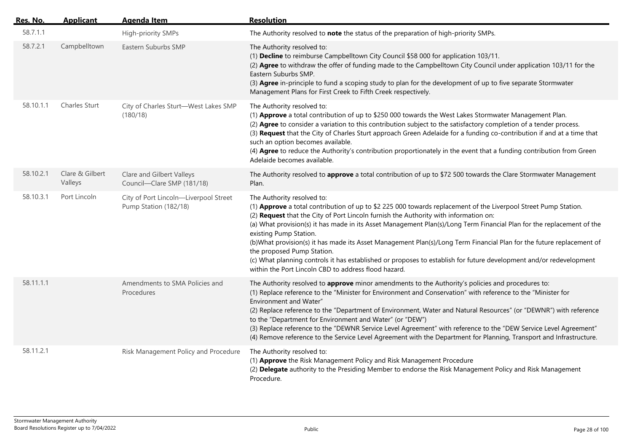| Res. No.  | <b>Applicant</b>           | <b>Agenda Item</b>                                             | <b>Resolution</b>                                                                                                                                                                                                                                                                                                                                                                                                                                                                                                                                                                                                                                                                                                            |
|-----------|----------------------------|----------------------------------------------------------------|------------------------------------------------------------------------------------------------------------------------------------------------------------------------------------------------------------------------------------------------------------------------------------------------------------------------------------------------------------------------------------------------------------------------------------------------------------------------------------------------------------------------------------------------------------------------------------------------------------------------------------------------------------------------------------------------------------------------------|
| 58.7.1.1  |                            | High-priority SMPs                                             | The Authority resolved to note the status of the preparation of high-priority SMPs.                                                                                                                                                                                                                                                                                                                                                                                                                                                                                                                                                                                                                                          |
| 58.7.2.1  | Campbelltown               | Eastern Suburbs SMP                                            | The Authority resolved to:<br>(1) Decline to reimburse Campbelltown City Council \$58 000 for application 103/11.<br>(2) Agree to withdraw the offer of funding made to the Campbelltown City Council under application 103/11 for the<br>Eastern Suburbs SMP.<br>(3) Agree in-principle to fund a scoping study to plan for the development of up to five separate Stormwater<br>Management Plans for First Creek to Fifth Creek respectively.                                                                                                                                                                                                                                                                              |
| 58.10.1.1 | Charles Sturt              | City of Charles Sturt-West Lakes SMP<br>(180/18)               | The Authority resolved to:<br>(1) Approve a total contribution of up to \$250 000 towards the West Lakes Stormwater Management Plan.<br>(2) Agree to consider a variation to this contribution subject to the satisfactory completion of a tender process.<br>(3) Request that the City of Charles Sturt approach Green Adelaide for a funding co-contribution if and at a time that<br>such an option becomes available.<br>(4) Agree to reduce the Authority's contribution proportionately in the event that a funding contribution from Green<br>Adelaide becomes available.                                                                                                                                             |
| 58.10.2.1 | Clare & Gilbert<br>Valleys | Clare and Gilbert Valleys<br>Council-Clare SMP (181/18)        | The Authority resolved to approve a total contribution of up to \$72 500 towards the Clare Stormwater Management<br>Plan.                                                                                                                                                                                                                                                                                                                                                                                                                                                                                                                                                                                                    |
| 58.10.3.1 | Port Lincoln               | City of Port Lincoln-Liverpool Street<br>Pump Station (182/18) | The Authority resolved to:<br>(1) Approve a total contribution of up to \$2 225 000 towards replacement of the Liverpool Street Pump Station.<br>(2) Request that the City of Port Lincoln furnish the Authority with information on:<br>(a) What provision(s) it has made in its Asset Management Plan(s)/Long Term Financial Plan for the replacement of the<br>existing Pump Station.<br>(b)What provision(s) it has made its Asset Management Plan(s)/Long Term Financial Plan for the future replacement of<br>the proposed Pump Station.<br>(c) What planning controls it has established or proposes to establish for future development and/or redevelopment<br>within the Port Lincoln CBD to address flood hazard. |
| 58.11.1.1 |                            | Amendments to SMA Policies and<br>Procedures                   | The Authority resolved to approve minor amendments to the Authority's policies and procedures to:<br>(1) Replace reference to the "Minister for Environment and Conservation" with reference to the "Minister for<br>Environment and Water"<br>(2) Replace reference to the "Department of Environment, Water and Natural Resources" (or "DEWNR") with reference<br>to the "Department for Environment and Water" (or "DEW")<br>(3) Replace reference to the "DEWNR Service Level Agreement" with reference to the "DEW Service Level Agreement"<br>(4) Remove reference to the Service Level Agreement with the Department for Planning, Transport and Infrastructure.                                                      |
| 58.11.2.1 |                            | Risk Management Policy and Procedure                           | The Authority resolved to:<br>(1) Approve the Risk Management Policy and Risk Management Procedure<br>(2) Delegate authority to the Presiding Member to endorse the Risk Management Policy and Risk Management<br>Procedure.                                                                                                                                                                                                                                                                                                                                                                                                                                                                                                 |

 $\overline{a}$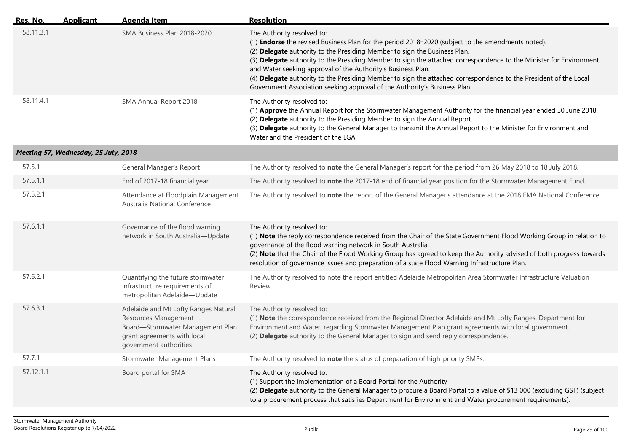| Res. No.  | <b>Applicant</b>                     | <b>Agenda Item</b>                                                                                                                                        | <b>Resolution</b>                                                                                                                                                                                                                                                                                                                                                                                                                                                                                                                                                                                          |
|-----------|--------------------------------------|-----------------------------------------------------------------------------------------------------------------------------------------------------------|------------------------------------------------------------------------------------------------------------------------------------------------------------------------------------------------------------------------------------------------------------------------------------------------------------------------------------------------------------------------------------------------------------------------------------------------------------------------------------------------------------------------------------------------------------------------------------------------------------|
| 58.11.3.1 |                                      | SMA Business Plan 2018-2020                                                                                                                               | The Authority resolved to:<br>(1) <b>Endorse</b> the revised Business Plan for the period 2018-2020 (subject to the amendments noted).<br>(2) Delegate authority to the Presiding Member to sign the Business Plan.<br>(3) Delegate authority to the Presiding Member to sign the attached correspondence to the Minister for Environment<br>and Water seeking approval of the Authority's Business Plan.<br>(4) Delegate authority to the Presiding Member to sign the attached correspondence to the President of the Local<br>Government Association seeking approval of the Authority's Business Plan. |
| 58.11.4.1 |                                      | SMA Annual Report 2018                                                                                                                                    | The Authority resolved to:<br>(1) Approve the Annual Report for the Stormwater Management Authority for the financial year ended 30 June 2018.<br>(2) Delegate authority to the Presiding Member to sign the Annual Report.<br>(3) Delegate authority to the General Manager to transmit the Annual Report to the Minister for Environment and<br>Water and the President of the LGA.                                                                                                                                                                                                                      |
|           | Meeting 57, Wednesday, 25 July, 2018 |                                                                                                                                                           |                                                                                                                                                                                                                                                                                                                                                                                                                                                                                                                                                                                                            |
| 57.5.1    |                                      | General Manager's Report                                                                                                                                  | The Authority resolved to note the General Manager's report for the period from 26 May 2018 to 18 July 2018.                                                                                                                                                                                                                                                                                                                                                                                                                                                                                               |
| 57.5.1.1  |                                      | End of 2017-18 financial year                                                                                                                             | The Authority resolved to note the 2017-18 end of financial year position for the Stormwater Management Fund.                                                                                                                                                                                                                                                                                                                                                                                                                                                                                              |
| 57.5.2.1  |                                      | Attendance at Floodplain Management<br>Australia National Conference                                                                                      | The Authority resolved to note the report of the General Manager's attendance at the 2018 FMA National Conference.                                                                                                                                                                                                                                                                                                                                                                                                                                                                                         |
| 57.6.1.1  |                                      | Governance of the flood warning<br>network in South Australia-Update                                                                                      | The Authority resolved to:<br>(1) Note the reply correspondence received from the Chair of the State Government Flood Working Group in relation to<br>governance of the flood warning network in South Australia.<br>(2) Note that the Chair of the Flood Working Group has agreed to keep the Authority advised of both progress towards<br>resolution of governance issues and preparation of a state Flood Warning Infrastructure Plan.                                                                                                                                                                 |
| 57.6.2.1  |                                      | Quantifying the future stormwater<br>infrastructure requirements of<br>metropolitan Adelaide-Update                                                       | The Authority resolved to note the report entitled Adelaide Metropolitan Area Stormwater Infrastructure Valuation<br>Review.                                                                                                                                                                                                                                                                                                                                                                                                                                                                               |
| 57.6.3.1  |                                      | Adelaide and Mt Lofty Ranges Natural<br>Resources Management<br>Board-Stormwater Management Plan<br>grant agreements with local<br>government authorities | The Authority resolved to:<br>(1) Note the correspondence received from the Regional Director Adelaide and Mt Lofty Ranges, Department for<br>Environment and Water, regarding Stormwater Management Plan grant agreements with local government.<br>(2) Delegate authority to the General Manager to sign and send reply correspondence.                                                                                                                                                                                                                                                                  |
| 57.7.1    |                                      | Stormwater Management Plans                                                                                                                               | The Authority resolved to note the status of preparation of high-priority SMPs.                                                                                                                                                                                                                                                                                                                                                                                                                                                                                                                            |
| 57.12.1.1 |                                      | Board portal for SMA                                                                                                                                      | The Authority resolved to:<br>(1) Support the implementation of a Board Portal for the Authority<br>(2) Delegate authority to the General Manager to procure a Board Portal to a value of \$13 000 (excluding GST) (subject<br>to a procurement process that satisfies Department for Environment and Water procurement requirements).                                                                                                                                                                                                                                                                     |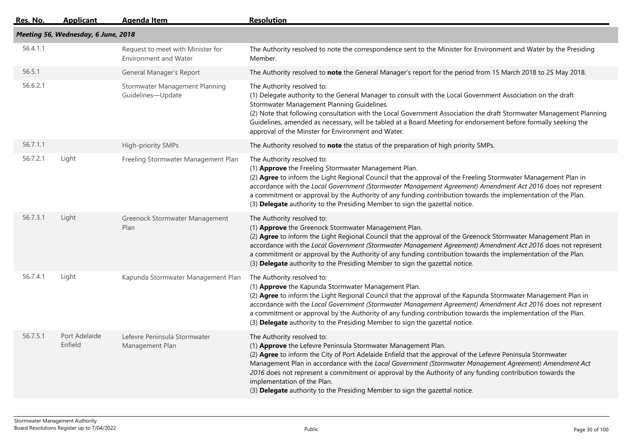| <u>Res. No.</u>                     | <b>Applicant</b>         | <b>Agenda Item</b>                                                | <b>Resolution</b>                                                                                                                                                                                                                                                                                                                                                                                                                                                                                                                                |  |  |
|-------------------------------------|--------------------------|-------------------------------------------------------------------|--------------------------------------------------------------------------------------------------------------------------------------------------------------------------------------------------------------------------------------------------------------------------------------------------------------------------------------------------------------------------------------------------------------------------------------------------------------------------------------------------------------------------------------------------|--|--|
| Meeting 56, Wednesday, 6 June, 2018 |                          |                                                                   |                                                                                                                                                                                                                                                                                                                                                                                                                                                                                                                                                  |  |  |
| 56.4.1.1                            |                          | Request to meet with Minister for<br><b>Environment and Water</b> | The Authority resolved to note the correspondence sent to the Minister for Environment and Water by the Presiding<br>Member.                                                                                                                                                                                                                                                                                                                                                                                                                     |  |  |
| 56.5.1                              |                          | General Manager's Report                                          | The Authority resolved to note the General Manager's report for the period from 15 March 2018 to 25 May 2018.                                                                                                                                                                                                                                                                                                                                                                                                                                    |  |  |
| 56.6.2.1                            |                          | Stormwater Management Planning<br>Guidelines-Update               | The Authority resolved to:<br>(1) Delegate authority to the General Manager to consult with the Local Government Association on the draft<br>Stormwater Management Planning Guidelines.<br>(2) Note that following consultation with the Local Government Association the draft Stormwater Management Planning<br>Guidelines, amended as necessary, will be tabled at a Board Meeting for endorsement before formally seeking the<br>approval of the Minster for Environment and Water.                                                          |  |  |
| 56.7.1.1                            |                          | High-priority SMPs                                                | The Authority resolved to note the status of the preparation of high priority SMPs.                                                                                                                                                                                                                                                                                                                                                                                                                                                              |  |  |
| 56.7.2.1                            | Light                    | Freeling Stormwater Management Plan                               | The Authority resolved to:<br>(1) Approve the Freeling Stormwater Management Plan.<br>(2) Agree to inform the Light Regional Council that the approval of the Freeling Stormwater Management Plan in<br>accordance with the Local Government (Stormwater Management Agreement) Amendment Act 2016 does not represent<br>a commitment or approval by the Authority of any funding contribution towards the implementation of the Plan.<br>(3) Delegate authority to the Presiding Member to sign the gazettal notice.                             |  |  |
| 56.7.3.1                            | Light                    | Greenock Stormwater Management<br>Plan                            | The Authority resolved to:<br>(1) Approve the Greenock Stormwater Management Plan.<br>(2) Agree to inform the Light Regional Council that the approval of the Greenock Stormwater Management Plan in<br>accordance with the Local Government (Stormwater Management Agreement) Amendment Act 2016 does not represent<br>a commitment or approval by the Authority of any funding contribution towards the implementation of the Plan.<br>(3) Delegate authority to the Presiding Member to sign the gazettal notice.                             |  |  |
| 56.7.4.1                            | Light                    | Kapunda Stormwater Management Plan                                | The Authority resolved to:<br>(1) Approve the Kapunda Stormwater Management Plan.<br>(2) Agree to inform the Light Regional Council that the approval of the Kapunda Stormwater Management Plan in<br>accordance with the Local Government (Stormwater Management Agreement) Amendment Act 2016 does not represent<br>a commitment or approval by the Authority of any funding contribution towards the implementation of the Plan.<br>(3) Delegate authority to the Presiding Member to sign the gazettal notice.                               |  |  |
| 56.7.5.1                            | Port Adelaide<br>Enfield | Lefevre Peninsula Stormwater<br>Management Plan                   | The Authority resolved to:<br>(1) Approve the Lefevre Peninsula Stormwater Management Plan.<br>(2) Agree to inform the City of Port Adelaide Enfield that the approval of the Lefevre Peninsula Stormwater<br>Management Plan in accordance with the Local Government (Stormwater Management Agreement) Amendment Act<br>2016 does not represent a commitment or approval by the Authority of any funding contribution towards the<br>implementation of the Plan.<br>(3) Delegate authority to the Presiding Member to sign the gazettal notice. |  |  |
|                                     |                          |                                                                   |                                                                                                                                                                                                                                                                                                                                                                                                                                                                                                                                                  |  |  |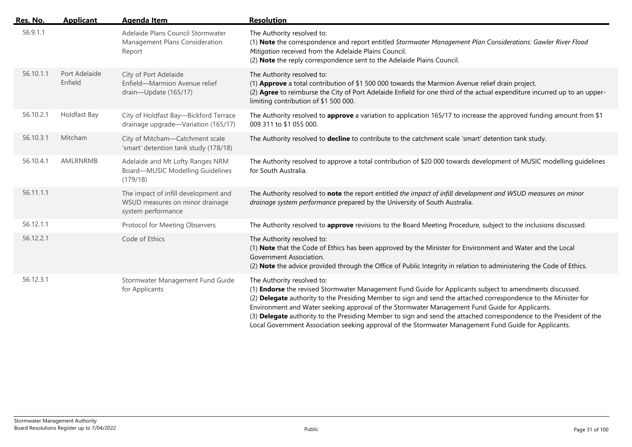| <u>Res. No.</u> | <b>Applicant</b>         | <b>Agenda Item</b>                                                                            | <b>Resolution</b>                                                                                                                                                                                                                                                                                                                                                                                                                                                                                                                                                                           |
|-----------------|--------------------------|-----------------------------------------------------------------------------------------------|---------------------------------------------------------------------------------------------------------------------------------------------------------------------------------------------------------------------------------------------------------------------------------------------------------------------------------------------------------------------------------------------------------------------------------------------------------------------------------------------------------------------------------------------------------------------------------------------|
| 56.9.1.1        |                          | Adelaide Plans Council Stormwater<br>Management Plans Consideration<br>Report                 | The Authority resolved to:<br>(1) Note the correspondence and report entitled Stormwater Management Plan Considerations: Gawler River Flood<br>Mitigation received from the Adelaide Plains Council.<br>(2) Note the reply correspondence sent to the Adelaide Plains Council.                                                                                                                                                                                                                                                                                                              |
| 56.10.1.1       | Port Adelaide<br>Enfield | City of Port Adelaide<br>Enfield-Marmion Avenue relief<br>drain-Update (165/17)               | The Authority resolved to:<br>(1) Approve a total contribution of \$1 500 000 towards the Marmion Avenue relief drain project.<br>(2) Agree to reimburse the City of Port Adelaide Enfield for one third of the actual expenditure incurred up to an upper-<br>limiting contribution of \$1 500 000.                                                                                                                                                                                                                                                                                        |
| 56.10.2.1       | Holdfast Bay             | City of Holdfast Bay-Bickford Terrace<br>drainage upgrade-Variation (165/17)                  | The Authority resolved to approve a variation to application 165/17 to increase the approved funding amount from \$1<br>009 311 to \$1 055 000.                                                                                                                                                                                                                                                                                                                                                                                                                                             |
| 56.10.3.1       | Mitcham                  | City of Mitcham-Catchment scale<br>'smart' detention tank study (178/18)                      | The Authority resolved to decline to contribute to the catchment scale 'smart' detention tank study.                                                                                                                                                                                                                                                                                                                                                                                                                                                                                        |
| 56.10.4.1       | AMLRNRMB                 | Adelaide and Mt Lofty Ranges NRM<br>Board-MUSIC Modelling Guidelines<br>(179/18)              | The Authority resolved to approve a total contribution of \$20 000 towards development of MUSIC modelling quidelines<br>for South Australia.                                                                                                                                                                                                                                                                                                                                                                                                                                                |
| 56.11.1.1       |                          | The impact of infill development and<br>WSUD measures on minor drainage<br>system performance | The Authority resolved to note the report entitled the impact of infill development and WSUD measures on minor<br>drainage system performance prepared by the University of South Australia.                                                                                                                                                                                                                                                                                                                                                                                                |
| 56.12.1.1       |                          | Protocol for Meeting Observers                                                                | The Authority resolved to approve revisions to the Board Meeting Procedure, subject to the inclusions discussed.                                                                                                                                                                                                                                                                                                                                                                                                                                                                            |
| 56.12.2.1       |                          | Code of Ethics                                                                                | The Authority resolved to:<br>(1) Note that the Code of Ethics has been approved by the Minister for Environment and Water and the Local<br>Government Association.<br>(2) Note the advice provided through the Office of Public Integrity in relation to administering the Code of Ethics.                                                                                                                                                                                                                                                                                                 |
| 56.12.3.1       |                          | Stormwater Management Fund Guide<br>for Applicants                                            | The Authority resolved to:<br>(1) Endorse the revised Stormwater Management Fund Guide for Applicants subject to amendments discussed.<br>(2) Delegate authority to the Presiding Member to sign and send the attached correspondence to the Minister for<br>Environment and Water seeking approval of the Stormwater Management Fund Guide for Applicants.<br>(3) Delegate authority to the Presiding Member to sign and send the attached correspondence to the President of the<br>Local Government Association seeking approval of the Stormwater Management Fund Guide for Applicants. |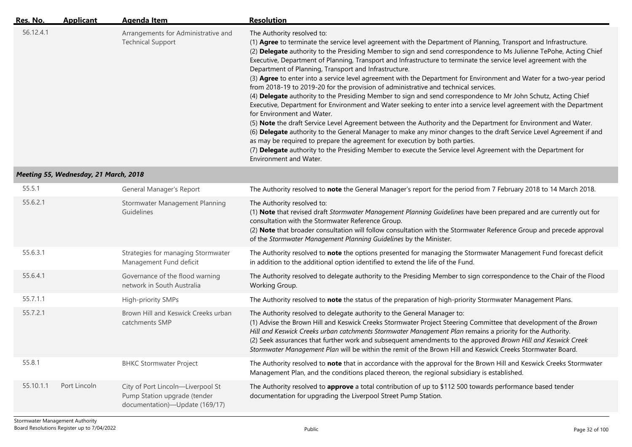| Res. No.  | <b>Applicant</b> | Agenda Item                                                     | <b>Resolution</b>                                                                                                                                                                                                                                                                                                                                                                                                                                                                                                                                                                                                                                                                                                                                                                                                                                                                                                                                                                                                                                                                                                                                                                                                                                                                                                                                                                                            |
|-----------|------------------|-----------------------------------------------------------------|--------------------------------------------------------------------------------------------------------------------------------------------------------------------------------------------------------------------------------------------------------------------------------------------------------------------------------------------------------------------------------------------------------------------------------------------------------------------------------------------------------------------------------------------------------------------------------------------------------------------------------------------------------------------------------------------------------------------------------------------------------------------------------------------------------------------------------------------------------------------------------------------------------------------------------------------------------------------------------------------------------------------------------------------------------------------------------------------------------------------------------------------------------------------------------------------------------------------------------------------------------------------------------------------------------------------------------------------------------------------------------------------------------------|
| 56.12.4.1 |                  | Arrangements for Administrative and<br><b>Technical Support</b> | The Authority resolved to:<br>(1) Agree to terminate the service level agreement with the Department of Planning, Transport and Infrastructure.<br>(2) Delegate authority to the Presiding Member to sign and send correspondence to Ms Julienne TePohe, Acting Chief<br>Executive, Department of Planning, Transport and Infrastructure to terminate the service level agreement with the<br>Department of Planning, Transport and Infrastructure.<br>(3) Agree to enter into a service level agreement with the Department for Environment and Water for a two-year period<br>from 2018-19 to 2019-20 for the provision of administrative and technical services.<br>(4) Delegate authority to the Presiding Member to sign and send correspondence to Mr John Schutz, Acting Chief<br>Executive, Department for Environment and Water seeking to enter into a service level agreement with the Department<br>for Environment and Water.<br>(5) Note the draft Service Level Agreement between the Authority and the Department for Environment and Water.<br>(6) Delegate authority to the General Manager to make any minor changes to the draft Service Level Agreement if and<br>as may be required to prepare the agreement for execution by both parties.<br>(7) Delegate authority to the Presiding Member to execute the Service level Agreement with the Department for<br>Environment and Water. |

## *Meeting 55, Wednesday, 21 March, 2018*

| 55.5.1    |              | General Manager's Report                                                                            | The Authority resolved to note the General Manager's report for the period from 7 February 2018 to 14 March 2018.                                                                                                                                                                                                                                                                                                                                                                                                                      |
|-----------|--------------|-----------------------------------------------------------------------------------------------------|----------------------------------------------------------------------------------------------------------------------------------------------------------------------------------------------------------------------------------------------------------------------------------------------------------------------------------------------------------------------------------------------------------------------------------------------------------------------------------------------------------------------------------------|
| 55.6.2.1  |              | Stormwater Management Planning<br>Guidelines                                                        | The Authority resolved to:<br>(1) Note that revised draft Stormwater Management Planning Guidelines have been prepared and are currently out for<br>consultation with the Stormwater Reference Group.<br>(2) Note that broader consultation will follow consultation with the Stormwater Reference Group and precede approval<br>of the Stormwater Management Planning Guidelines by the Minister.                                                                                                                                     |
| 55.6.3.1  |              | Strategies for managing Stormwater<br>Management Fund deficit                                       | The Authority resolved to note the options presented for managing the Stormwater Management Fund forecast deficit<br>in addition to the additional option identified to extend the life of the Fund.                                                                                                                                                                                                                                                                                                                                   |
| 55.6.4.1  |              | Governance of the flood warning<br>network in South Australia                                       | The Authority resolved to delegate authority to the Presiding Member to sign correspondence to the Chair of the Flood<br>Working Group.                                                                                                                                                                                                                                                                                                                                                                                                |
| 55.7.1.1  |              | High-priority SMPs                                                                                  | The Authority resolved to note the status of the preparation of high-priority Stormwater Management Plans.                                                                                                                                                                                                                                                                                                                                                                                                                             |
| 55.7.2.1  |              | Brown Hill and Keswick Creeks urban<br>catchments SMP                                               | The Authority resolved to delegate authority to the General Manager to:<br>(1) Advise the Brown Hill and Keswick Creeks Stormwater Project Steering Committee that development of the Brown<br>Hill and Keswick Creeks urban catchments Stormwater Management Plan remains a priority for the Authority.<br>(2) Seek assurances that further work and subsequent amendments to the approved Brown Hill and Keswick Creek<br>Stormwater Management Plan will be within the remit of the Brown Hill and Keswick Creeks Stormwater Board. |
| 55.8.1    |              | <b>BHKC Stormwater Project</b>                                                                      | The Authority resolved to note that in accordance with the approval for the Brown Hill and Keswick Creeks Stormwater<br>Management Plan, and the conditions placed thereon, the regional subsidiary is established.                                                                                                                                                                                                                                                                                                                    |
| 55.10.1.1 | Port Lincoln | City of Port Lincoln-Liverpool St<br>Pump Station upgrade (tender<br>documentation)—Update (169/17) | The Authority resolved to approve a total contribution of up to \$112 500 towards performance based tender<br>documentation for upgrading the Liverpool Street Pump Station.                                                                                                                                                                                                                                                                                                                                                           |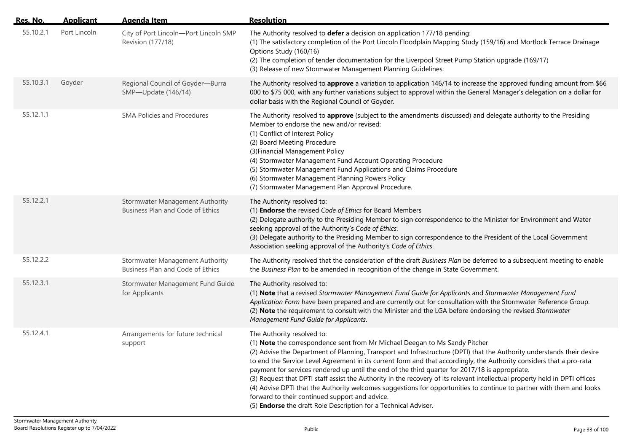| Res. No.  | <b>Applicant</b> | <b>Agenda Item</b>                                                         | <b>Resolution</b>                                                                                                                                                                                                                                                                                                                                                                                                                                                                                                                                                                                                                                                                                                                                                                                                                          |
|-----------|------------------|----------------------------------------------------------------------------|--------------------------------------------------------------------------------------------------------------------------------------------------------------------------------------------------------------------------------------------------------------------------------------------------------------------------------------------------------------------------------------------------------------------------------------------------------------------------------------------------------------------------------------------------------------------------------------------------------------------------------------------------------------------------------------------------------------------------------------------------------------------------------------------------------------------------------------------|
| 55.10.2.1 | Port Lincoln     | City of Port Lincoln-Port Lincoln SMP<br>Revision (177/18)                 | The Authority resolved to defer a decision on application 177/18 pending:<br>(1) The satisfactory completion of the Port Lincoln Floodplain Mapping Study (159/16) and Mortlock Terrace Drainage<br>Options Study (160/16)<br>(2) The completion of tender documentation for the Liverpool Street Pump Station upgrade (169/17)<br>(3) Release of new Stormwater Management Planning Guidelines.                                                                                                                                                                                                                                                                                                                                                                                                                                           |
| 55.10.3.1 | Goyder           | Regional Council of Goyder-Burra<br>SMP-Update (146/14)                    | The Authority resolved to approve a variation to application 146/14 to increase the approved funding amount from \$66<br>000 to \$75 000, with any further variations subject to approval within the General Manager's delegation on a dollar for<br>dollar basis with the Regional Council of Goyder.                                                                                                                                                                                                                                                                                                                                                                                                                                                                                                                                     |
| 55.12.1.1 |                  | <b>SMA Policies and Procedures</b>                                         | The Authority resolved to approve (subject to the amendments discussed) and delegate authority to the Presiding<br>Member to endorse the new and/or revised:<br>(1) Conflict of Interest Policy<br>(2) Board Meeting Procedure<br>(3) Financial Management Policy<br>(4) Stormwater Management Fund Account Operating Procedure<br>(5) Stormwater Management Fund Applications and Claims Procedure<br>(6) Stormwater Management Planning Powers Policy<br>(7) Stormwater Management Plan Approval Procedure.                                                                                                                                                                                                                                                                                                                              |
| 55.12.2.1 |                  | <b>Stormwater Management Authority</b><br>Business Plan and Code of Ethics | The Authority resolved to:<br>(1) Endorse the revised Code of Ethics for Board Members<br>(2) Delegate authority to the Presiding Member to sign correspondence to the Minister for Environment and Water<br>seeking approval of the Authority's Code of Ethics.<br>(3) Delegate authority to the Presiding Member to sign correspondence to the President of the Local Government<br>Association seeking approval of the Authority's Code of Ethics.                                                                                                                                                                                                                                                                                                                                                                                      |
| 55.12.2.2 |                  | <b>Stormwater Management Authority</b><br>Business Plan and Code of Ethics | The Authority resolved that the consideration of the draft Business Plan be deferred to a subsequent meeting to enable<br>the Business Plan to be amended in recognition of the change in State Government.                                                                                                                                                                                                                                                                                                                                                                                                                                                                                                                                                                                                                                |
| 55.12.3.1 |                  | Stormwater Management Fund Guide<br>for Applicants                         | The Authority resolved to:<br>(1) Note that a revised Stormwater Management Fund Guide for Applicants and Stormwater Management Fund<br>Application Form have been prepared and are currently out for consultation with the Stormwater Reference Group.<br>(2) Note the requirement to consult with the Minister and the LGA before endorsing the revised Stormwater<br>Management Fund Guide for Applicants.                                                                                                                                                                                                                                                                                                                                                                                                                              |
| 55.12.4.1 |                  | Arrangements for future technical<br>support                               | The Authority resolved to:<br>(1) Note the correspondence sent from Mr Michael Deegan to Ms Sandy Pitcher<br>(2) Advise the Department of Planning, Transport and Infrastructure (DPTI) that the Authority understands their desire<br>to end the Service Level Agreement in its current form and that accordingly, the Authority considers that a pro-rata<br>payment for services rendered up until the end of the third quarter for 2017/18 is appropriate.<br>(3) Request that DPTI staff assist the Authority in the recovery of its relevant intellectual property held in DPTI offices<br>(4) Advise DPTI that the Authority welcomes suggestions for opportunities to continue to partner with them and looks<br>forward to their continued support and advice.<br>(5) Endorse the draft Role Description for a Technical Adviser. |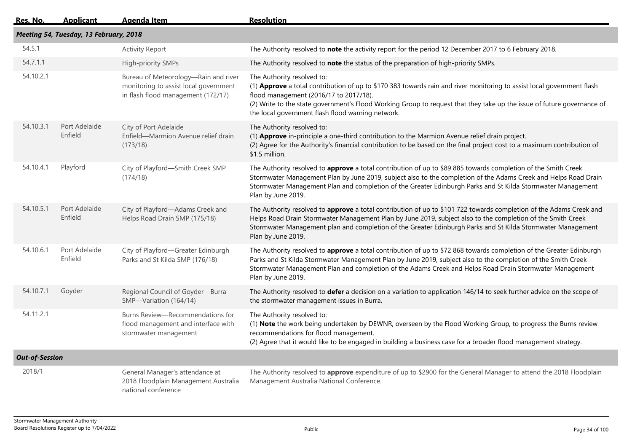| Res. No.              | <b>Applicant</b>                       | <b>Agenda Item</b>                                                                                                  | <b>Resolution</b>                                                                                                                                                                                                                                                                                                                                                             |  |  |  |
|-----------------------|----------------------------------------|---------------------------------------------------------------------------------------------------------------------|-------------------------------------------------------------------------------------------------------------------------------------------------------------------------------------------------------------------------------------------------------------------------------------------------------------------------------------------------------------------------------|--|--|--|
|                       | Meeting 54, Tuesday, 13 February, 2018 |                                                                                                                     |                                                                                                                                                                                                                                                                                                                                                                               |  |  |  |
| 54.5.1                |                                        | <b>Activity Report</b>                                                                                              | The Authority resolved to note the activity report for the period 12 December 2017 to 6 February 2018.                                                                                                                                                                                                                                                                        |  |  |  |
| 54.7.1.1              |                                        | High-priority SMPs                                                                                                  | The Authority resolved to note the status of the preparation of high-priority SMPs.                                                                                                                                                                                                                                                                                           |  |  |  |
| 54.10.2.1             |                                        | Bureau of Meteorology-Rain and river<br>monitoring to assist local government<br>in flash flood management (172/17) | The Authority resolved to:<br>(1) Approve a total contribution of up to \$170 383 towards rain and river monitoring to assist local government flash<br>flood management (2016/17 to 2017/18).<br>(2) Write to the state government's Flood Working Group to request that they take up the issue of future governance of<br>the local government flash flood warning network. |  |  |  |
| 54.10.3.1             | Port Adelaide<br>Enfield               | City of Port Adelaide<br>Enfield-Marmion Avenue relief drain<br>(173/18)                                            | The Authority resolved to:<br>(1) Approve in-principle a one-third contribution to the Marmion Avenue relief drain project.<br>(2) Agree for the Authority's financial contribution to be based on the final project cost to a maximum contribution of<br>\$1.5 million.                                                                                                      |  |  |  |
| 54.10.4.1             | Playford                               | City of Playford-Smith Creek SMP<br>(174/18)                                                                        | The Authority resolved to approve a total contribution of up to \$89 885 towards completion of the Smith Creek<br>Stormwater Management Plan by June 2019, subject also to the completion of the Adams Creek and Helps Road Drain<br>Stormwater Management Plan and completion of the Greater Edinburgh Parks and St Kilda Stormwater Management<br>Plan by June 2019.        |  |  |  |
| 54.10.5.1             | Port Adelaide<br>Enfield               | City of Playford-Adams Creek and<br>Helps Road Drain SMP (175/18)                                                   | The Authority resolved to approve a total contribution of up to \$101 722 towards completion of the Adams Creek and<br>Helps Road Drain Stormwater Management Plan by June 2019, subject also to the completion of the Smith Creek<br>Stormwater Management plan and completion of the Greater Edinburgh Parks and St Kilda Stormwater Management<br>Plan by June 2019.       |  |  |  |
| 54.10.6.1             | Port Adelaide<br>Enfield               | City of Playford-Greater Edinburgh<br>Parks and St Kilda SMP (176/18)                                               | The Authority resolved to approve a total contribution of up to \$72 868 towards completion of the Greater Edinburgh<br>Parks and St Kilda Stormwater Management Plan by June 2019, subject also to the completion of the Smith Creek<br>Stormwater Management Plan and completion of the Adams Creek and Helps Road Drain Stormwater Management<br>Plan by June 2019.        |  |  |  |
| 54.10.7.1             | Goyder                                 | Regional Council of Goyder-Burra<br>SMP-Variation (164/14)                                                          | The Authority resolved to defer a decision on a variation to application 146/14 to seek further advice on the scope of<br>the stormwater management issues in Burra.                                                                                                                                                                                                          |  |  |  |
| 54.11.2.1             |                                        | Burns Review-Recommendations for<br>flood management and interface with<br>stormwater management                    | The Authority resolved to:<br>(1) Note the work being undertaken by DEWNR, overseen by the Flood Working Group, to progress the Burns review<br>recommendations for flood management.<br>(2) Agree that it would like to be engaged in building a business case for a broader flood management strategy.                                                                      |  |  |  |
| <b>Out-of-Session</b> |                                        |                                                                                                                     |                                                                                                                                                                                                                                                                                                                                                                               |  |  |  |
| 2018/1                |                                        | General Manager's attendance at<br>2018 Floodplain Management Australia<br>national conference                      | The Authority resolved to approve expenditure of up to \$2900 for the General Manager to attend the 2018 Floodplain<br>Management Australia National Conference.                                                                                                                                                                                                              |  |  |  |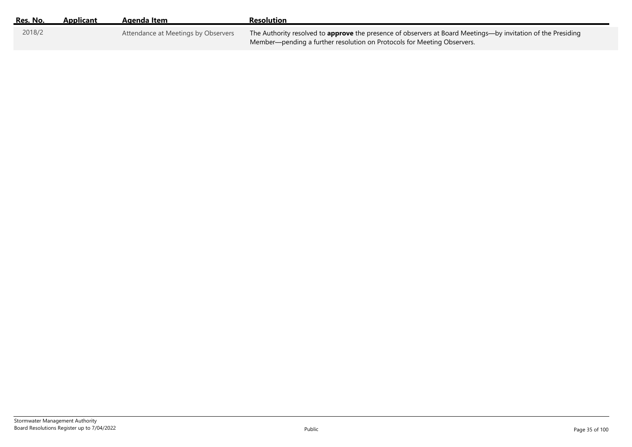| Res. No. | Applicant | Agenda Item                         | Resolution                                                                                                                                                                                     |
|----------|-----------|-------------------------------------|------------------------------------------------------------------------------------------------------------------------------------------------------------------------------------------------|
| 2018/2   |           | Attendance at Meetings by Observers | The Authority resolved to <b>approve</b> the presence of observers at Board Meetings—by invitation of the Presiding<br>Member—pending a further resolution on Protocols for Meeting Observers. |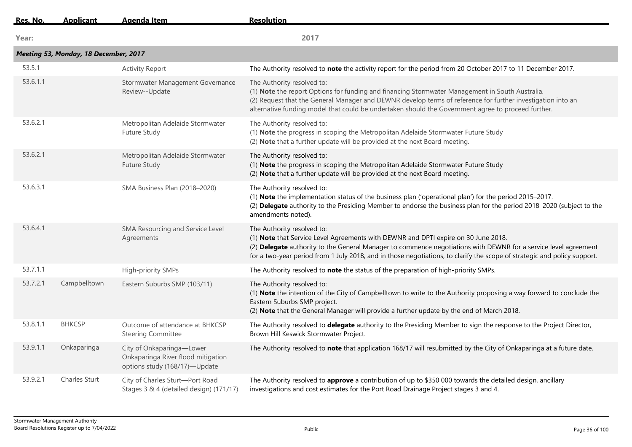| Res. No. | <b>Applicant</b>                      | <b>Agenda Item</b>                                                                               | <b>Resolution</b>                                                                                                                                                                                                                                                                                                                                               |  |  |
|----------|---------------------------------------|--------------------------------------------------------------------------------------------------|-----------------------------------------------------------------------------------------------------------------------------------------------------------------------------------------------------------------------------------------------------------------------------------------------------------------------------------------------------------------|--|--|
| Year:    |                                       |                                                                                                  | 2017                                                                                                                                                                                                                                                                                                                                                            |  |  |
|          | Meeting 53, Monday, 18 December, 2017 |                                                                                                  |                                                                                                                                                                                                                                                                                                                                                                 |  |  |
| 53.5.1   |                                       | <b>Activity Report</b>                                                                           | The Authority resolved to note the activity report for the period from 20 October 2017 to 11 December 2017.                                                                                                                                                                                                                                                     |  |  |
| 53.6.1.1 |                                       | Stormwater Management Governance<br>Review--Update                                               | The Authority resolved to:<br>(1) Note the report Options for funding and financing Stormwater Management in South Australia.<br>(2) Request that the General Manager and DEWNR develop terms of reference for further investigation into an<br>alternative funding model that could be undertaken should the Government agree to proceed further.              |  |  |
| 53.6.2.1 |                                       | Metropolitan Adelaide Stormwater<br>Future Study                                                 | The Authority resolved to:<br>(1) Note the progress in scoping the Metropolitan Adelaide Stormwater Future Study<br>(2) Note that a further update will be provided at the next Board meeting.                                                                                                                                                                  |  |  |
| 53.6.2.1 |                                       | Metropolitan Adelaide Stormwater<br>Future Study                                                 | The Authority resolved to:<br>(1) Note the progress in scoping the Metropolitan Adelaide Stormwater Future Study<br>(2) Note that a further update will be provided at the next Board meeting.                                                                                                                                                                  |  |  |
| 53.6.3.1 |                                       | SMA Business Plan (2018-2020)                                                                    | The Authority resolved to:<br>(1) Note the implementation status of the business plan ('operational plan') for the period 2015-2017.<br>(2) Delegate authority to the Presiding Member to endorse the business plan for the period 2018-2020 (subject to the<br>amendments noted).                                                                              |  |  |
| 53.6.4.1 |                                       | SMA Resourcing and Service Level<br>Agreements                                                   | The Authority resolved to:<br>(1) Note that Service Level Agreements with DEWNR and DPTI expire on 30 June 2018.<br>(2) Delegate authority to the General Manager to commence negotiations with DEWNR for a service level agreement<br>for a two-year period from 1 July 2018, and in those negotiations, to clarify the scope of strategic and policy support. |  |  |
| 53.7.1.1 |                                       | High-priority SMPs                                                                               | The Authority resolved to note the status of the preparation of high-priority SMPs.                                                                                                                                                                                                                                                                             |  |  |
| 53.7.2.1 | Campbelltown                          | Eastern Suburbs SMP (103/11)                                                                     | The Authority resolved to:<br>(1) Note the intention of the City of Campbelltown to write to the Authority proposing a way forward to conclude the<br>Eastern Suburbs SMP project.<br>(2) Note that the General Manager will provide a further update by the end of March 2018.                                                                                 |  |  |
| 53.8.1.1 | <b>BHKCSP</b>                         | Outcome of attendance at BHKCSP<br><b>Steering Committee</b>                                     | The Authority resolved to delegate authority to the Presiding Member to sign the response to the Project Director,<br>Brown Hill Keswick Stormwater Project.                                                                                                                                                                                                    |  |  |
| 53.9.1.1 | Onkaparinga                           | City of Onkaparinga-Lower<br>Onkaparinga River flood mitigation<br>options study (168/17)-Update | The Authority resolved to note that application 168/17 will resubmitted by the City of Onkaparinga at a future date.                                                                                                                                                                                                                                            |  |  |
| 53.9.2.1 | <b>Charles Sturt</b>                  | City of Charles Sturt-Port Road<br>Stages 3 & 4 (detailed design) (171/17)                       | The Authority resolved to approve a contribution of up to \$350 000 towards the detailed design, ancillary<br>investigations and cost estimates for the Port Road Drainage Project stages 3 and 4.                                                                                                                                                              |  |  |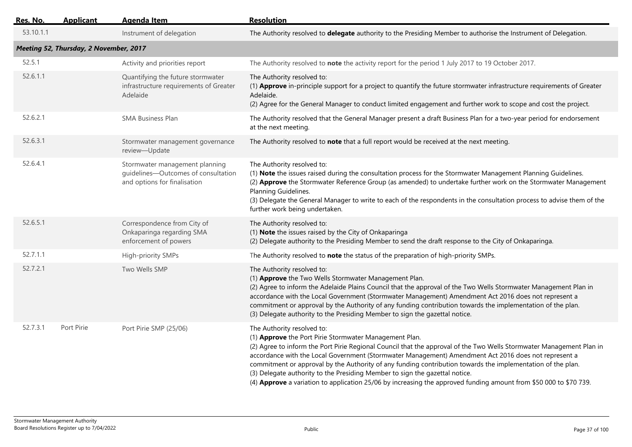| <u>Res. No.</u> | <b>Applicant</b>                       | <b>Agenda Item</b>                                                                                    | <b>Resolution</b>                                                                                                                                                                                                                                                                                                                                                                                                                                                                                                                                                                                                                       |
|-----------------|----------------------------------------|-------------------------------------------------------------------------------------------------------|-----------------------------------------------------------------------------------------------------------------------------------------------------------------------------------------------------------------------------------------------------------------------------------------------------------------------------------------------------------------------------------------------------------------------------------------------------------------------------------------------------------------------------------------------------------------------------------------------------------------------------------------|
| 53.10.1.1       |                                        | Instrument of delegation                                                                              | The Authority resolved to delegate authority to the Presiding Member to authorise the Instrument of Delegation.                                                                                                                                                                                                                                                                                                                                                                                                                                                                                                                         |
|                 | Meeting 52, Thursday, 2 November, 2017 |                                                                                                       |                                                                                                                                                                                                                                                                                                                                                                                                                                                                                                                                                                                                                                         |
| 52.5.1          |                                        | Activity and priorities report                                                                        | The Authority resolved to note the activity report for the period 1 July 2017 to 19 October 2017.                                                                                                                                                                                                                                                                                                                                                                                                                                                                                                                                       |
| 52.6.1.1        |                                        | Quantifying the future stormwater<br>infrastructure requirements of Greater<br>Adelaide               | The Authority resolved to:<br>(1) Approve in-principle support for a project to quantify the future stormwater infrastructure requirements of Greater<br>Adelaide.<br>(2) Agree for the General Manager to conduct limited engagement and further work to scope and cost the project.                                                                                                                                                                                                                                                                                                                                                   |
| 52.6.2.1        |                                        | <b>SMA Business Plan</b>                                                                              | The Authority resolved that the General Manager present a draft Business Plan for a two-year period for endorsement<br>at the next meeting.                                                                                                                                                                                                                                                                                                                                                                                                                                                                                             |
| 52.6.3.1        |                                        | Stormwater management governance<br>review-Update                                                     | The Authority resolved to note that a full report would be received at the next meeting.                                                                                                                                                                                                                                                                                                                                                                                                                                                                                                                                                |
| 52.6.4.1        |                                        | Stormwater management planning<br>guidelines-Outcomes of consultation<br>and options for finalisation | The Authority resolved to:<br>(1) Note the issues raised during the consultation process for the Stormwater Management Planning Guidelines.<br>(2) Approve the Stormwater Reference Group (as amended) to undertake further work on the Stormwater Management<br>Planning Guidelines.<br>(3) Delegate the General Manager to write to each of the respondents in the consultation process to advise them of the<br>further work being undertaken.                                                                                                                                                                                       |
| 52.6.5.1        |                                        | Correspondence from City of<br>Onkaparinga regarding SMA<br>enforcement of powers                     | The Authority resolved to:<br>(1) Note the issues raised by the City of Onkaparinga<br>(2) Delegate authority to the Presiding Member to send the draft response to the City of Onkaparinga.                                                                                                                                                                                                                                                                                                                                                                                                                                            |
| 52.7.1.1        |                                        | High-priority SMPs                                                                                    | The Authority resolved to note the status of the preparation of high-priority SMPs.                                                                                                                                                                                                                                                                                                                                                                                                                                                                                                                                                     |
| 52.7.2.1        |                                        | Two Wells SMP                                                                                         | The Authority resolved to:<br>(1) Approve the Two Wells Stormwater Management Plan.<br>(2) Agree to inform the Adelaide Plains Council that the approval of the Two Wells Stormwater Management Plan in<br>accordance with the Local Government (Stormwater Management) Amendment Act 2016 does not represent a<br>commitment or approval by the Authority of any funding contribution towards the implementation of the plan.<br>(3) Delegate authority to the Presiding Member to sign the gazettal notice.                                                                                                                           |
| 52.7.3.1        | Port Pirie                             | Port Pirie SMP (25/06)                                                                                | The Authority resolved to:<br>(1) Approve the Port Pirie Stormwater Management Plan.<br>(2) Agree to inform the Port Pirie Regional Council that the approval of the Two Wells Stormwater Management Plan in<br>accordance with the Local Government (Stormwater Management) Amendment Act 2016 does not represent a<br>commitment or approval by the Authority of any funding contribution towards the implementation of the plan.<br>(3) Delegate authority to the Presiding Member to sign the gazettal notice.<br>(4) Approve a variation to application 25/06 by increasing the approved funding amount from \$50 000 to \$70 739. |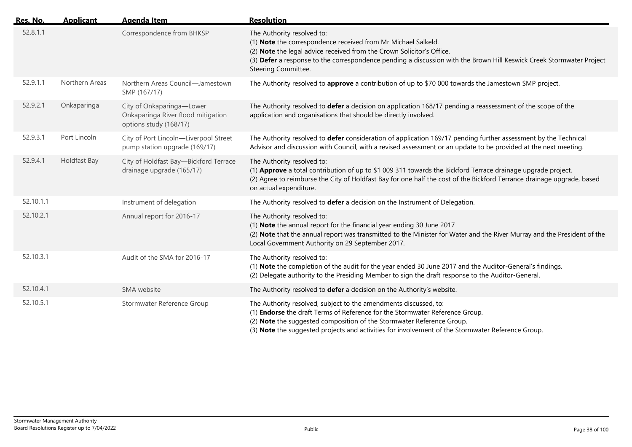| Res. No.  | <b>Applicant</b> | <b>Agenda Item</b>                                                                        | <b>Resolution</b>                                                                                                                                                                                                                                                                                                              |
|-----------|------------------|-------------------------------------------------------------------------------------------|--------------------------------------------------------------------------------------------------------------------------------------------------------------------------------------------------------------------------------------------------------------------------------------------------------------------------------|
| 52.8.1.1  |                  | Correspondence from BHKSP                                                                 | The Authority resolved to:<br>(1) Note the correspondence received from Mr Michael Salkeld.<br>(2) Note the legal advice received from the Crown Solicitor's Office.<br>(3) Defer a response to the correspondence pending a discussion with the Brown Hill Keswick Creek Stormwater Project<br>Steering Committee.            |
| 52.9.1.1  | Northern Areas   | Northern Areas Council-Jamestown<br>SMP (167/17)                                          | The Authority resolved to approve a contribution of up to \$70 000 towards the Jamestown SMP project.                                                                                                                                                                                                                          |
| 52.9.2.1  | Onkaparinga      | City of Onkaparinga-Lower<br>Onkaparinga River flood mitigation<br>options study (168/17) | The Authority resolved to defer a decision on application 168/17 pending a reassessment of the scope of the<br>application and organisations that should be directly involved.                                                                                                                                                 |
| 52.9.3.1  | Port Lincoln     | City of Port Lincoln-Liverpool Street<br>pump station upgrade (169/17)                    | The Authority resolved to defer consideration of application 169/17 pending further assessment by the Technical<br>Advisor and discussion with Council, with a revised assessment or an update to be provided at the next meeting.                                                                                             |
| 52.9.4.1  | Holdfast Bay     | City of Holdfast Bay-Bickford Terrace<br>drainage upgrade (165/17)                        | The Authority resolved to:<br>(1) Approve a total contribution of up to \$1 009 311 towards the Bickford Terrace drainage upgrade project.<br>(2) Agree to reimburse the City of Holdfast Bay for one half the cost of the Bickford Terrance drainage upgrade, based<br>on actual expenditure.                                 |
| 52.10.1.1 |                  | Instrument of delegation                                                                  | The Authority resolved to defer a decision on the Instrument of Delegation.                                                                                                                                                                                                                                                    |
| 52.10.2.1 |                  | Annual report for 2016-17                                                                 | The Authority resolved to:<br>(1) Note the annual report for the financial year ending 30 June 2017<br>(2) Note that the annual report was transmitted to the Minister for Water and the River Murray and the President of the<br>Local Government Authority on 29 September 2017.                                             |
| 52.10.3.1 |                  | Audit of the SMA for 2016-17                                                              | The Authority resolved to:<br>(1) Note the completion of the audit for the year ended 30 June 2017 and the Auditor-General's findings.<br>(2) Delegate authority to the Presiding Member to sign the draft response to the Auditor-General.                                                                                    |
| 52.10.4.1 |                  | SMA website                                                                               | The Authority resolved to defer a decision on the Authority's website.                                                                                                                                                                                                                                                         |
| 52.10.5.1 |                  | Stormwater Reference Group                                                                | The Authority resolved, subject to the amendments discussed, to:<br>(1) Endorse the draft Terms of Reference for the Stormwater Reference Group.<br>(2) Note the suggested composition of the Stormwater Reference Group.<br>(3) Note the suggested projects and activities for involvement of the Stormwater Reference Group. |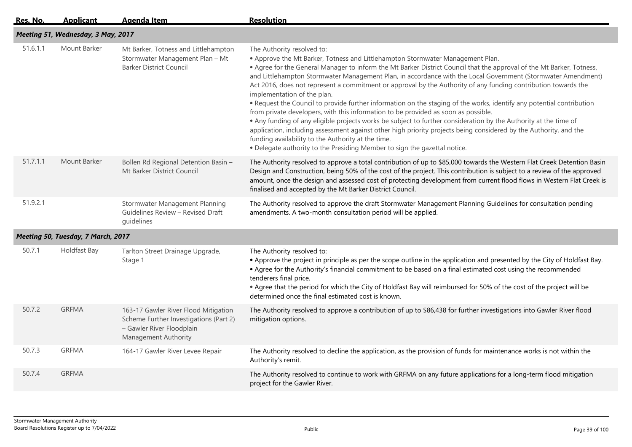| Res. No. | <b>Applicant</b>                   | <b>Agenda Item</b>                                                                                                                  | <b>Resolution</b>                                                                                                                                                                                                                                                                                                                                                                                                                                                                                                                                                                                                                                                                                                                                                                                                                                                                                                                                                                                                                                                                                 |
|----------|------------------------------------|-------------------------------------------------------------------------------------------------------------------------------------|---------------------------------------------------------------------------------------------------------------------------------------------------------------------------------------------------------------------------------------------------------------------------------------------------------------------------------------------------------------------------------------------------------------------------------------------------------------------------------------------------------------------------------------------------------------------------------------------------------------------------------------------------------------------------------------------------------------------------------------------------------------------------------------------------------------------------------------------------------------------------------------------------------------------------------------------------------------------------------------------------------------------------------------------------------------------------------------------------|
|          | Meeting 51, Wednesday, 3 May, 2017 |                                                                                                                                     |                                                                                                                                                                                                                                                                                                                                                                                                                                                                                                                                                                                                                                                                                                                                                                                                                                                                                                                                                                                                                                                                                                   |
| 51.6.1.1 | Mount Barker                       | Mt Barker, Totness and Littlehampton<br>Stormwater Management Plan - Mt<br><b>Barker District Council</b>                           | The Authority resolved to:<br>. Approve the Mt Barker, Totness and Littlehampton Stormwater Management Plan.<br>• Agree for the General Manager to inform the Mt Barker District Council that the approval of the Mt Barker, Totness,<br>and Littlehampton Stormwater Management Plan, in accordance with the Local Government (Stormwater Amendment)<br>Act 2016, does not represent a commitment or approval by the Authority of any funding contribution towards the<br>implementation of the plan.<br>. Request the Council to provide further information on the staging of the works, identify any potential contribution<br>from private developers, with this information to be provided as soon as possible.<br>. Any funding of any eligible projects works be subject to further consideration by the Authority at the time of<br>application, including assessment against other high priority projects being considered by the Authority, and the<br>funding availability to the Authority at the time.<br>. Delegate authority to the Presiding Member to sign the gazettal notice. |
| 51.7.1.1 | Mount Barker                       | Bollen Rd Regional Detention Basin -<br>Mt Barker District Council                                                                  | The Authority resolved to approve a total contribution of up to \$85,000 towards the Western Flat Creek Detention Basin<br>Design and Construction, being 50% of the cost of the project. This contribution is subject to a review of the approved<br>amount, once the design and assessed cost of protecting development from current flood flows in Western Flat Creek is<br>finalised and accepted by the Mt Barker District Council.                                                                                                                                                                                                                                                                                                                                                                                                                                                                                                                                                                                                                                                          |
| 51.9.2.1 |                                    | Stormwater Management Planning<br>Guidelines Review - Revised Draft<br>quidelines                                                   | The Authority resolved to approve the draft Stormwater Management Planning Guidelines for consultation pending<br>amendments. A two-month consultation period will be applied.                                                                                                                                                                                                                                                                                                                                                                                                                                                                                                                                                                                                                                                                                                                                                                                                                                                                                                                    |
|          | Meeting 50, Tuesday, 7 March, 2017 |                                                                                                                                     |                                                                                                                                                                                                                                                                                                                                                                                                                                                                                                                                                                                                                                                                                                                                                                                                                                                                                                                                                                                                                                                                                                   |
| 50.7.1   | Holdfast Bay                       | Tarlton Street Drainage Upgrade,<br>Stage 1                                                                                         | The Authority resolved to:<br>• Approve the project in principle as per the scope outline in the application and presented by the City of Holdfast Bay.<br>• Agree for the Authority's financial commitment to be based on a final estimated cost using the recommended<br>tenderers final price.<br>. Agree that the period for which the City of Holdfast Bay will reimbursed for 50% of the cost of the project will be<br>determined once the final estimated cost is known.                                                                                                                                                                                                                                                                                                                                                                                                                                                                                                                                                                                                                  |
| 50.7.2   | <b>GRFMA</b>                       | 163-17 Gawler River Flood Mitigation<br>Scheme Further Investigations (Part 2)<br>- Gawler River Floodplain<br>Management Authority | The Authority resolved to approve a contribution of up to \$86,438 for further investigations into Gawler River flood<br>mitigation options.                                                                                                                                                                                                                                                                                                                                                                                                                                                                                                                                                                                                                                                                                                                                                                                                                                                                                                                                                      |
| 50.7.3   | <b>GRFMA</b>                       | 164-17 Gawler River Levee Repair                                                                                                    | The Authority resolved to decline the application, as the provision of funds for maintenance works is not within the<br>Authority's remit.                                                                                                                                                                                                                                                                                                                                                                                                                                                                                                                                                                                                                                                                                                                                                                                                                                                                                                                                                        |
| 50.7.4   | <b>GRFMA</b>                       |                                                                                                                                     | The Authority resolved to continue to work with GRFMA on any future applications for a long-term flood mitigation<br>project for the Gawler River.                                                                                                                                                                                                                                                                                                                                                                                                                                                                                                                                                                                                                                                                                                                                                                                                                                                                                                                                                |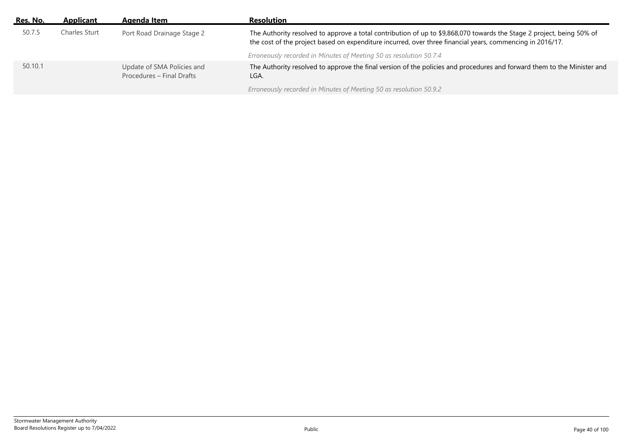| Res. No. | Applicant     | Agenda Item                                             | <b>Resolution</b>                                                                                                                                                                                                                  |
|----------|---------------|---------------------------------------------------------|------------------------------------------------------------------------------------------------------------------------------------------------------------------------------------------------------------------------------------|
| 50.7.5   | Charles Sturt | Port Road Drainage Stage 2                              | The Authority resolved to approve a total contribution of up to \$9,868,070 towards the Stage 2 project, being 50% of<br>the cost of the project based on expenditure incurred, over three financial years, commencing in 2016/17. |
|          |               |                                                         | Erroneously recorded in Minutes of Meeting 50 as resolution 50.7.4                                                                                                                                                                 |
| 50.10.1  |               | Update of SMA Policies and<br>Procedures - Final Drafts | The Authority resolved to approve the final version of the policies and procedures and forward them to the Minister and<br>LGA.                                                                                                    |
|          |               |                                                         | Erroneously recorded in Minutes of Meeting 50 as resolution 50.9.2                                                                                                                                                                 |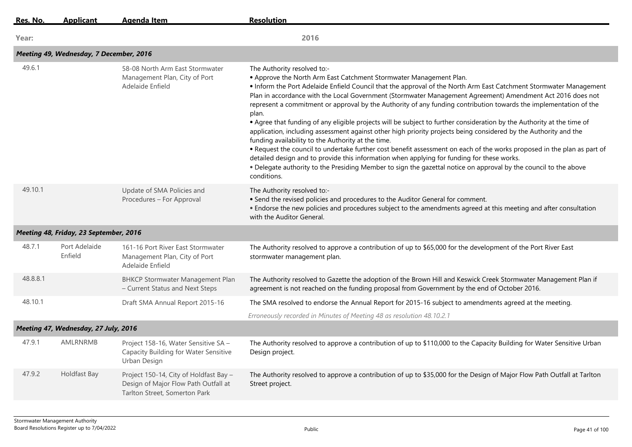| Res. No. | <b>Applicant</b>                        | <b>Agenda Item</b>                                                                                              | <b>Resolution</b>                                                                                                                                                                                                                                                                                                                                                                                                                                                                                                                                                                                                                                                                                                                                                                                                                                                                                                                                                                                                                                                                                                                   |
|----------|-----------------------------------------|-----------------------------------------------------------------------------------------------------------------|-------------------------------------------------------------------------------------------------------------------------------------------------------------------------------------------------------------------------------------------------------------------------------------------------------------------------------------------------------------------------------------------------------------------------------------------------------------------------------------------------------------------------------------------------------------------------------------------------------------------------------------------------------------------------------------------------------------------------------------------------------------------------------------------------------------------------------------------------------------------------------------------------------------------------------------------------------------------------------------------------------------------------------------------------------------------------------------------------------------------------------------|
| Year:    |                                         |                                                                                                                 | 2016                                                                                                                                                                                                                                                                                                                                                                                                                                                                                                                                                                                                                                                                                                                                                                                                                                                                                                                                                                                                                                                                                                                                |
|          | Meeting 49, Wednesday, 7 December, 2016 |                                                                                                                 |                                                                                                                                                                                                                                                                                                                                                                                                                                                                                                                                                                                                                                                                                                                                                                                                                                                                                                                                                                                                                                                                                                                                     |
| 49.6.1   |                                         | 58-08 North Arm East Stormwater<br>Management Plan, City of Port<br>Adelaide Enfield                            | The Authority resolved to:-<br>. Approve the North Arm East Catchment Stormwater Management Plan.<br>. Inform the Port Adelaide Enfield Council that the approval of the North Arm East Catchment Stormwater Management<br>Plan in accordance with the Local Government (Stormwater Management Agreement) Amendment Act 2016 does not<br>represent a commitment or approval by the Authority of any funding contribution towards the implementation of the<br>plan.<br>• Agree that funding of any eligible projects will be subject to further consideration by the Authority at the time of<br>application, including assessment against other high priority projects being considered by the Authority and the<br>funding availability to the Authority at the time.<br>• Request the council to undertake further cost benefit assessment on each of the works proposed in the plan as part of<br>detailed design and to provide this information when applying for funding for these works.<br>. Delegate authority to the Presiding Member to sign the gazettal notice on approval by the council to the above<br>conditions. |
| 49.10.1  |                                         | Update of SMA Policies and<br>Procedures - For Approval                                                         | The Authority resolved to:-<br>• Send the revised policies and procedures to the Auditor General for comment.<br>• Endorse the new policies and procedures subject to the amendments agreed at this meeting and after consultation<br>with the Auditor General.                                                                                                                                                                                                                                                                                                                                                                                                                                                                                                                                                                                                                                                                                                                                                                                                                                                                     |
|          | Meeting 48, Friday, 23 September, 2016  |                                                                                                                 |                                                                                                                                                                                                                                                                                                                                                                                                                                                                                                                                                                                                                                                                                                                                                                                                                                                                                                                                                                                                                                                                                                                                     |
| 48.7.1   | Port Adelaide<br>Enfield                | 161-16 Port River East Stormwater<br>Management Plan, City of Port<br>Adelaide Enfield                          | The Authority resolved to approve a contribution of up to \$65,000 for the development of the Port River East<br>stormwater management plan.                                                                                                                                                                                                                                                                                                                                                                                                                                                                                                                                                                                                                                                                                                                                                                                                                                                                                                                                                                                        |
| 48.8.8.1 |                                         | <b>BHKCP Stormwater Management Plan</b><br>- Current Status and Next Steps                                      | The Authority resolved to Gazette the adoption of the Brown Hill and Keswick Creek Stormwater Management Plan if<br>agreement is not reached on the funding proposal from Government by the end of October 2016.                                                                                                                                                                                                                                                                                                                                                                                                                                                                                                                                                                                                                                                                                                                                                                                                                                                                                                                    |
| 48.10.1  |                                         | Draft SMA Annual Report 2015-16                                                                                 | The SMA resolved to endorse the Annual Report for 2015-16 subject to amendments agreed at the meeting.<br>Erroneously recorded in Minutes of Meeting 48 as resolution 48.10.2.1                                                                                                                                                                                                                                                                                                                                                                                                                                                                                                                                                                                                                                                                                                                                                                                                                                                                                                                                                     |
|          | Meeting 47, Wednesday, 27 July, 2016    |                                                                                                                 |                                                                                                                                                                                                                                                                                                                                                                                                                                                                                                                                                                                                                                                                                                                                                                                                                                                                                                                                                                                                                                                                                                                                     |
| 47.9.1   | AMLRNRMB                                | Project 158-16, Water Sensitive SA -<br>Capacity Building for Water Sensitive<br>Urban Design                   | The Authority resolved to approve a contribution of up to \$110,000 to the Capacity Building for Water Sensitive Urban<br>Design project.                                                                                                                                                                                                                                                                                                                                                                                                                                                                                                                                                                                                                                                                                                                                                                                                                                                                                                                                                                                           |
| 47.9.2   | Holdfast Bay                            | Project 150-14, City of Holdfast Bay -<br>Design of Major Flow Path Outfall at<br>Tarlton Street, Somerton Park | The Authority resolved to approve a contribution of up to \$35,000 for the Design of Major Flow Path Outfall at Tarlton<br>Street project.                                                                                                                                                                                                                                                                                                                                                                                                                                                                                                                                                                                                                                                                                                                                                                                                                                                                                                                                                                                          |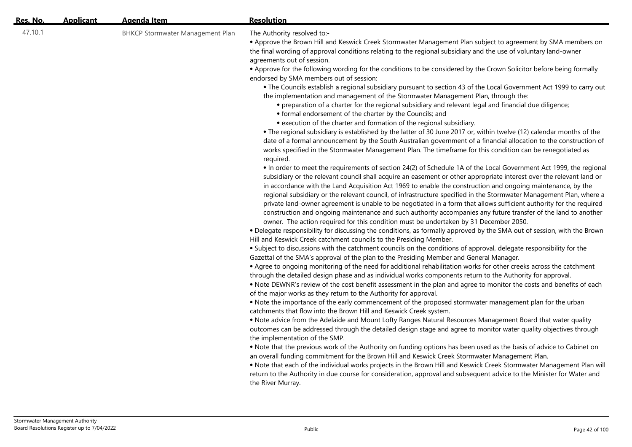| Res. No. | <b>Applicant</b> | <b>Agenda Item</b>                      | <b>Resolution</b>                                                                                                                                                                                                                                                                                                                                                                                                                                                                                                                                                                                                                                                                                                                                                                                                                                                                                                                                                                                                                                                                                                                                                                                                                                                                                                                                                                                                                                                                                                                                                                                                                                                                                                                                                                                                                                                                                                                                                                                                                                                                                                                                                                                                                                                                                                                                                                                                                                                                                                                                                                                                                                                                                                                                                                                                                                                                                                                                                                                                                                                                                                                                                                                                                                                                                                                                                                                                                                                                                                                                                                                                                                                                                                                                                                                                                                                                                                                      |
|----------|------------------|-----------------------------------------|----------------------------------------------------------------------------------------------------------------------------------------------------------------------------------------------------------------------------------------------------------------------------------------------------------------------------------------------------------------------------------------------------------------------------------------------------------------------------------------------------------------------------------------------------------------------------------------------------------------------------------------------------------------------------------------------------------------------------------------------------------------------------------------------------------------------------------------------------------------------------------------------------------------------------------------------------------------------------------------------------------------------------------------------------------------------------------------------------------------------------------------------------------------------------------------------------------------------------------------------------------------------------------------------------------------------------------------------------------------------------------------------------------------------------------------------------------------------------------------------------------------------------------------------------------------------------------------------------------------------------------------------------------------------------------------------------------------------------------------------------------------------------------------------------------------------------------------------------------------------------------------------------------------------------------------------------------------------------------------------------------------------------------------------------------------------------------------------------------------------------------------------------------------------------------------------------------------------------------------------------------------------------------------------------------------------------------------------------------------------------------------------------------------------------------------------------------------------------------------------------------------------------------------------------------------------------------------------------------------------------------------------------------------------------------------------------------------------------------------------------------------------------------------------------------------------------------------------------------------------------------------------------------------------------------------------------------------------------------------------------------------------------------------------------------------------------------------------------------------------------------------------------------------------------------------------------------------------------------------------------------------------------------------------------------------------------------------------------------------------------------------------------------------------------------------------------------------------------------------------------------------------------------------------------------------------------------------------------------------------------------------------------------------------------------------------------------------------------------------------------------------------------------------------------------------------------------------------------------------------------------------------------------------------------------------|
| 47.10.1  |                  | <b>BHKCP Stormwater Management Plan</b> | The Authority resolved to:-<br>• Approve the Brown Hill and Keswick Creek Stormwater Management Plan subject to agreement by SMA members on<br>the final wording of approval conditions relating to the regional subsidiary and the use of voluntary land-owner<br>agreements out of session.<br>• Approve for the following wording for the conditions to be considered by the Crown Solicitor before being formally<br>endorsed by SMA members out of session:<br>. The Councils establish a regional subsidiary pursuant to section 43 of the Local Government Act 1999 to carry out<br>the implementation and management of the Stormwater Management Plan, through the:<br>• preparation of a charter for the regional subsidiary and relevant legal and financial due diligence;<br>• formal endorsement of the charter by the Councils; and<br>• execution of the charter and formation of the regional subsidiary.<br>. The regional subsidiary is established by the latter of 30 June 2017 or, within twelve (12) calendar months of the<br>date of a formal announcement by the South Australian government of a financial allocation to the construction of<br>works specified in the Stormwater Management Plan. The timeframe for this condition can be renegotiated as<br>required.<br>• In order to meet the requirements of section 24(2) of Schedule 1A of the Local Government Act 1999, the regional<br>subsidiary or the relevant council shall acquire an easement or other appropriate interest over the relevant land or<br>in accordance with the Land Acquisition Act 1969 to enable the construction and ongoing maintenance, by the<br>regional subsidiary or the relevant council, of infrastructure specified in the Stormwater Management Plan, where a<br>private land-owner agreement is unable to be negotiated in a form that allows sufficient authority for the required<br>construction and ongoing maintenance and such authority accompanies any future transfer of the land to another<br>owner. The action required for this condition must be undertaken by 31 December 2050.<br>. Delegate responsibility for discussing the conditions, as formally approved by the SMA out of session, with the Brown<br>Hill and Keswick Creek catchment councils to the Presiding Member.<br>. Subject to discussions with the catchment councils on the conditions of approval, delegate responsibility for the<br>Gazettal of the SMA's approval of the plan to the Presiding Member and General Manager.<br>• Agree to ongoing monitoring of the need for additional rehabilitation works for other creeks across the catchment<br>through the detailed design phase and as individual works components return to the Authority for approval.<br>. Note DEWNR's review of the cost benefit assessment in the plan and agree to monitor the costs and benefits of each<br>of the major works as they return to the Authority for approval.<br>. Note the importance of the early commencement of the proposed stormwater management plan for the urban<br>catchments that flow into the Brown Hill and Keswick Creek system.<br>. Note advice from the Adelaide and Mount Lofty Ranges Natural Resources Management Board that water quality<br>outcomes can be addressed through the detailed design stage and agree to monitor water quality objectives through<br>the implementation of the SMP.<br>. Note that the previous work of the Authority on funding options has been used as the basis of advice to Cabinet on<br>an overall funding commitment for the Brown Hill and Keswick Creek Stormwater Management Plan.<br>. Note that each of the individual works projects in the Brown Hill and Keswick Creek Stormwater Management Plan will<br>return to the Authority in due course for consideration, approval and subsequent advice to the Minister for Water and<br>the River Murray. |
|          |                  |                                         |                                                                                                                                                                                                                                                                                                                                                                                                                                                                                                                                                                                                                                                                                                                                                                                                                                                                                                                                                                                                                                                                                                                                                                                                                                                                                                                                                                                                                                                                                                                                                                                                                                                                                                                                                                                                                                                                                                                                                                                                                                                                                                                                                                                                                                                                                                                                                                                                                                                                                                                                                                                                                                                                                                                                                                                                                                                                                                                                                                                                                                                                                                                                                                                                                                                                                                                                                                                                                                                                                                                                                                                                                                                                                                                                                                                                                                                                                                                                        |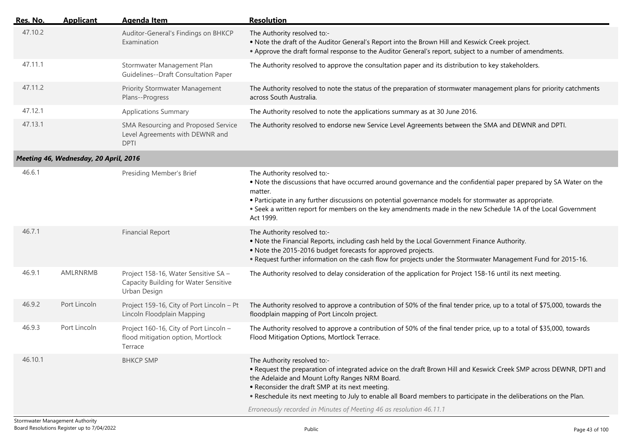| Res. No. | <b>Applicant</b>                      | <b>Agenda Item</b>                                                                            | <b>Resolution</b>                                                                                                                                                                                                                                                                                                                                                                                                                                    |
|----------|---------------------------------------|-----------------------------------------------------------------------------------------------|------------------------------------------------------------------------------------------------------------------------------------------------------------------------------------------------------------------------------------------------------------------------------------------------------------------------------------------------------------------------------------------------------------------------------------------------------|
| 47.10.2  |                                       | Auditor-General's Findings on BHKCP<br>Examination                                            | The Authority resolved to:-<br>. Note the draft of the Auditor General's Report into the Brown Hill and Keswick Creek project.<br>• Approve the draft formal response to the Auditor General's report, subject to a number of amendments.                                                                                                                                                                                                            |
| 47.11.1  |                                       | Stormwater Management Plan<br>Guidelines--Draft Consultation Paper                            | The Authority resolved to approve the consultation paper and its distribution to key stakeholders.                                                                                                                                                                                                                                                                                                                                                   |
| 47.11.2  |                                       | <b>Priority Stormwater Management</b><br>Plans--Progress                                      | The Authority resolved to note the status of the preparation of stormwater management plans for priority catchments<br>across South Australia.                                                                                                                                                                                                                                                                                                       |
| 47.12.1  |                                       | <b>Applications Summary</b>                                                                   | The Authority resolved to note the applications summary as at 30 June 2016.                                                                                                                                                                                                                                                                                                                                                                          |
| 47.13.1  |                                       | SMA Resourcing and Proposed Service<br>Level Agreements with DEWNR and<br><b>DPTI</b>         | The Authority resolved to endorse new Service Level Agreements between the SMA and DEWNR and DPTI.                                                                                                                                                                                                                                                                                                                                                   |
|          | Meeting 46, Wednesday, 20 April, 2016 |                                                                                               |                                                                                                                                                                                                                                                                                                                                                                                                                                                      |
| 46.6.1   |                                       | Presiding Member's Brief                                                                      | The Authority resolved to:-<br>. Note the discussions that have occurred around governance and the confidential paper prepared by SA Water on the<br>matter.<br>• Participate in any further discussions on potential governance models for stormwater as appropriate.<br>. Seek a written report for members on the key amendments made in the new Schedule 1A of the Local Government<br>Act 1999.                                                 |
| 46.7.1   |                                       | <b>Financial Report</b>                                                                       | The Authority resolved to:-<br>. Note the Financial Reports, including cash held by the Local Government Finance Authority.<br>. Note the 2015-2016 budget forecasts for approved projects.<br>• Request further information on the cash flow for projects under the Stormwater Management Fund for 2015-16.                                                                                                                                         |
| 46.9.1   | AMLRNRMB                              | Project 158-16, Water Sensitive SA -<br>Capacity Building for Water Sensitive<br>Urban Design | The Authority resolved to delay consideration of the application for Project 158-16 until its next meeting.                                                                                                                                                                                                                                                                                                                                          |
| 46.9.2   | Port Lincoln                          | Project 159-16, City of Port Lincoln - Pt<br>Lincoln Floodplain Mapping                       | The Authority resolved to approve a contribution of 50% of the final tender price, up to a total of \$75,000, towards the<br>floodplain mapping of Port Lincoln project.                                                                                                                                                                                                                                                                             |
| 46.9.3   | Port Lincoln                          | Project 160-16, City of Port Lincoln -<br>flood mitigation option, Mortlock<br>Terrace        | The Authority resolved to approve a contribution of 50% of the final tender price, up to a total of \$35,000, towards<br>Flood Mitigation Options, Mortlock Terrace.                                                                                                                                                                                                                                                                                 |
| 46.10.1  |                                       | <b>BHKCP SMP</b>                                                                              | The Authority resolved to:-<br>. Request the preparation of integrated advice on the draft Brown Hill and Keswick Creek SMP across DEWNR, DPTI and<br>the Adelaide and Mount Lofty Ranges NRM Board.<br>• Reconsider the draft SMP at its next meeting.<br>. Reschedule its next meeting to July to enable all Board members to participate in the deliberations on the Plan.<br>Erroneously recorded in Minutes of Meeting 46 as resolution 46.11.1 |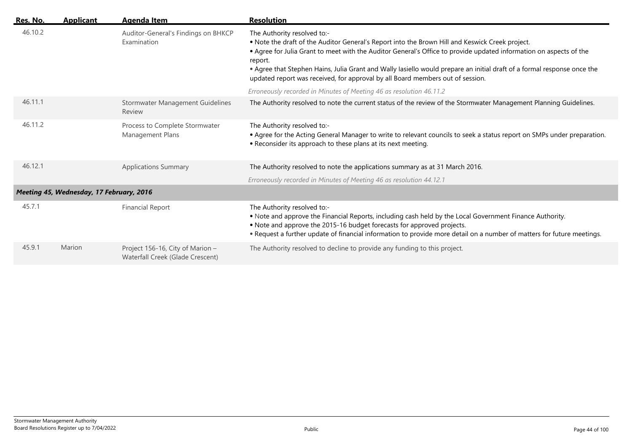| Res. No. | <b>Applicant</b>                         | Agenda Item                                                          | <b>Resolution</b>                                                                                                                                                                                                                                                                                                                                                                                                                                                            |
|----------|------------------------------------------|----------------------------------------------------------------------|------------------------------------------------------------------------------------------------------------------------------------------------------------------------------------------------------------------------------------------------------------------------------------------------------------------------------------------------------------------------------------------------------------------------------------------------------------------------------|
| 46.10.2  |                                          | Auditor-General's Findings on BHKCP<br>Examination                   | The Authority resolved to:-<br>. Note the draft of the Auditor General's Report into the Brown Hill and Keswick Creek project.<br>. Agree for Julia Grant to meet with the Auditor General's Office to provide updated information on aspects of the<br>report.<br>• Agree that Stephen Hains, Julia Grant and Wally lasiello would prepare an initial draft of a formal response once the<br>updated report was received, for approval by all Board members out of session. |
|          |                                          |                                                                      | Erroneously recorded in Minutes of Meeting 46 as resolution 46.11.2                                                                                                                                                                                                                                                                                                                                                                                                          |
| 46.11.1  |                                          | Stormwater Management Guidelines<br>Review                           | The Authority resolved to note the current status of the review of the Stormwater Management Planning Guidelines.                                                                                                                                                                                                                                                                                                                                                            |
| 46.11.2  |                                          | Process to Complete Stormwater<br>Management Plans                   | The Authority resolved to:-<br>• Agree for the Acting General Manager to write to relevant councils to seek a status report on SMPs under preparation.<br>• Reconsider its approach to these plans at its next meeting.                                                                                                                                                                                                                                                      |
| 46.12.1  |                                          | <b>Applications Summary</b>                                          | The Authority resolved to note the applications summary as at 31 March 2016.                                                                                                                                                                                                                                                                                                                                                                                                 |
|          |                                          |                                                                      | Erroneously recorded in Minutes of Meeting 46 as resolution 44.12.1                                                                                                                                                                                                                                                                                                                                                                                                          |
|          | Meeting 45, Wednesday, 17 February, 2016 |                                                                      |                                                                                                                                                                                                                                                                                                                                                                                                                                                                              |
| 45.7.1   |                                          | <b>Financial Report</b>                                              | The Authority resolved to:-<br>. Note and approve the Financial Reports, including cash held by the Local Government Finance Authority.<br>• Note and approve the 2015-16 budget forecasts for approved projects.<br>. Request a further update of financial information to provide more detail on a number of matters for future meetings.                                                                                                                                  |
| 45.9.1   | Marion                                   | Project 156-16, City of Marion -<br>Waterfall Creek (Glade Crescent) | The Authority resolved to decline to provide any funding to this project.                                                                                                                                                                                                                                                                                                                                                                                                    |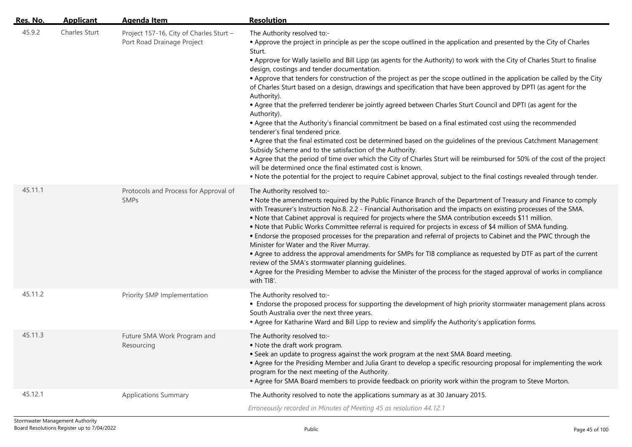| <u>Res. No.</u> | <b>Applicant</b> | Agenda Item                                                           | <b>Resolution</b>                                                                                                                                                                                                                                                                                                                                                                                                                                                                                                                                                                                                                                                                                                                                                                                                                                                                                                                                                                                                                                                                                                                                                                                                                                                                                                                                                                                     |
|-----------------|------------------|-----------------------------------------------------------------------|-------------------------------------------------------------------------------------------------------------------------------------------------------------------------------------------------------------------------------------------------------------------------------------------------------------------------------------------------------------------------------------------------------------------------------------------------------------------------------------------------------------------------------------------------------------------------------------------------------------------------------------------------------------------------------------------------------------------------------------------------------------------------------------------------------------------------------------------------------------------------------------------------------------------------------------------------------------------------------------------------------------------------------------------------------------------------------------------------------------------------------------------------------------------------------------------------------------------------------------------------------------------------------------------------------------------------------------------------------------------------------------------------------|
| 45.9.2          | Charles Sturt    | Project 157-16, City of Charles Sturt -<br>Port Road Drainage Project | The Authority resolved to:-<br>• Approve the project in principle as per the scope outlined in the application and presented by the City of Charles<br>Sturt.<br>• Approve for Wally Iasiello and Bill Lipp (as agents for the Authority) to work with the City of Charles Sturt to finalise<br>design, costings and tender documentation.<br>• Approve that tenders for construction of the project as per the scope outlined in the application be called by the City<br>of Charles Sturt based on a design, drawings and specification that have been approved by DPTI (as agent for the<br>Authority).<br>• Agree that the preferred tenderer be jointly agreed between Charles Sturt Council and DPTI (as agent for the<br>Authority).<br>• Agree that the Authority's financial commitment be based on a final estimated cost using the recommended<br>tenderer's final tendered price.<br>• Agree that the final estimated cost be determined based on the guidelines of the previous Catchment Management<br>Subsidy Scheme and to the satisfaction of the Authority.<br>• Agree that the period of time over which the City of Charles Sturt will be reimbursed for 50% of the cost of the project<br>will be determined once the final estimated cost is known.<br>. Note the potential for the project to require Cabinet approval, subject to the final costings revealed through tender. |
| 45.11.1         |                  | Protocols and Process for Approval of<br><b>SMPs</b>                  | The Authority resolved to:-<br>• Note the amendments required by the Public Finance Branch of the Department of Treasury and Finance to comply<br>with Treasurer's Instruction No.8. 2.2 - Financial Authorisation and the impacts on existing processes of the SMA.<br>. Note that Cabinet approval is required for projects where the SMA contribution exceeds \$11 million.<br>• Note that Public Works Committee referral is required for projects in excess of \$4 million of SMA funding.<br>• Endorse the proposed processes for the preparation and referral of projects to Cabinet and the PWC through the<br>Minister for Water and the River Murray.<br>• Agree to address the approval amendments for SMPs for TI8 compliance as requested by DTF as part of the current<br>review of the SMA's stormwater planning guidelines.<br>• Agree for the Presiding Member to advise the Minister of the process for the staged approval of works in compliance<br>with TI8'.                                                                                                                                                                                                                                                                                                                                                                                                                    |
| 45.11.2         |                  | Priority SMP Implementation                                           | The Authority resolved to:-<br>• Endorse the proposed process for supporting the development of high priority stormwater management plans across<br>South Australia over the next three years.<br>• Agree for Katharine Ward and Bill Lipp to review and simplify the Authority's application forms.                                                                                                                                                                                                                                                                                                                                                                                                                                                                                                                                                                                                                                                                                                                                                                                                                                                                                                                                                                                                                                                                                                  |
| 45.11.3         |                  | Future SMA Work Program and<br>Resourcing                             | The Authority resolved to:-<br>. Note the draft work program.<br>• Seek an update to progress against the work program at the next SMA Board meeting<br>• Agree for the Presiding Member and Julia Grant to develop a specific resourcing proposal for implementing the work<br>program for the next meeting of the Authority.<br>. Agree for SMA Board members to provide feedback on priority work within the program to Steve Morton.                                                                                                                                                                                                                                                                                                                                                                                                                                                                                                                                                                                                                                                                                                                                                                                                                                                                                                                                                              |
| 45.12.1         |                  | <b>Applications Summary</b>                                           | The Authority resolved to note the applications summary as at 30 January 2015.<br>Erroneously recorded in Minutes of Meeting 45 as resolution 44.12.1                                                                                                                                                                                                                                                                                                                                                                                                                                                                                                                                                                                                                                                                                                                                                                                                                                                                                                                                                                                                                                                                                                                                                                                                                                                 |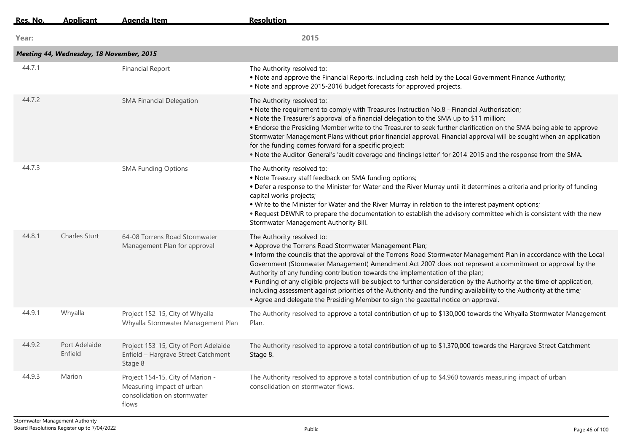| Res. No. | <b>Applicant</b>                         | <b>Agenda Item</b>                                                                                    | <b>Resolution</b>                                                                                                                                                                                                                                                                                                                                                                                                                                                                                                                                                                                                                                                                                                                                 |
|----------|------------------------------------------|-------------------------------------------------------------------------------------------------------|---------------------------------------------------------------------------------------------------------------------------------------------------------------------------------------------------------------------------------------------------------------------------------------------------------------------------------------------------------------------------------------------------------------------------------------------------------------------------------------------------------------------------------------------------------------------------------------------------------------------------------------------------------------------------------------------------------------------------------------------------|
| Year:    |                                          |                                                                                                       | 2015                                                                                                                                                                                                                                                                                                                                                                                                                                                                                                                                                                                                                                                                                                                                              |
|          | Meeting 44, Wednesday, 18 November, 2015 |                                                                                                       |                                                                                                                                                                                                                                                                                                                                                                                                                                                                                                                                                                                                                                                                                                                                                   |
| 44.7.1   |                                          | <b>Financial Report</b>                                                                               | The Authority resolved to:-<br>. Note and approve the Financial Reports, including cash held by the Local Government Finance Authority;<br>• Note and approve 2015-2016 budget forecasts for approved projects.                                                                                                                                                                                                                                                                                                                                                                                                                                                                                                                                   |
| 44.7.2   |                                          | <b>SMA Financial Delegation</b>                                                                       | The Authority resolved to:-<br>• Note the requirement to comply with Treasures Instruction No.8 - Financial Authorisation;<br>. Note the Treasurer's approval of a financial delegation to the SMA up to \$11 million;<br>• Endorse the Presiding Member write to the Treasurer to seek further clarification on the SMA being able to approve<br>Stormwater Management Plans without prior financial approval. Financial approval will be sought when an application<br>for the funding comes forward for a specific project;<br>. Note the Auditor-General's 'audit coverage and findings letter' for 2014-2015 and the response from the SMA.                                                                                                  |
| 44.7.3   |                                          | <b>SMA Funding Options</b>                                                                            | The Authority resolved to:-<br>• Note Treasury staff feedback on SMA funding options;<br>• Defer a response to the Minister for Water and the River Murray until it determines a criteria and priority of funding<br>capital works projects;<br>. Write to the Minister for Water and the River Murray in relation to the interest payment options;<br>. Request DEWNR to prepare the documentation to establish the advisory committee which is consistent with the new<br>Stormwater Management Authority Bill.                                                                                                                                                                                                                                 |
| 44.8.1   | <b>Charles Sturt</b>                     | 64-08 Torrens Road Stormwater<br>Management Plan for approval                                         | The Authority resolved to:<br>• Approve the Torrens Road Stormwater Management Plan;<br>• Inform the councils that the approval of the Torrens Road Stormwater Management Plan in accordance with the Local<br>Government (Stormwater Management) Amendment Act 2007 does not represent a commitment or approval by the<br>Authority of any funding contribution towards the implementation of the plan;<br>• Funding of any eligible projects will be subject to further consideration by the Authority at the time of application,<br>including assessment against priorities of the Authority and the funding availability to the Authority at the time;<br>• Agree and delegate the Presiding Member to sign the gazettal notice on approval. |
| 44.9.1   | Whyalla                                  | Project 152-15, City of Whyalla -<br>Whyalla Stormwater Management Plan                               | The Authority resolved to approve a total contribution of up to \$130,000 towards the Whyalla Stormwater Management<br>Plan.                                                                                                                                                                                                                                                                                                                                                                                                                                                                                                                                                                                                                      |
| 44.9.2   | Port Adelaide<br>Enfield                 | Project 153-15, City of Port Adelaide<br>Enfield - Hargrave Street Catchment<br>Stage 8               | The Authority resolved to approve a total contribution of up to \$1,370,000 towards the Hargrave Street Catchment<br>Stage 8.                                                                                                                                                                                                                                                                                                                                                                                                                                                                                                                                                                                                                     |
| 44.9.3   | Marion                                   | Project 154-15, City of Marion -<br>Measuring impact of urban<br>consolidation on stormwater<br>flows | The Authority resolved to approve a total contribution of up to \$4,960 towards measuring impact of urban<br>consolidation on stormwater flows.                                                                                                                                                                                                                                                                                                                                                                                                                                                                                                                                                                                                   |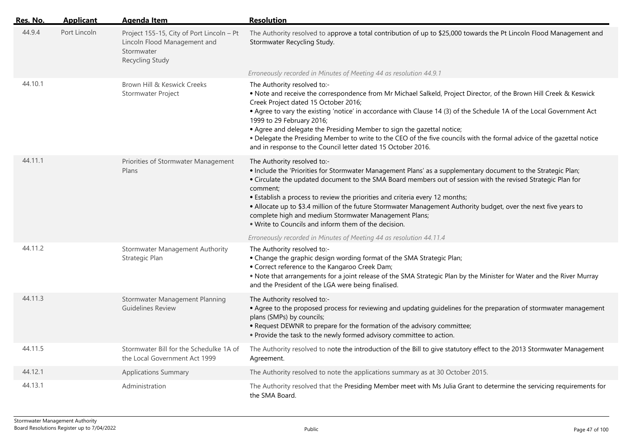| <u>Res. No.</u> | <b>Applicant</b> | Agenda Item                                                                                                | <b>Resolution</b>                                                                                                                                                                                                                                                                                                                                                                                                                                                                                                                                                                                                   |
|-----------------|------------------|------------------------------------------------------------------------------------------------------------|---------------------------------------------------------------------------------------------------------------------------------------------------------------------------------------------------------------------------------------------------------------------------------------------------------------------------------------------------------------------------------------------------------------------------------------------------------------------------------------------------------------------------------------------------------------------------------------------------------------------|
| 44.9.4          | Port Lincoln     | Project 155-15, City of Port Lincoln - Pt<br>Lincoln Flood Management and<br>Stormwater<br>Recycling Study | The Authority resolved to approve a total contribution of up to \$25,000 towards the Pt Lincoln Flood Management and<br>Stormwater Recycling Study.                                                                                                                                                                                                                                                                                                                                                                                                                                                                 |
|                 |                  |                                                                                                            | Erroneously recorded in Minutes of Meeting 44 as resolution 44.9.1                                                                                                                                                                                                                                                                                                                                                                                                                                                                                                                                                  |
| 44.10.1         |                  | Brown Hill & Keswick Creeks<br>Stormwater Project                                                          | The Authority resolved to:-<br>. Note and receive the correspondence from Mr Michael Salkeld, Project Director, of the Brown Hill Creek & Keswick<br>Creek Project dated 15 October 2016;<br>• Agree to vary the existing 'notice' in accordance with Clause 14 (3) of the Schedule 1A of the Local Government Act<br>1999 to 29 February 2016;<br>• Agree and delegate the Presiding Member to sign the gazettal notice;<br>. Delegate the Presiding Member to write to the CEO of the five councils with the formal advice of the gazettal notice<br>and in response to the Council letter dated 15 October 2016. |
| 44.11.1         |                  | Priorities of Stormwater Management<br>Plans                                                               | The Authority resolved to:-<br>. Include the 'Priorities for Stormwater Management Plans' as a supplementary document to the Strategic Plan;<br>• Circulate the updated document to the SMA Board members out of session with the revised Strategic Plan for<br>comment;<br>• Establish a process to review the priorities and criteria every 12 months;<br>. Allocate up to \$3.4 million of the future Stormwater Management Authority budget, over the next five years to<br>complete high and medium Stormwater Management Plans;<br>. Write to Councils and inform them of the decision.                       |
| 44.11.2         |                  | Stormwater Management Authority<br>Strategic Plan                                                          | Erroneously recorded in Minutes of Meeting 44 as resolution 44.11.4<br>The Authority resolved to:-<br>• Change the graphic design wording format of the SMA Strategic Plan;<br>• Correct reference to the Kangaroo Creek Dam;<br>. Note that arrangements for a joint release of the SMA Strategic Plan by the Minister for Water and the River Murray<br>and the President of the LGA were being finalised.                                                                                                                                                                                                        |
| 44.11.3         |                  | Stormwater Management Planning<br><b>Guidelines Review</b>                                                 | The Authority resolved to:-<br>• Agree to the proposed process for reviewing and updating guidelines for the preparation of stormwater management<br>plans (SMPs) by councils;<br>• Request DEWNR to prepare for the formation of the advisory committee;<br>. Provide the task to the newly formed advisory committee to action.                                                                                                                                                                                                                                                                                   |
| 44.11.5         |                  | Stormwater Bill for the Schedulke 1A of<br>the Local Government Act 1999                                   | The Authority resolved to note the introduction of the Bill to give statutory effect to the 2013 Stormwater Management<br>Agreement.                                                                                                                                                                                                                                                                                                                                                                                                                                                                                |
| 44.12.1         |                  | <b>Applications Summary</b>                                                                                | The Authority resolved to note the applications summary as at 30 October 2015.                                                                                                                                                                                                                                                                                                                                                                                                                                                                                                                                      |
| 44.13.1         |                  | Administration                                                                                             | The Authority resolved that the Presiding Member meet with Ms Julia Grant to determine the servicing requirements for<br>the SMA Board.                                                                                                                                                                                                                                                                                                                                                                                                                                                                             |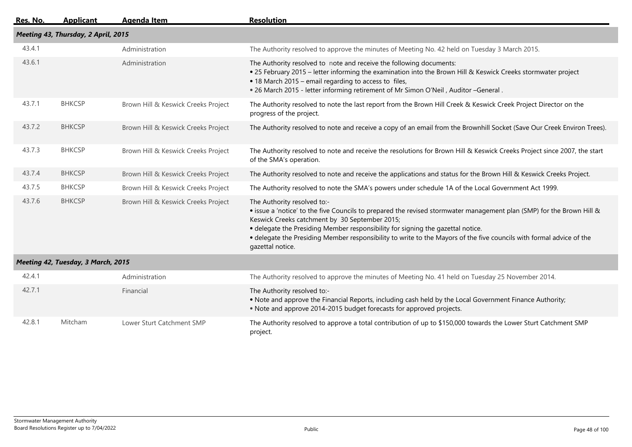| Res. No. | <b>Applicant</b>                    | <b>Agenda Item</b>                  | <b>Resolution</b>                                                                                                                                                                                                                                                                                                                                                                                                                     |
|----------|-------------------------------------|-------------------------------------|---------------------------------------------------------------------------------------------------------------------------------------------------------------------------------------------------------------------------------------------------------------------------------------------------------------------------------------------------------------------------------------------------------------------------------------|
|          | Meeting 43, Thursday, 2 April, 2015 |                                     |                                                                                                                                                                                                                                                                                                                                                                                                                                       |
| 43.4.1   |                                     | Administration                      | The Authority resolved to approve the minutes of Meeting No. 42 held on Tuesday 3 March 2015.                                                                                                                                                                                                                                                                                                                                         |
| 43.6.1   |                                     | Administration                      | The Authority resolved to note and receive the following documents:<br>• 25 February 2015 - letter informing the examination into the Brown Hill & Keswick Creeks stormwater project<br>• 18 March 2015 – email regarding to access to files,<br>. 26 March 2015 - letter informing retirement of Mr Simon O'Neil, Auditor -General .                                                                                                 |
| 43.7.1   | <b>BHKCSP</b>                       | Brown Hill & Keswick Creeks Project | The Authority resolved to note the last report from the Brown Hill Creek & Keswick Creek Project Director on the<br>progress of the project.                                                                                                                                                                                                                                                                                          |
| 43.7.2   | <b>BHKCSP</b>                       | Brown Hill & Keswick Creeks Project | The Authority resolved to note and receive a copy of an email from the Brownhill Socket (Save Our Creek Environ Trees).                                                                                                                                                                                                                                                                                                               |
| 43.7.3   | <b>BHKCSP</b>                       | Brown Hill & Keswick Creeks Project | The Authority resolved to note and receive the resolutions for Brown Hill & Keswick Creeks Project since 2007, the start<br>of the SMA's operation.                                                                                                                                                                                                                                                                                   |
| 43.7.4   | <b>BHKCSP</b>                       | Brown Hill & Keswick Creeks Project | The Authority resolved to note and receive the applications and status for the Brown Hill & Keswick Creeks Project.                                                                                                                                                                                                                                                                                                                   |
| 43.7.5   | <b>BHKCSP</b>                       | Brown Hill & Keswick Creeks Project | The Authority resolved to note the SMA's powers under schedule 1A of the Local Government Act 1999.                                                                                                                                                                                                                                                                                                                                   |
| 43.7.6   | <b>BHKCSP</b>                       | Brown Hill & Keswick Creeks Project | The Authority resolved to:-<br>• issue a 'notice' to the five Councils to prepared the revised stormwater management plan (SMP) for the Brown Hill &<br>Keswick Creeks catchment by 30 September 2015;<br>• delegate the Presiding Member responsibility for signing the gazettal notice.<br>• delegate the Presiding Member responsibility to write to the Mayors of the five councils with formal advice of the<br>gazettal notice. |
|          | Meeting 42, Tuesday, 3 March, 2015  |                                     |                                                                                                                                                                                                                                                                                                                                                                                                                                       |
| 42.4.1   |                                     | Administration                      | The Authority resolved to approve the minutes of Meeting No. 41 held on Tuesday 25 November 2014.                                                                                                                                                                                                                                                                                                                                     |
| 42.7.1   |                                     | Financial                           | The Authority resolved to:-<br>. Note and approve the Financial Reports, including cash held by the Local Government Finance Authority;<br>• Note and approve 2014-2015 budget forecasts for approved projects.                                                                                                                                                                                                                       |
| 42.8.1   | Mitcham                             | Lower Sturt Catchment SMP           | The Authority resolved to approve a total contribution of up to \$150,000 towards the Lower Sturt Catchment SMP<br>project.                                                                                                                                                                                                                                                                                                           |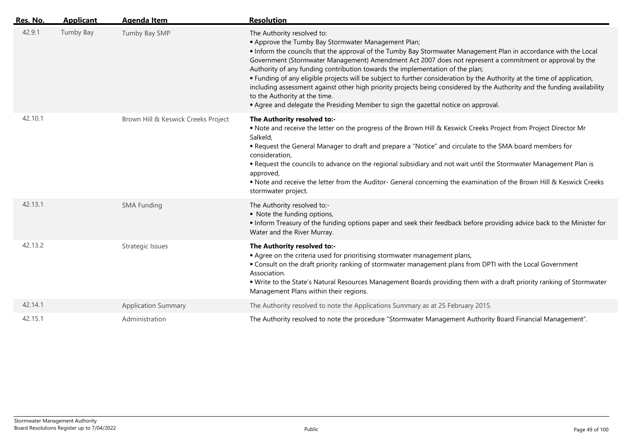| Res. No. | <b>Applicant</b> | <b>Agenda Item</b>                  | <b>Resolution</b>                                                                                                                                                                                                                                                                                                                                                                                                                                                                                                                                                                                                                                                                                                                                                                 |
|----------|------------------|-------------------------------------|-----------------------------------------------------------------------------------------------------------------------------------------------------------------------------------------------------------------------------------------------------------------------------------------------------------------------------------------------------------------------------------------------------------------------------------------------------------------------------------------------------------------------------------------------------------------------------------------------------------------------------------------------------------------------------------------------------------------------------------------------------------------------------------|
| 42.9.1   | Tumby Bay        | Tumby Bay SMP                       | The Authority resolved to:<br>• Approve the Tumby Bay Stormwater Management Plan;<br>• Inform the councils that the approval of the Tumby Bay Stormwater Management Plan in accordance with the Local<br>Government (Stormwater Management) Amendment Act 2007 does not represent a commitment or approval by the<br>Authority of any funding contribution towards the implementation of the plan;<br>• Funding of any eligible projects will be subject to further consideration by the Authority at the time of application,<br>including assessment against other high priority projects being considered by the Authority and the funding availability<br>to the Authority at the time.<br>• Agree and delegate the Presiding Member to sign the gazettal notice on approval. |
| 42.10.1  |                  | Brown Hill & Keswick Creeks Project | The Authority resolved to:-<br>. Note and receive the letter on the progress of the Brown Hill & Keswick Creeks Project from Project Director Mr<br>Salkeld,<br>. Request the General Manager to draft and prepare a "Notice" and circulate to the SMA board members for<br>consideration,<br>. Request the councils to advance on the regional subsidiary and not wait until the Stormwater Management Plan is<br>approved,<br>. Note and receive the letter from the Auditor- General concerning the examination of the Brown Hill & Keswick Creeks<br>stormwater project.                                                                                                                                                                                                      |
| 42.13.1  |                  | <b>SMA Funding</b>                  | The Authority resolved to:-<br>• Note the funding options,<br>• Inform Treasury of the funding options paper and seek their feedback before providing advice back to the Minister for<br>Water and the River Murray.                                                                                                                                                                                                                                                                                                                                                                                                                                                                                                                                                              |
| 42.13.2  |                  | Strategic Issues                    | The Authority resolved to:-<br>• Agree on the criteria used for prioritising stormwater management plans,<br>• Consult on the draft priority ranking of stormwater management plans from DPTI with the Local Government<br>Association.<br>. Write to the State's Natural Resources Management Boards providing them with a draft priority ranking of Stormwater<br>Management Plans within their regions.                                                                                                                                                                                                                                                                                                                                                                        |
| 42.14.1  |                  | <b>Application Summary</b>          | The Authority resolved to note the Applications Summary as at 25 February 2015.                                                                                                                                                                                                                                                                                                                                                                                                                                                                                                                                                                                                                                                                                                   |
| 42.15.1  |                  | Administration                      | The Authority resolved to note the procedure "Stormwater Management Authority Board Financial Management".                                                                                                                                                                                                                                                                                                                                                                                                                                                                                                                                                                                                                                                                        |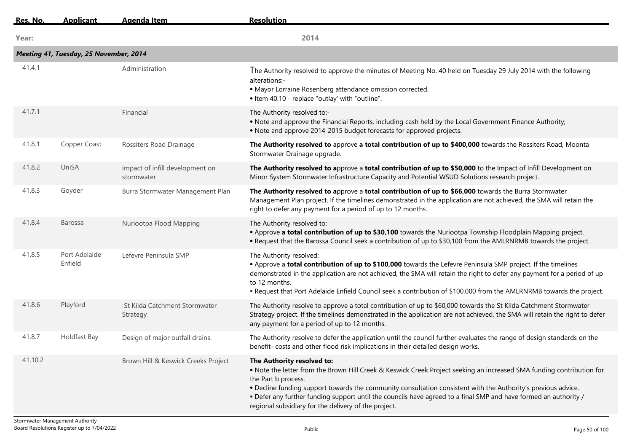| Res. No. | <b>Applicant</b>                       | <b>Agenda Item</b>                            | <b>Resolution</b>                                                                                                                                                                                                                                                                                                                                                                                                                                                       |
|----------|----------------------------------------|-----------------------------------------------|-------------------------------------------------------------------------------------------------------------------------------------------------------------------------------------------------------------------------------------------------------------------------------------------------------------------------------------------------------------------------------------------------------------------------------------------------------------------------|
| Year:    |                                        |                                               | 2014                                                                                                                                                                                                                                                                                                                                                                                                                                                                    |
|          | Meeting 41, Tuesday, 25 November, 2014 |                                               |                                                                                                                                                                                                                                                                                                                                                                                                                                                                         |
| 41.4.1   |                                        | Administration                                | The Authority resolved to approve the minutes of Meeting No. 40 held on Tuesday 29 July 2014 with the following<br>alterations:-<br>· Mayor Lorraine Rosenberg attendance omission corrected.<br>• Item 40.10 - replace "outlay' with "outline".                                                                                                                                                                                                                        |
| 41.7.1   |                                        | Financial                                     | The Authority resolved to:-<br>. Note and approve the Financial Reports, including cash held by the Local Government Finance Authority;<br>• Note and approve 2014-2015 budget forecasts for approved projects.                                                                                                                                                                                                                                                         |
| 41.8.1   | Copper Coast                           | Rossiters Road Drainage                       | The Authority resolved to approve a total contribution of up to \$400,000 towards the Rossiters Road, Moonta<br>Stormwater Drainage upgrade.                                                                                                                                                                                                                                                                                                                            |
| 41.8.2   | UniSA                                  | Impact of infill development on<br>stormwater | The Authority resolved to approve a total contribution of up to \$50,000 to the Impact of Infill Development on<br>Minor System Stormwater Infrastructure Capacity and Potential WSUD Solutions research project.                                                                                                                                                                                                                                                       |
| 41.8.3   | Goyder                                 | Burra Stormwater Management Plan              | The Authority resolved to approve a total contribution of up to \$66,000 towards the Burra Stormwater<br>Management Plan project. If the timelines demonstrated in the application are not achieved, the SMA will retain the<br>right to defer any payment for a period of up to 12 months.                                                                                                                                                                             |
| 41.8.4   | <b>Barossa</b>                         | Nuriootpa Flood Mapping                       | The Authority resolved to:<br>. Approve a total contribution of up to \$30,100 towards the Nuriootpa Township Floodplain Mapping project.<br>• Request that the Barossa Council seek a contribution of up to \$30,100 from the AMLRNRMB towards the project.                                                                                                                                                                                                            |
| 41.8.5   | Port Adelaide<br>Enfield               | Lefevre Peninsula SMP                         | The Authority resolved:<br>• Approve a total contribution of up to \$100,000 towards the Lefevre Peninsula SMP project. If the timelines<br>demonstrated in the application are not achieved, the SMA will retain the right to defer any payment for a period of up<br>to 12 months.<br>• Request that Port Adelaide Enfield Council seek a contribution of \$100,000 from the AMLRNRMB towards the project.                                                            |
| 41.8.6   | Playford                               | St Kilda Catchment Stormwater<br>Strategy     | The Authority resolve to approve a total contribution of up to \$60,000 towards the St Kilda Catchment Stormwater<br>Strategy project. If the timelines demonstrated in the application are not achieved, the SMA will retain the right to defer<br>any payment for a period of up to 12 months.                                                                                                                                                                        |
| 41.8.7   | Holdfast Bay                           | Design of major outfall drains.               | The Authority resolve to defer the application until the council further evaluates the range of design standards on the<br>benefit-costs and other flood risk implications in their detailed design works.                                                                                                                                                                                                                                                              |
| 41.10.2  |                                        | Brown Hill & Keswick Creeks Project           | The Authority resolved to:<br>. Note the letter from the Brown Hill Creek & Keswick Creek Project seeking an increased SMA funding contribution for<br>the Part b process.<br>. Decline funding support towards the community consultation consistent with the Authority's previous advice.<br>• Defer any further funding support until the councils have agreed to a final SMP and have formed an authority /<br>regional subsidiary for the delivery of the project. |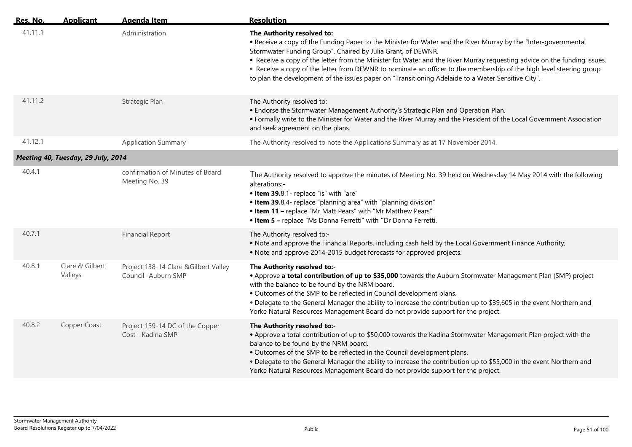| Res. No. | <b>Applicant</b>                   | <b>Agenda Item</b>                                           | <b>Resolution</b>                                                                                                                                                                                                                                                                                                                                                                                                                                                                                                                                                      |
|----------|------------------------------------|--------------------------------------------------------------|------------------------------------------------------------------------------------------------------------------------------------------------------------------------------------------------------------------------------------------------------------------------------------------------------------------------------------------------------------------------------------------------------------------------------------------------------------------------------------------------------------------------------------------------------------------------|
| 41.11.1  |                                    | Administration                                               | The Authority resolved to:<br>• Receive a copy of the Funding Paper to the Minister for Water and the River Murray by the "Inter-governmental<br>Stormwater Funding Group", Chaired by Julia Grant, of DEWNR.<br>• Receive a copy of the letter from the Minister for Water and the River Murray requesting advice on the funding issues.<br>• Receive a copy of the letter from DEWNR to nominate an officer to the membership of the high level steering group<br>to plan the development of the issues paper on "Transitioning Adelaide to a Water Sensitive City". |
| 41.11.2  |                                    | Strategic Plan                                               | The Authority resolved to:<br>. Endorse the Stormwater Management Authority's Strategic Plan and Operation Plan.<br>• Formally write to the Minister for Water and the River Murray and the President of the Local Government Association<br>and seek agreement on the plans.                                                                                                                                                                                                                                                                                          |
| 41.12.1  |                                    | <b>Application Summary</b>                                   | The Authority resolved to note the Applications Summary as at 17 November 2014.                                                                                                                                                                                                                                                                                                                                                                                                                                                                                        |
|          | Meeting 40, Tuesday, 29 July, 2014 |                                                              |                                                                                                                                                                                                                                                                                                                                                                                                                                                                                                                                                                        |
| 40.4.1   |                                    | confirmation of Minutes of Board<br>Meeting No. 39           | The Authority resolved to approve the minutes of Meeting No. 39 held on Wednesday 14 May 2014 with the following<br>alterations:-<br>. Item 39.8.1- replace "is" with "are"<br>• Item 39.8.4- replace "planning area" with "planning division"<br>. Item 11 - replace "Mr Matt Pears" with "Mr Matthew Pears"<br>. Item 5 - replace "Ms Donna Ferretti" with "Dr Donna Ferretti.                                                                                                                                                                                       |
| 40.7.1   |                                    | <b>Financial Report</b>                                      | The Authority resolved to:-<br>. Note and approve the Financial Reports, including cash held by the Local Government Finance Authority;<br>• Note and approve 2014-2015 budget forecasts for approved projects.                                                                                                                                                                                                                                                                                                                                                        |
| 40.8.1   | Clare & Gilbert<br>Valleys         | Project 138-14 Clare & Gilbert Valley<br>Council- Auburn SMP | The Authority resolved to:-<br>• Approve a total contribution of up to \$35,000 towards the Auburn Stormwater Management Plan (SMP) project<br>with the balance to be found by the NRM board.<br>. Outcomes of the SMP to be reflected in Council development plans.<br>. Delegate to the General Manager the ability to increase the contribution up to \$39,605 in the event Northern and<br>Yorke Natural Resources Management Board do not provide support for the project.                                                                                        |
| 40.8.2   | Copper Coast                       | Project 139-14 DC of the Copper<br>Cost - Kadina SMP         | The Authority resolved to:-<br>• Approve a total contribution of up to \$50,000 towards the Kadina Stormwater Management Plan project with the<br>balance to be found by the NRM board.<br>. Outcomes of the SMP to be reflected in the Council development plans.<br>. Delegate to the General Manager the ability to increase the contribution up to \$55,000 in the event Northern and<br>Yorke Natural Resources Management Board do not provide support for the project.                                                                                          |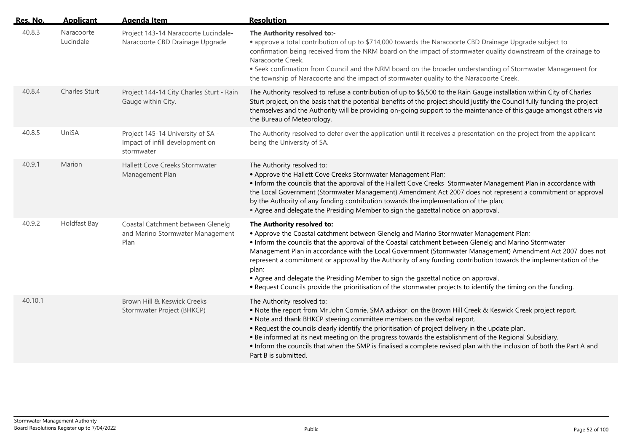| Res. No. | <b>Applicant</b>        | <b>Agenda Item</b>                                                                 | <b>Resolution</b>                                                                                                                                                                                                                                                                                                                                                                                                                                                                                                                                                                                                                                                                    |
|----------|-------------------------|------------------------------------------------------------------------------------|--------------------------------------------------------------------------------------------------------------------------------------------------------------------------------------------------------------------------------------------------------------------------------------------------------------------------------------------------------------------------------------------------------------------------------------------------------------------------------------------------------------------------------------------------------------------------------------------------------------------------------------------------------------------------------------|
| 40.8.3   | Naracoorte<br>Lucindale | Project 143-14 Naracoorte Lucindale-<br>Naracoorte CBD Drainage Upgrade            | The Authority resolved to:-<br>• approve a total contribution of up to \$714,000 towards the Naracoorte CBD Drainage Upgrade subject to<br>confirmation being received from the NRM board on the impact of stormwater quality downstream of the drainage to<br>Naracoorte Creek.<br>. Seek confirmation from Council and the NRM board on the broader understanding of Stormwater Management for<br>the township of Naracoorte and the impact of stormwater quality to the Naracoorte Creek.                                                                                                                                                                                         |
| 40.8.4   | Charles Sturt           | Project 144-14 City Charles Sturt - Rain<br>Gauge within City.                     | The Authority resolved to refuse a contribution of up to \$6,500 to the Rain Gauge installation within City of Charles<br>Sturt project, on the basis that the potential benefits of the project should justify the Council fully funding the project<br>themselves and the Authority will be providing on-going support to the maintenance of this gauge amongst others via<br>the Bureau of Meteorology.                                                                                                                                                                                                                                                                           |
| 40.8.5   | UniSA                   | Project 145-14 University of SA -<br>Impact of infill development on<br>stormwater | The Authority resolved to defer over the application until it receives a presentation on the project from the applicant<br>being the University of SA.                                                                                                                                                                                                                                                                                                                                                                                                                                                                                                                               |
| 40.9.1   | Marion                  | Hallett Cove Creeks Stormwater<br>Management Plan                                  | The Authority resolved to:<br>• Approve the Hallett Cove Creeks Stormwater Management Plan;<br>. Inform the councils that the approval of the Hallett Cove Creeks Stormwater Management Plan in accordance with<br>the Local Government (Stormwater Management) Amendment Act 2007 does not represent a commitment or approval<br>by the Authority of any funding contribution towards the implementation of the plan;<br>• Agree and delegate the Presiding Member to sign the gazettal notice on approval.                                                                                                                                                                         |
| 40.9.2   | Holdfast Bay            | Coastal Catchment between Glenelg<br>and Marino Stormwater Management<br>Plan      | The Authority resolved to:<br>• Approve the Coastal catchment between Glenelg and Marino Stormwater Management Plan;<br>. Inform the councils that the approval of the Coastal catchment between Glenelg and Marino Stormwater<br>Management Plan in accordance with the Local Government (Stormwater Management) Amendment Act 2007 does not<br>represent a commitment or approval by the Authority of any funding contribution towards the implementation of the<br>plan;<br>• Agree and delegate the Presiding Member to sign the gazettal notice on approval.<br>. Request Councils provide the prioritisation of the stormwater projects to identify the timing on the funding. |
| 40.10.1  |                         | Brown Hill & Keswick Creeks<br>Stormwater Project (BHKCP)                          | The Authority resolved to:<br>. Note the report from Mr John Comrie, SMA advisor, on the Brown Hill Creek & Keswick Creek project report.<br>. Note and thank BHKCP steering committee members on the verbal report.<br>. Request the councils clearly identify the prioritisation of project delivery in the update plan.<br>. Be informed at its next meeting on the progress towards the establishment of the Regional Subsidiary.<br>. Inform the councils that when the SMP is finalised a complete revised plan with the inclusion of both the Part A and<br>Part B is submitted.                                                                                              |

 $\overline{a}$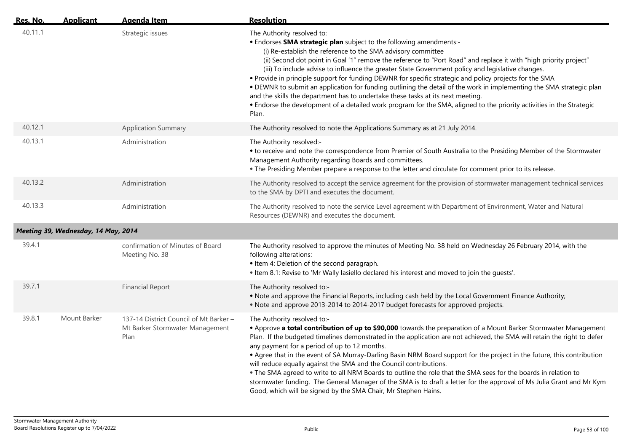| <u>Res. No.</u> | <b>Applicant</b>                    | Agenda Item                                                                       | <b>Resolution</b>                                                                                                                                                                                                                                                                                                                                                                                                                                                                                                                                                                                                                                                                                                                                                                                                                                   |
|-----------------|-------------------------------------|-----------------------------------------------------------------------------------|-----------------------------------------------------------------------------------------------------------------------------------------------------------------------------------------------------------------------------------------------------------------------------------------------------------------------------------------------------------------------------------------------------------------------------------------------------------------------------------------------------------------------------------------------------------------------------------------------------------------------------------------------------------------------------------------------------------------------------------------------------------------------------------------------------------------------------------------------------|
| 40.11.1         |                                     | Strategic issues                                                                  | The Authority resolved to:<br>• Endorses SMA strategic plan subject to the following amendments:-<br>(i) Re-establish the reference to the SMA advisory committee<br>(ii) Second dot point in Goal '1" remove the reference to "Port Road" and replace it with "high priority project"<br>(iii) To include advise to influence the greater State Government policy and legislative changes.<br>. Provide in principle support for funding DEWNR for specific strategic and policy projects for the SMA<br>. DEWNR to submit an application for funding outlining the detail of the work in implementing the SMA strategic plan<br>and the skills the department has to undertake these tasks at its next meeting.<br>• Endorse the development of a detailed work program for the SMA, aligned to the priority activities in the Strategic<br>Plan. |
| 40.12.1         |                                     | <b>Application Summary</b>                                                        | The Authority resolved to note the Applications Summary as at 21 July 2014.                                                                                                                                                                                                                                                                                                                                                                                                                                                                                                                                                                                                                                                                                                                                                                         |
| 40.13.1         |                                     | Administration                                                                    | The Authority resolved:-<br>• to receive and note the correspondence from Premier of South Australia to the Presiding Member of the Stormwater<br>Management Authority regarding Boards and committees.<br>. The Presiding Member prepare a response to the letter and circulate for comment prior to its release.                                                                                                                                                                                                                                                                                                                                                                                                                                                                                                                                  |
| 40.13.2         |                                     | Administration                                                                    | The Authority resolved to accept the service agreement for the provision of stormwater management technical services<br>to the SMA by DPTI and executes the document.                                                                                                                                                                                                                                                                                                                                                                                                                                                                                                                                                                                                                                                                               |
| 40.13.3         |                                     | Administration                                                                    | The Authority resolved to note the service Level agreement with Department of Environment, Water and Natural<br>Resources (DEWNR) and executes the document.                                                                                                                                                                                                                                                                                                                                                                                                                                                                                                                                                                                                                                                                                        |
|                 | Meeting 39, Wednesday, 14 May, 2014 |                                                                                   |                                                                                                                                                                                                                                                                                                                                                                                                                                                                                                                                                                                                                                                                                                                                                                                                                                                     |
| 39.4.1          |                                     | confirmation of Minutes of Board<br>Meeting No. 38                                | The Authority resolved to approve the minutes of Meeting No. 38 held on Wednesday 26 February 2014, with the<br>following alterations:<br>• Item 4: Deletion of the second paragraph.<br>. Item 8.1: Revise to 'Mr Wally lasiello declared his interest and moved to join the guests'.                                                                                                                                                                                                                                                                                                                                                                                                                                                                                                                                                              |
| 39.7.1          |                                     | <b>Financial Report</b>                                                           | The Authority resolved to:-<br>. Note and approve the Financial Reports, including cash held by the Local Government Finance Authority;<br>• Note and approve 2013-2014 to 2014-2017 budget forecasts for approved projects.                                                                                                                                                                                                                                                                                                                                                                                                                                                                                                                                                                                                                        |
| 39.8.1          | Mount Barker                        | 137-14 District Council of Mt Barker -<br>Mt Barker Stormwater Management<br>Plan | The Authority resolved to:-<br>• Approve a total contribution of up to \$90,000 towards the preparation of a Mount Barker Stormwater Management<br>Plan. If the budgeted timelines demonstrated in the application are not achieved, the SMA will retain the right to defer<br>any payment for a period of up to 12 months.<br>• Agree that in the event of SA Murray-Darling Basin NRM Board support for the project in the future, this contribution<br>will reduce equally against the SMA and the Council contributions.<br>. The SMA agreed to write to all NRM Boards to outline the role that the SMA sees for the boards in relation to<br>stormwater funding. The General Manager of the SMA is to draft a letter for the approval of Ms Julia Grant and Mr Kym<br>Good, which will be signed by the SMA Chair, Mr Stephen Hains.          |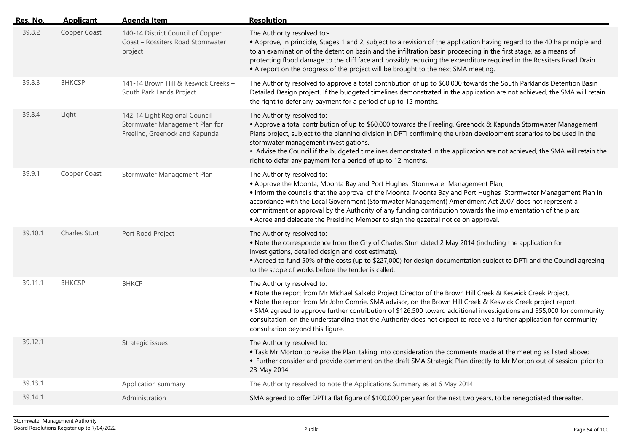| Res. No. | <b>Applicant</b>     | <b>Agenda Item</b>                                                                                | <b>Resolution</b>                                                                                                                                                                                                                                                                                                                                                                                                                                                                                                                             |
|----------|----------------------|---------------------------------------------------------------------------------------------------|-----------------------------------------------------------------------------------------------------------------------------------------------------------------------------------------------------------------------------------------------------------------------------------------------------------------------------------------------------------------------------------------------------------------------------------------------------------------------------------------------------------------------------------------------|
| 39.8.2   | Copper Coast         | 140-14 District Council of Copper<br>Coast - Rossiters Road Stormwater<br>project                 | The Authority resolved to:-<br>• Approve, in principle, Stages 1 and 2, subject to a revision of the application having regard to the 40 ha principle and<br>to an examination of the detention basin and the infiltration basin proceeding in the first stage, as a means of<br>protecting flood damage to the cliff face and possibly reducing the expenditure required in the Rossiters Road Drain.<br>• A report on the progress of the project will be brought to the next SMA meeting.                                                  |
| 39.8.3   | <b>BHKCSP</b>        | 141-14 Brown Hill & Keswick Creeks -<br>South Park Lands Project                                  | The Authority resolved to approve a total contribution of up to \$60,000 towards the South Parklands Detention Basin<br>Detailed Design project. If the budgeted timelines demonstrated in the application are not achieved, the SMA will retain<br>the right to defer any payment for a period of up to 12 months.                                                                                                                                                                                                                           |
| 39.8.4   | Light                | 142-14 Light Regional Council<br>Stormwater Management Plan for<br>Freeling, Greenock and Kapunda | The Authority resolved to:<br>• Approve a total contribution of up to \$60,000 towards the Freeling, Greenock & Kapunda Stormwater Management<br>Plans project, subject to the planning division in DPTI confirming the urban development scenarios to be used in the<br>stormwater management investigations.<br>• Advise the Council if the budgeted timelines demonstrated in the application are not achieved, the SMA will retain the<br>right to defer any payment for a period of up to 12 months.                                     |
| 39.9.1   | Copper Coast         | Stormwater Management Plan                                                                        | The Authority resolved to:<br>• Approve the Moonta, Moonta Bay and Port Hughes Stormwater Management Plan;<br>. Inform the councils that the approval of the Moonta, Moonta Bay and Port Hughes Stormwater Management Plan in<br>accordance with the Local Government (Stormwater Management) Amendment Act 2007 does not represent a<br>commitment or approval by the Authority of any funding contribution towards the implementation of the plan;<br>• Agree and delegate the Presiding Member to sign the gazettal notice on approval.    |
| 39.10.1  | <b>Charles Sturt</b> | Port Road Project                                                                                 | The Authority resolved to:<br>. Note the correspondence from the City of Charles Sturt dated 2 May 2014 (including the application for<br>investigations, detailed design and cost estimate).<br>• Agreed to fund 50% of the costs (up to \$227,000) for design documentation subject to DPTI and the Council agreeing<br>to the scope of works before the tender is called.                                                                                                                                                                  |
| 39.11.1  | <b>BHKCSP</b>        | <b>BHKCP</b>                                                                                      | The Authority resolved to:<br>. Note the report from Mr Michael Salkeld Project Director of the Brown Hill Creek & Keswick Creek Project.<br>. Note the report from Mr John Comrie, SMA advisor, on the Brown Hill Creek & Keswick Creek project report.<br>. SMA agreed to approve further contribution of \$126,500 toward additional investigations and \$55,000 for community<br>consultation, on the understanding that the Authority does not expect to receive a further application for community<br>consultation beyond this figure. |
| 39.12.1  |                      | Strategic issues                                                                                  | The Authority resolved to:<br>. Task Mr Morton to revise the Plan, taking into consideration the comments made at the meeting as listed above;<br>• Further consider and provide comment on the draft SMA Strategic Plan directly to Mr Morton out of session, prior to<br>23 May 2014.                                                                                                                                                                                                                                                       |
| 39.13.1  |                      | Application summary                                                                               | The Authority resolved to note the Applications Summary as at 6 May 2014.                                                                                                                                                                                                                                                                                                                                                                                                                                                                     |
| 39.14.1  |                      | Administration                                                                                    | SMA agreed to offer DPTI a flat figure of \$100,000 per year for the next two years, to be renegotiated thereafter.                                                                                                                                                                                                                                                                                                                                                                                                                           |
|          |                      |                                                                                                   |                                                                                                                                                                                                                                                                                                                                                                                                                                                                                                                                               |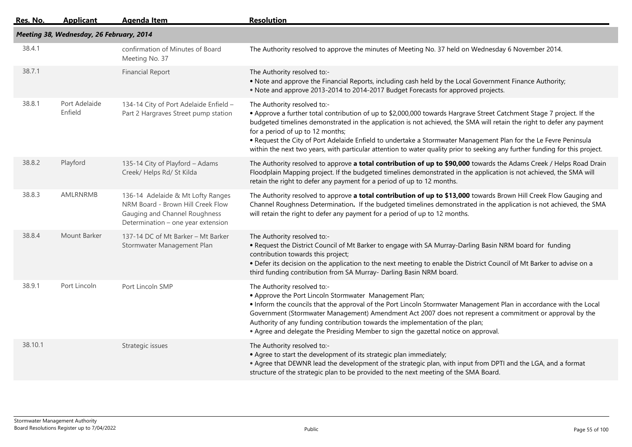| <u> Res. No. </u> | <b>Applicant</b>                         | <u>Agenda Item</u>                                                                                                                            | <b>Resolution</b>                                                                                                                                                                                                                                                                                                                                                                                                                                                                                                                                                      |
|-------------------|------------------------------------------|-----------------------------------------------------------------------------------------------------------------------------------------------|------------------------------------------------------------------------------------------------------------------------------------------------------------------------------------------------------------------------------------------------------------------------------------------------------------------------------------------------------------------------------------------------------------------------------------------------------------------------------------------------------------------------------------------------------------------------|
|                   | Meeting 38, Wednesday, 26 February, 2014 |                                                                                                                                               |                                                                                                                                                                                                                                                                                                                                                                                                                                                                                                                                                                        |
| 38.4.1            |                                          | confirmation of Minutes of Board<br>Meeting No. 37                                                                                            | The Authority resolved to approve the minutes of Meeting No. 37 held on Wednesday 6 November 2014.                                                                                                                                                                                                                                                                                                                                                                                                                                                                     |
| 38.7.1            |                                          | <b>Financial Report</b>                                                                                                                       | The Authority resolved to:-<br>. Note and approve the Financial Reports, including cash held by the Local Government Finance Authority;<br>• Note and approve 2013-2014 to 2014-2017 Budget Forecasts for approved projects.                                                                                                                                                                                                                                                                                                                                           |
| 38.8.1            | Port Adelaide<br>Enfield                 | 134-14 City of Port Adelaide Enfield -<br>Part 2 Hargraves Street pump station                                                                | The Authority resolved to:-<br>. Approve a further total contribution of up to \$2,000,000 towards Hargrave Street Catchment Stage 7 project. If the<br>budgeted timelines demonstrated in the application is not achieved, the SMA will retain the right to defer any payment<br>for a period of up to 12 months;<br>. Request the City of Port Adelaide Enfield to undertake a Stormwater Management Plan for the Le Fevre Peninsula<br>within the next two years, with particular attention to water quality prior to seeking any further funding for this project. |
| 38.8.2            | Playford                                 | 135-14 City of Playford - Adams<br>Creek/ Helps Rd/ St Kilda                                                                                  | The Authority resolved to approve a total contribution of up to \$90,000 towards the Adams Creek / Helps Road Drain<br>Floodplain Mapping project. If the budgeted timelines demonstrated in the application is not achieved, the SMA will<br>retain the right to defer any payment for a period of up to 12 months.                                                                                                                                                                                                                                                   |
| 38.8.3            | AMLRNRMB                                 | 136-14 Adelaide & Mt Lofty Ranges<br>NRM Board - Brown Hill Creek Flow<br>Gauging and Channel Roughness<br>Determination - one year extension | The Authority resolved to approve a total contribution of up to \$13,000 towards Brown Hill Creek Flow Gauging and<br>Channel Roughness Determination. If the budgeted timelines demonstrated in the application is not achieved, the SMA<br>will retain the right to defer any payment for a period of up to 12 months.                                                                                                                                                                                                                                               |
| 38.8.4            | Mount Barker                             | 137-14 DC of Mt Barker - Mt Barker<br>Stormwater Management Plan                                                                              | The Authority resolved to:-<br>. Request the District Council of Mt Barker to engage with SA Murray-Darling Basin NRM board for funding<br>contribution towards this project;<br>. Defer its decision on the application to the next meeting to enable the District Council of Mt Barker to advise on a<br>third funding contribution from SA Murray- Darling Basin NRM board.                                                                                                                                                                                         |
| 38.9.1            | Port Lincoln                             | Port Lincoln SMP                                                                                                                              | The Authority resolved to:-<br>• Approve the Port Lincoln Stormwater Management Plan;<br>• Inform the councils that the approval of the Port Lincoln Stormwater Management Plan in accordance with the Local<br>Government (Stormwater Management) Amendment Act 2007 does not represent a commitment or approval by the<br>Authority of any funding contribution towards the implementation of the plan;<br>• Agree and delegate the Presiding Member to sign the gazettal notice on approval.                                                                        |
| 38.10.1           |                                          | Strategic issues                                                                                                                              | The Authority resolved to:-<br>• Agree to start the development of its strategic plan immediately;<br>• Agree that DEWNR lead the development of the strategic plan, with input from DPTI and the LGA, and a format<br>structure of the strategic plan to be provided to the next meeting of the SMA Board.                                                                                                                                                                                                                                                            |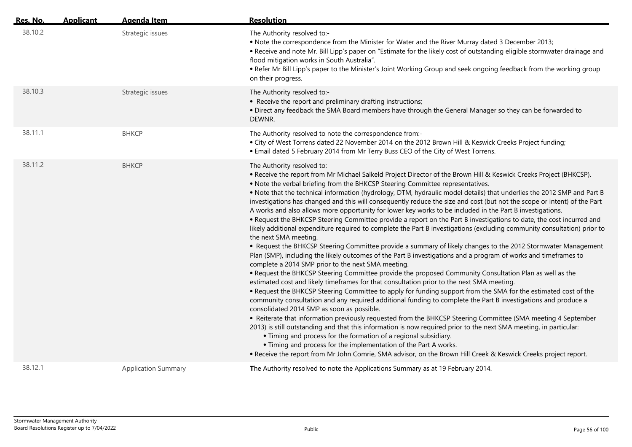| Res. No. | <b>Applicant</b> | <b>Agenda Item</b>         | <b>Resolution</b>                                                                                                                                                                                                                                                                                                                                                                                                                                                                                                                                                                                                                                                                                                                                                                                                                                                                                                                                                                                                                                                                                                                                                                                                                                                                                                                                                                                                                                                                                                                                                                                                                                                                                                                                                                                                                                                                                                                                                                                                                                                                                                                                                         |
|----------|------------------|----------------------------|---------------------------------------------------------------------------------------------------------------------------------------------------------------------------------------------------------------------------------------------------------------------------------------------------------------------------------------------------------------------------------------------------------------------------------------------------------------------------------------------------------------------------------------------------------------------------------------------------------------------------------------------------------------------------------------------------------------------------------------------------------------------------------------------------------------------------------------------------------------------------------------------------------------------------------------------------------------------------------------------------------------------------------------------------------------------------------------------------------------------------------------------------------------------------------------------------------------------------------------------------------------------------------------------------------------------------------------------------------------------------------------------------------------------------------------------------------------------------------------------------------------------------------------------------------------------------------------------------------------------------------------------------------------------------------------------------------------------------------------------------------------------------------------------------------------------------------------------------------------------------------------------------------------------------------------------------------------------------------------------------------------------------------------------------------------------------------------------------------------------------------------------------------------------------|
| 38.10.2  |                  | Strategic issues           | The Authority resolved to:-<br>• Note the correspondence from the Minister for Water and the River Murray dated 3 December 2013;<br>. Receive and note Mr. Bill Lipp's paper on "Estimate for the likely cost of outstanding eligible stormwater drainage and<br>flood mitigation works in South Australia".<br>. Refer Mr Bill Lipp's paper to the Minister's Joint Working Group and seek ongoing feedback from the working group<br>on their progress.                                                                                                                                                                                                                                                                                                                                                                                                                                                                                                                                                                                                                                                                                                                                                                                                                                                                                                                                                                                                                                                                                                                                                                                                                                                                                                                                                                                                                                                                                                                                                                                                                                                                                                                 |
| 38.10.3  |                  | Strategic issues           | The Authority resolved to:-<br>• Receive the report and preliminary drafting instructions;<br>. Direct any feedback the SMA Board members have through the General Manager so they can be forwarded to<br>DEWNR.                                                                                                                                                                                                                                                                                                                                                                                                                                                                                                                                                                                                                                                                                                                                                                                                                                                                                                                                                                                                                                                                                                                                                                                                                                                                                                                                                                                                                                                                                                                                                                                                                                                                                                                                                                                                                                                                                                                                                          |
| 38.11.1  |                  | ВНКСР                      | The Authority resolved to note the correspondence from:-<br>. City of West Torrens dated 22 November 2014 on the 2012 Brown Hill & Keswick Creeks Project funding;<br>. Email dated 5 February 2014 from Mr Terry Buss CEO of the City of West Torrens.                                                                                                                                                                                                                                                                                                                                                                                                                                                                                                                                                                                                                                                                                                                                                                                                                                                                                                                                                                                                                                                                                                                                                                                                                                                                                                                                                                                                                                                                                                                                                                                                                                                                                                                                                                                                                                                                                                                   |
| 38.11.2  |                  | ВНКСР                      | The Authority resolved to:<br>. Receive the report from Mr Michael Salkeld Project Director of the Brown Hill & Keswick Creeks Project (BHKCSP).<br>. Note the verbal briefing from the BHKCSP Steering Committee representatives.<br>. Note that the technical information (hydrology, DTM, hydraulic model details) that underlies the 2012 SMP and Part B<br>investigations has changed and this will consequently reduce the size and cost (but not the scope or intent) of the Part<br>A works and also allows more opportunity for lower key works to be included in the Part B investigations.<br>. Request the BHKCSP Steering Committee provide a report on the Part B investigations to date, the cost incurred and<br>likely additional expenditure required to complete the Part B investigations (excluding community consultation) prior to<br>the next SMA meeting.<br>• Request the BHKCSP Steering Committee provide a summary of likely changes to the 2012 Stormwater Management<br>Plan (SMP), including the likely outcomes of the Part B investigations and a program of works and timeframes to<br>complete a 2014 SMP prior to the next SMA meeting.<br>. Request the BHKCSP Steering Committee provide the proposed Community Consultation Plan as well as the<br>estimated cost and likely timeframes for that consultation prior to the next SMA meeting.<br>. Request the BHKCSP Steering Committee to apply for funding support from the SMA for the estimated cost of the<br>community consultation and any required additional funding to complete the Part B investigations and produce a<br>consolidated 2014 SMP as soon as possible.<br>• Reiterate that information previously requested from the BHKCSP Steering Committee (SMA meeting 4 September<br>2013) is still outstanding and that this information is now required prior to the next SMA meeting, in particular:<br>• Timing and process for the formation of a regional subsidiary.<br>• Timing and process for the implementation of the Part A works.<br>. Receive the report from Mr John Comrie, SMA advisor, on the Brown Hill Creek & Keswick Creeks project report. |
| 38.12.1  |                  | <b>Application Summary</b> | The Authority resolved to note the Applications Summary as at 19 February 2014.                                                                                                                                                                                                                                                                                                                                                                                                                                                                                                                                                                                                                                                                                                                                                                                                                                                                                                                                                                                                                                                                                                                                                                                                                                                                                                                                                                                                                                                                                                                                                                                                                                                                                                                                                                                                                                                                                                                                                                                                                                                                                           |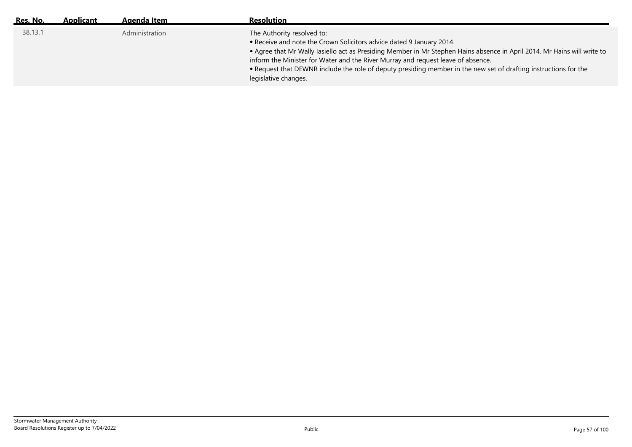| Res. No. | <b>Applicant</b> | Agenda Item    | <b>Resolution</b>                                                                                                                                                                                                                                                                                                                                                                                                                                              |
|----------|------------------|----------------|----------------------------------------------------------------------------------------------------------------------------------------------------------------------------------------------------------------------------------------------------------------------------------------------------------------------------------------------------------------------------------------------------------------------------------------------------------------|
| 38.13.1  |                  | Administration | The Authority resolved to:<br>. Receive and note the Crown Solicitors advice dated 9 January 2014.<br>• Agree that Mr Wally lasiello act as Presiding Member in Mr Stephen Hains absence in April 2014. Mr Hains will write to<br>inform the Minister for Water and the River Murray and request leave of absence.<br>. Request that DEWNR include the role of deputy presiding member in the new set of drafting instructions for the<br>legislative changes. |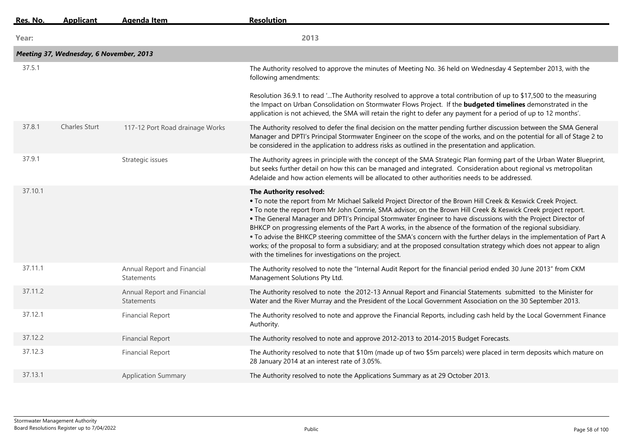| Res. No. | <b>Applicant</b>                        | <b>Agenda Item</b>                               | <b>Resolution</b>                                                                                                                                                                                                                                                                                                                                                                                                                                                                                                                                                                                                                                                                                                                                                                                           |
|----------|-----------------------------------------|--------------------------------------------------|-------------------------------------------------------------------------------------------------------------------------------------------------------------------------------------------------------------------------------------------------------------------------------------------------------------------------------------------------------------------------------------------------------------------------------------------------------------------------------------------------------------------------------------------------------------------------------------------------------------------------------------------------------------------------------------------------------------------------------------------------------------------------------------------------------------|
| Year:    |                                         |                                                  | 2013                                                                                                                                                                                                                                                                                                                                                                                                                                                                                                                                                                                                                                                                                                                                                                                                        |
|          | Meeting 37, Wednesday, 6 November, 2013 |                                                  |                                                                                                                                                                                                                                                                                                                                                                                                                                                                                                                                                                                                                                                                                                                                                                                                             |
| 37.5.1   |                                         |                                                  | The Authority resolved to approve the minutes of Meeting No. 36 held on Wednesday 4 September 2013, with the<br>following amendments:                                                                                                                                                                                                                                                                                                                                                                                                                                                                                                                                                                                                                                                                       |
|          |                                         |                                                  | Resolution 36.9.1 to read 'The Authority resolved to approve a total contribution of up to \$17,500 to the measuring<br>the Impact on Urban Consolidation on Stormwater Flows Project. If the <b>budgeted timelines</b> demonstrated in the<br>application is not achieved, the SMA will retain the right to defer any payment for a period of up to 12 months'.                                                                                                                                                                                                                                                                                                                                                                                                                                            |
| 37.8.1   | <b>Charles Sturt</b>                    | 117-12 Port Road drainage Works                  | The Authority resolved to defer the final decision on the matter pending further discussion between the SMA General<br>Manager and DPTI's Principal Stormwater Engineer on the scope of the works, and on the potential for all of Stage 2 to<br>be considered in the application to address risks as outlined in the presentation and application.                                                                                                                                                                                                                                                                                                                                                                                                                                                         |
| 37.9.1   |                                         | Strategic issues                                 | The Authority agrees in principle with the concept of the SMA Strategic Plan forming part of the Urban Water Blueprint,<br>but seeks further detail on how this can be managed and integrated. Consideration about regional vs metropolitan<br>Adelaide and how action elements will be allocated to other authorities needs to be addressed.                                                                                                                                                                                                                                                                                                                                                                                                                                                               |
| 37.10.1  |                                         |                                                  | The Authority resolved:<br>. To note the report from Mr Michael Salkeld Project Director of the Brown Hill Creek & Keswick Creek Project.<br>. To note the report from Mr John Comrie, SMA advisor, on the Brown Hill Creek & Keswick Creek project report.<br>. The General Manager and DPTI's Principal Stormwater Engineer to have discussions with the Project Director of<br>BHKCP on progressing elements of the Part A works, in the absence of the formation of the regional subsidiary.<br>• To advise the BHKCP steering committee of the SMA's concern with the further delays in the implementation of Part A<br>works; of the proposal to form a subsidiary; and at the proposed consultation strategy which does not appear to align<br>with the timelines for investigations on the project. |
| 37.11.1  |                                         | Annual Report and Financial<br><b>Statements</b> | The Authority resolved to note the "Internal Audit Report for the financial period ended 30 June 2013" from CKM<br>Management Solutions Pty Ltd.                                                                                                                                                                                                                                                                                                                                                                                                                                                                                                                                                                                                                                                            |
| 37.11.2  |                                         | Annual Report and Financial<br><b>Statements</b> | The Authority resolved to note the 2012-13 Annual Report and Financial Statements submitted to the Minister for<br>Water and the River Murray and the President of the Local Government Association on the 30 September 2013.                                                                                                                                                                                                                                                                                                                                                                                                                                                                                                                                                                               |
| 37.12.1  |                                         | <b>Financial Report</b>                          | The Authority resolved to note and approve the Financial Reports, including cash held by the Local Government Finance<br>Authority.                                                                                                                                                                                                                                                                                                                                                                                                                                                                                                                                                                                                                                                                         |
| 37.12.2  |                                         | <b>Financial Report</b>                          | The Authority resolved to note and approve 2012-2013 to 2014-2015 Budget Forecasts.                                                                                                                                                                                                                                                                                                                                                                                                                                                                                                                                                                                                                                                                                                                         |
| 37.12.3  |                                         | <b>Financial Report</b>                          | The Authority resolved to note that \$10m (made up of two \$5m parcels) were placed in term deposits which mature on<br>28 January 2014 at an interest rate of 3.05%.                                                                                                                                                                                                                                                                                                                                                                                                                                                                                                                                                                                                                                       |
| 37.13.1  |                                         | <b>Application Summary</b>                       | The Authority resolved to note the Applications Summary as at 29 October 2013.                                                                                                                                                                                                                                                                                                                                                                                                                                                                                                                                                                                                                                                                                                                              |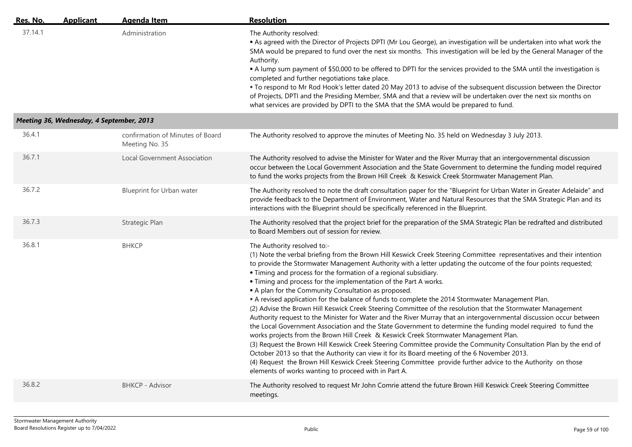| Res. No. | <b>Applicant</b>                         | <b>Agenda Item</b>                                 | <b>Resolution</b>                                                                                                                                                                                                                                                                                                                                                                                                                                                                                                                                                                                                                                                                                                                                                                                                                                                                                                                                                                                                                                                                                                                                                                                                                                                                                                                                                                                                        |
|----------|------------------------------------------|----------------------------------------------------|--------------------------------------------------------------------------------------------------------------------------------------------------------------------------------------------------------------------------------------------------------------------------------------------------------------------------------------------------------------------------------------------------------------------------------------------------------------------------------------------------------------------------------------------------------------------------------------------------------------------------------------------------------------------------------------------------------------------------------------------------------------------------------------------------------------------------------------------------------------------------------------------------------------------------------------------------------------------------------------------------------------------------------------------------------------------------------------------------------------------------------------------------------------------------------------------------------------------------------------------------------------------------------------------------------------------------------------------------------------------------------------------------------------------------|
| 37.14.1  |                                          | Administration                                     | The Authority resolved:<br>• As agreed with the Director of Projects DPTI (Mr Lou George), an investigation will be undertaken into what work the<br>SMA would be prepared to fund over the next six months. This investigation will be led by the General Manager of the<br>Authority.<br>• A lump sum payment of \$50,000 to be offered to DPTI for the services provided to the SMA until the investigation is<br>completed and further negotiations take place.<br>. To respond to Mr Rod Hook's letter dated 20 May 2013 to advise of the subsequent discussion between the Director<br>of Projects, DPTI and the Presiding Member, SMA and that a review will be undertaken over the next six months on<br>what services are provided by DPTI to the SMA that the SMA would be prepared to fund.                                                                                                                                                                                                                                                                                                                                                                                                                                                                                                                                                                                                                   |
|          | Meeting 36, Wednesday, 4 September, 2013 |                                                    |                                                                                                                                                                                                                                                                                                                                                                                                                                                                                                                                                                                                                                                                                                                                                                                                                                                                                                                                                                                                                                                                                                                                                                                                                                                                                                                                                                                                                          |
| 36.4.1   |                                          | confirmation of Minutes of Board<br>Meeting No. 35 | The Authority resolved to approve the minutes of Meeting No. 35 held on Wednesday 3 July 2013.                                                                                                                                                                                                                                                                                                                                                                                                                                                                                                                                                                                                                                                                                                                                                                                                                                                                                                                                                                                                                                                                                                                                                                                                                                                                                                                           |
| 36.7.1   |                                          | Local Government Association                       | The Authority resolved to advise the Minister for Water and the River Murray that an intergovernmental discussion<br>occur between the Local Government Association and the State Government to determine the funding model required<br>to fund the works projects from the Brown Hill Creek & Keswick Creek Stormwater Management Plan.                                                                                                                                                                                                                                                                                                                                                                                                                                                                                                                                                                                                                                                                                                                                                                                                                                                                                                                                                                                                                                                                                 |
| 36.7.2   |                                          | <b>Blueprint for Urban water</b>                   | The Authority resolved to note the draft consultation paper for the "Blueprint for Urban Water in Greater Adelaide" and<br>provide feedback to the Department of Environment, Water and Natural Resources that the SMA Strategic Plan and its<br>interactions with the Blueprint should be specifically referenced in the Blueprint.                                                                                                                                                                                                                                                                                                                                                                                                                                                                                                                                                                                                                                                                                                                                                                                                                                                                                                                                                                                                                                                                                     |
| 36.7.3   |                                          | Strategic Plan                                     | The Authority resolved that the project brief for the preparation of the SMA Strategic Plan be redrafted and distributed<br>to Board Members out of session for review.                                                                                                                                                                                                                                                                                                                                                                                                                                                                                                                                                                                                                                                                                                                                                                                                                                                                                                                                                                                                                                                                                                                                                                                                                                                  |
| 36.8.1   |                                          | ВНКСР                                              | The Authority resolved to:-<br>(1) Note the verbal briefing from the Brown Hill Keswick Creek Steering Committee representatives and their intention<br>to provide the Stormwater Management Authority with a letter updating the outcome of the four points requested;<br>• Timing and process for the formation of a regional subsidiary.<br>• Timing and process for the implementation of the Part A works.<br>• A plan for the Community Consultation as proposed.<br>• A revised application for the balance of funds to complete the 2014 Stormwater Management Plan.<br>(2) Advise the Brown Hill Keswick Creek Steering Committee of the resolution that the Stormwater Management<br>Authority request to the Minister for Water and the River Murray that an intergovernmental discussion occur between<br>the Local Government Association and the State Government to determine the funding model required to fund the<br>works projects from the Brown Hill Creek & Keswick Creek Stormwater Management Plan.<br>(3) Request the Brown Hill Keswick Creek Steering Committee provide the Community Consultation Plan by the end of<br>October 2013 so that the Authority can view it for its Board meeting of the 6 November 2013.<br>(4) Request the Brown Hill Keswick Creek Steering Committee provide further advice to the Authority on those<br>elements of works wanting to proceed with in Part A. |
| 36.8.2   |                                          | <b>BHKCP - Advisor</b>                             | The Authority resolved to request Mr John Comrie attend the future Brown Hill Keswick Creek Steering Committee<br>meetings.                                                                                                                                                                                                                                                                                                                                                                                                                                                                                                                                                                                                                                                                                                                                                                                                                                                                                                                                                                                                                                                                                                                                                                                                                                                                                              |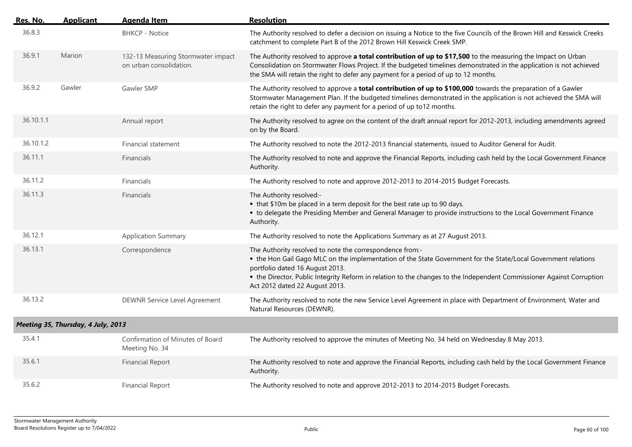| Res. No.  | <b>Applicant</b>                   | <b>Agenda Item</b>                                            | <b>Resolution</b>                                                                                                                                                                                                                                                                                                                                                        |
|-----------|------------------------------------|---------------------------------------------------------------|--------------------------------------------------------------------------------------------------------------------------------------------------------------------------------------------------------------------------------------------------------------------------------------------------------------------------------------------------------------------------|
| 36.8.3    |                                    | <b>BHKCP - Notice</b>                                         | The Authority resolved to defer a decision on issuing a Notice to the five Councils of the Brown Hill and Keswick Creeks<br>catchment to complete Part B of the 2012 Brown Hill Keswick Creek SMP.                                                                                                                                                                       |
| 36.9.1    | Marion                             | 132-13 Measuring Stormwater impact<br>on urban consolidation. | The Authority resolved to approve a total contribution of up to \$17,500 to the measuring the Impact on Urban<br>Consolidation on Stormwater Flows Project. If the budgeted timelines demonstrated in the application is not achieved<br>the SMA will retain the right to defer any payment for a period of up to 12 months.                                             |
| 36.9.2    | Gawler                             | Gawler SMP                                                    | The Authority resolved to approve a total contribution of up to \$100,000 towards the preparation of a Gawler<br>Stormwater Management Plan. If the budgeted timelines demonstrated in the application is not achieved the SMA will<br>retain the right to defer any payment for a period of up to12 months.                                                             |
| 36.10.1.1 |                                    | Annual report                                                 | The Authority resolved to agree on the content of the draft annual report for 2012-2013, including amendments agreed<br>on by the Board.                                                                                                                                                                                                                                 |
| 36.10.1.2 |                                    | Financial statement                                           | The Authority resolved to note the 2012-2013 financial statements, issued to Auditor General for Audit.                                                                                                                                                                                                                                                                  |
| 36.11.1   |                                    | Financials                                                    | The Authority resolved to note and approve the Financial Reports, including cash held by the Local Government Finance<br>Authority.                                                                                                                                                                                                                                      |
| 36.11.2   |                                    | Financials                                                    | The Authority resolved to note and approve 2012-2013 to 2014-2015 Budget Forecasts.                                                                                                                                                                                                                                                                                      |
| 36.11.3   |                                    | Financials                                                    | The Authority resolved:-<br>• that \$10m be placed in a term deposit for the best rate up to 90 days.<br>• to delegate the Presiding Member and General Manager to provide instructions to the Local Government Finance<br>Authority.                                                                                                                                    |
| 36.12.1   |                                    | <b>Application Summary</b>                                    | The Authority resolved to note the Applications Summary as at 27 August 2013.                                                                                                                                                                                                                                                                                            |
| 36.13.1   |                                    | Correspondence                                                | The Authority resolved to note the correspondence from:-<br>• the Hon Gail Gago MLC on the implementation of the State Government for the State/Local Government relations<br>portfolio dated 16 August 2013.<br>• the Director, Public Integrity Reform in relation to the changes to the Independent Commissioner Against Corruption<br>Act 2012 dated 22 August 2013. |
| 36.13.2   |                                    | DEWNR Service Level Agreement                                 | The Authority resolved to note the new Service Level Agreement in place with Department of Environment, Water and<br>Natural Resources (DEWNR).                                                                                                                                                                                                                          |
|           | Meeting 35, Thursday, 4 July, 2013 |                                                               |                                                                                                                                                                                                                                                                                                                                                                          |
| 35.4.1    |                                    | Confirmation of Minutes of Board<br>Meeting No. 34            | The Authority resolved to approve the minutes of Meeting No. 34 held on Wednesday 8 May 2013.                                                                                                                                                                                                                                                                            |
| 35.6.1    |                                    | <b>Financial Report</b>                                       | The Authority resolved to note and approve the Financial Reports, including cash held by the Local Government Finance<br>Authority.                                                                                                                                                                                                                                      |
| 35.6.2    |                                    | <b>Financial Report</b>                                       | The Authority resolved to note and approve 2012-2013 to 2014-2015 Budget Forecasts.                                                                                                                                                                                                                                                                                      |

 $\overline{a}$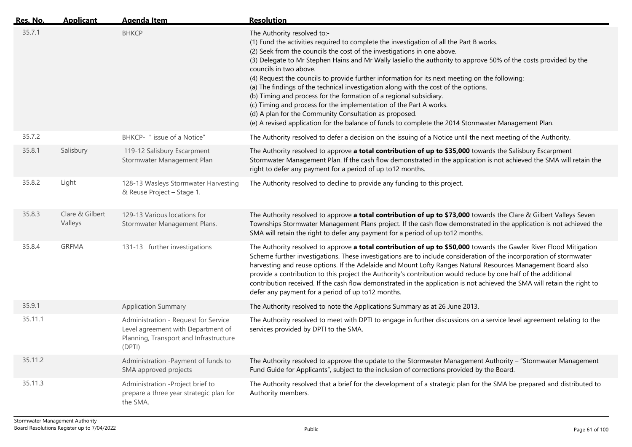| Res. No. | <b>Applicant</b>           | Agenda Item                                                                                                                    | <b>Resolution</b>                                                                                                                                                                                                                                                                                                                                                                                                                                                                                                                                                                                                                                                                                                                                                                                                                                     |
|----------|----------------------------|--------------------------------------------------------------------------------------------------------------------------------|-------------------------------------------------------------------------------------------------------------------------------------------------------------------------------------------------------------------------------------------------------------------------------------------------------------------------------------------------------------------------------------------------------------------------------------------------------------------------------------------------------------------------------------------------------------------------------------------------------------------------------------------------------------------------------------------------------------------------------------------------------------------------------------------------------------------------------------------------------|
| 35.7.1   |                            | <b>BHKCP</b>                                                                                                                   | The Authority resolved to:-<br>(1) Fund the activities required to complete the investigation of all the Part B works.<br>(2) Seek from the councils the cost of the investigations in one above.<br>(3) Delegate to Mr Stephen Hains and Mr Wally lasiello the authority to approve 50% of the costs provided by the<br>councils in two above.<br>(4) Request the councils to provide further information for its next meeting on the following:<br>(a) The findings of the technical investigation along with the cost of the options.<br>(b) Timing and process for the formation of a regional subsidiary.<br>(c) Timing and process for the implementation of the Part A works.<br>(d) A plan for the Community Consultation as proposed.<br>(e) A revised application for the balance of funds to complete the 2014 Stormwater Management Plan. |
| 35.7.2   |                            | BHKCP- " issue of a Notice"                                                                                                    | The Authority resolved to defer a decision on the issuing of a Notice until the next meeting of the Authority.                                                                                                                                                                                                                                                                                                                                                                                                                                                                                                                                                                                                                                                                                                                                        |
| 35.8.1   | Salisbury                  | 119-12 Salisbury Escarpment<br>Stormwater Management Plan                                                                      | The Authority resolved to approve a total contribution of up to \$35,000 towards the Salisbury Escarpment<br>Stormwater Management Plan. If the cash flow demonstrated in the application is not achieved the SMA will retain the<br>right to defer any payment for a period of up to12 months.                                                                                                                                                                                                                                                                                                                                                                                                                                                                                                                                                       |
| 35.8.2   | Light                      | 128-13 Wasleys Stormwater Harvesting<br>& Reuse Project - Stage 1.                                                             | The Authority resolved to decline to provide any funding to this project.                                                                                                                                                                                                                                                                                                                                                                                                                                                                                                                                                                                                                                                                                                                                                                             |
| 35.8.3   | Clare & Gilbert<br>Valleys | 129-13 Various locations for<br>Stormwater Management Plans.                                                                   | The Authority resolved to approve a total contribution of up to \$73,000 towards the Clare & Gilbert Valleys Seven<br>Townships Stormwater Management Plans project. If the cash flow demonstrated in the application is not achieved the<br>SMA will retain the right to defer any payment for a period of up to12 months.                                                                                                                                                                                                                                                                                                                                                                                                                                                                                                                           |
| 35.8.4   | <b>GRFMA</b>               | 131-13 further investigations                                                                                                  | The Authority resolved to approve a total contribution of up to \$50,000 towards the Gawler River Flood Mitigation<br>Scheme further investigations. These investigations are to include consideration of the incorporation of stormwater<br>harvesting and reuse options. If the Adelaide and Mount Lofty Ranges Natural Resources Management Board also<br>provide a contribution to this project the Authority's contribution would reduce by one half of the additional<br>contribution received. If the cash flow demonstrated in the application is not achieved the SMA will retain the right to<br>defer any payment for a period of up to12 months.                                                                                                                                                                                          |
| 35.9.1   |                            | <b>Application Summary</b>                                                                                                     | The Authority resolved to note the Applications Summary as at 26 June 2013.                                                                                                                                                                                                                                                                                                                                                                                                                                                                                                                                                                                                                                                                                                                                                                           |
| 35.11.1  |                            | Administration - Request for Service<br>Level agreement with Department of<br>Planning, Transport and Infrastructure<br>(DPTI) | The Authority resolved to meet with DPTI to engage in further discussions on a service level agreement relating to the<br>services provided by DPTI to the SMA.                                                                                                                                                                                                                                                                                                                                                                                                                                                                                                                                                                                                                                                                                       |
| 35.11.2  |                            | Administration -Payment of funds to<br>SMA approved projects                                                                   | The Authority resolved to approve the update to the Stormwater Management Authority - "Stormwater Management<br>Fund Guide for Applicants", subject to the inclusion of corrections provided by the Board.                                                                                                                                                                                                                                                                                                                                                                                                                                                                                                                                                                                                                                            |
| 35.11.3  |                            | Administration -Project brief to<br>prepare a three year strategic plan for<br>the SMA.                                        | The Authority resolved that a brief for the development of a strategic plan for the SMA be prepared and distributed to<br>Authority members.                                                                                                                                                                                                                                                                                                                                                                                                                                                                                                                                                                                                                                                                                                          |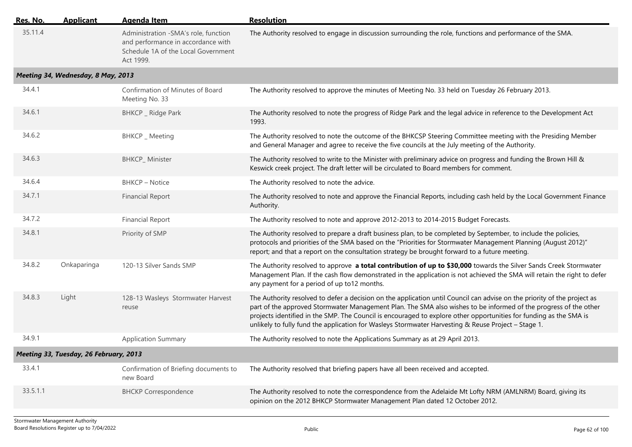| Res. No. | <b>Applicant</b>                       | <b>Agenda Item</b>                                                                                                             | <b>Resolution</b>                                                                                                                                                                                                                                                                                                                                                                                                                                                         |
|----------|----------------------------------------|--------------------------------------------------------------------------------------------------------------------------------|---------------------------------------------------------------------------------------------------------------------------------------------------------------------------------------------------------------------------------------------------------------------------------------------------------------------------------------------------------------------------------------------------------------------------------------------------------------------------|
| 35.11.4  |                                        | Administration -SMA's role, function<br>and performance in accordance with<br>Schedule 1A of the Local Government<br>Act 1999. | The Authority resolved to engage in discussion surrounding the role, functions and performance of the SMA.                                                                                                                                                                                                                                                                                                                                                                |
|          | Meeting 34, Wednesday, 8 May, 2013     |                                                                                                                                |                                                                                                                                                                                                                                                                                                                                                                                                                                                                           |
| 34.4.1   |                                        | Confirmation of Minutes of Board<br>Meeting No. 33                                                                             | The Authority resolved to approve the minutes of Meeting No. 33 held on Tuesday 26 February 2013.                                                                                                                                                                                                                                                                                                                                                                         |
| 34.6.1   |                                        | BHKCP _ Ridge Park                                                                                                             | The Authority resolved to note the progress of Ridge Park and the legal advice in reference to the Development Act<br>1993.                                                                                                                                                                                                                                                                                                                                               |
| 34.6.2   |                                        | BHKCP _ Meeting                                                                                                                | The Authority resolved to note the outcome of the BHKCSP Steering Committee meeting with the Presiding Member<br>and General Manager and agree to receive the five councils at the July meeting of the Authority.                                                                                                                                                                                                                                                         |
| 34.6.3   |                                        | <b>BHKCP_Minister</b>                                                                                                          | The Authority resolved to write to the Minister with preliminary advice on progress and funding the Brown Hill &<br>Keswick creek project. The draft letter will be circulated to Board members for comment.                                                                                                                                                                                                                                                              |
| 34.6.4   |                                        | <b>BHKCP - Notice</b>                                                                                                          | The Authority resolved to note the advice.                                                                                                                                                                                                                                                                                                                                                                                                                                |
| 34.7.1   |                                        | <b>Financial Report</b>                                                                                                        | The Authority resolved to note and approve the Financial Reports, including cash held by the Local Government Finance<br>Authority.                                                                                                                                                                                                                                                                                                                                       |
| 34.7.2   |                                        | <b>Financial Report</b>                                                                                                        | The Authority resolved to note and approve 2012-2013 to 2014-2015 Budget Forecasts.                                                                                                                                                                                                                                                                                                                                                                                       |
| 34.8.1   |                                        | Priority of SMP                                                                                                                | The Authority resolved to prepare a draft business plan, to be completed by September, to include the policies,<br>protocols and priorities of the SMA based on the "Priorities for Stormwater Management Planning (August 2012)"<br>report; and that a report on the consultation strategy be brought forward to a future meeting.                                                                                                                                       |
| 34.8.2   | Onkaparinga                            | 120-13 Silver Sands SMP                                                                                                        | The Authority resolved to approve a total contribution of up to \$30,000 towards the Silver Sands Creek Stormwater<br>Management Plan. If the cash flow demonstrated in the application is not achieved the SMA will retain the right to defer<br>any payment for a period of up to12 months.                                                                                                                                                                             |
| 34.8.3   | Light                                  | 128-13 Wasleys Stormwater Harvest<br>reuse                                                                                     | The Authority resolved to defer a decision on the application until Council can advise on the priority of the project as<br>part of the approved Stormwater Management Plan. The SMA also wishes to be informed of the progress of the other<br>projects identified in the SMP. The Council is encouraged to explore other opportunities for funding as the SMA is<br>unlikely to fully fund the application for Wasleys Stormwater Harvesting & Reuse Project - Stage 1. |
| 34.9.1   |                                        | <b>Application Summary</b>                                                                                                     | The Authority resolved to note the Applications Summary as at 29 April 2013.                                                                                                                                                                                                                                                                                                                                                                                              |
|          | Meeting 33, Tuesday, 26 February, 2013 |                                                                                                                                |                                                                                                                                                                                                                                                                                                                                                                                                                                                                           |
| 33.4.1   |                                        | Confirmation of Briefing documents to<br>new Board                                                                             | The Authority resolved that briefing papers have all been received and accepted.                                                                                                                                                                                                                                                                                                                                                                                          |
| 33.5.1.1 |                                        | <b>BHCKP Correspondence</b>                                                                                                    | The Authority resolved to note the correspondence from the Adelaide Mt Lofty NRM (AMLNRM) Board, giving its<br>opinion on the 2012 BHKCP Stormwater Management Plan dated 12 October 2012.                                                                                                                                                                                                                                                                                |
|          |                                        |                                                                                                                                |                                                                                                                                                                                                                                                                                                                                                                                                                                                                           |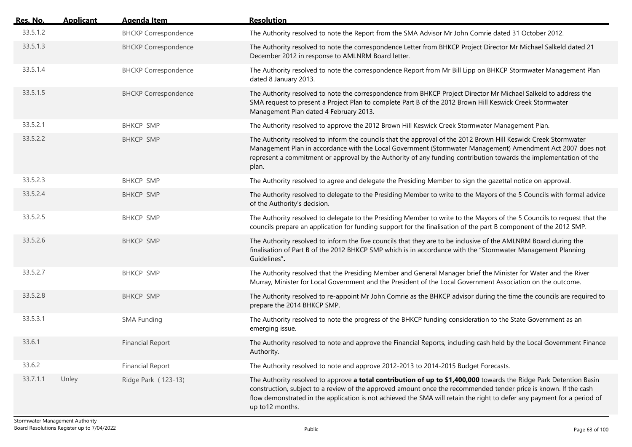| <u>Res. No.</u> | <b>Applicant</b> | <b>Agenda Item</b>          | <b>Resolution</b>                                                                                                                                                                                                                                                                                                                                                                    |
|-----------------|------------------|-----------------------------|--------------------------------------------------------------------------------------------------------------------------------------------------------------------------------------------------------------------------------------------------------------------------------------------------------------------------------------------------------------------------------------|
| 33.5.1.2        |                  | <b>BHCKP Correspondence</b> | The Authority resolved to note the Report from the SMA Advisor Mr John Comrie dated 31 October 2012.                                                                                                                                                                                                                                                                                 |
| 33.5.1.3        |                  | <b>BHCKP Correspondence</b> | The Authority resolved to note the correspondence Letter from BHKCP Project Director Mr Michael Salkeld dated 21<br>December 2012 in response to AMLNRM Board letter.                                                                                                                                                                                                                |
| 33.5.1.4        |                  | <b>BHCKP Correspondence</b> | The Authority resolved to note the correspondence Report from Mr Bill Lipp on BHKCP Stormwater Management Plan<br>dated 8 January 2013.                                                                                                                                                                                                                                              |
| 33.5.1.5        |                  | <b>BHCKP Correspondence</b> | The Authority resolved to note the correspondence from BHKCP Project Director Mr Michael Salkeld to address the<br>SMA request to present a Project Plan to complete Part B of the 2012 Brown Hill Keswick Creek Stormwater<br>Management Plan dated 4 February 2013.                                                                                                                |
| 33.5.2.1        |                  | <b>BHKCP SMP</b>            | The Authority resolved to approve the 2012 Brown Hill Keswick Creek Stormwater Management Plan.                                                                                                                                                                                                                                                                                      |
| 33.5.2.2        |                  | <b>BHKCP SMP</b>            | The Authority resolved to inform the councils that the approval of the 2012 Brown Hill Keswick Creek Stormwater<br>Management Plan in accordance with the Local Government (Stormwater Management) Amendment Act 2007 does not<br>represent a commitment or approval by the Authority of any funding contribution towards the implementation of the<br>plan.                         |
| 33.5.2.3        |                  | <b>BHKCP SMP</b>            | The Authority resolved to agree and delegate the Presiding Member to sign the gazettal notice on approval.                                                                                                                                                                                                                                                                           |
| 33.5.2.4        |                  | <b>BHKCP SMP</b>            | The Authority resolved to delegate to the Presiding Member to write to the Mayors of the 5 Councils with formal advice<br>of the Authority's decision.                                                                                                                                                                                                                               |
| 33.5.2.5        |                  | <b>BHKCP SMP</b>            | The Authority resolved to delegate to the Presiding Member to write to the Mayors of the 5 Councils to request that the<br>councils prepare an application for funding support for the finalisation of the part B component of the 2012 SMP.                                                                                                                                         |
| 33.5.2.6        |                  | <b>BHKCP SMP</b>            | The Authority resolved to inform the five councils that they are to be inclusive of the AMLNRM Board during the<br>finalisation of Part B of the 2012 BHKCP SMP which is in accordance with the "Stormwater Management Planning<br>Guidelines".                                                                                                                                      |
| 33.5.2.7        |                  | <b>BHKCP SMP</b>            | The Authority resolved that the Presiding Member and General Manager brief the Minister for Water and the River<br>Murray, Minister for Local Government and the President of the Local Government Association on the outcome.                                                                                                                                                       |
| 33.5.2.8        |                  | <b>BHKCP SMP</b>            | The Authority resolved to re-appoint Mr John Comrie as the BHKCP advisor during the time the councils are required to<br>prepare the 2014 BHKCP SMP.                                                                                                                                                                                                                                 |
| 33.5.3.1        |                  | <b>SMA Funding</b>          | The Authority resolved to note the progress of the BHKCP funding consideration to the State Government as an<br>emerging issue.                                                                                                                                                                                                                                                      |
| 33.6.1          |                  | <b>Financial Report</b>     | The Authority resolved to note and approve the Financial Reports, including cash held by the Local Government Finance<br>Authority.                                                                                                                                                                                                                                                  |
| 33.6.2          |                  | <b>Financial Report</b>     | The Authority resolved to note and approve 2012-2013 to 2014-2015 Budget Forecasts.                                                                                                                                                                                                                                                                                                  |
| 33.7.1.1        | Unley            | Ridge Park (123-13)         | The Authority resolved to approve a total contribution of up to \$1,400,000 towards the Ridge Park Detention Basin<br>construction, subject to a review of the approved amount once the recommended tender price is known. If the cash<br>flow demonstrated in the application is not achieved the SMA will retain the right to defer any payment for a period of<br>up to12 months. |
|                 |                  |                             |                                                                                                                                                                                                                                                                                                                                                                                      |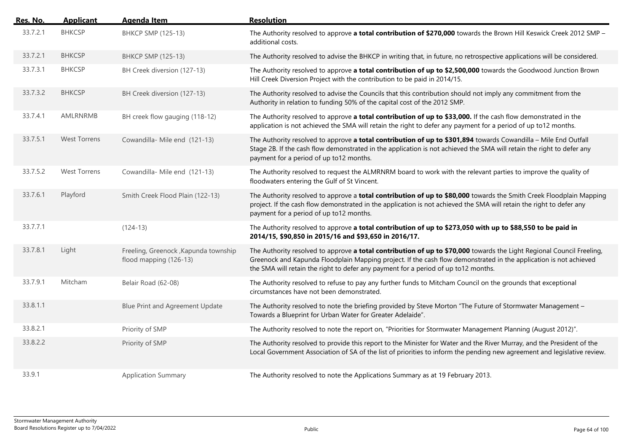| <u>Res. No.</u> | <b>Applicant</b>    | <b>Agenda Item</b>                                              | <b>Resolution</b>                                                                                                                                                                                                                                                                                                                |
|-----------------|---------------------|-----------------------------------------------------------------|----------------------------------------------------------------------------------------------------------------------------------------------------------------------------------------------------------------------------------------------------------------------------------------------------------------------------------|
| 33.7.2.1        | <b>BHKCSP</b>       | BHKCP SMP (125-13)                                              | The Authority resolved to approve a total contribution of \$270,000 towards the Brown Hill Keswick Creek 2012 SMP -<br>additional costs.                                                                                                                                                                                         |
| 33.7.2.1        | <b>BHKCSP</b>       | <b>BHKCP SMP (125-13)</b>                                       | The Authority resolved to advise the BHKCP in writing that, in future, no retrospective applications will be considered.                                                                                                                                                                                                         |
| 33.7.3.1        | <b>BHKCSP</b>       | BH Creek diversion (127-13)                                     | The Authority resolved to approve a total contribution of up to \$2,500,000 towards the Goodwood Junction Brown<br>Hill Creek Diversion Project with the contribution to be paid in 2014/15.                                                                                                                                     |
| 33.7.3.2        | <b>BHKCSP</b>       | BH Creek diversion (127-13)                                     | The Authority resolved to advise the Councils that this contribution should not imply any commitment from the<br>Authority in relation to funding 50% of the capital cost of the 2012 SMP.                                                                                                                                       |
| 33.7.4.1        | AMLRNRMB            | BH creek flow gauging (118-12)                                  | The Authority resolved to approve a total contribution of up to \$33,000. If the cash flow demonstrated in the<br>application is not achieved the SMA will retain the right to defer any payment for a period of up to12 months.                                                                                                 |
| 33.7.5.1        | <b>West Torrens</b> | Cowandilla-Mile end (121-13)                                    | The Authority resolved to approve a total contribution of up to \$301,894 towards Cowandilla - Mile End Outfall<br>Stage 2B. If the cash flow demonstrated in the application is not achieved the SMA will retain the right to defer any<br>payment for a period of up to12 months.                                              |
| 33.7.5.2        | <b>West Torrens</b> | Cowandilla- Mile end (121-13)                                   | The Authority resolved to request the ALMRNRM board to work with the relevant parties to improve the quality of<br>floodwaters entering the Gulf of St Vincent.                                                                                                                                                                  |
| 33.7.6.1        | Playford            | Smith Creek Flood Plain (122-13)                                | The Authority resolved to approve a total contribution of up to \$80,000 towards the Smith Creek Floodplain Mapping<br>project. If the cash flow demonstrated in the application is not achieved the SMA will retain the right to defer any<br>payment for a period of up to12 months.                                           |
| 33.7.7.1        |                     | $(124-13)$                                                      | The Authority resolved to approve a total contribution of up to \$273,050 with up to \$88,550 to be paid in<br>2014/15, \$90,850 in 2015/16 and \$93,650 in 2016/17.                                                                                                                                                             |
| 33.7.8.1        | Light               | Freeling, Greenock , Kapunda township<br>flood mapping (126-13) | The Authority resolved to approve a total contribution of up to \$70,000 towards the Light Regional Council Freeling,<br>Greenock and Kapunda Floodplain Mapping project. If the cash flow demonstrated in the application is not achieved<br>the SMA will retain the right to defer any payment for a period of up to12 months. |
| 33.7.9.1        | Mitcham             | Belair Road (62-08)                                             | The Authority resolved to refuse to pay any further funds to Mitcham Council on the grounds that exceptional<br>circumstances have not been demonstrated.                                                                                                                                                                        |
| 33.8.1.1        |                     | Blue Print and Agreement Update                                 | The Authority resolved to note the briefing provided by Steve Morton "The Future of Stormwater Management -<br>Towards a Blueprint for Urban Water for Greater Adelaide".                                                                                                                                                        |
| 33.8.2.1        |                     | Priority of SMP                                                 | The Authority resolved to note the report on, "Priorities for Stormwater Management Planning (August 2012)".                                                                                                                                                                                                                     |
| 33.8.2.2        |                     | Priority of SMP                                                 | The Authority resolved to provide this report to the Minister for Water and the River Murray, and the President of the<br>Local Government Association of SA of the list of priorities to inform the pending new agreement and legislative review.                                                                               |
| 33.9.1          |                     | <b>Application Summary</b>                                      | The Authority resolved to note the Applications Summary as at 19 February 2013.                                                                                                                                                                                                                                                  |
|                 |                     |                                                                 |                                                                                                                                                                                                                                                                                                                                  |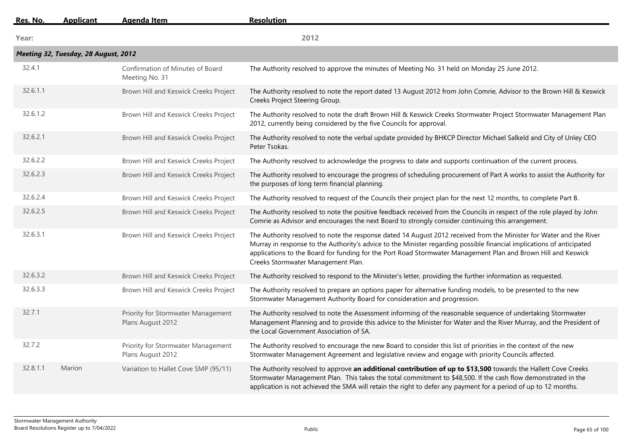| Res. No. | <b>Applicant</b>                     | <b>Agenda Item</b>                                      | <b>Resolution</b>                                                                                                                                                                                                                                                                                                                                                                                   |
|----------|--------------------------------------|---------------------------------------------------------|-----------------------------------------------------------------------------------------------------------------------------------------------------------------------------------------------------------------------------------------------------------------------------------------------------------------------------------------------------------------------------------------------------|
| Year:    |                                      |                                                         | 2012                                                                                                                                                                                                                                                                                                                                                                                                |
|          | Meeting 32, Tuesday, 28 August, 2012 |                                                         |                                                                                                                                                                                                                                                                                                                                                                                                     |
| 32.4.1   |                                      | Confirmation of Minutes of Board<br>Meeting No. 31      | The Authority resolved to approve the minutes of Meeting No. 31 held on Monday 25 June 2012.                                                                                                                                                                                                                                                                                                        |
| 32.6.1.1 |                                      | Brown Hill and Keswick Creeks Project                   | The Authority resolved to note the report dated 13 August 2012 from John Comrie, Advisor to the Brown Hill & Keswick<br>Creeks Project Steering Group.                                                                                                                                                                                                                                              |
| 32.6.1.2 |                                      | Brown Hill and Keswick Creeks Project                   | The Authority resolved to note the draft Brown Hill & Keswick Creeks Stormwater Project Stormwater Management Plan<br>2012, currently being considered by the five Councils for approval.                                                                                                                                                                                                           |
| 32.6.2.1 |                                      | Brown Hill and Keswick Creeks Project                   | The Authority resolved to note the verbal update provided by BHKCP Director Michael Salkeld and City of Unley CEO<br>Peter Tsokas.                                                                                                                                                                                                                                                                  |
| 32.6.2.2 |                                      | Brown Hill and Keswick Creeks Project                   | The Authority resolved to acknowledge the progress to date and supports continuation of the current process.                                                                                                                                                                                                                                                                                        |
| 32.6.2.3 |                                      | Brown Hill and Keswick Creeks Project                   | The Authority resolved to encourage the progress of scheduling procurement of Part A works to assist the Authority for<br>the purposes of long term financial planning.                                                                                                                                                                                                                             |
| 32.6.2.4 |                                      | Brown Hill and Keswick Creeks Project                   | The Authority resolved to request of the Councils their project plan for the next 12 months, to complete Part B.                                                                                                                                                                                                                                                                                    |
| 32.6.2.5 |                                      | Brown Hill and Keswick Creeks Project                   | The Authority resolved to note the positive feedback received from the Councils in respect of the role played by John<br>Comrie as Advisor and encourages the next Board to strongly consider continuing this arrangement.                                                                                                                                                                          |
| 32.6.3.1 |                                      | Brown Hill and Keswick Creeks Project                   | The Authority resolved to note the response dated 14 August 2012 received from the Minister for Water and the River<br>Murray in response to the Authority's advice to the Minister regarding possible financial implications of anticipated<br>applications to the Board for funding for the Port Road Stormwater Management Plan and Brown Hill and Keswick<br>Creeks Stormwater Management Plan. |
| 32.6.3.2 |                                      | Brown Hill and Keswick Creeks Project                   | The Authority resolved to respond to the Minister's letter, providing the further information as requested.                                                                                                                                                                                                                                                                                         |
| 32.6.3.3 |                                      | Brown Hill and Keswick Creeks Project                   | The Authority resolved to prepare an options paper for alternative funding models, to be presented to the new<br>Stormwater Management Authority Board for consideration and progression.                                                                                                                                                                                                           |
| 32.7.1   |                                      | Priority for Stormwater Management<br>Plans August 2012 | The Authority resolved to note the Assessment informing of the reasonable sequence of undertaking Stormwater<br>Management Planning and to provide this advice to the Minister for Water and the River Murray, and the President of<br>the Local Government Association of SA.                                                                                                                      |
| 32.7.2   |                                      | Priority for Stormwater Management<br>Plans August 2012 | The Authority resolved to encourage the new Board to consider this list of priorities in the context of the new<br>Stormwater Management Agreement and legislative review and engage with priority Councils affected.                                                                                                                                                                               |
| 32.8.1.1 | Marion                               | Variation to Hallet Cove SMP (95/11)                    | The Authority resolved to approve an additional contribution of up to \$13,500 towards the Hallett Cove Creeks<br>Stormwater Management Plan. This takes the total commitment to \$48,500. If the cash flow demonstrated in the<br>application is not achieved the SMA will retain the right to defer any payment for a period of up to 12 months.                                                  |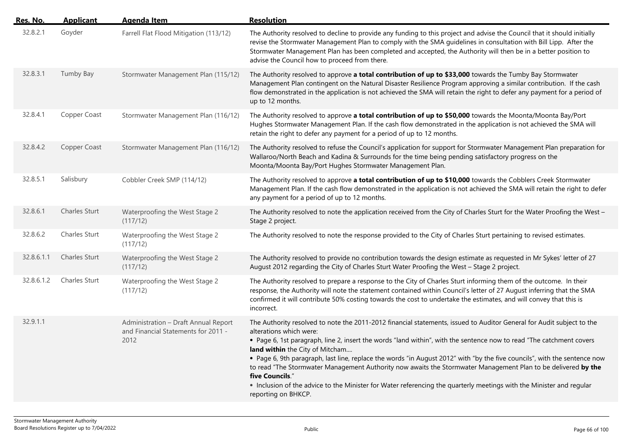| Res. No.   | <b>Applicant</b>     | <b>Agenda Item</b>                                                                  | <b>Resolution</b>                                                                                                                                                                                                                                                                                                                                                                                                                                                                                                                                                                                                                                                                                                           |
|------------|----------------------|-------------------------------------------------------------------------------------|-----------------------------------------------------------------------------------------------------------------------------------------------------------------------------------------------------------------------------------------------------------------------------------------------------------------------------------------------------------------------------------------------------------------------------------------------------------------------------------------------------------------------------------------------------------------------------------------------------------------------------------------------------------------------------------------------------------------------------|
| 32.8.2.1   | Goyder               | Farrell Flat Flood Mitigation (113/12)                                              | The Authority resolved to decline to provide any funding to this project and advise the Council that it should initially<br>revise the Stormwater Management Plan to comply with the SMA guidelines in consultation with Bill Lipp. After the<br>Stormwater Management Plan has been completed and accepted, the Authority will then be in a better position to<br>advise the Council how to proceed from there.                                                                                                                                                                                                                                                                                                            |
| 32.8.3.1   | Tumby Bay            | Stormwater Management Plan (115/12)                                                 | The Authority resolved to approve a total contribution of up to \$33,000 towards the Tumby Bay Stormwater<br>Management Plan contingent on the Natural Disaster Resilience Program approving a similar contribution. If the cash<br>flow demonstrated in the application is not achieved the SMA will retain the right to defer any payment for a period of<br>up to 12 months.                                                                                                                                                                                                                                                                                                                                             |
| 32.8.4.1   | Copper Coast         | Stormwater Management Plan (116/12)                                                 | The Authority resolved to approve a total contribution of up to \$50,000 towards the Moonta/Moonta Bay/Port<br>Hughes Stormwater Management Plan. If the cash flow demonstrated in the application is not achieved the SMA will<br>retain the right to defer any payment for a period of up to 12 months.                                                                                                                                                                                                                                                                                                                                                                                                                   |
| 32.8.4.2   | Copper Coast         | Stormwater Management Plan (116/12)                                                 | The Authority resolved to refuse the Council's application for support for Stormwater Management Plan preparation for<br>Wallaroo/North Beach and Kadina & Surrounds for the time being pending satisfactory progress on the<br>Moonta/Moonta Bay/Port Hughes Stormwater Management Plan.                                                                                                                                                                                                                                                                                                                                                                                                                                   |
| 32.8.5.1   | Salisbury            | Cobbler Creek SMP (114/12)                                                          | The Authority resolved to approve a total contribution of up to \$10,000 towards the Cobblers Creek Stormwater<br>Management Plan. If the cash flow demonstrated in the application is not achieved the SMA will retain the right to defer<br>any payment for a period of up to 12 months.                                                                                                                                                                                                                                                                                                                                                                                                                                  |
| 32.8.6.1   | <b>Charles Sturt</b> | Waterproofing the West Stage 2<br>(117/12)                                          | The Authority resolved to note the application received from the City of Charles Sturt for the Water Proofing the West -<br>Stage 2 project.                                                                                                                                                                                                                                                                                                                                                                                                                                                                                                                                                                                |
| 32.8.6.2   | Charles Sturt        | Waterproofing the West Stage 2<br>(117/12)                                          | The Authority resolved to note the response provided to the City of Charles Sturt pertaining to revised estimates.                                                                                                                                                                                                                                                                                                                                                                                                                                                                                                                                                                                                          |
| 32.8.6.1.1 | Charles Sturt        | Waterproofing the West Stage 2<br>(117/12)                                          | The Authority resolved to provide no contribution towards the design estimate as requested in Mr Sykes' letter of 27<br>August 2012 regarding the City of Charles Sturt Water Proofing the West - Stage 2 project.                                                                                                                                                                                                                                                                                                                                                                                                                                                                                                          |
| 32.8.6.1.2 | Charles Sturt        | Waterproofing the West Stage 2<br>(117/12)                                          | The Authority resolved to prepare a response to the City of Charles Sturt informing them of the outcome. In their<br>response, the Authority will note the statement contained within Council's letter of 27 August inferring that the SMA<br>confirmed it will contribute 50% costing towards the cost to undertake the estimates, and will convey that this is<br>incorrect.                                                                                                                                                                                                                                                                                                                                              |
| 32.9.1.1   |                      | Administration - Draft Annual Report<br>and Financial Statements for 2011 -<br>2012 | The Authority resolved to note the 2011-2012 financial statements, issued to Auditor General for Audit subject to the<br>alterations which were:<br>• Page 6, 1st paragraph, line 2, insert the words "land within", with the sentence now to read "The catchment covers<br>land within the City of Mitcham<br>• Page 6, 9th paragraph, last line, replace the words "in August 2012" with "by the five councils", with the sentence now<br>to read "The Stormwater Management Authority now awaits the Stormwater Management Plan to be delivered by the<br>five Councils."<br>• Inclusion of the advice to the Minister for Water referencing the quarterly meetings with the Minister and regular<br>reporting on BHKCP. |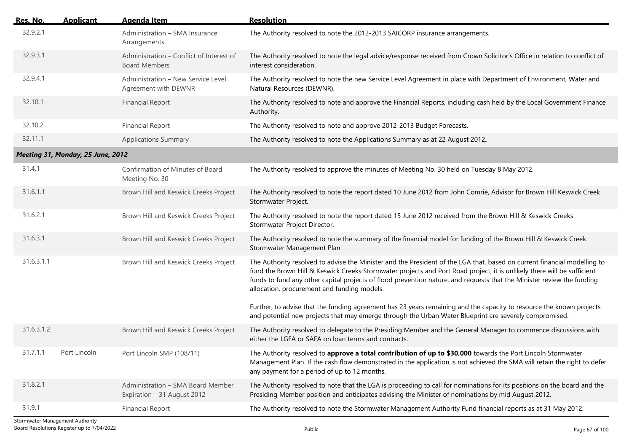| <u>Res. No.</u> | <b>Applicant</b>                  | <b>Agenda Item</b>                                               | <b>Resolution</b>                                                                                                                                                                                                                                                                                                                                                                                                            |
|-----------------|-----------------------------------|------------------------------------------------------------------|------------------------------------------------------------------------------------------------------------------------------------------------------------------------------------------------------------------------------------------------------------------------------------------------------------------------------------------------------------------------------------------------------------------------------|
| 32.9.2.1        |                                   | Administration - SMA Insurance<br>Arrangements                   | The Authority resolved to note the 2012-2013 SAICORP insurance arrangements.                                                                                                                                                                                                                                                                                                                                                 |
| 32.9.3.1        |                                   | Administration - Conflict of Interest of<br><b>Board Members</b> | The Authority resolved to note the legal advice/response received from Crown Solicitor's Office in relation to conflict of<br>interest consideration.                                                                                                                                                                                                                                                                        |
| 32.9.4.1        |                                   | Administration - New Service Level<br>Agreement with DEWNR       | The Authority resolved to note the new Service Level Agreement in place with Department of Environment, Water and<br>Natural Resources (DEWNR).                                                                                                                                                                                                                                                                              |
| 32.10.1         |                                   | <b>Financial Report</b>                                          | The Authority resolved to note and approve the Financial Reports, including cash held by the Local Government Finance<br>Authority.                                                                                                                                                                                                                                                                                          |
| 32.10.2         |                                   | <b>Financial Report</b>                                          | The Authority resolved to note and approve 2012-2013 Budget Forecasts.                                                                                                                                                                                                                                                                                                                                                       |
| 32.11.1         |                                   | <b>Applications Summary</b>                                      | The Authority resolved to note the Applications Summary as at 22 August 2012.                                                                                                                                                                                                                                                                                                                                                |
|                 | Meeting 31, Monday, 25 June, 2012 |                                                                  |                                                                                                                                                                                                                                                                                                                                                                                                                              |
| 31.4.1          |                                   | Confirmation of Minutes of Board<br>Meeting No. 30               | The Authority resolved to approve the minutes of Meeting No. 30 held on Tuesday 8 May 2012.                                                                                                                                                                                                                                                                                                                                  |
| 31.6.1.1        |                                   | Brown Hill and Keswick Creeks Project                            | The Authority resolved to note the report dated 10 June 2012 from John Comrie, Advisor for Brown Hill Keswick Creek<br>Stormwater Project.                                                                                                                                                                                                                                                                                   |
| 31.6.2.1        |                                   | Brown Hill and Keswick Creeks Project                            | The Authority resolved to note the report dated 15 June 2012 received from the Brown Hill & Keswick Creeks<br>Stormwater Project Director.                                                                                                                                                                                                                                                                                   |
| 31.6.3.1        |                                   | Brown Hill and Keswick Creeks Project                            | The Authority resolved to note the summary of the financial model for funding of the Brown Hill & Keswick Creek<br>Stormwater Management Plan.                                                                                                                                                                                                                                                                               |
| 31.6.3.1.1      |                                   | Brown Hill and Keswick Creeks Project                            | The Authority resolved to advise the Minister and the President of the LGA that, based on current financial modelling to<br>fund the Brown Hill & Keswick Creeks Stormwater projects and Port Road project, it is unlikely there will be sufficient<br>funds to fund any other capital projects of flood prevention nature, and requests that the Minister review the funding<br>allocation, procurement and funding models. |
|                 |                                   |                                                                  | Further, to advise that the funding agreement has 23 years remaining and the capacity to resource the known projects<br>and potential new projects that may emerge through the Urban Water Blueprint are severely compromised.                                                                                                                                                                                               |
| 31.6.3.1.2      |                                   | Brown Hill and Keswick Creeks Project                            | The Authority resolved to delegate to the Presiding Member and the General Manager to commence discussions with<br>either the LGFA or SAFA on loan terms and contracts.                                                                                                                                                                                                                                                      |
| 31.7.1.1        | Port Lincoln                      | Port Lincoln SMP (108/11)                                        | The Authority resolved to approve a total contribution of up to \$30,000 towards the Port Lincoln Stormwater<br>Management Plan. If the cash flow demonstrated in the application is not achieved the SMA will retain the right to defer<br>any payment for a period of up to 12 months.                                                                                                                                     |
| 31.8.2.1        |                                   | Administration - SMA Board Member<br>Expiration - 31 August 2012 | The Authority resolved to note that the LGA is proceeding to call for nominations for its positions on the board and the<br>Presiding Member position and anticipates advising the Minister of nominations by mid August 2012.                                                                                                                                                                                               |
| 31.9.1          |                                   | <b>Financial Report</b>                                          | The Authority resolved to note the Stormwater Management Authority Fund financial reports as at 31 May 2012.                                                                                                                                                                                                                                                                                                                 |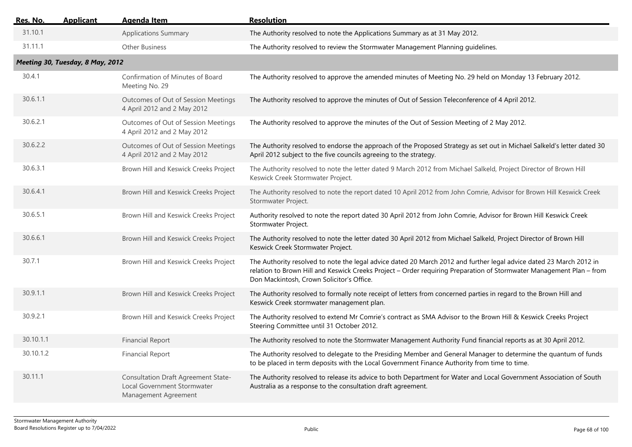| <u>Res. No.</u> | <b>Applicant</b>                 | <b>Agenda Item</b>                                                                                | <b>Resolution</b>                                                                                                                                                                                                                                                                        |  |  |  |
|-----------------|----------------------------------|---------------------------------------------------------------------------------------------------|------------------------------------------------------------------------------------------------------------------------------------------------------------------------------------------------------------------------------------------------------------------------------------------|--|--|--|
| 31.10.1         |                                  | <b>Applications Summary</b>                                                                       | The Authority resolved to note the Applications Summary as at 31 May 2012.                                                                                                                                                                                                               |  |  |  |
| 31.11.1         |                                  | <b>Other Business</b>                                                                             | The Authority resolved to review the Stormwater Management Planning guidelines.                                                                                                                                                                                                          |  |  |  |
|                 | Meeting 30, Tuesday, 8 May, 2012 |                                                                                                   |                                                                                                                                                                                                                                                                                          |  |  |  |
| 30.4.1          |                                  | Confirmation of Minutes of Board<br>Meeting No. 29                                                | The Authority resolved to approve the amended minutes of Meeting No. 29 held on Monday 13 February 2012.                                                                                                                                                                                 |  |  |  |
| 30.6.1.1        |                                  | Outcomes of Out of Session Meetings<br>4 April 2012 and 2 May 2012                                | The Authority resolved to approve the minutes of Out of Session Teleconference of 4 April 2012.                                                                                                                                                                                          |  |  |  |
| 30.6.2.1        |                                  | Outcomes of Out of Session Meetings<br>4 April 2012 and 2 May 2012                                | The Authority resolved to approve the minutes of the Out of Session Meeting of 2 May 2012.                                                                                                                                                                                               |  |  |  |
| 30.6.2.2        |                                  | Outcomes of Out of Session Meetings<br>4 April 2012 and 2 May 2012                                | The Authority resolved to endorse the approach of the Proposed Strategy as set out in Michael Salkeld's letter dated 30<br>April 2012 subject to the five councils agreeing to the strategy.                                                                                             |  |  |  |
| 30.6.3.1        |                                  | Brown Hill and Keswick Creeks Project                                                             | The Authority resolved to note the letter dated 9 March 2012 from Michael Salkeld, Project Director of Brown Hill<br>Keswick Creek Stormwater Project.                                                                                                                                   |  |  |  |
| 30.6.4.1        |                                  | Brown Hill and Keswick Creeks Project                                                             | The Authority resolved to note the report dated 10 April 2012 from John Comrie, Advisor for Brown Hill Keswick Creek<br>Stormwater Project.                                                                                                                                              |  |  |  |
| 30.6.5.1        |                                  | Brown Hill and Keswick Creeks Project                                                             | Authority resolved to note the report dated 30 April 2012 from John Comrie, Advisor for Brown Hill Keswick Creek<br>Stormwater Project.                                                                                                                                                  |  |  |  |
| 30.6.6.1        |                                  | Brown Hill and Keswick Creeks Project                                                             | The Authority resolved to note the letter dated 30 April 2012 from Michael Salkeld, Project Director of Brown Hill<br>Keswick Creek Stormwater Project.                                                                                                                                  |  |  |  |
| 30.7.1          |                                  | Brown Hill and Keswick Creeks Project                                                             | The Authority resolved to note the legal advice dated 20 March 2012 and further legal advice dated 23 March 2012 in<br>relation to Brown Hill and Keswick Creeks Project - Order requiring Preparation of Stormwater Management Plan - from<br>Don Mackintosh, Crown Solicitor's Office. |  |  |  |
| 30.9.1.1        |                                  | Brown Hill and Keswick Creeks Project                                                             | The Authority resolved to formally note receipt of letters from concerned parties in regard to the Brown Hill and<br>Keswick Creek stormwater management plan.                                                                                                                           |  |  |  |
| 30.9.2.1        |                                  | Brown Hill and Keswick Creeks Project                                                             | The Authority resolved to extend Mr Comrie's contract as SMA Advisor to the Brown Hill & Keswick Creeks Project<br>Steering Committee until 31 October 2012.                                                                                                                             |  |  |  |
| 30.10.1.1       |                                  | <b>Financial Report</b>                                                                           | The Authority resolved to note the Stormwater Management Authority Fund financial reports as at 30 April 2012.                                                                                                                                                                           |  |  |  |
| 30.10.1.2       |                                  | <b>Financial Report</b>                                                                           | The Authority resolved to delegate to the Presiding Member and General Manager to determine the quantum of funds<br>to be placed in term deposits with the Local Government Finance Authority from time to time.                                                                         |  |  |  |
| 30.11.1         |                                  | <b>Consultation Draft Agreement State-</b><br>Local Government Stormwater<br>Management Agreement | The Authority resolved to release its advice to both Department for Water and Local Government Association of South<br>Australia as a response to the consultation draft agreement.                                                                                                      |  |  |  |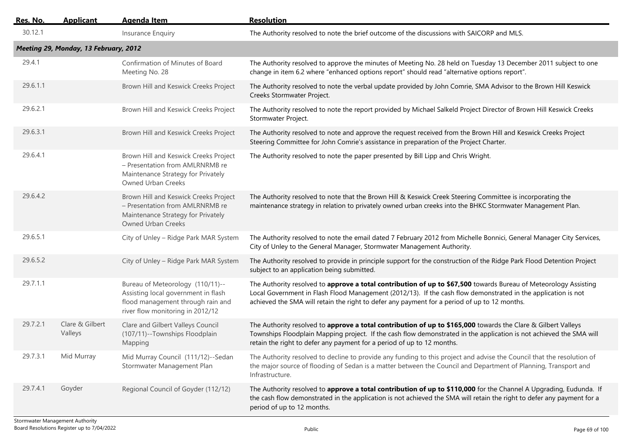| <u>Res. No.</u> | <b>Applicant</b>                      | <b>Agenda Item</b>                                                                                                                               | <b>Resolution</b>                                                                                                                                                                                                                                                                                                                 |
|-----------------|---------------------------------------|--------------------------------------------------------------------------------------------------------------------------------------------------|-----------------------------------------------------------------------------------------------------------------------------------------------------------------------------------------------------------------------------------------------------------------------------------------------------------------------------------|
| 30.12.1         |                                       | Insurance Enquiry                                                                                                                                | The Authority resolved to note the brief outcome of the discussions with SAICORP and MLS.                                                                                                                                                                                                                                         |
|                 | Meeting 29, Monday, 13 February, 2012 |                                                                                                                                                  |                                                                                                                                                                                                                                                                                                                                   |
| 29.4.1          |                                       | Confirmation of Minutes of Board<br>Meeting No. 28                                                                                               | The Authority resolved to approve the minutes of Meeting No. 28 held on Tuesday 13 December 2011 subject to one<br>change in item 6.2 where "enhanced options report" should read "alternative options report".                                                                                                                   |
| 29.6.1.1        |                                       | Brown Hill and Keswick Creeks Project                                                                                                            | The Authority resolved to note the verbal update provided by John Comrie, SMA Advisor to the Brown Hill Keswick<br>Creeks Stormwater Project.                                                                                                                                                                                     |
| 29.6.2.1        |                                       | Brown Hill and Keswick Creeks Project                                                                                                            | The Authority resolved to note the report provided by Michael Salkeld Project Director of Brown Hill Keswick Creeks<br>Stormwater Project.                                                                                                                                                                                        |
| 29.6.3.1        |                                       | Brown Hill and Keswick Creeks Project                                                                                                            | The Authority resolved to note and approve the request received from the Brown Hill and Keswick Creeks Project<br>Steering Committee for John Comrie's assistance in preparation of the Project Charter.                                                                                                                          |
| 29.6.4.1        |                                       | Brown Hill and Keswick Creeks Project<br>- Presentation from AMLRNRMB re<br>Maintenance Strategy for Privately<br>Owned Urban Creeks             | The Authority resolved to note the paper presented by Bill Lipp and Chris Wright.                                                                                                                                                                                                                                                 |
| 29.6.4.2        |                                       | Brown Hill and Keswick Creeks Project<br>- Presentation from AMLRNRMB re<br>Maintenance Strategy for Privately<br>Owned Urban Creeks             | The Authority resolved to note that the Brown Hill & Keswick Creek Steering Committee is incorporating the<br>maintenance strategy in relation to privately owned urban creeks into the BHKC Stormwater Management Plan.                                                                                                          |
| 29.6.5.1        |                                       | City of Unley - Ridge Park MAR System                                                                                                            | The Authority resolved to note the email dated 7 February 2012 from Michelle Bonnici, General Manager City Services,<br>City of Unley to the General Manager, Stormwater Management Authority.                                                                                                                                    |
| 29.6.5.2        |                                       | City of Unley - Ridge Park MAR System                                                                                                            | The Authority resolved to provide in principle support for the construction of the Ridge Park Flood Detention Project<br>subject to an application being submitted.                                                                                                                                                               |
| 29.7.1.1        |                                       | Bureau of Meteorology (110/11)--<br>Assisting local government in flash<br>flood management through rain and<br>river flow monitoring in 2012/12 | The Authority resolved to approve a total contribution of up to \$67,500 towards Bureau of Meteorology Assisting<br>Local Government in Flash Flood Management (2012/13). If the cash flow demonstrated in the application is not<br>achieved the SMA will retain the right to defer any payment for a period of up to 12 months. |
| 29.7.2.1        | Clare & Gilbert<br>Valleys            | Clare and Gilbert Valleys Council<br>(107/11)--Townships Floodplain<br>Mapping                                                                   | The Authority resolved to approve a total contribution of up to \$165,000 towards the Clare & Gilbert Valleys<br>Townships Floodplain Mapping project. If the cash flow demonstrated in the application is not achieved the SMA will<br>retain the right to defer any payment for a period of up to 12 months.                    |
| 29.7.3.1        | Mid Murray                            | Mid Murray Council (111/12)--Sedan<br>Stormwater Management Plan                                                                                 | The Authority resolved to decline to provide any funding to this project and advise the Council that the resolution of<br>the major source of flooding of Sedan is a matter between the Council and Department of Planning, Transport and<br>Infrastructure.                                                                      |
| 29.7.4.1        | Goyder                                | Regional Council of Goyder (112/12)                                                                                                              | The Authority resolved to approve a total contribution of up to \$110,000 for the Channel A Upgrading, Eudunda. If<br>the cash flow demonstrated in the application is not achieved the SMA will retain the right to defer any payment for a<br>period of up to 12 months.                                                        |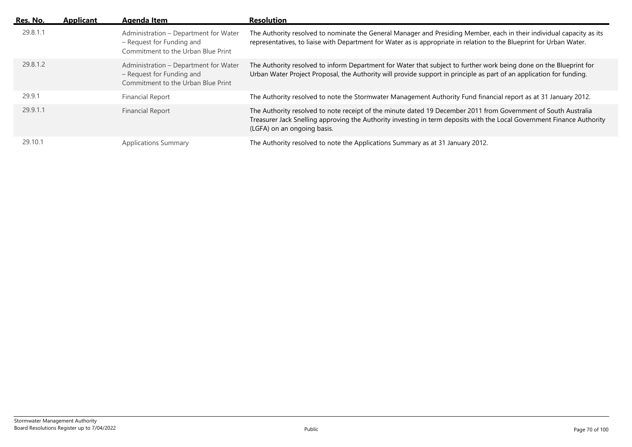| Res. No. | <b>Applicant</b> | Agenda Item                                                                                              | <b>Resolution</b>                                                                                                                                                                                                                                                       |
|----------|------------------|----------------------------------------------------------------------------------------------------------|-------------------------------------------------------------------------------------------------------------------------------------------------------------------------------------------------------------------------------------------------------------------------|
| 29.8.1.1 |                  | Administration - Department for Water<br>- Request for Funding and<br>Commitment to the Urban Blue Print | The Authority resolved to nominate the General Manager and Presiding Member, each in their individual capacity as its<br>representatives, to liaise with Department for Water as is appropriate in relation to the Blueprint for Urban Water.                           |
| 29.8.1.2 |                  | Administration - Department for Water<br>- Request for Funding and<br>Commitment to the Urban Blue Print | The Authority resolved to inform Department for Water that subject to further work being done on the Blueprint for<br>Urban Water Project Proposal, the Authority will provide support in principle as part of an application for funding.                              |
| 29.9.1   |                  | <b>Financial Report</b>                                                                                  | The Authority resolved to note the Stormwater Management Authority Fund financial report as at 31 January 2012.                                                                                                                                                         |
| 29.9.1.1 |                  | Financial Report                                                                                         | The Authority resolved to note receipt of the minute dated 19 December 2011 from Government of South Australia<br>Treasurer Jack Snelling approving the Authority investing in term deposits with the Local Government Finance Authority<br>(LGFA) on an ongoing basis. |
| 29.10.1  |                  | <b>Applications Summary</b>                                                                              | The Authority resolved to note the Applications Summary as at 31 January 2012.                                                                                                                                                                                          |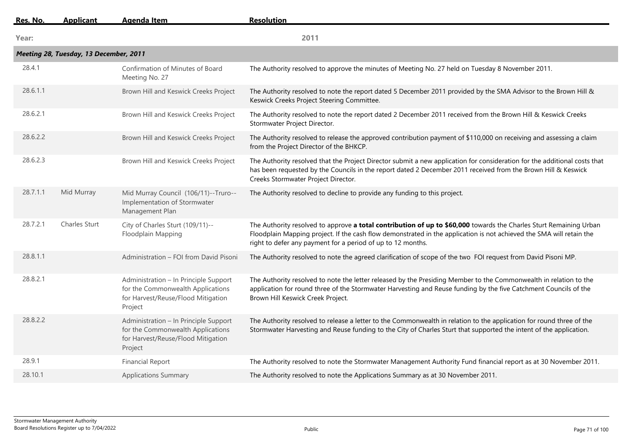| Res. No. | <b>Applicant</b>                       | Agenda Item                                                                                                                 | <b>Resolution</b>                                                                                                                                                                                                                                                                                         |
|----------|----------------------------------------|-----------------------------------------------------------------------------------------------------------------------------|-----------------------------------------------------------------------------------------------------------------------------------------------------------------------------------------------------------------------------------------------------------------------------------------------------------|
| Year:    |                                        |                                                                                                                             | 2011                                                                                                                                                                                                                                                                                                      |
|          | Meeting 28, Tuesday, 13 December, 2011 |                                                                                                                             |                                                                                                                                                                                                                                                                                                           |
| 28.4.1   |                                        | Confirmation of Minutes of Board<br>Meeting No. 27                                                                          | The Authority resolved to approve the minutes of Meeting No. 27 held on Tuesday 8 November 2011.                                                                                                                                                                                                          |
| 28.6.1.1 |                                        | Brown Hill and Keswick Creeks Project                                                                                       | The Authority resolved to note the report dated 5 December 2011 provided by the SMA Advisor to the Brown Hill &<br>Keswick Creeks Project Steering Committee.                                                                                                                                             |
| 28.6.2.1 |                                        | Brown Hill and Keswick Creeks Project                                                                                       | The Authority resolved to note the report dated 2 December 2011 received from the Brown Hill & Keswick Creeks<br>Stormwater Project Director.                                                                                                                                                             |
| 28.6.2.2 |                                        | Brown Hill and Keswick Creeks Project                                                                                       | The Authority resolved to release the approved contribution payment of \$110,000 on receiving and assessing a claim<br>from the Project Director of the BHKCP.                                                                                                                                            |
| 28.6.2.3 |                                        | Brown Hill and Keswick Creeks Project                                                                                       | The Authority resolved that the Project Director submit a new application for consideration for the additional costs that<br>has been requested by the Councils in the report dated 2 December 2011 received from the Brown Hill & Keswick<br>Creeks Stormwater Project Director.                         |
| 28.7.1.1 | Mid Murray                             | Mid Murray Council (106/11)--Truro--<br>Implementation of Stormwater<br>Management Plan                                     | The Authority resolved to decline to provide any funding to this project.                                                                                                                                                                                                                                 |
| 28.7.2.1 | Charles Sturt                          | City of Charles Sturt (109/11)--<br>Floodplain Mapping                                                                      | The Authority resolved to approve a total contribution of up to \$60,000 towards the Charles Sturt Remaining Urban<br>Floodplain Mapping project. If the cash flow demonstrated in the application is not achieved the SMA will retain the<br>right to defer any payment for a period of up to 12 months. |
| 28.8.1.1 |                                        | Administration - FOI from David Pisoni                                                                                      | The Authority resolved to note the agreed clarification of scope of the two FOI request from David Pisoni MP.                                                                                                                                                                                             |
| 28.8.2.1 |                                        | Administration - In Principle Support<br>for the Commonwealth Applications<br>for Harvest/Reuse/Flood Mitigation<br>Project | The Authority resolved to note the letter released by the Presiding Member to the Commonwealth in relation to the<br>application for round three of the Stormwater Harvesting and Reuse funding by the five Catchment Councils of the<br>Brown Hill Keswick Creek Project.                                |
| 28.8.2.2 |                                        | Administration - In Principle Support<br>for the Commonwealth Applications<br>for Harvest/Reuse/Flood Mitigation<br>Project | The Authority resolved to release a letter to the Commonwealth in relation to the application for round three of the<br>Stormwater Harvesting and Reuse funding to the City of Charles Sturt that supported the intent of the application.                                                                |
| 28.9.1   |                                        | <b>Financial Report</b>                                                                                                     | The Authority resolved to note the Stormwater Management Authority Fund financial report as at 30 November 2011.                                                                                                                                                                                          |
| 28.10.1  |                                        | <b>Applications Summary</b>                                                                                                 | The Authority resolved to note the Applications Summary as at 30 November 2011.                                                                                                                                                                                                                           |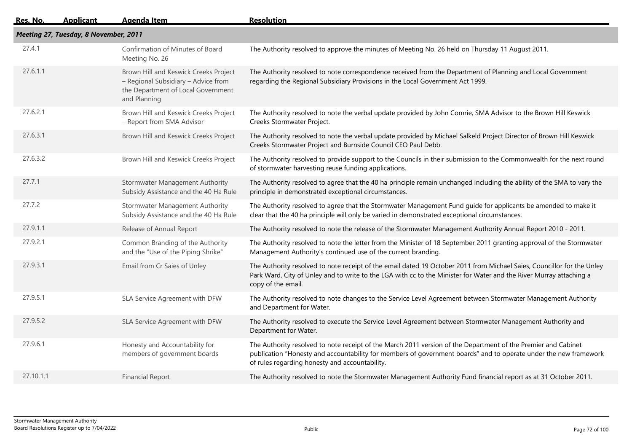| <u> Res. No.</u> | <b>Applicant</b>                      | <b>Agenda Item</b>                                                                                                                 | <b>Resolution</b>                                                                                                                                                                                                                                                                   |  |  |  |
|------------------|---------------------------------------|------------------------------------------------------------------------------------------------------------------------------------|-------------------------------------------------------------------------------------------------------------------------------------------------------------------------------------------------------------------------------------------------------------------------------------|--|--|--|
|                  | Meeting 27, Tuesday, 8 November, 2011 |                                                                                                                                    |                                                                                                                                                                                                                                                                                     |  |  |  |
| 27.4.1           |                                       | Confirmation of Minutes of Board<br>Meeting No. 26                                                                                 | The Authority resolved to approve the minutes of Meeting No. 26 held on Thursday 11 August 2011.                                                                                                                                                                                    |  |  |  |
| 27.6.1.1         |                                       | Brown Hill and Keswick Creeks Project<br>- Regional Subsidiary - Advice from<br>the Department of Local Government<br>and Planning | The Authority resolved to note correspondence received from the Department of Planning and Local Government<br>regarding the Regional Subsidiary Provisions in the Local Government Act 1999.                                                                                       |  |  |  |
| 27.6.2.1         |                                       | Brown Hill and Keswick Creeks Project<br>- Report from SMA Advisor                                                                 | The Authority resolved to note the verbal update provided by John Comrie, SMA Advisor to the Brown Hill Keswick<br>Creeks Stormwater Project.                                                                                                                                       |  |  |  |
| 27.6.3.1         |                                       | Brown Hill and Keswick Creeks Project                                                                                              | The Authority resolved to note the verbal update provided by Michael Salkeld Project Director of Brown Hill Keswick<br>Creeks Stormwater Project and Burnside Council CEO Paul Debb.                                                                                                |  |  |  |
| 27.6.3.2         |                                       | Brown Hill and Keswick Creeks Project                                                                                              | The Authority resolved to provide support to the Councils in their submission to the Commonwealth for the next round<br>of stormwater harvesting reuse funding applications.                                                                                                        |  |  |  |
| 27.7.1           |                                       | Stormwater Management Authority<br>Subsidy Assistance and the 40 Ha Rule                                                           | The Authority resolved to agree that the 40 ha principle remain unchanged including the ability of the SMA to vary the<br>principle in demonstrated exceptional circumstances.                                                                                                      |  |  |  |
| 27.7.2           |                                       | <b>Stormwater Management Authority</b><br>Subsidy Assistance and the 40 Ha Rule                                                    | The Authority resolved to agree that the Stormwater Management Fund guide for applicants be amended to make it<br>clear that the 40 ha principle will only be varied in demonstrated exceptional circumstances.                                                                     |  |  |  |
| 27.9.1.1         |                                       | Release of Annual Report                                                                                                           | The Authority resolved to note the release of the Stormwater Management Authority Annual Report 2010 - 2011.                                                                                                                                                                        |  |  |  |
| 27.9.2.1         |                                       | Common Branding of the Authority<br>and the "Use of the Piping Shrike"                                                             | The Authority resolved to note the letter from the Minister of 18 September 2011 granting approval of the Stormwater<br>Management Authority's continued use of the current branding.                                                                                               |  |  |  |
| 27.9.3.1         |                                       | Email from Cr Saies of Unley                                                                                                       | The Authority resolved to note receipt of the email dated 19 October 2011 from Michael Saies, Councillor for the Unley<br>Park Ward, City of Unley and to write to the LGA with cc to the Minister for Water and the River Murray attaching a<br>copy of the email.                 |  |  |  |
| 27.9.5.1         |                                       | SLA Service Agreement with DFW                                                                                                     | The Authority resolved to note changes to the Service Level Agreement between Stormwater Management Authority<br>and Department for Water.                                                                                                                                          |  |  |  |
| 27.9.5.2         |                                       | SLA Service Agreement with DFW                                                                                                     | The Authority resolved to execute the Service Level Agreement between Stormwater Management Authority and<br>Department for Water.                                                                                                                                                  |  |  |  |
| 27.9.6.1         |                                       | Honesty and Accountability for<br>members of government boards                                                                     | The Authority resolved to note receipt of the March 2011 version of the Department of the Premier and Cabinet<br>publication "Honesty and accountability for members of government boards" and to operate under the new framework<br>of rules regarding honesty and accountability. |  |  |  |
| 27.10.1.1        |                                       | <b>Financial Report</b>                                                                                                            | The Authority resolved to note the Stormwater Management Authority Fund financial report as at 31 October 2011.                                                                                                                                                                     |  |  |  |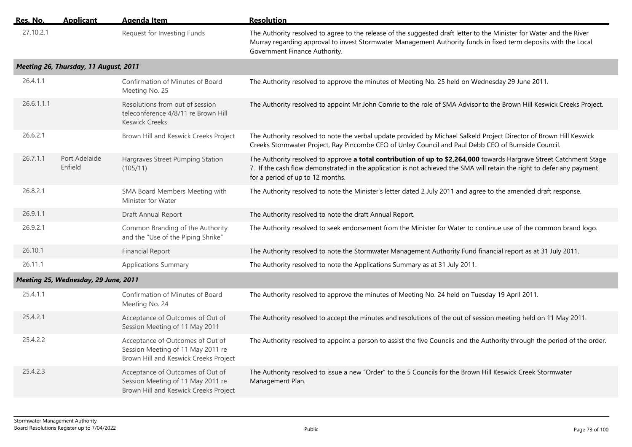| Res. No.   | <b>Applicant</b>                      | <b>Agenda Item</b>                                                                                             | <b>Resolution</b>                                                                                                                                                                                                                                                                 |
|------------|---------------------------------------|----------------------------------------------------------------------------------------------------------------|-----------------------------------------------------------------------------------------------------------------------------------------------------------------------------------------------------------------------------------------------------------------------------------|
| 27.10.2.1  |                                       | Request for Investing Funds                                                                                    | The Authority resolved to agree to the release of the suggested draft letter to the Minister for Water and the River<br>Murray regarding approval to invest Stormwater Management Authority funds in fixed term deposits with the Local<br>Government Finance Authority.          |
|            | Meeting 26, Thursday, 11 August, 2011 |                                                                                                                |                                                                                                                                                                                                                                                                                   |
| 26.4.1.1   |                                       | Confirmation of Minutes of Board<br>Meeting No. 25                                                             | The Authority resolved to approve the minutes of Meeting No. 25 held on Wednesday 29 June 2011.                                                                                                                                                                                   |
| 26.6.1.1.1 |                                       | Resolutions from out of session<br>teleconference 4/8/11 re Brown Hill<br><b>Keswick Creeks</b>                | The Authority resolved to appoint Mr John Comrie to the role of SMA Advisor to the Brown Hill Keswick Creeks Project.                                                                                                                                                             |
| 26.6.2.1   |                                       | Brown Hill and Keswick Creeks Project                                                                          | The Authority resolved to note the verbal update provided by Michael Salkeld Project Director of Brown Hill Keswick<br>Creeks Stormwater Project, Ray Pincombe CEO of Unley Council and Paul Debb CEO of Burnside Council.                                                        |
| 26.7.1.1   | Port Adelaide<br>Enfield              | Hargraves Street Pumping Station<br>(105/11)                                                                   | The Authority resolved to approve a total contribution of up to \$2,264,000 towards Hargrave Street Catchment Stage<br>7. If the cash flow demonstrated in the application is not achieved the SMA will retain the right to defer any payment<br>for a period of up to 12 months. |
| 26.8.2.1   |                                       | SMA Board Members Meeting with<br>Minister for Water                                                           | The Authority resolved to note the Minister's letter dated 2 July 2011 and agree to the amended draft response.                                                                                                                                                                   |
| 26.9.1.1   |                                       | Draft Annual Report                                                                                            | The Authority resolved to note the draft Annual Report.                                                                                                                                                                                                                           |
| 26.9.2.1   |                                       | Common Branding of the Authority<br>and the "Use of the Piping Shrike"                                         | The Authority resolved to seek endorsement from the Minister for Water to continue use of the common brand logo.                                                                                                                                                                  |
| 26.10.1    |                                       | <b>Financial Report</b>                                                                                        | The Authority resolved to note the Stormwater Management Authority Fund financial report as at 31 July 2011.                                                                                                                                                                      |
| 26.11.1    |                                       | <b>Applications Summary</b>                                                                                    | The Authority resolved to note the Applications Summary as at 31 July 2011.                                                                                                                                                                                                       |
|            | Meeting 25, Wednesday, 29 June, 2011  |                                                                                                                |                                                                                                                                                                                                                                                                                   |
| 25.4.1.1   |                                       | Confirmation of Minutes of Board<br>Meeting No. 24                                                             | The Authority resolved to approve the minutes of Meeting No. 24 held on Tuesday 19 April 2011.                                                                                                                                                                                    |
| 25.4.2.1   |                                       | Acceptance of Outcomes of Out of<br>Session Meeting of 11 May 2011                                             | The Authority resolved to accept the minutes and resolutions of the out of session meeting held on 11 May 2011.                                                                                                                                                                   |
| 25.4.2.2   |                                       | Acceptance of Outcomes of Out of<br>Session Meeting of 11 May 2011 re<br>Brown Hill and Keswick Creeks Project | The Authority resolved to appoint a person to assist the five Councils and the Authority through the period of the order.                                                                                                                                                         |
| 25.4.2.3   |                                       | Acceptance of Outcomes of Out of<br>Session Meeting of 11 May 2011 re<br>Brown Hill and Keswick Creeks Project | The Authority resolved to issue a new "Order" to the 5 Councils for the Brown Hill Keswick Creek Stormwater<br>Management Plan.                                                                                                                                                   |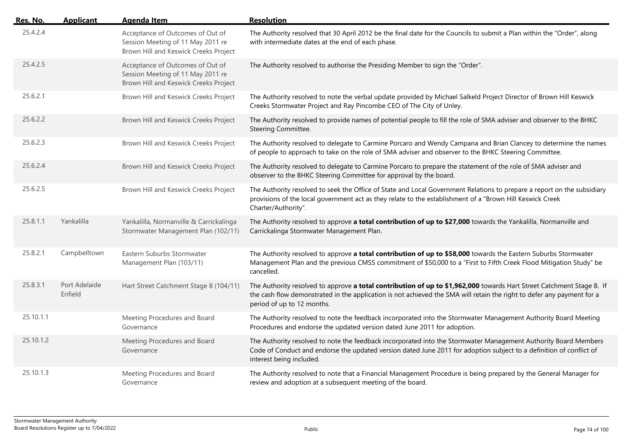| Res. No.  | <b>Applicant</b>         | <b>Agenda Item</b>                                                                                             | <b>Resolution</b>                                                                                                                                                                                                                                                             |
|-----------|--------------------------|----------------------------------------------------------------------------------------------------------------|-------------------------------------------------------------------------------------------------------------------------------------------------------------------------------------------------------------------------------------------------------------------------------|
| 25.4.2.4  |                          | Acceptance of Outcomes of Out of<br>Session Meeting of 11 May 2011 re<br>Brown Hill and Keswick Creeks Project | The Authority resolved that 30 April 2012 be the final date for the Councils to submit a Plan within the "Order", along<br>with intermediate dates at the end of each phase.                                                                                                  |
| 25.4.2.5  |                          | Acceptance of Outcomes of Out of<br>Session Meeting of 11 May 2011 re<br>Brown Hill and Keswick Creeks Project | The Authority resolved to authorise the Presiding Member to sign the "Order".                                                                                                                                                                                                 |
| 25.6.2.1  |                          | Brown Hill and Keswick Creeks Project                                                                          | The Authority resolved to note the verbal update provided by Michael Salkeld Project Director of Brown Hill Keswick<br>Creeks Stormwater Project and Ray Pincombe CEO of The City of Unley.                                                                                   |
| 25.6.2.2  |                          | Brown Hill and Keswick Creeks Project                                                                          | The Authority resolved to provide names of potential people to fill the role of SMA adviser and observer to the BHKC<br>Steering Committee.                                                                                                                                   |
| 25.6.2.3  |                          | Brown Hill and Keswick Creeks Project                                                                          | The Authority resolved to delegate to Carmine Porcaro and Wendy Campana and Brian Clancey to determine the names<br>of people to approach to take on the role of SMA adviser and observer to the BHKC Steering Committee.                                                     |
| 25.6.2.4  |                          | Brown Hill and Keswick Creeks Project                                                                          | The Authority resolved to delegate to Carmine Porcaro to prepare the statement of the role of SMA adviser and<br>observer to the BHKC Steering Committee for approval by the board.                                                                                           |
| 25.6.2.5  |                          | Brown Hill and Keswick Creeks Project                                                                          | The Authority resolved to seek the Office of State and Local Government Relations to prepare a report on the subsidiary<br>provisions of the local government act as they relate to the establishment of a "Brown Hill Keswick Creek<br>Charter/Authority".                   |
| 25.8.1.1  | Yankalilla               | Yankalilla, Normanville & Carrickalinga<br>Stormwater Management Plan (102/11)                                 | The Authority resolved to approve a total contribution of up to \$27,000 towards the Yankalilla, Normanville and<br>Carrickalinga Stormwater Management Plan.                                                                                                                 |
| 25.8.2.1  | Campbelltown             | Eastern Suburbs Stormwater<br>Management Plan (103/11)                                                         | The Authority resolved to approve a total contribution of up to \$58,000 towards the Eastern Suburbs Stormwater<br>Management Plan and the previous CMSS commitment of \$50,000 to a "First to Fifth Creek Flood Mitigation Study" be<br>cancelled.                           |
| 25.8.3.1  | Port Adelaide<br>Enfield | Hart Street Catchment Stage 8 (104/11)                                                                         | The Authority resolved to approve a total contribution of up to \$1,962,000 towards Hart Street Catchment Stage 8. If<br>the cash flow demonstrated in the application is not achieved the SMA will retain the right to defer any payment for a<br>period of up to 12 months. |
| 25.10.1.1 |                          | Meeting Procedures and Board<br>Governance                                                                     | The Authority resolved to note the feedback incorporated into the Stormwater Management Authority Board Meeting<br>Procedures and endorse the updated version dated June 2011 for adoption.                                                                                   |
| 25.10.1.2 |                          | Meeting Procedures and Board<br>Governance                                                                     | The Authority resolved to note the feedback incorporated into the Stormwater Management Authority Board Members<br>Code of Conduct and endorse the updated version dated June 2011 for adoption subject to a definition of conflict of<br>interest being included.            |
| 25.10.1.3 |                          | Meeting Procedures and Board<br>Governance                                                                     | The Authority resolved to note that a Financial Management Procedure is being prepared by the General Manager for<br>review and adoption at a subsequent meeting of the board.                                                                                                |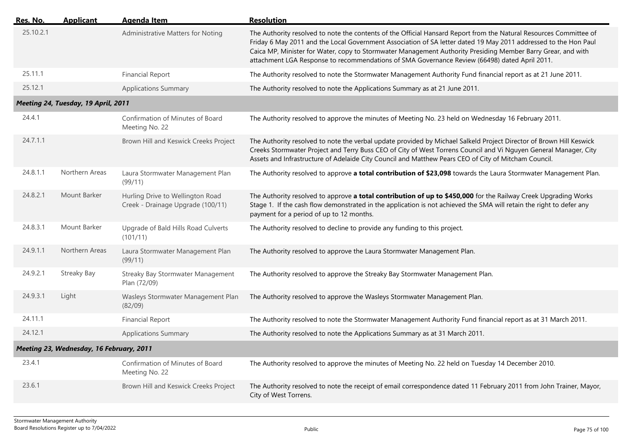| Res. No.  | <b>Applicant</b>                         | <b>Agenda Item</b>                                                    | <b>Resolution</b>                                                                                                                                                                                                                                                                                                                                                                                                                                      |
|-----------|------------------------------------------|-----------------------------------------------------------------------|--------------------------------------------------------------------------------------------------------------------------------------------------------------------------------------------------------------------------------------------------------------------------------------------------------------------------------------------------------------------------------------------------------------------------------------------------------|
| 25.10.2.1 |                                          | Administrative Matters for Noting                                     | The Authority resolved to note the contents of the Official Hansard Report from the Natural Resources Committee of<br>Friday 6 May 2011 and the Local Government Association of SA letter dated 19 May 2011 addressed to the Hon Paul<br>Caica MP, Minister for Water, copy to Stormwater Management Authority Presiding Member Barry Grear, and with<br>attachment LGA Response to recommendations of SMA Governance Review (66498) dated April 2011. |
| 25.11.1   |                                          | <b>Financial Report</b>                                               | The Authority resolved to note the Stormwater Management Authority Fund financial report as at 21 June 2011.                                                                                                                                                                                                                                                                                                                                           |
| 25.12.1   |                                          | <b>Applications Summary</b>                                           | The Authority resolved to note the Applications Summary as at 21 June 2011.                                                                                                                                                                                                                                                                                                                                                                            |
|           | Meeting 24, Tuesday, 19 April, 2011      |                                                                       |                                                                                                                                                                                                                                                                                                                                                                                                                                                        |
| 24.4.1    |                                          | Confirmation of Minutes of Board<br>Meeting No. 22                    | The Authority resolved to approve the minutes of Meeting No. 23 held on Wednesday 16 February 2011.                                                                                                                                                                                                                                                                                                                                                    |
| 24.7.1.1  |                                          | Brown Hill and Keswick Creeks Project                                 | The Authority resolved to note the verbal update provided by Michael Salkeld Project Director of Brown Hill Keswick<br>Creeks Stormwater Project and Terry Buss CEO of City of West Torrens Council and Vi Nguyen General Manager, City<br>Assets and Infrastructure of Adelaide City Council and Matthew Pears CEO of City of Mitcham Council.                                                                                                        |
| 24.8.1.1  | Northern Areas                           | Laura Stormwater Management Plan<br>(99/11)                           | The Authority resolved to approve a total contribution of \$23,098 towards the Laura Stormwater Management Plan.                                                                                                                                                                                                                                                                                                                                       |
| 24.8.2.1  | Mount Barker                             | Hurling Drive to Wellington Road<br>Creek - Drainage Upgrade (100/11) | The Authority resolved to approve a total contribution of up to \$450,000 for the Railway Creek Upgrading Works<br>Stage 1. If the cash flow demonstrated in the application is not achieved the SMA will retain the right to defer any<br>payment for a period of up to 12 months.                                                                                                                                                                    |
| 24.8.3.1  | Mount Barker                             | Upgrade of Bald Hills Road Culverts<br>(101/11)                       | The Authority resolved to decline to provide any funding to this project.                                                                                                                                                                                                                                                                                                                                                                              |
| 24.9.1.1  | Northern Areas                           | Laura Stormwater Management Plan<br>(99/11)                           | The Authority resolved to approve the Laura Stormwater Management Plan.                                                                                                                                                                                                                                                                                                                                                                                |
| 24.9.2.1  | Streaky Bay                              | Streaky Bay Stormwater Management<br>Plan (72/09)                     | The Authority resolved to approve the Streaky Bay Stormwater Management Plan.                                                                                                                                                                                                                                                                                                                                                                          |
| 24.9.3.1  | Light                                    | Wasleys Stormwater Management Plan<br>(82/09)                         | The Authority resolved to approve the Wasleys Stormwater Management Plan.                                                                                                                                                                                                                                                                                                                                                                              |
| 24.11.1   |                                          | <b>Financial Report</b>                                               | The Authority resolved to note the Stormwater Management Authority Fund financial report as at 31 March 2011.                                                                                                                                                                                                                                                                                                                                          |
| 24.12.1   |                                          | <b>Applications Summary</b>                                           | The Authority resolved to note the Applications Summary as at 31 March 2011.                                                                                                                                                                                                                                                                                                                                                                           |
|           | Meeting 23, Wednesday, 16 February, 2011 |                                                                       |                                                                                                                                                                                                                                                                                                                                                                                                                                                        |
| 23.4.1    |                                          | Confirmation of Minutes of Board<br>Meeting No. 22                    | The Authority resolved to approve the minutes of Meeting No. 22 held on Tuesday 14 December 2010.                                                                                                                                                                                                                                                                                                                                                      |
| 23.6.1    |                                          | Brown Hill and Keswick Creeks Project                                 | The Authority resolved to note the receipt of email correspondence dated 11 February 2011 from John Trainer, Mayor,<br>City of West Torrens.                                                                                                                                                                                                                                                                                                           |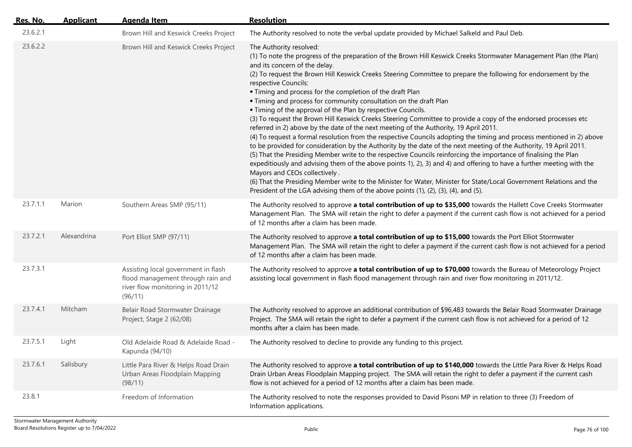| Res. No. | <b>Applicant</b> | <b>Agenda Item</b>                                                                                                      | <b>Resolution</b>                                                                                                                                                                                                                                                                                                                                                                                                                                                                                                                                                                                                                                                                                                                                                                                                                                                                                                                                                                                                                                                                                                                                                                                                                                                                                                                                                                                                                                                                   |
|----------|------------------|-------------------------------------------------------------------------------------------------------------------------|-------------------------------------------------------------------------------------------------------------------------------------------------------------------------------------------------------------------------------------------------------------------------------------------------------------------------------------------------------------------------------------------------------------------------------------------------------------------------------------------------------------------------------------------------------------------------------------------------------------------------------------------------------------------------------------------------------------------------------------------------------------------------------------------------------------------------------------------------------------------------------------------------------------------------------------------------------------------------------------------------------------------------------------------------------------------------------------------------------------------------------------------------------------------------------------------------------------------------------------------------------------------------------------------------------------------------------------------------------------------------------------------------------------------------------------------------------------------------------------|
| 23.6.2.1 |                  | Brown Hill and Keswick Creeks Project                                                                                   | The Authority resolved to note the verbal update provided by Michael Salkeld and Paul Deb.                                                                                                                                                                                                                                                                                                                                                                                                                                                                                                                                                                                                                                                                                                                                                                                                                                                                                                                                                                                                                                                                                                                                                                                                                                                                                                                                                                                          |
| 23.6.2.2 |                  | Brown Hill and Keswick Creeks Project                                                                                   | The Authority resolved:<br>(1) To note the progress of the preparation of the Brown Hill Keswick Creeks Stormwater Management Plan (the Plan)<br>and its concern of the delay.<br>(2) To request the Brown Hill Keswick Creeks Steering Committee to prepare the following for endorsement by the<br>respective Councils:<br>. Timing and process for the completion of the draft Plan<br>• Timing and process for community consultation on the draft Plan<br>• Timing of the approval of the Plan by respective Councils.<br>(3) To request the Brown Hill Keswick Creeks Steering Committee to provide a copy of the endorsed processes etc<br>referred in 2) above by the date of the next meeting of the Authority, 19 April 2011.<br>(4) To request a formal resolution from the respective Councils adopting the timing and process mentioned in 2) above<br>to be provided for consideration by the Authority by the date of the next meeting of the Authority, 19 April 2011.<br>(5) That the Presiding Member write to the respective Councils reinforcing the importance of finalising the Plan<br>expeditiously and advising them of the above points 1), 2), 3) and 4) and offering to have a further meeting with the<br>Mayors and CEOs collectively.<br>(6) That the Presiding Member write to the Minister for Water, Minister for State/Local Government Relations and the<br>President of the LGA advising them of the above points (1), (2), (3), (4), and (5). |
| 23.7.1.1 | Marion           | Southern Areas SMP (95/11)                                                                                              | The Authority resolved to approve a total contribution of up to \$35,000 towards the Hallett Cove Creeks Stormwater<br>Management Plan. The SMA will retain the right to defer a payment if the current cash flow is not achieved for a period<br>of 12 months after a claim has been made.                                                                                                                                                                                                                                                                                                                                                                                                                                                                                                                                                                                                                                                                                                                                                                                                                                                                                                                                                                                                                                                                                                                                                                                         |
| 23.7.2.1 | Alexandrina      | Port Elliot SMP (97/11)                                                                                                 | The Authority resolved to approve a total contribution of up to \$15,000 towards the Port Elliot Stormwater<br>Management Plan. The SMA will retain the right to defer a payment if the current cash flow is not achieved for a period<br>of 12 months after a claim has been made.                                                                                                                                                                                                                                                                                                                                                                                                                                                                                                                                                                                                                                                                                                                                                                                                                                                                                                                                                                                                                                                                                                                                                                                                 |
| 23.7.3.1 |                  | Assisting local government in flash<br>flood management through rain and<br>river flow monitoring in 2011/12<br>(96/11) | The Authority resolved to approve a total contribution of up to \$70,000 towards the Bureau of Meteorology Project<br>assisting local government in flash flood management through rain and river flow monitoring in 2011/12.                                                                                                                                                                                                                                                                                                                                                                                                                                                                                                                                                                                                                                                                                                                                                                                                                                                                                                                                                                                                                                                                                                                                                                                                                                                       |
| 23.7.4.1 | Mitcham          | Belair Road Stormwater Drainage<br>Project, Stage 2 (62/08)                                                             | The Authority resolved to approve an additional contribution of \$96,483 towards the Belair Road Stormwater Drainage<br>Project. The SMA will retain the right to defer a payment if the current cash flow is not achieved for a period of 12<br>months after a claim has been made.                                                                                                                                                                                                                                                                                                                                                                                                                                                                                                                                                                                                                                                                                                                                                                                                                                                                                                                                                                                                                                                                                                                                                                                                |
| 23.7.5.1 | Light            | Old Adelaide Road & Adelaide Road -<br>Kapunda (94/10)                                                                  | The Authority resolved to decline to provide any funding to this project.                                                                                                                                                                                                                                                                                                                                                                                                                                                                                                                                                                                                                                                                                                                                                                                                                                                                                                                                                                                                                                                                                                                                                                                                                                                                                                                                                                                                           |
| 23.7.6.1 | Salisbury        | Little Para River & Helps Road Drain<br>Urban Areas Floodplain Mapping<br>(98/11)                                       | The Authority resolved to approve a total contribution of up to \$140,000 towards the Little Para River & Helps Road<br>Drain Urban Areas Floodplain Mapping project. The SMA will retain the right to defer a payment if the current cash<br>flow is not achieved for a period of 12 months after a claim has been made.                                                                                                                                                                                                                                                                                                                                                                                                                                                                                                                                                                                                                                                                                                                                                                                                                                                                                                                                                                                                                                                                                                                                                           |
| 23.8.1   |                  | Freedom of Information                                                                                                  | The Authority resolved to note the responses provided to David Pisoni MP in relation to three (3) Freedom of<br>Information applications.                                                                                                                                                                                                                                                                                                                                                                                                                                                                                                                                                                                                                                                                                                                                                                                                                                                                                                                                                                                                                                                                                                                                                                                                                                                                                                                                           |

 $\overline{a}$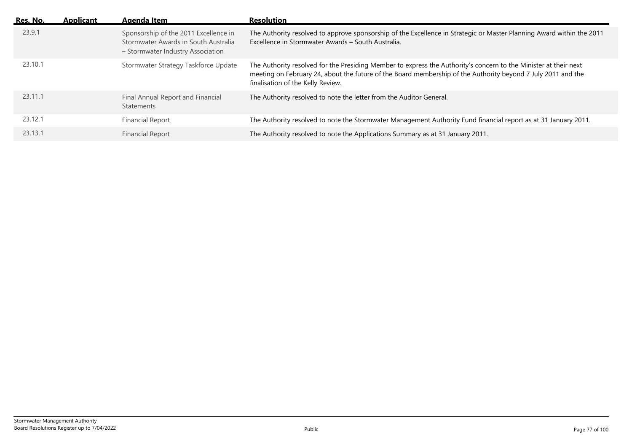| Res. No. | <b>Applicant</b> | <b>Agenda Item</b>                                                                                                 | <b>Resolution</b>                                                                                                                                                                                                                                                     |
|----------|------------------|--------------------------------------------------------------------------------------------------------------------|-----------------------------------------------------------------------------------------------------------------------------------------------------------------------------------------------------------------------------------------------------------------------|
| 23.9.1   |                  | Sponsorship of the 2011 Excellence in<br>Stormwater Awards in South Australia<br>- Stormwater Industry Association | The Authority resolved to approve sponsorship of the Excellence in Strategic or Master Planning Award within the 2011<br>Excellence in Stormwater Awards - South Australia.                                                                                           |
| 23.10.1  |                  | Stormwater Strategy Taskforce Update                                                                               | The Authority resolved for the Presiding Member to express the Authority's concern to the Minister at their next<br>meeting on February 24, about the future of the Board membership of the Authority beyond 7 July 2011 and the<br>finalisation of the Kelly Review. |
| 23.11.1  |                  | Final Annual Report and Financial<br><b>Statements</b>                                                             | The Authority resolved to note the letter from the Auditor General.                                                                                                                                                                                                   |
| 23.12.1  |                  | <b>Financial Report</b>                                                                                            | The Authority resolved to note the Stormwater Management Authority Fund financial report as at 31 January 2011.                                                                                                                                                       |
| 23.13.1  |                  | <b>Financial Report</b>                                                                                            | The Authority resolved to note the Applications Summary as at 31 January 2011.                                                                                                                                                                                        |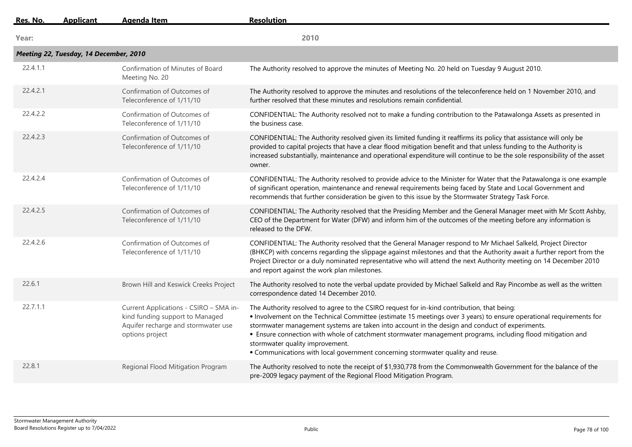| Res. No. | <b>Applicant</b>                       | <b>Agenda Item</b>                                                                                                                  | <b>Resolution</b>                                                                                                                                                                                                                                                                                                                                                                                                                                                                                                                                       |
|----------|----------------------------------------|-------------------------------------------------------------------------------------------------------------------------------------|---------------------------------------------------------------------------------------------------------------------------------------------------------------------------------------------------------------------------------------------------------------------------------------------------------------------------------------------------------------------------------------------------------------------------------------------------------------------------------------------------------------------------------------------------------|
| Year:    |                                        |                                                                                                                                     | 2010                                                                                                                                                                                                                                                                                                                                                                                                                                                                                                                                                    |
|          | Meeting 22, Tuesday, 14 December, 2010 |                                                                                                                                     |                                                                                                                                                                                                                                                                                                                                                                                                                                                                                                                                                         |
| 22.4.1.1 |                                        | Confirmation of Minutes of Board<br>Meeting No. 20                                                                                  | The Authority resolved to approve the minutes of Meeting No. 20 held on Tuesday 9 August 2010.                                                                                                                                                                                                                                                                                                                                                                                                                                                          |
| 22.4.2.1 |                                        | Confirmation of Outcomes of<br>Teleconference of 1/11/10                                                                            | The Authority resolved to approve the minutes and resolutions of the teleconference held on 1 November 2010, and<br>further resolved that these minutes and resolutions remain confidential.                                                                                                                                                                                                                                                                                                                                                            |
| 22.4.2.2 |                                        | Confirmation of Outcomes of<br>Teleconference of 1/11/10                                                                            | CONFIDENTIAL: The Authority resolved not to make a funding contribution to the Patawalonga Assets as presented in<br>the business case.                                                                                                                                                                                                                                                                                                                                                                                                                 |
| 22.4.2.3 |                                        | Confirmation of Outcomes of<br>Teleconference of 1/11/10                                                                            | CONFIDENTIAL: The Authority resolved given its limited funding it reaffirms its policy that assistance will only be<br>provided to capital projects that have a clear flood mitigation benefit and that unless funding to the Authority is<br>increased substantially, maintenance and operational expenditure will continue to be the sole responsibility of the asset<br>owner.                                                                                                                                                                       |
| 22.4.2.4 |                                        | Confirmation of Outcomes of<br>Teleconference of 1/11/10                                                                            | CONFIDENTIAL: The Authority resolved to provide advice to the Minister for Water that the Patawalonga is one example<br>of significant operation, maintenance and renewal requirements being faced by State and Local Government and<br>recommends that further consideration be given to this issue by the Stormwater Strategy Task Force.                                                                                                                                                                                                             |
| 22.4.2.5 |                                        | Confirmation of Outcomes of<br>Teleconference of 1/11/10                                                                            | CONFIDENTIAL: The Authority resolved that the Presiding Member and the General Manager meet with Mr Scott Ashby,<br>CEO of the Department for Water (DFW) and inform him of the outcomes of the meeting before any information is<br>released to the DFW.                                                                                                                                                                                                                                                                                               |
| 22.4.2.6 |                                        | Confirmation of Outcomes of<br>Teleconference of 1/11/10                                                                            | CONFIDENTIAL: The Authority resolved that the General Manager respond to Mr Michael Salkeld, Project Director<br>(BHKCP) with concerns regarding the slippage against milestones and that the Authority await a further report from the<br>Project Director or a duly nominated representative who will attend the next Authority meeting on 14 December 2010<br>and report against the work plan milestones.                                                                                                                                           |
| 22.6.1   |                                        | Brown Hill and Keswick Creeks Project                                                                                               | The Authority resolved to note the verbal update provided by Michael Salkeld and Ray Pincombe as well as the written<br>correspondence dated 14 December 2010.                                                                                                                                                                                                                                                                                                                                                                                          |
| 22.7.1.1 |                                        | Current Applications - CSIRO - SMA in-<br>kind funding support to Managed<br>Aquifer recharge and stormwater use<br>options project | The Authority resolved to agree to the CSIRO request for in-kind contribution, that being:<br>. Involvement on the Technical Committee (estimate 15 meetings over 3 years) to ensure operational requirements for<br>stormwater management systems are taken into account in the design and conduct of experiments.<br>• Ensure connection with whole of catchment stormwater management programs, including flood mitigation and<br>stormwater quality improvement.<br>. Communications with local government concerning stormwater quality and reuse. |
| 22.8.1   |                                        | Regional Flood Mitigation Program                                                                                                   | The Authority resolved to note the receipt of \$1,930,778 from the Commonwealth Government for the balance of the<br>pre-2009 legacy payment of the Regional Flood Mitigation Program.                                                                                                                                                                                                                                                                                                                                                                  |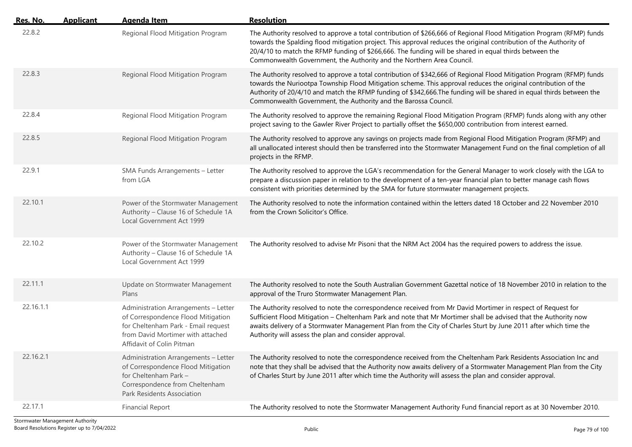| Res. No.  | <b>Applicant</b> | <b>Agenda Item</b>                                                                                                                                                                  | <b>Resolution</b>                                                                                                                                                                                                                                                                                                                                                                                                                  |
|-----------|------------------|-------------------------------------------------------------------------------------------------------------------------------------------------------------------------------------|------------------------------------------------------------------------------------------------------------------------------------------------------------------------------------------------------------------------------------------------------------------------------------------------------------------------------------------------------------------------------------------------------------------------------------|
| 22.8.2    |                  | Regional Flood Mitigation Program                                                                                                                                                   | The Authority resolved to approve a total contribution of \$266,666 of Regional Flood Mitigation Program (RFMP) funds<br>towards the Spalding flood mitigation project. This approval reduces the original contribution of the Authority of<br>20/4/10 to match the RFMP funding of \$266,666. The funding will be shared in equal thirds between the<br>Commonwealth Government, the Authority and the Northern Area Council.     |
| 22.8.3    |                  | Regional Flood Mitigation Program                                                                                                                                                   | The Authority resolved to approve a total contribution of \$342,666 of Regional Flood Mitigation Program (RFMP) funds<br>towards the Nuriootpa Township Flood Mitigation scheme. This approval reduces the original contribution of the<br>Authority of 20/4/10 and match the RFMP funding of \$342,666. The funding will be shared in equal thirds between the<br>Commonwealth Government, the Authority and the Barossa Council. |
| 22.8.4    |                  | Regional Flood Mitigation Program                                                                                                                                                   | The Authority resolved to approve the remaining Regional Flood Mitigation Program (RFMP) funds along with any other<br>project saving to the Gawler River Project to partially offset the \$650,000 contribution from interest earned.                                                                                                                                                                                             |
| 22.8.5    |                  | Regional Flood Mitigation Program                                                                                                                                                   | The Authority resolved to approve any savings on projects made from Regional Flood Mitigation Program (RFMP) and<br>all unallocated interest should then be transferred into the Stormwater Management Fund on the final completion of all<br>projects in the RFMP.                                                                                                                                                                |
| 22.9.1    |                  | SMA Funds Arrangements - Letter<br>from LGA                                                                                                                                         | The Authority resolved to approve the LGA's recommendation for the General Manager to work closely with the LGA to<br>prepare a discussion paper in relation to the development of a ten-year financial plan to better manage cash flows<br>consistent with priorities determined by the SMA for future stormwater management projects.                                                                                            |
| 22.10.1   |                  | Power of the Stormwater Management<br>Authority - Clause 16 of Schedule 1A<br>Local Government Act 1999                                                                             | The Authority resolved to note the information contained within the letters dated 18 October and 22 November 2010<br>from the Crown Solicitor's Office.                                                                                                                                                                                                                                                                            |
| 22.10.2   |                  | Power of the Stormwater Management<br>Authority - Clause 16 of Schedule 1A<br>Local Government Act 1999                                                                             | The Authority resolved to advise Mr Pisoni that the NRM Act 2004 has the required powers to address the issue.                                                                                                                                                                                                                                                                                                                     |
| 22.11.1   |                  | Update on Stormwater Management<br>Plans                                                                                                                                            | The Authority resolved to note the South Australian Government Gazettal notice of 18 November 2010 in relation to the<br>approval of the Truro Stormwater Management Plan.                                                                                                                                                                                                                                                         |
| 22.16.1.1 |                  | Administration Arrangements - Letter<br>of Correspondence Flood Mitigation<br>for Cheltenham Park - Email request<br>from David Mortimer with attached<br>Affidavit of Colin Pitman | The Authority resolved to note the correspondence received from Mr David Mortimer in respect of Request for<br>Sufficient Flood Mitigation - Cheltenham Park and note that Mr Mortimer shall be advised that the Authority now<br>awaits delivery of a Stormwater Management Plan from the City of Charles Sturt by June 2011 after which time the<br>Authority will assess the plan and consider approval.                        |
| 22.16.2.1 |                  | Administration Arrangements - Letter<br>of Correspondence Flood Mitigation<br>for Cheltenham Park -<br>Correspondence from Cheltenham<br>Park Residents Association                 | The Authority resolved to note the correspondence received from the Cheltenham Park Residents Association Inc and<br>note that they shall be advised that the Authority now awaits delivery of a Stormwater Management Plan from the City<br>of Charles Sturt by June 2011 after which time the Authority will assess the plan and consider approval.                                                                              |
| 22.17.1   |                  | <b>Financial Report</b>                                                                                                                                                             | The Authority resolved to note the Stormwater Management Authority Fund financial report as at 30 November 2010.                                                                                                                                                                                                                                                                                                                   |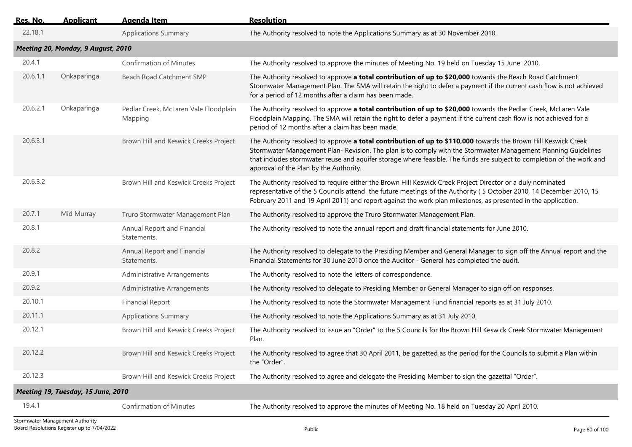| <u>Res. No.</u> | <b>Applicant</b>                   | <b>Agenda Item</b>                               | <b>Resolution</b>                                                                                                                                                                                                                                                                                                                                                                                   |
|-----------------|------------------------------------|--------------------------------------------------|-----------------------------------------------------------------------------------------------------------------------------------------------------------------------------------------------------------------------------------------------------------------------------------------------------------------------------------------------------------------------------------------------------|
| 22.18.1         |                                    | <b>Applications Summary</b>                      | The Authority resolved to note the Applications Summary as at 30 November 2010.                                                                                                                                                                                                                                                                                                                     |
|                 | Meeting 20, Monday, 9 August, 2010 |                                                  |                                                                                                                                                                                                                                                                                                                                                                                                     |
| 20.4.1          |                                    | <b>Confirmation of Minutes</b>                   | The Authority resolved to approve the minutes of Meeting No. 19 held on Tuesday 15 June 2010.                                                                                                                                                                                                                                                                                                       |
| 20.6.1.1        | Onkaparinga                        | Beach Road Catchment SMP                         | The Authority resolved to approve a total contribution of up to \$20,000 towards the Beach Road Catchment<br>Stormwater Management Plan. The SMA will retain the right to defer a payment if the current cash flow is not achieved<br>for a period of 12 months after a claim has been made.                                                                                                        |
| 20.6.2.1        | Onkaparinga                        | Pedlar Creek, McLaren Vale Floodplain<br>Mapping | The Authority resolved to approve a total contribution of up to \$20,000 towards the Pedlar Creek, McLaren Vale<br>Floodplain Mapping. The SMA will retain the right to defer a payment if the current cash flow is not achieved for a<br>period of 12 months after a claim has been made.                                                                                                          |
| 20.6.3.1        |                                    | Brown Hill and Keswick Creeks Project            | The Authority resolved to approve a total contribution of up to \$110,000 towards the Brown Hill Keswick Creek<br>Stormwater Management Plan-Revision. The plan is to comply with the Stormwater Management Planning Guidelines<br>that includes stormwater reuse and aquifer storage where feasible. The funds are subject to completion of the work and<br>approval of the Plan by the Authority. |
| 20.6.3.2        |                                    | Brown Hill and Keswick Creeks Project            | The Authority resolved to require either the Brown Hill Keswick Creek Project Director or a duly nominated<br>representative of the 5 Councils attend the future meetings of the Authority (5 October 2010, 14 December 2010, 15<br>February 2011 and 19 April 2011) and report against the work plan milestones, as presented in the application.                                                  |
| 20.7.1          | Mid Murray                         | Truro Stormwater Management Plan                 | The Authority resolved to approve the Truro Stormwater Management Plan.                                                                                                                                                                                                                                                                                                                             |
| 20.8.1          |                                    | Annual Report and Financial<br>Statements.       | The Authority resolved to note the annual report and draft financial statements for June 2010.                                                                                                                                                                                                                                                                                                      |
| 20.8.2          |                                    | Annual Report and Financial<br>Statements.       | The Authority resolved to delegate to the Presiding Member and General Manager to sign off the Annual report and the<br>Financial Statements for 30 June 2010 once the Auditor - General has completed the audit.                                                                                                                                                                                   |
| 20.9.1          |                                    | Administrative Arrangements                      | The Authority resolved to note the letters of correspondence.                                                                                                                                                                                                                                                                                                                                       |
| 20.9.2          |                                    | Administrative Arrangements                      | The Authority resolved to delegate to Presiding Member or General Manager to sign off on responses.                                                                                                                                                                                                                                                                                                 |
| 20.10.1         |                                    | <b>Financial Report</b>                          | The Authority resolved to note the Stormwater Management Fund financial reports as at 31 July 2010.                                                                                                                                                                                                                                                                                                 |
| 20.11.1         |                                    | <b>Applications Summary</b>                      | The Authority resolved to note the Applications Summary as at 31 July 2010.                                                                                                                                                                                                                                                                                                                         |
| 20.12.1         |                                    | Brown Hill and Keswick Creeks Project            | The Authority resolved to issue an "Order" to the 5 Councils for the Brown Hill Keswick Creek Stormwater Management<br>Plan.                                                                                                                                                                                                                                                                        |
| 20.12.2         |                                    | Brown Hill and Keswick Creeks Project            | The Authority resolved to agree that 30 April 2011, be gazetted as the period for the Councils to submit a Plan within<br>the "Order".                                                                                                                                                                                                                                                              |
| 20.12.3         |                                    | Brown Hill and Keswick Creeks Project            | The Authority resolved to agree and delegate the Presiding Member to sign the gazettal "Order".                                                                                                                                                                                                                                                                                                     |
|                 | Meeting 19, Tuesday, 15 June, 2010 |                                                  |                                                                                                                                                                                                                                                                                                                                                                                                     |
| 19.4.1          |                                    | <b>Confirmation of Minutes</b>                   | The Authority resolved to approve the minutes of Meeting No. 18 held on Tuesday 20 April 2010.                                                                                                                                                                                                                                                                                                      |
|                 |                                    |                                                  |                                                                                                                                                                                                                                                                                                                                                                                                     |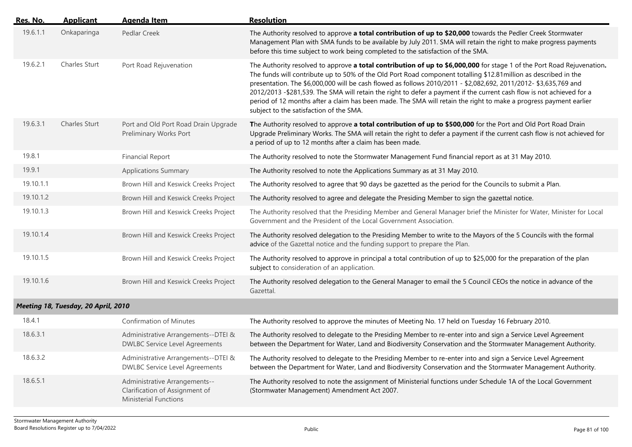| Res. No.  | <b>Applicant</b>                    | <b>Agenda Item</b>                                                                              | <b>Resolution</b>                                                                                                                                                                                                                                                                                                                                                                                                                                                                                                                                                                                                                                        |
|-----------|-------------------------------------|-------------------------------------------------------------------------------------------------|----------------------------------------------------------------------------------------------------------------------------------------------------------------------------------------------------------------------------------------------------------------------------------------------------------------------------------------------------------------------------------------------------------------------------------------------------------------------------------------------------------------------------------------------------------------------------------------------------------------------------------------------------------|
| 19.6.1.1  | Onkaparinga                         | Pedlar Creek                                                                                    | The Authority resolved to approve a total contribution of up to \$20,000 towards the Pedler Creek Stormwater<br>Management Plan with SMA funds to be available by July 2011. SMA will retain the right to make progress payments<br>before this time subject to work being completed to the satisfaction of the SMA.                                                                                                                                                                                                                                                                                                                                     |
| 19.6.2.1  | Charles Sturt                       | Port Road Rejuvenation                                                                          | The Authority resolved to approve a total contribution of up to \$6,000,000 for stage 1 of the Port Road Rejuvenation.<br>The funds will contribute up to 50% of the Old Port Road component totalling \$12.81 million as described in the<br>presentation. The \$6,000,000 will be cash flowed as follows 2010/2011 - \$2,082,692, 2011/2012- \$3,635,769 and<br>2012/2013 - \$281,539. The SMA will retain the right to defer a payment if the current cash flow is not achieved for a<br>period of 12 months after a claim has been made. The SMA will retain the right to make a progress payment earlier<br>subject to the satisfaction of the SMA. |
| 19.6.3.1  | <b>Charles Sturt</b>                | Port and Old Port Road Drain Upgrade<br>Preliminary Works Port                                  | The Authority resolved to approve a total contribution of up to \$500,000 for the Port and Old Port Road Drain<br>Upgrade Preliminary Works. The SMA will retain the right to defer a payment if the current cash flow is not achieved for<br>a period of up to 12 months after a claim has been made.                                                                                                                                                                                                                                                                                                                                                   |
| 19.8.1    |                                     | <b>Financial Report</b>                                                                         | The Authority resolved to note the Stormwater Management Fund financial report as at 31 May 2010.                                                                                                                                                                                                                                                                                                                                                                                                                                                                                                                                                        |
| 19.9.1    |                                     | <b>Applications Summary</b>                                                                     | The Authority resolved to note the Applications Summary as at 31 May 2010.                                                                                                                                                                                                                                                                                                                                                                                                                                                                                                                                                                               |
| 19.10.1.1 |                                     | Brown Hill and Keswick Creeks Project                                                           | The Authority resolved to agree that 90 days be gazetted as the period for the Councils to submit a Plan.                                                                                                                                                                                                                                                                                                                                                                                                                                                                                                                                                |
| 19.10.1.2 |                                     | Brown Hill and Keswick Creeks Project                                                           | The Authority resolved to agree and delegate the Presiding Member to sign the gazettal notice.                                                                                                                                                                                                                                                                                                                                                                                                                                                                                                                                                           |
| 19.10.1.3 |                                     | Brown Hill and Keswick Creeks Project                                                           | The Authority resolved that the Presiding Member and General Manager brief the Minister for Water, Minister for Local<br>Government and the President of the Local Government Association.                                                                                                                                                                                                                                                                                                                                                                                                                                                               |
| 19.10.1.4 |                                     | Brown Hill and Keswick Creeks Project                                                           | The Authority resolved delegation to the Presiding Member to write to the Mayors of the 5 Councils with the formal<br>advice of the Gazettal notice and the funding support to prepare the Plan.                                                                                                                                                                                                                                                                                                                                                                                                                                                         |
| 19.10.1.5 |                                     | Brown Hill and Keswick Creeks Project                                                           | The Authority resolved to approve in principal a total contribution of up to \$25,000 for the preparation of the plan<br>subject to consideration of an application.                                                                                                                                                                                                                                                                                                                                                                                                                                                                                     |
| 19.10.1.6 |                                     | Brown Hill and Keswick Creeks Project                                                           | The Authority resolved delegation to the General Manager to email the 5 Council CEOs the notice in advance of the<br>Gazettal.                                                                                                                                                                                                                                                                                                                                                                                                                                                                                                                           |
|           | Meeting 18, Tuesday, 20 April, 2010 |                                                                                                 |                                                                                                                                                                                                                                                                                                                                                                                                                                                                                                                                                                                                                                                          |
| 18.4.1    |                                     | <b>Confirmation of Minutes</b>                                                                  | The Authority resolved to approve the minutes of Meeting No. 17 held on Tuesday 16 February 2010.                                                                                                                                                                                                                                                                                                                                                                                                                                                                                                                                                        |
| 18.6.3.1  |                                     | Administrative Arrangements--DTEI &<br><b>DWLBC Service Level Agreements</b>                    | The Authority resolved to delegate to the Presiding Member to re-enter into and sign a Service Level Agreement<br>between the Department for Water, Land and Biodiversity Conservation and the Stormwater Management Authority.                                                                                                                                                                                                                                                                                                                                                                                                                          |
| 18.6.3.2  |                                     | Administrative Arrangements--DTEI &<br><b>DWLBC Service Level Agreements</b>                    | The Authority resolved to delegate to the Presiding Member to re-enter into and sign a Service Level Agreement<br>between the Department for Water, Land and Biodiversity Conservation and the Stormwater Management Authority.                                                                                                                                                                                                                                                                                                                                                                                                                          |
| 18.6.5.1  |                                     | Administrative Arrangements--<br>Clarification of Assignment of<br><b>Ministerial Functions</b> | The Authority resolved to note the assignment of Ministerial functions under Schedule 1A of the Local Government<br>(Stormwater Management) Amendment Act 2007.                                                                                                                                                                                                                                                                                                                                                                                                                                                                                          |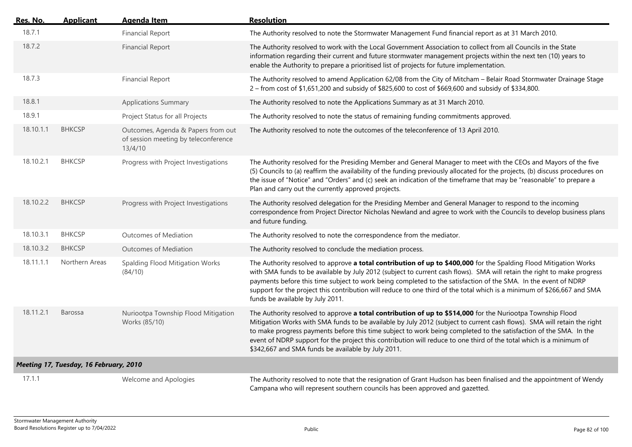| <u>Res. No.</u> | <b>Applicant</b>                       | <b>Agenda Item</b>                                                                    | <b>Resolution</b>                                                                                                                                                                                                                                                                                                                                                                                                                                                                                                                       |
|-----------------|----------------------------------------|---------------------------------------------------------------------------------------|-----------------------------------------------------------------------------------------------------------------------------------------------------------------------------------------------------------------------------------------------------------------------------------------------------------------------------------------------------------------------------------------------------------------------------------------------------------------------------------------------------------------------------------------|
| 18.7.1          |                                        | <b>Financial Report</b>                                                               | The Authority resolved to note the Stormwater Management Fund financial report as at 31 March 2010.                                                                                                                                                                                                                                                                                                                                                                                                                                     |
| 18.7.2          |                                        | <b>Financial Report</b>                                                               | The Authority resolved to work with the Local Government Association to collect from all Councils in the State<br>information regarding their current and future stormwater management projects within the next ten (10) years to<br>enable the Authority to prepare a prioritised list of projects for future implementation.                                                                                                                                                                                                          |
| 18.7.3          |                                        | <b>Financial Report</b>                                                               | The Authority resolved to amend Application 62/08 from the City of Mitcham - Belair Road Stormwater Drainage Stage<br>2 – from cost of \$1,651,200 and subsidy of \$825,600 to cost of \$669,600 and subsidy of \$334,800.                                                                                                                                                                                                                                                                                                              |
| 18.8.1          |                                        | <b>Applications Summary</b>                                                           | The Authority resolved to note the Applications Summary as at 31 March 2010.                                                                                                                                                                                                                                                                                                                                                                                                                                                            |
| 18.9.1          |                                        | Project Status for all Projects                                                       | The Authority resolved to note the status of remaining funding commitments approved.                                                                                                                                                                                                                                                                                                                                                                                                                                                    |
| 18.10.1.1       | <b>BHKCSP</b>                          | Outcomes, Agenda & Papers from out<br>of session meeting by teleconference<br>13/4/10 | The Authority resolved to note the outcomes of the teleconference of 13 April 2010.                                                                                                                                                                                                                                                                                                                                                                                                                                                     |
| 18.10.2.1       | <b>BHKCSP</b>                          | Progress with Project Investigations                                                  | The Authority resolved for the Presiding Member and General Manager to meet with the CEOs and Mayors of the five<br>(5) Councils to (a) reaffirm the availability of the funding previously allocated for the projects, (b) discuss procedures on<br>the issue of "Notice" and "Orders" and (c) seek an indication of the timeframe that may be "reasonable" to prepare a<br>Plan and carry out the currently approved projects.                                                                                                        |
| 18.10.2.2       | <b>BHKCSP</b>                          | Progress with Project Investigations                                                  | The Authority resolved delegation for the Presiding Member and General Manager to respond to the incoming<br>correspondence from Project Director Nicholas Newland and agree to work with the Councils to develop business plans<br>and future funding.                                                                                                                                                                                                                                                                                 |
| 18.10.3.1       | <b>BHKCSP</b>                          | Outcomes of Mediation                                                                 | The Authority resolved to note the correspondence from the mediator.                                                                                                                                                                                                                                                                                                                                                                                                                                                                    |
| 18.10.3.2       | <b>BHKCSP</b>                          | <b>Outcomes of Mediation</b>                                                          | The Authority resolved to conclude the mediation process.                                                                                                                                                                                                                                                                                                                                                                                                                                                                               |
| 18.11.1.1       | Northern Areas                         | Spalding Flood Mitigation Works<br>(84/10)                                            | The Authority resolved to approve a total contribution of up to \$400,000 for the Spalding Flood Mitigation Works<br>with SMA funds to be available by July 2012 (subject to current cash flows). SMA will retain the right to make progress<br>payments before this time subject to work being completed to the satisfaction of the SMA. In the event of NDRP<br>support for the project this contribution will reduce to one third of the total which is a minimum of \$266,667 and SMA<br>funds be available by July 2011.           |
| 18.11.2.1       | Barossa                                | Nuriootpa Township Flood Mitigation<br>Works (85/10)                                  | The Authority resolved to approve a total contribution of up to \$514,000 for the Nuriootpa Township Flood<br>Mitigation Works with SMA funds to be available by July 2012 (subject to current cash flows). SMA will retain the right<br>to make progress payments before this time subject to work being completed to the satisfaction of the SMA. In the<br>event of NDRP support for the project this contribution will reduce to one third of the total which is a minimum of<br>\$342,667 and SMA funds be available by July 2011. |
|                 | Meeting 17, Tuesday, 16 February, 2010 |                                                                                       |                                                                                                                                                                                                                                                                                                                                                                                                                                                                                                                                         |
| 17.1.1          |                                        | Welcome and Apologies                                                                 | The Authority resolved to note that the resignation of Grant Hudson has been finalised and the appointment of Wendy<br>Campana who will represent southern councils has been approved and gazetted.                                                                                                                                                                                                                                                                                                                                     |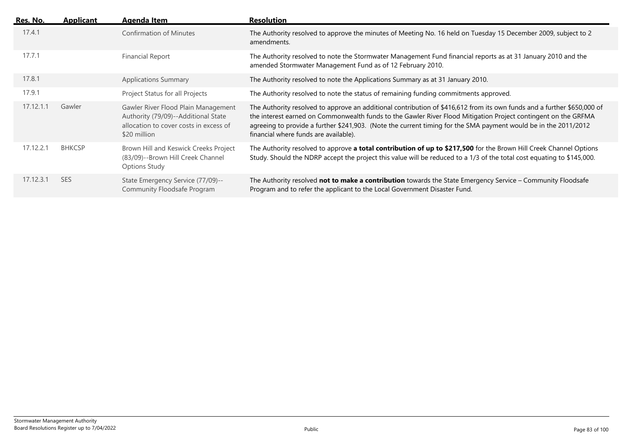| <u>Res. No. </u> | <b>Applicant</b> | Agenda Item                                                                                                                          | <b>Resolution</b>                                                                                                                                                                                                                                                                                                                                                                                     |
|------------------|------------------|--------------------------------------------------------------------------------------------------------------------------------------|-------------------------------------------------------------------------------------------------------------------------------------------------------------------------------------------------------------------------------------------------------------------------------------------------------------------------------------------------------------------------------------------------------|
| 17.4.1           |                  | <b>Confirmation of Minutes</b>                                                                                                       | The Authority resolved to approve the minutes of Meeting No. 16 held on Tuesday 15 December 2009, subject to 2<br>amendments.                                                                                                                                                                                                                                                                         |
| 17.7.1           |                  | Financial Report                                                                                                                     | The Authority resolved to note the Stormwater Management Fund financial reports as at 31 January 2010 and the<br>amended Stormwater Management Fund as of 12 February 2010.                                                                                                                                                                                                                           |
| 17.8.1           |                  | <b>Applications Summary</b>                                                                                                          | The Authority resolved to note the Applications Summary as at 31 January 2010.                                                                                                                                                                                                                                                                                                                        |
| 17.9.1           |                  | Project Status for all Projects                                                                                                      | The Authority resolved to note the status of remaining funding commitments approved.                                                                                                                                                                                                                                                                                                                  |
| 17.12.1.1        | Gawler           | Gawler River Flood Plain Management<br>Authority (79/09)--Additional State<br>allocation to cover costs in excess of<br>\$20 million | The Authority resolved to approve an additional contribution of \$416,612 from its own funds and a further \$650,000 of<br>the interest earned on Commonwealth funds to the Gawler River Flood Mitigation Project contingent on the GRFMA<br>agreeing to provide a further \$241,903. (Note the current timing for the SMA payment would be in the 2011/2012<br>financial where funds are available). |
| 17.12.2.1        | <b>BHKCSP</b>    | Brown Hill and Keswick Creeks Project<br>(83/09)--Brown Hill Creek Channel<br>Options Study                                          | The Authority resolved to approve a total contribution of up to \$217,500 for the Brown Hill Creek Channel Options<br>Study. Should the NDRP accept the project this value will be reduced to a 1/3 of the total cost equating to \$145,000.                                                                                                                                                          |
| 17.12.3.1        | <b>SES</b>       | State Emergency Service (77/09)--<br>Community Floodsafe Program                                                                     | The Authority resolved not to make a contribution towards the State Emergency Service - Community Floodsafe<br>Program and to refer the applicant to the Local Government Disaster Fund.                                                                                                                                                                                                              |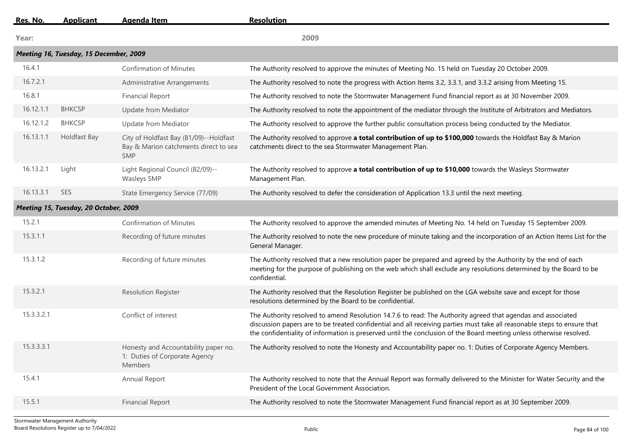| Res. No.   | <b>Applicant</b>                       | <b>Agenda Item</b>                                                                            | <b>Resolution</b>                                                                                                                                                                                                                                                                                                                                               |
|------------|----------------------------------------|-----------------------------------------------------------------------------------------------|-----------------------------------------------------------------------------------------------------------------------------------------------------------------------------------------------------------------------------------------------------------------------------------------------------------------------------------------------------------------|
| Year:      |                                        |                                                                                               | 2009                                                                                                                                                                                                                                                                                                                                                            |
|            | Meeting 16, Tuesday, 15 December, 2009 |                                                                                               |                                                                                                                                                                                                                                                                                                                                                                 |
| 16.4.1     |                                        | <b>Confirmation of Minutes</b>                                                                | The Authority resolved to approve the minutes of Meeting No. 15 held on Tuesday 20 October 2009.                                                                                                                                                                                                                                                                |
| 16.7.2.1   |                                        | Administrative Arrangements                                                                   | The Authority resolved to note the progress with Action Items 3.2, 3.3.1, and 3.3.2 arising from Meeting 15.                                                                                                                                                                                                                                                    |
| 16.8.1     |                                        | <b>Financial Report</b>                                                                       | The Authority resolved to note the Stormwater Management Fund financial report as at 30 November 2009.                                                                                                                                                                                                                                                          |
| 16.12.1.1  | <b>BHKCSP</b>                          | Update from Mediator                                                                          | The Authority resolved to note the appointment of the mediator through the Institute of Arbitrators and Mediators.                                                                                                                                                                                                                                              |
| 16.12.1.2  | <b>BHKCSP</b>                          | Update from Mediator                                                                          | The Authority resolved to approve the further public consultation process being conducted by the Mediator.                                                                                                                                                                                                                                                      |
| 16.13.1.1  | <b>Holdfast Bay</b>                    | City of Holdfast Bay (81/09)--Holdfast<br>Bay & Marion catchments direct to sea<br><b>SMP</b> | The Authority resolved to approve a total contribution of up to \$100,000 towards the Holdfast Bay & Marion<br>catchments direct to the sea Stormwater Management Plan.                                                                                                                                                                                         |
| 16.13.2.1  | Light                                  | Light Regional Council (82/09)--<br><b>Wasleys SMP</b>                                        | The Authority resolved to approve a total contribution of up to \$10,000 towards the Wasleys Stormwater<br>Management Plan.                                                                                                                                                                                                                                     |
| 16.13.3.1  | <b>SES</b>                             | State Emergency Service (77/09)                                                               | The Authority resolved to defer the consideration of Application 13.3 until the next meeting.                                                                                                                                                                                                                                                                   |
|            | Meeting 15, Tuesday, 20 October, 2009  |                                                                                               |                                                                                                                                                                                                                                                                                                                                                                 |
| 15.2.1     |                                        | <b>Confirmation of Minutes</b>                                                                | The Authority resolved to approve the amended minutes of Meeting No. 14 held on Tuesday 15 September 2009.                                                                                                                                                                                                                                                      |
| 15.3.1.1   |                                        | Recording of future minutes                                                                   | The Authority resolved to note the new procedure of minute taking and the incorporation of an Action Items List for the<br>General Manager.                                                                                                                                                                                                                     |
| 15.3.1.2   |                                        | Recording of future minutes                                                                   | The Authority resolved that a new resolution paper be prepared and agreed by the Authority by the end of each<br>meeting for the purpose of publishing on the web which shall exclude any resolutions determined by the Board to be<br>confidential.                                                                                                            |
| 15.3.2.1   |                                        | <b>Resolution Register</b>                                                                    | The Authority resolved that the Resolution Register be published on the LGA website save and except for those<br>resolutions determined by the Board to be confidential.                                                                                                                                                                                        |
| 15.3.3.2.1 |                                        | Conflict of interest                                                                          | The Authority resolved to amend Resolution 14.7.6 to read: The Authority agreed that agendas and associated<br>discussion papers are to be treated confidential and all receiving parties must take all reasonable steps to ensure that<br>the confidentiality of information is preserved until the conclusion of the Board meeting unless otherwise resolved. |
| 15.3.3.3.1 |                                        | Honesty and Accountability paper no.<br>1: Duties of Corporate Agency<br>Members              | The Authority resolved to note the Honesty and Accountability paper no. 1: Duties of Corporate Agency Members.                                                                                                                                                                                                                                                  |
| 15.4.1     |                                        | Annual Report                                                                                 | The Authority resolved to note that the Annual Report was formally delivered to the Minister for Water Security and the<br>President of the Local Government Association.                                                                                                                                                                                       |
| 15.5.1     |                                        | <b>Financial Report</b>                                                                       | The Authority resolved to note the Stormwater Management Fund financial report as at 30 September 2009.                                                                                                                                                                                                                                                         |
|            |                                        |                                                                                               |                                                                                                                                                                                                                                                                                                                                                                 |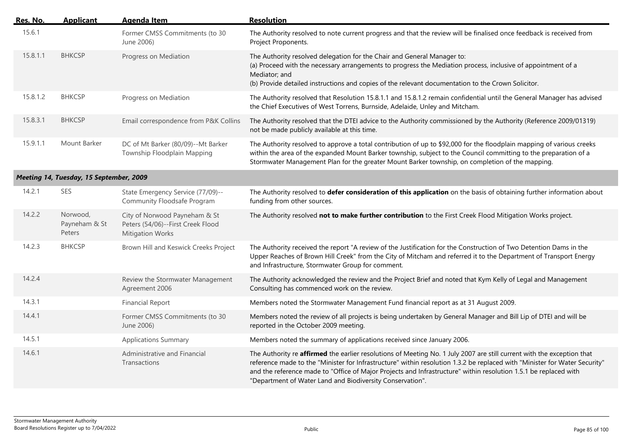| Res. No. | <b>Applicant</b>                        | <b>Agenda Item</b>                                                                            | <b>Resolution</b>                                                                                                                                                                                                                                                                                                                                                                                                                     |
|----------|-----------------------------------------|-----------------------------------------------------------------------------------------------|---------------------------------------------------------------------------------------------------------------------------------------------------------------------------------------------------------------------------------------------------------------------------------------------------------------------------------------------------------------------------------------------------------------------------------------|
| 15.6.1   |                                         | Former CMSS Commitments (to 30<br>June 2006)                                                  | The Authority resolved to note current progress and that the review will be finalised once feedback is received from<br>Project Proponents.                                                                                                                                                                                                                                                                                           |
| 15.8.1.1 | <b>BHKCSP</b>                           | Progress on Mediation                                                                         | The Authority resolved delegation for the Chair and General Manager to:<br>(a) Proceed with the necessary arrangements to progress the Mediation process, inclusive of appointment of a<br>Mediator; and<br>(b) Provide detailed instructions and copies of the relevant documentation to the Crown Solicitor.                                                                                                                        |
| 15.8.1.2 | <b>BHKCSP</b>                           | Progress on Mediation                                                                         | The Authority resolved that Resolution 15.8.1.1 and 15.8.1.2 remain confidential until the General Manager has advised<br>the Chief Executives of West Torrens, Burnside, Adelaide, Unley and Mitcham.                                                                                                                                                                                                                                |
| 15.8.3.1 | <b>BHKCSP</b>                           | Email correspondence from P&K Collins                                                         | The Authority resolved that the DTEI advice to the Authority commissioned by the Authority (Reference 2009/01319)<br>not be made publicly available at this time.                                                                                                                                                                                                                                                                     |
| 15.9.1.1 | Mount Barker                            | DC of Mt Barker (80/09)--Mt Barker<br>Township Floodplain Mapping                             | The Authority resolved to approve a total contribution of up to \$92,000 for the floodplain mapping of various creeks<br>within the area of the expanded Mount Barker township, subject to the Council committing to the preparation of a<br>Stormwater Management Plan for the greater Mount Barker township, on completion of the mapping.                                                                                          |
|          | Meeting 14, Tuesday, 15 September, 2009 |                                                                                               |                                                                                                                                                                                                                                                                                                                                                                                                                                       |
| 14.2.1   | <b>SES</b>                              | State Emergency Service (77/09)--<br>Community Floodsafe Program                              | The Authority resolved to defer consideration of this application on the basis of obtaining further information about<br>funding from other sources.                                                                                                                                                                                                                                                                                  |
| 14.2.2   | Norwood,<br>Payneham & St<br>Peters     | City of Norwood Payneham & St<br>Peters (54/06)--First Creek Flood<br><b>Mitigation Works</b> | The Authority resolved not to make further contribution to the First Creek Flood Mitigation Works project.                                                                                                                                                                                                                                                                                                                            |
| 14.2.3   | <b>BHKCSP</b>                           | Brown Hill and Keswick Creeks Project                                                         | The Authority received the report "A review of the Justification for the Construction of Two Detention Dams in the<br>Upper Reaches of Brown Hill Creek" from the City of Mitcham and referred it to the Department of Transport Energy<br>and Infrastructure, Stormwater Group for comment.                                                                                                                                          |
| 14.2.4   |                                         | Review the Stormwater Management<br>Agreement 2006                                            | The Authority acknowledged the review and the Project Brief and noted that Kym Kelly of Legal and Management<br>Consulting has commenced work on the review.                                                                                                                                                                                                                                                                          |
| 14.3.1   |                                         | <b>Financial Report</b>                                                                       | Members noted the Stormwater Management Fund financial report as at 31 August 2009.                                                                                                                                                                                                                                                                                                                                                   |
| 14.4.1   |                                         | Former CMSS Commitments (to 30<br>June 2006)                                                  | Members noted the review of all projects is being undertaken by General Manager and Bill Lip of DTEI and will be<br>reported in the October 2009 meeting.                                                                                                                                                                                                                                                                             |
| 14.5.1   |                                         | <b>Applications Summary</b>                                                                   | Members noted the summary of applications received since January 2006.                                                                                                                                                                                                                                                                                                                                                                |
| 14.6.1   |                                         | Administrative and Financial<br>Transactions                                                  | The Authority re affirmed the earlier resolutions of Meeting No. 1 July 2007 are still current with the exception that<br>reference made to the "Minister for Infrastructure" within resolution 1.3.2 be replaced with "Minister for Water Security"<br>and the reference made to "Office of Major Projects and Infrastructure" within resolution 1.5.1 be replaced with<br>"Department of Water Land and Biodiversity Conservation". |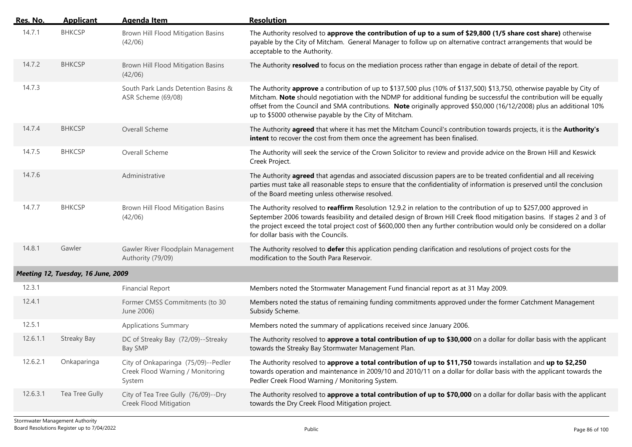| Res. No. | <b>Applicant</b>                   | <b>Agenda Item</b>                                                                | <b>Resolution</b>                                                                                                                                                                                                                                                                                                                                                                                                                |
|----------|------------------------------------|-----------------------------------------------------------------------------------|----------------------------------------------------------------------------------------------------------------------------------------------------------------------------------------------------------------------------------------------------------------------------------------------------------------------------------------------------------------------------------------------------------------------------------|
| 14.7.1   | <b>BHKCSP</b>                      | Brown Hill Flood Mitigation Basins<br>(42/06)                                     | The Authority resolved to approve the contribution of up to a sum of \$29,800 (1/5 share cost share) otherwise<br>payable by the City of Mitcham. General Manager to follow up on alternative contract arrangements that would be<br>acceptable to the Authority.                                                                                                                                                                |
| 14.7.2   | <b>BHKCSP</b>                      | Brown Hill Flood Mitigation Basins<br>(42/06)                                     | The Authority resolved to focus on the mediation process rather than engage in debate of detail of the report.                                                                                                                                                                                                                                                                                                                   |
| 14.7.3   |                                    | South Park Lands Detention Basins &<br>ASR Scheme (69/08)                         | The Authority approve a contribution of up to \$137,500 plus (10% of \$137,500) \$13,750, otherwise payable by City of<br>Mitcham. Note should negotiation with the NDMP for additional funding be successful the contribution will be equally<br>offset from the Council and SMA contributions. Note originally approved \$50,000 (16/12/2008) plus an additional 10%<br>up to \$5000 otherwise payable by the City of Mitcham. |
| 14.7.4   | <b>BHKCSP</b>                      | Overall Scheme                                                                    | The Authority agreed that where it has met the Mitcham Council's contribution towards projects, it is the Authority's<br>intent to recover the cost from them once the agreement has been finalised.                                                                                                                                                                                                                             |
| 14.7.5   | <b>BHKCSP</b>                      | Overall Scheme                                                                    | The Authority will seek the service of the Crown Solicitor to review and provide advice on the Brown Hill and Keswick<br>Creek Project.                                                                                                                                                                                                                                                                                          |
| 14.7.6   |                                    | Administrative                                                                    | The Authority agreed that agendas and associated discussion papers are to be treated confidential and all receiving<br>parties must take all reasonable steps to ensure that the confidentiality of information is preserved until the conclusion<br>of the Board meeting unless otherwise resolved.                                                                                                                             |
| 14.7.7   | <b>BHKCSP</b>                      | Brown Hill Flood Mitigation Basins<br>(42/06)                                     | The Authority resolved to reaffirm Resolution 12.9.2 in relation to the contribution of up to \$257,000 approved in<br>September 2006 towards feasibility and detailed design of Brown Hill Creek flood mitigation basins. If stages 2 and 3 of<br>the project exceed the total project cost of \$600,000 then any further contribution would only be considered on a dollar<br>for dollar basis with the Councils.              |
| 14.8.1   | Gawler                             | Gawler River Floodplain Management<br>Authority (79/09)                           | The Authority resolved to defer this application pending clarification and resolutions of project costs for the<br>modification to the South Para Reservoir.                                                                                                                                                                                                                                                                     |
|          | Meeting 12, Tuesday, 16 June, 2009 |                                                                                   |                                                                                                                                                                                                                                                                                                                                                                                                                                  |
| 12.3.1   |                                    | <b>Financial Report</b>                                                           | Members noted the Stormwater Management Fund financial report as at 31 May 2009.                                                                                                                                                                                                                                                                                                                                                 |
| 12.4.1   |                                    | Former CMSS Commitments (to 30<br>June 2006)                                      | Members noted the status of remaining funding commitments approved under the former Catchment Management<br>Subsidy Scheme.                                                                                                                                                                                                                                                                                                      |
| 12.5.1   |                                    | <b>Applications Summary</b>                                                       | Members noted the summary of applications received since January 2006.                                                                                                                                                                                                                                                                                                                                                           |
| 12.6.1.1 | <b>Streaky Bay</b>                 | DC of Streaky Bay (72/09)--Streaky<br>Bay SMP                                     | The Authority resolved to approve a total contribution of up to \$30,000 on a dollar for dollar basis with the applicant<br>towards the Streaky Bay Stormwater Management Plan.                                                                                                                                                                                                                                                  |
| 12.6.2.1 | Onkaparinga                        | City of Onkaparinga (75/09)--Pedler<br>Creek Flood Warning / Monitoring<br>System | The Authority resolved to approve a total contribution of up to \$11,750 towards installation and up to \$2,250<br>towards operation and maintenance in 2009/10 and 2010/11 on a dollar for dollar basis with the applicant towards the<br>Pedler Creek Flood Warning / Monitoring System.                                                                                                                                       |
| 12.6.3.1 | Tea Tree Gully                     | City of Tea Tree Gully (76/09)--Dry<br>Creek Flood Mitigation                     | The Authority resolved to approve a total contribution of up to \$70,000 on a dollar for dollar basis with the applicant<br>towards the Dry Creek Flood Mitigation project.                                                                                                                                                                                                                                                      |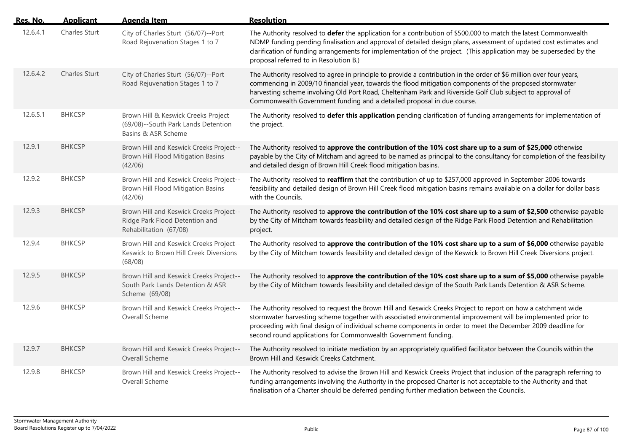| Res. No. | <b>Applicant</b> | <b>Agenda Item</b>                                                                                  | <b>Resolution</b>                                                                                                                                                                                                                                                                                                                                                                                                      |
|----------|------------------|-----------------------------------------------------------------------------------------------------|------------------------------------------------------------------------------------------------------------------------------------------------------------------------------------------------------------------------------------------------------------------------------------------------------------------------------------------------------------------------------------------------------------------------|
| 12.6.4.1 | Charles Sturt    | City of Charles Sturt (56/07)--Port<br>Road Rejuvenation Stages 1 to 7                              | The Authority resolved to defer the application for a contribution of \$500,000 to match the latest Commonwealth<br>NDMP funding pending finalisation and approval of detailed design plans, assessment of updated cost estimates and<br>clarification of funding arrangements for implementation of the project. (This application may be superseded by the<br>proposal referred to in Resolution B.)                 |
| 12.6.4.2 | Charles Sturt    | City of Charles Sturt (56/07)--Port<br>Road Rejuvenation Stages 1 to 7                              | The Authority resolved to agree in principle to provide a contribution in the order of \$6 million over four years,<br>commencing in 2009/10 financial year, towards the flood mitigation components of the proposed stormwater<br>harvesting scheme involving Old Port Road, Cheltenham Park and Riverside Golf Club subject to approval of<br>Commonwealth Government funding and a detailed proposal in due course. |
| 12.6.5.1 | <b>BHKCSP</b>    | Brown Hill & Keswick Creeks Project<br>(69/08)--South Park Lands Detention<br>Basins & ASR Scheme   | The Authority resolved to defer this application pending clarification of funding arrangements for implementation of<br>the project.                                                                                                                                                                                                                                                                                   |
| 12.9.1   | <b>BHKCSP</b>    | Brown Hill and Keswick Creeks Project--<br>Brown Hill Flood Mitigation Basins<br>(42/06)            | The Authority resolved to approve the contribution of the 10% cost share up to a sum of \$25,000 otherwise<br>payable by the City of Mitcham and agreed to be named as principal to the consultancy for completion of the feasibility<br>and detailed design of Brown Hill Creek flood mitigation basins.                                                                                                              |
| 12.9.2   | <b>BHKCSP</b>    | Brown Hill and Keswick Creeks Project--<br>Brown Hill Flood Mitigation Basins<br>(42/06)            | The Authority resolved to reaffirm that the contribution of up to \$257,000 approved in September 2006 towards<br>feasibility and detailed design of Brown Hill Creek flood mitigation basins remains available on a dollar for dollar basis<br>with the Councils.                                                                                                                                                     |
| 12.9.3   | <b>BHKCSP</b>    | Brown Hill and Keswick Creeks Project--<br>Ridge Park Flood Detention and<br>Rehabilitation (67/08) | The Authority resolved to approve the contribution of the 10% cost share up to a sum of \$2,500 otherwise payable<br>by the City of Mitcham towards feasibility and detailed design of the Ridge Park Flood Detention and Rehabilitation<br>project.                                                                                                                                                                   |
| 12.9.4   | <b>BHKCSP</b>    | Brown Hill and Keswick Creeks Project--<br>Keswick to Brown Hill Creek Diversions<br>(68/08)        | The Authority resolved to approve the contribution of the 10% cost share up to a sum of \$6,000 otherwise payable<br>by the City of Mitcham towards feasibility and detailed design of the Keswick to Brown Hill Creek Diversions project.                                                                                                                                                                             |
| 12.9.5   | <b>BHKCSP</b>    | Brown Hill and Keswick Creeks Project--<br>South Park Lands Detention & ASR<br>Scheme (69/08)       | The Authority resolved to approve the contribution of the 10% cost share up to a sum of \$5,000 otherwise payable<br>by the City of Mitcham towards feasibility and detailed design of the South Park Lands Detention & ASR Scheme.                                                                                                                                                                                    |
| 12.9.6   | <b>BHKCSP</b>    | Brown Hill and Keswick Creeks Project--<br>Overall Scheme                                           | The Authority resolved to request the Brown Hill and Keswick Creeks Project to report on how a catchment wide<br>stormwater harvesting scheme together with associated environmental improvement will be implemented prior to<br>proceeding with final design of individual scheme components in order to meet the December 2009 deadline for<br>second round applications for Commonwealth Government funding.        |
| 12.9.7   | <b>BHKCSP</b>    | Brown Hill and Keswick Creeks Project--<br>Overall Scheme                                           | The Authority resolved to initiate mediation by an appropriately qualified facilitator between the Councils within the<br>Brown Hill and Keswick Creeks Catchment.                                                                                                                                                                                                                                                     |
| 12.9.8   | <b>BHKCSP</b>    | Brown Hill and Keswick Creeks Project--<br>Overall Scheme                                           | The Authority resolved to advise the Brown Hill and Keswick Creeks Project that inclusion of the paragraph referring to<br>funding arrangements involving the Authority in the proposed Charter is not acceptable to the Authority and that<br>finalisation of a Charter should be deferred pending further mediation between the Councils.                                                                            |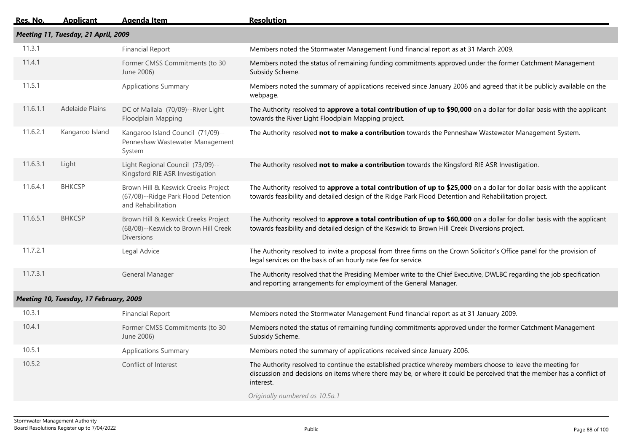| Res. No. | <b>Applicant</b>                       | <b>Agenda Item</b>                                                                               | <b>Resolution</b>                                                                                                                                                                                                                                  |  |  |  |
|----------|----------------------------------------|--------------------------------------------------------------------------------------------------|----------------------------------------------------------------------------------------------------------------------------------------------------------------------------------------------------------------------------------------------------|--|--|--|
|          | Meeting 11, Tuesday, 21 April, 2009    |                                                                                                  |                                                                                                                                                                                                                                                    |  |  |  |
| 11.3.1   |                                        | <b>Financial Report</b>                                                                          | Members noted the Stormwater Management Fund financial report as at 31 March 2009.                                                                                                                                                                 |  |  |  |
| 11.4.1   |                                        | Former CMSS Commitments (to 30<br>June 2006)                                                     | Members noted the status of remaining funding commitments approved under the former Catchment Management<br>Subsidy Scheme.                                                                                                                        |  |  |  |
| 11.5.1   |                                        | <b>Applications Summary</b>                                                                      | Members noted the summary of applications received since January 2006 and agreed that it be publicly available on the<br>webpage.                                                                                                                  |  |  |  |
| 11.6.1.1 | <b>Adelaide Plains</b>                 | DC of Mallala (70/09)--River Light<br>Floodplain Mapping                                         | The Authority resolved to approve a total contribution of up to \$90,000 on a dollar for dollar basis with the applicant<br>towards the River Light Floodplain Mapping project.                                                                    |  |  |  |
| 11.6.2.1 | Kangaroo Island                        | Kangaroo Island Council (71/09)--<br>Penneshaw Wastewater Management<br>System                   | The Authority resolved not to make a contribution towards the Penneshaw Wastewater Management System.                                                                                                                                              |  |  |  |
| 11.6.3.1 | Light                                  | Light Regional Council (73/09)--<br>Kingsford RIE ASR Investigation                              | The Authority resolved not to make a contribution towards the Kingsford RIE ASR Investigation.                                                                                                                                                     |  |  |  |
| 11.6.4.1 | <b>BHKCSP</b>                          | Brown Hill & Keswick Creeks Project<br>(67/08)--Ridge Park Flood Detention<br>and Rehabilitation | The Authority resolved to approve a total contribution of up to \$25,000 on a dollar for dollar basis with the applicant<br>towards feasibility and detailed design of the Ridge Park Flood Detention and Rehabilitation project.                  |  |  |  |
| 11.6.5.1 | <b>BHKCSP</b>                          | Brown Hill & Keswick Creeks Project<br>(68/08)--Keswick to Brown Hill Creek<br><b>Diversions</b> | The Authority resolved to approve a total contribution of up to \$60,000 on a dollar for dollar basis with the applicant<br>towards feasibility and detailed design of the Keswick to Brown Hill Creek Diversions project.                         |  |  |  |
| 11.7.2.1 |                                        | Legal Advice                                                                                     | The Authority resolved to invite a proposal from three firms on the Crown Solicitor's Office panel for the provision of<br>legal services on the basis of an hourly rate fee for service.                                                          |  |  |  |
| 11.7.3.1 |                                        | General Manager                                                                                  | The Authority resolved that the Presiding Member write to the Chief Executive, DWLBC regarding the job specification<br>and reporting arrangements for employment of the General Manager.                                                          |  |  |  |
|          | Meeting 10, Tuesday, 17 February, 2009 |                                                                                                  |                                                                                                                                                                                                                                                    |  |  |  |
| 10.3.1   |                                        | <b>Financial Report</b>                                                                          | Members noted the Stormwater Management Fund financial report as at 31 January 2009.                                                                                                                                                               |  |  |  |
| 10.4.1   |                                        | Former CMSS Commitments (to 30<br>June 2006)                                                     | Members noted the status of remaining funding commitments approved under the former Catchment Management<br>Subsidy Scheme.                                                                                                                        |  |  |  |
| 10.5.1   |                                        | <b>Applications Summary</b>                                                                      | Members noted the summary of applications received since January 2006.                                                                                                                                                                             |  |  |  |
| 10.5.2   |                                        | Conflict of Interest                                                                             | The Authority resolved to continue the established practice whereby members choose to leave the meeting for<br>discussion and decisions on items where there may be, or where it could be perceived that the member has a conflict of<br>interest. |  |  |  |
|          |                                        |                                                                                                  | Originally numbered as 10.5a.1                                                                                                                                                                                                                     |  |  |  |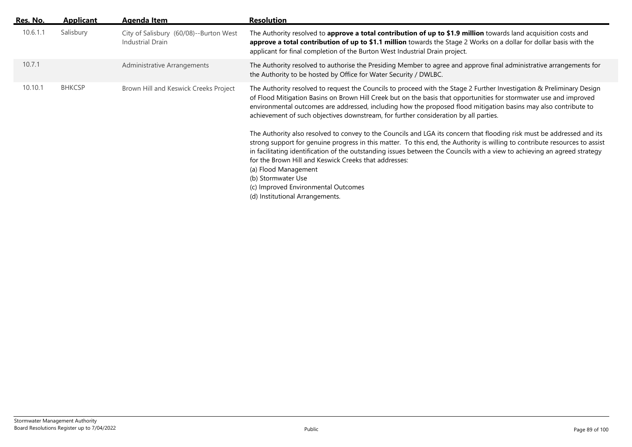| Res. No. | <b>Applicant</b> | Agenda Item                                                | <b>Resolution</b>                                                                                                                                                                                                                                                                                                                                                                                                                                                                                                                                                   |
|----------|------------------|------------------------------------------------------------|---------------------------------------------------------------------------------------------------------------------------------------------------------------------------------------------------------------------------------------------------------------------------------------------------------------------------------------------------------------------------------------------------------------------------------------------------------------------------------------------------------------------------------------------------------------------|
| 10.6.1.1 | Salisbury        | City of Salisbury (60/08)--Burton West<br>Industrial Drain | The Authority resolved to approve a total contribution of up to \$1.9 million towards land acquisition costs and<br>approve a total contribution of up to \$1.1 million towards the Stage 2 Works on a dollar for dollar basis with the<br>applicant for final completion of the Burton West Industrial Drain project.                                                                                                                                                                                                                                              |
| 10.7.1   |                  | Administrative Arrangements                                | The Authority resolved to authorise the Presiding Member to agree and approve final administrative arrangements for<br>the Authority to be hosted by Office for Water Security / DWLBC.                                                                                                                                                                                                                                                                                                                                                                             |
| 10.10.1  | <b>BHKCSP</b>    | Brown Hill and Keswick Creeks Project                      | The Authority resolved to request the Councils to proceed with the Stage 2 Further Investigation & Preliminary Design<br>of Flood Mitigation Basins on Brown Hill Creek but on the basis that opportunities for stormwater use and improved<br>environmental outcomes are addressed, including how the proposed flood mitigation basins may also contribute to<br>achievement of such objectives downstream, for further consideration by all parties.                                                                                                              |
|          |                  |                                                            | The Authority also resolved to convey to the Councils and LGA its concern that flooding risk must be addressed and its<br>strong support for genuine progress in this matter. To this end, the Authority is willing to contribute resources to assist<br>in facilitating identification of the outstanding issues between the Councils with a view to achieving an agreed strategy<br>for the Brown Hill and Keswick Creeks that addresses:<br>(a) Flood Management<br>(b) Stormwater Use<br>(c) Improved Environmental Outcomes<br>(d) Institutional Arrangements. |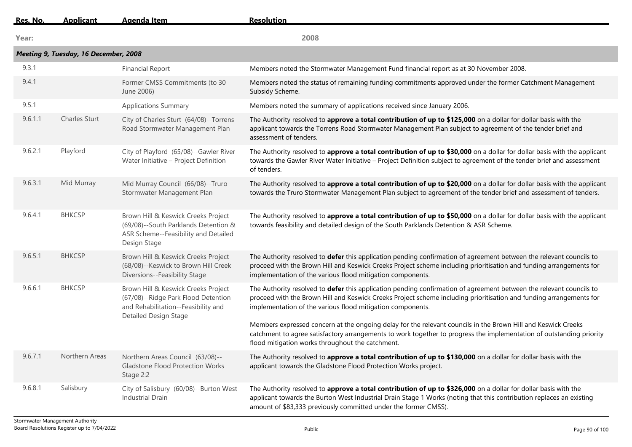| Res. No. | <b>Applicant</b>                      | Agenda Item                                                                                                                                       | <b>Resolution</b>                                                                                                                                                                                                                                                                                          |
|----------|---------------------------------------|---------------------------------------------------------------------------------------------------------------------------------------------------|------------------------------------------------------------------------------------------------------------------------------------------------------------------------------------------------------------------------------------------------------------------------------------------------------------|
| Year:    |                                       |                                                                                                                                                   | 2008                                                                                                                                                                                                                                                                                                       |
|          | Meeting 9, Tuesday, 16 December, 2008 |                                                                                                                                                   |                                                                                                                                                                                                                                                                                                            |
| 9.3.1    |                                       | <b>Financial Report</b>                                                                                                                           | Members noted the Stormwater Management Fund financial report as at 30 November 2008.                                                                                                                                                                                                                      |
| 9.4.1    |                                       | Former CMSS Commitments (to 30<br>June 2006)                                                                                                      | Members noted the status of remaining funding commitments approved under the former Catchment Management<br>Subsidy Scheme.                                                                                                                                                                                |
| 9.5.1    |                                       | <b>Applications Summary</b>                                                                                                                       | Members noted the summary of applications received since January 2006.                                                                                                                                                                                                                                     |
| 9.6.1.1  | <b>Charles Sturt</b>                  | City of Charles Sturt (64/08)--Torrens<br>Road Stormwater Management Plan                                                                         | The Authority resolved to approve a total contribution of up to \$125,000 on a dollar for dollar basis with the<br>applicant towards the Torrens Road Stormwater Management Plan subject to agreement of the tender brief and<br>assessment of tenders.                                                    |
| 9.6.2.1  | Playford                              | City of Playford (65/08)--Gawler River<br>Water Initiative - Project Definition                                                                   | The Authority resolved to approve a total contribution of up to \$30,000 on a dollar for dollar basis with the applicant<br>towards the Gawler River Water Initiative - Project Definition subject to agreement of the tender brief and assessment<br>of tenders.                                          |
| 9.6.3.1  | Mid Murray                            | Mid Murray Council (66/08)--Truro<br>Stormwater Management Plan                                                                                   | The Authority resolved to approve a total contribution of up to \$20,000 on a dollar for dollar basis with the applicant<br>towards the Truro Stormwater Management Plan subject to agreement of the tender brief and assessment of tenders.                                                               |
| 9.6.4.1  | <b>BHKCSP</b>                         | Brown Hill & Keswick Creeks Project<br>(69/08)--South Parklands Detention &<br>ASR Scheme--Feasibility and Detailed<br>Design Stage               | The Authority resolved to approve a total contribution of up to \$50,000 on a dollar for dollar basis with the applicant<br>towards feasibility and detailed design of the South Parklands Detention & ASR Scheme.                                                                                         |
| 9.6.5.1  | <b>BHKCSP</b>                         | Brown Hill & Keswick Creeks Project<br>(68/08)--Keswick to Brown Hill Creek<br>Diversions--Feasibility Stage                                      | The Authority resolved to defer this application pending confirmation of agreement between the relevant councils to<br>proceed with the Brown Hill and Keswick Creeks Project scheme including prioritisation and funding arrangements for<br>implementation of the various flood mitigation components.   |
| 9.6.6.1  | <b>BHKCSP</b>                         | Brown Hill & Keswick Creeks Project<br>(67/08)--Ridge Park Flood Detention<br>and Rehabilitation--Feasibility and<br><b>Detailed Design Stage</b> | The Authority resolved to defer this application pending confirmation of agreement between the relevant councils to<br>proceed with the Brown Hill and Keswick Creeks Project scheme including prioritisation and funding arrangements for<br>implementation of the various flood mitigation components.   |
|          |                                       |                                                                                                                                                   | Members expressed concern at the ongoing delay for the relevant councils in the Brown Hill and Keswick Creeks<br>catchment to agree satisfactory arrangements to work together to progress the implementation of outstanding priority<br>flood mitigation works throughout the catchment.                  |
| 9.6.7.1  | Northern Areas                        | Northern Areas Council (63/08)--<br><b>Gladstone Flood Protection Works</b><br>Stage 2:2                                                          | The Authority resolved to approve a total contribution of up to \$130,000 on a dollar for dollar basis with the<br>applicant towards the Gladstone Flood Protection Works project.                                                                                                                         |
| 9.6.8.1  | Salisbury                             | City of Salisbury (60/08)--Burton West<br><b>Industrial Drain</b>                                                                                 | The Authority resolved to approve a total contribution of up to \$326,000 on a dollar for dollar basis with the<br>applicant towards the Burton West Industrial Drain Stage 1 Works (noting that this contribution replaces an existing<br>amount of \$83,333 previously committed under the former CMSS). |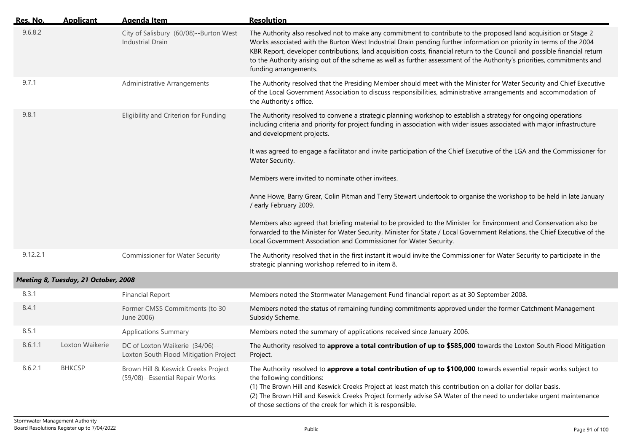| Res. No. | <b>Applicant</b>                     | <b>Agenda Item</b>                                                       | <b>Resolution</b>                                                                                                                                                                                                                                                                                                                                                                                                                                                                                                         |
|----------|--------------------------------------|--------------------------------------------------------------------------|---------------------------------------------------------------------------------------------------------------------------------------------------------------------------------------------------------------------------------------------------------------------------------------------------------------------------------------------------------------------------------------------------------------------------------------------------------------------------------------------------------------------------|
| 9.6.8.2  |                                      | City of Salisbury (60/08)--Burton West<br><b>Industrial Drain</b>        | The Authority also resolved not to make any commitment to contribute to the proposed land acquisition or Stage 2<br>Works associated with the Burton West Industrial Drain pending further information on priority in terms of the 2004<br>KBR Report, developer contributions, land acquisition costs, financial return to the Council and possible financial return<br>to the Authority arising out of the scheme as well as further assessment of the Authority's priorities, commitments and<br>funding arrangements. |
| 9.7.1    |                                      | <b>Administrative Arrangements</b>                                       | The Authority resolved that the Presiding Member should meet with the Minister for Water Security and Chief Executive<br>of the Local Government Association to discuss responsibilities, administrative arrangements and accommodation of<br>the Authority's office.                                                                                                                                                                                                                                                     |
| 9.8.1    |                                      | Eligibility and Criterion for Funding                                    | The Authority resolved to convene a strategic planning workshop to establish a strategy for ongoing operations<br>including criteria and priority for project funding in association with wider issues associated with major infrastructure<br>and development projects.                                                                                                                                                                                                                                                  |
|          |                                      |                                                                          | It was agreed to engage a facilitator and invite participation of the Chief Executive of the LGA and the Commissioner for<br>Water Security.                                                                                                                                                                                                                                                                                                                                                                              |
|          |                                      |                                                                          | Members were invited to nominate other invitees.                                                                                                                                                                                                                                                                                                                                                                                                                                                                          |
|          |                                      |                                                                          | Anne Howe, Barry Grear, Colin Pitman and Terry Stewart undertook to organise the workshop to be held in late January<br>/ early February 2009.                                                                                                                                                                                                                                                                                                                                                                            |
|          |                                      |                                                                          | Members also agreed that briefing material to be provided to the Minister for Environment and Conservation also be<br>forwarded to the Minister for Water Security, Minister for State / Local Government Relations, the Chief Executive of the<br>Local Government Association and Commissioner for Water Security.                                                                                                                                                                                                      |
| 9.12.2.1 |                                      | <b>Commissioner for Water Security</b>                                   | The Authority resolved that in the first instant it would invite the Commissioner for Water Security to participate in the<br>strategic planning workshop referred to in item 8.                                                                                                                                                                                                                                                                                                                                          |
|          | Meeting 8, Tuesday, 21 October, 2008 |                                                                          |                                                                                                                                                                                                                                                                                                                                                                                                                                                                                                                           |
| 8.3.1    |                                      | <b>Financial Report</b>                                                  | Members noted the Stormwater Management Fund financial report as at 30 September 2008.                                                                                                                                                                                                                                                                                                                                                                                                                                    |
| 8.4.1    |                                      | Former CMSS Commitments (to 30<br>June 2006)                             | Members noted the status of remaining funding commitments approved under the former Catchment Management<br>Subsidy Scheme.                                                                                                                                                                                                                                                                                                                                                                                               |
| 8.5.1    |                                      | <b>Applications Summary</b>                                              | Members noted the summary of applications received since January 2006.                                                                                                                                                                                                                                                                                                                                                                                                                                                    |
| 8.6.1.1  | Loxton Waikerie                      | DC of Loxton Waikerie (34/06)--<br>Loxton South Flood Mitigation Project | The Authority resolved to approve a total contribution of up to \$585,000 towards the Loxton South Flood Mitigation<br>Project.                                                                                                                                                                                                                                                                                                                                                                                           |
| 8.6.2.1  | <b>BHKCSP</b>                        | Brown Hill & Keswick Creeks Project<br>(59/08)--Essential Repair Works   | The Authority resolved to approve a total contribution of up to \$100,000 towards essential repair works subject to<br>the following conditions:<br>(1) The Brown Hill and Keswick Creeks Project at least match this contribution on a dollar for dollar basis.<br>(2) The Brown Hill and Keswick Creeks Project formerly advise SA Water of the need to undertake urgent maintenance<br>of those sections of the creek for which it is responsible.                                                                     |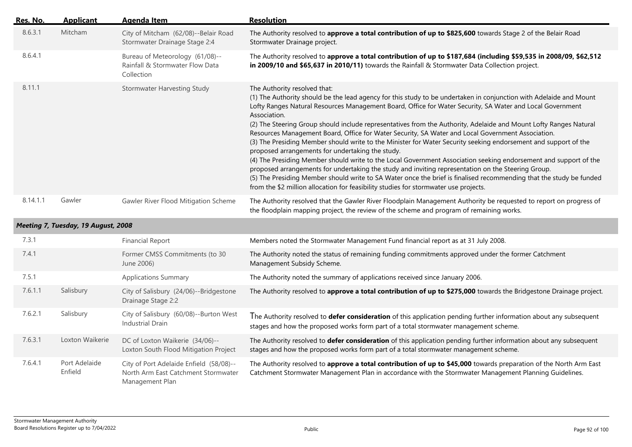| Res. No. | <b>Applicant</b>                    | <b>Agenda Item</b>                                                                                | <b>Resolution</b>                                                                                                                                                                                                                                                                                                                                                                                                                                                                                                                                                                                                                                                                                                                                                                                                                                                                                                                                                                                                                                                                                                         |
|----------|-------------------------------------|---------------------------------------------------------------------------------------------------|---------------------------------------------------------------------------------------------------------------------------------------------------------------------------------------------------------------------------------------------------------------------------------------------------------------------------------------------------------------------------------------------------------------------------------------------------------------------------------------------------------------------------------------------------------------------------------------------------------------------------------------------------------------------------------------------------------------------------------------------------------------------------------------------------------------------------------------------------------------------------------------------------------------------------------------------------------------------------------------------------------------------------------------------------------------------------------------------------------------------------|
| 8.6.3.1  | Mitcham                             | City of Mitcham (62/08)--Belair Road<br>Stormwater Drainage Stage 2:4                             | The Authority resolved to approve a total contribution of up to \$825,600 towards Stage 2 of the Belair Road<br>Stormwater Drainage project.                                                                                                                                                                                                                                                                                                                                                                                                                                                                                                                                                                                                                                                                                                                                                                                                                                                                                                                                                                              |
| 8.6.4.1  |                                     | Bureau of Meteorology (61/08)--<br>Rainfall & Stormwater Flow Data<br>Collection                  | The Authority resolved to approve a total contribution of up to \$187,684 (including \$59,535 in 2008/09, \$62,512<br>in 2009/10 and \$65,637 in 2010/11) towards the Rainfall & Stormwater Data Collection project.                                                                                                                                                                                                                                                                                                                                                                                                                                                                                                                                                                                                                                                                                                                                                                                                                                                                                                      |
| 8.11.1   |                                     | <b>Stormwater Harvesting Study</b>                                                                | The Authority resolved that:<br>(1) The Authority should be the lead agency for this study to be undertaken in conjunction with Adelaide and Mount<br>Lofty Ranges Natural Resources Management Board, Office for Water Security, SA Water and Local Government<br>Association.<br>(2) The Steering Group should include representatives from the Authority, Adelaide and Mount Lofty Ranges Natural<br>Resources Management Board, Office for Water Security, SA Water and Local Government Association.<br>(3) The Presiding Member should write to the Minister for Water Security seeking endorsement and support of the<br>proposed arrangements for undertaking the study.<br>(4) The Presiding Member should write to the Local Government Association seeking endorsement and support of the<br>proposed arrangements for undertaking the study and inviting representation on the Steering Group.<br>(5) The Presiding Member should write to SA Water once the brief is finalised recommending that the study be funded<br>from the \$2 million allocation for feasibility studies for stormwater use projects. |
| 8.14.1.1 | Gawler                              | Gawler River Flood Mitigation Scheme                                                              | The Authority resolved that the Gawler River Floodplain Management Authority be requested to report on progress of<br>the floodplain mapping project, the review of the scheme and program of remaining works.                                                                                                                                                                                                                                                                                                                                                                                                                                                                                                                                                                                                                                                                                                                                                                                                                                                                                                            |
|          | Meeting 7, Tuesday, 19 August, 2008 |                                                                                                   |                                                                                                                                                                                                                                                                                                                                                                                                                                                                                                                                                                                                                                                                                                                                                                                                                                                                                                                                                                                                                                                                                                                           |
| 7.3.1    |                                     | <b>Financial Report</b>                                                                           | Members noted the Stormwater Management Fund financial report as at 31 July 2008.                                                                                                                                                                                                                                                                                                                                                                                                                                                                                                                                                                                                                                                                                                                                                                                                                                                                                                                                                                                                                                         |
| 7.4.1    |                                     | Former CMSS Commitments (to 30<br>June 2006)                                                      | The Authority noted the status of remaining funding commitments approved under the former Catchment<br>Management Subsidy Scheme.                                                                                                                                                                                                                                                                                                                                                                                                                                                                                                                                                                                                                                                                                                                                                                                                                                                                                                                                                                                         |
| 7.5.1    |                                     | <b>Applications Summary</b>                                                                       | The Authority noted the summary of applications received since January 2006.                                                                                                                                                                                                                                                                                                                                                                                                                                                                                                                                                                                                                                                                                                                                                                                                                                                                                                                                                                                                                                              |
| 7.6.1.1  | Salisbury                           | City of Salisbury (24/06)--Bridgestone<br>Drainage Stage 2:2                                      | The Authority resolved to approve a total contribution of up to \$275,000 towards the Bridgestone Drainage project.                                                                                                                                                                                                                                                                                                                                                                                                                                                                                                                                                                                                                                                                                                                                                                                                                                                                                                                                                                                                       |
| 7.6.2.1  | Salisbury                           | City of Salisbury (60/08)--Burton West<br>Industrial Drain                                        | The Authority resolved to <b>defer consideration</b> of this application pending further information about any subsequent<br>stages and how the proposed works form part of a total stormwater management scheme.                                                                                                                                                                                                                                                                                                                                                                                                                                                                                                                                                                                                                                                                                                                                                                                                                                                                                                         |
| 7.6.3.1  | Loxton Waikerie                     | DC of Loxton Waikerie (34/06)--<br>Loxton South Flood Mitigation Project                          | The Authority resolved to defer consideration of this application pending further information about any subsequent<br>stages and how the proposed works form part of a total stormwater management scheme.                                                                                                                                                                                                                                                                                                                                                                                                                                                                                                                                                                                                                                                                                                                                                                                                                                                                                                                |
| 7.6.4.1  | Port Adelaide<br>Enfield            | City of Port Adelaide Enfield (58/08)--<br>North Arm East Catchment Stormwater<br>Management Plan | The Authority resolved to approve a total contribution of up to \$45,000 towards preparation of the North Arm East<br>Catchment Stormwater Management Plan in accordance with the Stormwater Management Planning Guidelines.                                                                                                                                                                                                                                                                                                                                                                                                                                                                                                                                                                                                                                                                                                                                                                                                                                                                                              |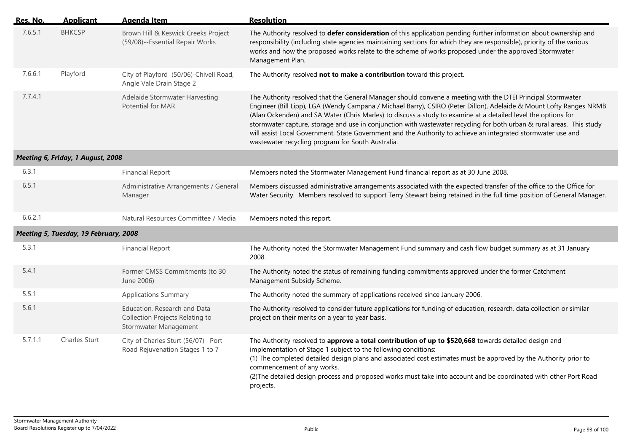| Res. No. | <b>Applicant</b>                      | <b>Agenda Item</b>                                                                       | <b>Resolution</b>                                                                                                                                                                                                                                                                                                                                                                                                                                                                                                                                                                                                                                 |
|----------|---------------------------------------|------------------------------------------------------------------------------------------|---------------------------------------------------------------------------------------------------------------------------------------------------------------------------------------------------------------------------------------------------------------------------------------------------------------------------------------------------------------------------------------------------------------------------------------------------------------------------------------------------------------------------------------------------------------------------------------------------------------------------------------------------|
| 7.6.5.1  | <b>BHKCSP</b>                         | Brown Hill & Keswick Creeks Project<br>(59/08)--Essential Repair Works                   | The Authority resolved to defer consideration of this application pending further information about ownership and<br>responsibility (including state agencies maintaining sections for which they are responsible), priority of the various<br>works and how the proposed works relate to the scheme of works proposed under the approved Stormwater<br>Management Plan.                                                                                                                                                                                                                                                                          |
| 7.6.6.1  | Playford                              | City of Playford (50/06)-Chivell Road,<br>Angle Vale Drain Stage 2                       | The Authority resolved not to make a contribution toward this project.                                                                                                                                                                                                                                                                                                                                                                                                                                                                                                                                                                            |
| 7.7.4.1  |                                       | Adelaide Stormwater Harvesting<br><b>Potential for MAR</b>                               | The Authority resolved that the General Manager should convene a meeting with the DTEI Principal Stormwater<br>Engineer (Bill Lipp), LGA (Wendy Campana / Michael Barry), CSIRO (Peter Dillon), Adelaide & Mount Lofty Ranges NRMB<br>(Alan Ockenden) and SA Water (Chris Marles) to discuss a study to examine at a detailed level the options for<br>stormwater capture, storage and use in conjunction with wastewater recycling for both urban & rural areas. This study<br>will assist Local Government, State Government and the Authority to achieve an integrated stormwater use and<br>wastewater recycling program for South Australia. |
|          | Meeting 6, Friday, 1 August, 2008     |                                                                                          |                                                                                                                                                                                                                                                                                                                                                                                                                                                                                                                                                                                                                                                   |
| 6.3.1    |                                       | <b>Financial Report</b>                                                                  | Members noted the Stormwater Management Fund financial report as at 30 June 2008.                                                                                                                                                                                                                                                                                                                                                                                                                                                                                                                                                                 |
| 6.5.1    |                                       | Administrative Arrangements / General<br>Manager                                         | Members discussed administrative arrangements associated with the expected transfer of the office to the Office for<br>Water Security. Members resolved to support Terry Stewart being retained in the full time position of General Manager.                                                                                                                                                                                                                                                                                                                                                                                                     |
| 6.6.2.1  |                                       | Natural Resources Committee / Media                                                      | Members noted this report.                                                                                                                                                                                                                                                                                                                                                                                                                                                                                                                                                                                                                        |
|          | Meeting 5, Tuesday, 19 February, 2008 |                                                                                          |                                                                                                                                                                                                                                                                                                                                                                                                                                                                                                                                                                                                                                                   |
| 5.3.1    |                                       | <b>Financial Report</b>                                                                  | The Authority noted the Stormwater Management Fund summary and cash flow budget summary as at 31 January<br>2008.                                                                                                                                                                                                                                                                                                                                                                                                                                                                                                                                 |
| 5.4.1    |                                       | Former CMSS Commitments (to 30<br>June 2006)                                             | The Authority noted the status of remaining funding commitments approved under the former Catchment<br>Management Subsidy Scheme.                                                                                                                                                                                                                                                                                                                                                                                                                                                                                                                 |
| 5.5.1    |                                       | <b>Applications Summary</b>                                                              | The Authority noted the summary of applications received since January 2006.                                                                                                                                                                                                                                                                                                                                                                                                                                                                                                                                                                      |
| 5.6.1    |                                       | Education, Research and Data<br>Collection Projects Relating to<br>Stormwater Management | The Authority resolved to consider future applications for funding of education, research, data collection or similar<br>project on their merits on a year to year basis.                                                                                                                                                                                                                                                                                                                                                                                                                                                                         |
| 5.7.1.1  | Charles Sturt                         | City of Charles Sturt (56/07)--Port<br>Road Rejuvenation Stages 1 to 7                   | The Authority resolved to approve a total contribution of up to \$520,668 towards detailed design and<br>implementation of Stage 1 subject to the following conditions:<br>(1) The completed detailed design plans and associated cost estimates must be approved by the Authority prior to<br>commencement of any works.<br>(2) The detailed design process and proposed works must take into account and be coordinated with other Port Road<br>projects.                                                                                                                                                                                       |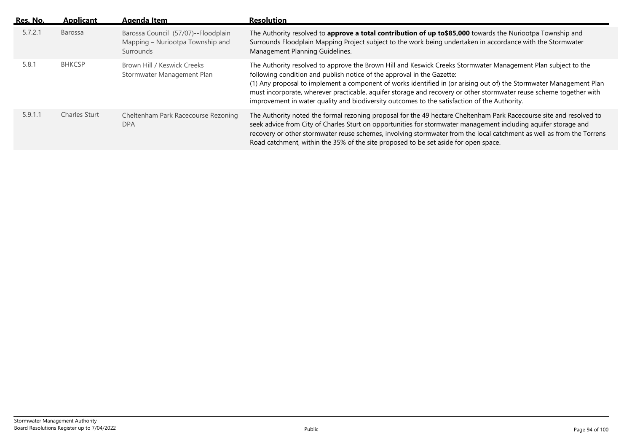| Res. No. | <b>Applicant</b> | Agenda Item                                                                          | <b>Resolution</b>                                                                                                                                                                                                                                                                                                                                                                                                                                                                                                                     |
|----------|------------------|--------------------------------------------------------------------------------------|---------------------------------------------------------------------------------------------------------------------------------------------------------------------------------------------------------------------------------------------------------------------------------------------------------------------------------------------------------------------------------------------------------------------------------------------------------------------------------------------------------------------------------------|
| 5.7.2.1  | Barossa          | Barossa Council (57/07)--Floodplain<br>Mapping – Nuriootpa Township and<br>Surrounds | The Authority resolved to approve a total contribution of up to \$85,000 towards the Nuriootpa Township and<br>Surrounds Floodplain Mapping Project subject to the work being undertaken in accordance with the Stormwater<br>Management Planning Guidelines.                                                                                                                                                                                                                                                                         |
| 5.8.1    | <b>BHKCSP</b>    | Brown Hill / Keswick Creeks<br>Stormwater Management Plan                            | The Authority resolved to approve the Brown Hill and Keswick Creeks Stormwater Management Plan subject to the<br>following condition and publish notice of the approval in the Gazette:<br>(1) Any proposal to implement a component of works identified in (or arising out of) the Stormwater Management Plan<br>must incorporate, wherever practicable, aquifer storage and recovery or other stormwater reuse scheme together with<br>improvement in water quality and biodiversity outcomes to the satisfaction of the Authority. |
| 5.9.1.1  | Charles Sturt    | Cheltenham Park Racecourse Rezoning<br><b>DPA</b>                                    | The Authority noted the formal rezoning proposal for the 49 hectare Cheltenham Park Racecourse site and resolved to<br>seek advice from City of Charles Sturt on opportunities for stormwater management including aquifer storage and<br>recovery or other stormwater reuse schemes, involving stormwater from the local catchment as well as from the Torrens<br>Road catchment, within the 35% of the site proposed to be set aside for open space.                                                                                |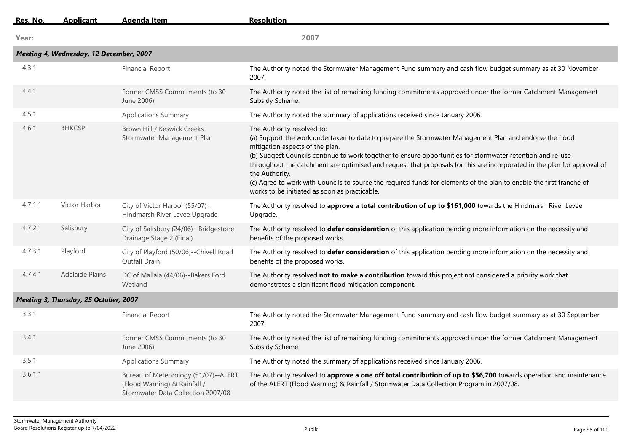| Res. No. | <b>Applicant</b>                        | <b>Agenda Item</b>                                                                                         | <b>Resolution</b>                                                                                                                                                                                                                                                                                                                                                                                                                                                                                                                                                                                            |
|----------|-----------------------------------------|------------------------------------------------------------------------------------------------------------|--------------------------------------------------------------------------------------------------------------------------------------------------------------------------------------------------------------------------------------------------------------------------------------------------------------------------------------------------------------------------------------------------------------------------------------------------------------------------------------------------------------------------------------------------------------------------------------------------------------|
| Year:    |                                         |                                                                                                            | 2007                                                                                                                                                                                                                                                                                                                                                                                                                                                                                                                                                                                                         |
|          | Meeting 4, Wednesday, 12 December, 2007 |                                                                                                            |                                                                                                                                                                                                                                                                                                                                                                                                                                                                                                                                                                                                              |
| 4.3.1    |                                         | <b>Financial Report</b>                                                                                    | The Authority noted the Stormwater Management Fund summary and cash flow budget summary as at 30 November<br>2007.                                                                                                                                                                                                                                                                                                                                                                                                                                                                                           |
| 4.4.1    |                                         | Former CMSS Commitments (to 30<br>June 2006)                                                               | The Authority noted the list of remaining funding commitments approved under the former Catchment Management<br>Subsidy Scheme.                                                                                                                                                                                                                                                                                                                                                                                                                                                                              |
| 4.5.1    |                                         | <b>Applications Summary</b>                                                                                | The Authority noted the summary of applications received since January 2006.                                                                                                                                                                                                                                                                                                                                                                                                                                                                                                                                 |
| 4.6.1    | <b>BHKCSP</b>                           | Brown Hill / Keswick Creeks<br>Stormwater Management Plan                                                  | The Authority resolved to:<br>(a) Support the work undertaken to date to prepare the Stormwater Management Plan and endorse the flood<br>mitigation aspects of the plan.<br>(b) Suggest Councils continue to work together to ensure opportunities for stormwater retention and re-use<br>throughout the catchment are optimised and request that proposals for this are incorporated in the plan for approval of<br>the Authority.<br>(c) Agree to work with Councils to source the required funds for elements of the plan to enable the first tranche of<br>works to be initiated as soon as practicable. |
| 4.7.1.1  | Victor Harbor                           | City of Victor Harbor (55/07)--<br>Hindmarsh River Levee Upgrade                                           | The Authority resolved to approve a total contribution of up to \$161,000 towards the Hindmarsh River Levee<br>Upgrade.                                                                                                                                                                                                                                                                                                                                                                                                                                                                                      |
| 4.7.2.1  | Salisbury                               | City of Salisbury (24/06)--Bridgestone<br>Drainage Stage 2 (Final)                                         | The Authority resolved to defer consideration of this application pending more information on the necessity and<br>benefits of the proposed works.                                                                                                                                                                                                                                                                                                                                                                                                                                                           |
| 4.7.3.1  | Playford                                | City of Playford (50/06)--Chivell Road<br>Outfall Drain                                                    | The Authority resolved to defer consideration of this application pending more information on the necessity and<br>benefits of the proposed works.                                                                                                                                                                                                                                                                                                                                                                                                                                                           |
| 4.7.4.1  | <b>Adelaide Plains</b>                  | DC of Mallala (44/06)--Bakers Ford<br>Wetland                                                              | The Authority resolved not to make a contribution toward this project not considered a priority work that<br>demonstrates a significant flood mitigation component.                                                                                                                                                                                                                                                                                                                                                                                                                                          |
|          | Meeting 3, Thursday, 25 October, 2007   |                                                                                                            |                                                                                                                                                                                                                                                                                                                                                                                                                                                                                                                                                                                                              |
| 3.3.1    |                                         | <b>Financial Report</b>                                                                                    | The Authority noted the Stormwater Management Fund summary and cash flow budget summary as at 30 September<br>2007.                                                                                                                                                                                                                                                                                                                                                                                                                                                                                          |
| 3.4.1    |                                         | Former CMSS Commitments (to 30<br>June 2006)                                                               | The Authority noted the list of remaining funding commitments approved under the former Catchment Management<br>Subsidy Scheme.                                                                                                                                                                                                                                                                                                                                                                                                                                                                              |
| 3.5.1    |                                         | <b>Applications Summary</b>                                                                                | The Authority noted the summary of applications received since January 2006.                                                                                                                                                                                                                                                                                                                                                                                                                                                                                                                                 |
| 3.6.1.1  |                                         | Bureau of Meteorology (51/07)--ALERT<br>(Flood Warning) & Rainfall /<br>Stormwater Data Collection 2007/08 | The Authority resolved to approve a one off total contribution of up to \$56,700 towards operation and maintenance<br>of the ALERT (Flood Warning) & Rainfall / Stormwater Data Collection Program in 2007/08.                                                                                                                                                                                                                                                                                                                                                                                               |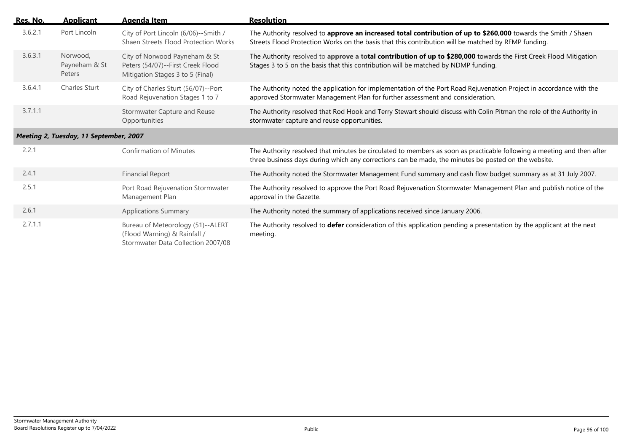| Res. No. | <b>Applicant</b>                       | Agenda Item                                                                                             | <b>Resolution</b>                                                                                                                                                                                                             |
|----------|----------------------------------------|---------------------------------------------------------------------------------------------------------|-------------------------------------------------------------------------------------------------------------------------------------------------------------------------------------------------------------------------------|
| 3.6.2.1  | Port Lincoln                           | City of Port Lincoln (6/06)--Smith /<br>Shaen Streets Flood Protection Works                            | The Authority resolved to approve an increased total contribution of up to \$260,000 towards the Smith / Shaen<br>Streets Flood Protection Works on the basis that this contribution will be matched by RFMP funding.         |
| 3.6.3.1  | Norwood,<br>Payneham & St<br>Peters    | City of Norwood Payneham & St<br>Peters (54/07)--First Creek Flood<br>Mitigation Stages 3 to 5 (Final)  | The Authority resolved to approve a total contribution of up to \$280,000 towards the First Creek Flood Mitigation<br>Stages 3 to 5 on the basis that this contribution will be matched by NDMP funding.                      |
| 3.6.4.1  | <b>Charles Sturt</b>                   | City of Charles Sturt (56/07)--Port<br>Road Rejuvenation Stages 1 to 7                                  | The Authority noted the application for implementation of the Port Road Rejuvenation Project in accordance with the<br>approved Stormwater Management Plan for further assessment and consideration.                          |
| 3.7.1.1  |                                        | Stormwater Capture and Reuse<br>Opportunities                                                           | The Authority resolved that Rod Hook and Terry Stewart should discuss with Colin Pitman the role of the Authority in<br>stormwater capture and reuse opportunities.                                                           |
|          | Meeting 2, Tuesday, 11 September, 2007 |                                                                                                         |                                                                                                                                                                                                                               |
| 2.2.1    |                                        | <b>Confirmation of Minutes</b>                                                                          | The Authority resolved that minutes be circulated to members as soon as practicable following a meeting and then after<br>three business days during which any corrections can be made, the minutes be posted on the website. |
| 2.4.1    |                                        | <b>Financial Report</b>                                                                                 | The Authority noted the Stormwater Management Fund summary and cash flow budget summary as at 31 July 2007.                                                                                                                   |
| 2.5.1    |                                        | Port Road Rejuvenation Stormwater<br>Management Plan                                                    | The Authority resolved to approve the Port Road Rejuvenation Stormwater Management Plan and publish notice of the<br>approval in the Gazette.                                                                                 |
| 2.6.1    |                                        | <b>Applications Summary</b>                                                                             | The Authority noted the summary of applications received since January 2006.                                                                                                                                                  |
| 2.7.1.1  |                                        | Bureau of Meteorology (51)--ALERT<br>(Flood Warning) & Rainfall /<br>Stormwater Data Collection 2007/08 | The Authority resolved to defer consideration of this application pending a presentation by the applicant at the next<br>meeting.                                                                                             |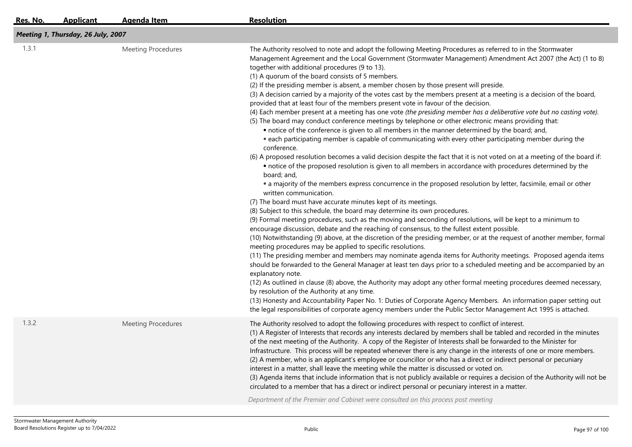| Res. No. | <b>Applicant</b>                   | Agenda Item               | <b>Resolution</b>                                                                                                                                                                                                                                                                                                                                                                                                                                                                                                                                                                                                                                                                                                                                                                                                                                                                                                                                                                                                                                                                                                                                                                                                                                                                                                                                                                                                                                                                                                                                                                                                                                                                                                                                                                                                                                                                                                                                                                                                                                                                                                                                                                                                                                                                                                                                                                                                                                                                                                                                                                                                                                                                                                                              |  |  |  |  |
|----------|------------------------------------|---------------------------|------------------------------------------------------------------------------------------------------------------------------------------------------------------------------------------------------------------------------------------------------------------------------------------------------------------------------------------------------------------------------------------------------------------------------------------------------------------------------------------------------------------------------------------------------------------------------------------------------------------------------------------------------------------------------------------------------------------------------------------------------------------------------------------------------------------------------------------------------------------------------------------------------------------------------------------------------------------------------------------------------------------------------------------------------------------------------------------------------------------------------------------------------------------------------------------------------------------------------------------------------------------------------------------------------------------------------------------------------------------------------------------------------------------------------------------------------------------------------------------------------------------------------------------------------------------------------------------------------------------------------------------------------------------------------------------------------------------------------------------------------------------------------------------------------------------------------------------------------------------------------------------------------------------------------------------------------------------------------------------------------------------------------------------------------------------------------------------------------------------------------------------------------------------------------------------------------------------------------------------------------------------------------------------------------------------------------------------------------------------------------------------------------------------------------------------------------------------------------------------------------------------------------------------------------------------------------------------------------------------------------------------------------------------------------------------------------------------------------------------------|--|--|--|--|
|          | Meeting 1, Thursday, 26 July, 2007 |                           |                                                                                                                                                                                                                                                                                                                                                                                                                                                                                                                                                                                                                                                                                                                                                                                                                                                                                                                                                                                                                                                                                                                                                                                                                                                                                                                                                                                                                                                                                                                                                                                                                                                                                                                                                                                                                                                                                                                                                                                                                                                                                                                                                                                                                                                                                                                                                                                                                                                                                                                                                                                                                                                                                                                                                |  |  |  |  |
| 1.3.1    |                                    | <b>Meeting Procedures</b> | The Authority resolved to note and adopt the following Meeting Procedures as referred to in the Stormwater<br>Management Agreement and the Local Government (Stormwater Management) Amendment Act 2007 (the Act) (1 to 8)<br>together with additional procedures (9 to 13).<br>(1) A quorum of the board consists of 5 members.<br>(2) If the presiding member is absent, a member chosen by those present will preside.<br>(3) A decision carried by a majority of the votes cast by the members present at a meeting is a decision of the board,<br>provided that at least four of the members present vote in favour of the decision.<br>(4) Each member present at a meeting has one vote (the presiding member has a deliberative vote but no casting vote).<br>(5) The board may conduct conference meetings by telephone or other electronic means providing that:<br>• notice of the conference is given to all members in the manner determined by the board; and,<br>• each participating member is capable of communicating with every other participating member during the<br>conference.<br>(6) A proposed resolution becomes a valid decision despite the fact that it is not voted on at a meeting of the board if:<br>• notice of the proposed resolution is given to all members in accordance with procedures determined by the<br>board; and,<br>• a majority of the members express concurrence in the proposed resolution by letter, facsimile, email or other<br>written communication.<br>(7) The board must have accurate minutes kept of its meetings.<br>(8) Subject to this schedule, the board may determine its own procedures.<br>(9) Formal meeting procedures, such as the moving and seconding of resolutions, will be kept to a minimum to<br>encourage discussion, debate and the reaching of consensus, to the fullest extent possible.<br>(10) Notwithstanding (9) above, at the discretion of the presiding member, or at the request of another member, formal<br>meeting procedures may be applied to specific resolutions.<br>(11) The presiding member and members may nominate agenda items for Authority meetings. Proposed agenda items<br>should be forwarded to the General Manager at least ten days prior to a scheduled meeting and be accompanied by an<br>explanatory note.<br>(12) As outlined in clause (8) above, the Authority may adopt any other formal meeting procedures deemed necessary,<br>by resolution of the Authority at any time.<br>(13) Honesty and Accountability Paper No. 1: Duties of Corporate Agency Members. An information paper setting out<br>the legal responsibilities of corporate agency members under the Public Sector Management Act 1995 is attached. |  |  |  |  |
| 1.3.2    |                                    | <b>Meeting Procedures</b> | The Authority resolved to adopt the following procedures with respect to conflict of interest.<br>(1) A Register of Interests that records any interests declared by members shall be tabled and recorded in the minutes<br>of the next meeting of the Authority. A copy of the Register of Interests shall be forwarded to the Minister for<br>Infrastructure. This process will be repeated whenever there is any change in the interests of one or more members.<br>(2) A member, who is an applicant's employee or councillor or who has a direct or indirect personal or pecuniary<br>interest in a matter, shall leave the meeting while the matter is discussed or voted on.<br>(3) Agenda items that include information that is not publicly available or requires a decision of the Authority will not be<br>circulated to a member that has a direct or indirect personal or pecuniary interest in a matter.<br>Department of the Premier and Cabinet were consulted on this process post meeting                                                                                                                                                                                                                                                                                                                                                                                                                                                                                                                                                                                                                                                                                                                                                                                                                                                                                                                                                                                                                                                                                                                                                                                                                                                                                                                                                                                                                                                                                                                                                                                                                                                                                                                                   |  |  |  |  |
|          |                                    |                           |                                                                                                                                                                                                                                                                                                                                                                                                                                                                                                                                                                                                                                                                                                                                                                                                                                                                                                                                                                                                                                                                                                                                                                                                                                                                                                                                                                                                                                                                                                                                                                                                                                                                                                                                                                                                                                                                                                                                                                                                                                                                                                                                                                                                                                                                                                                                                                                                                                                                                                                                                                                                                                                                                                                                                |  |  |  |  |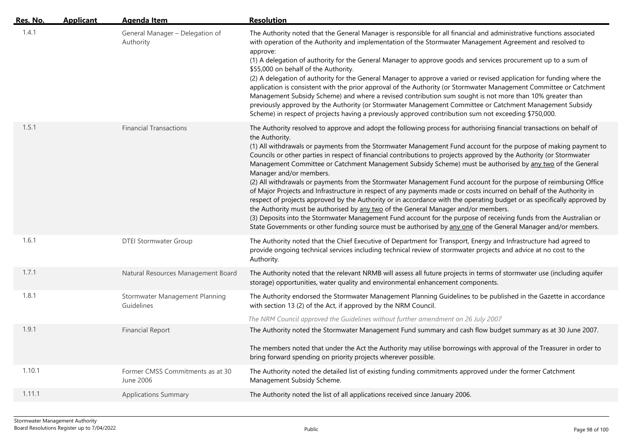| Res. No. | <b>Applicant</b> | <b>Agenda Item</b>                            | <b>Resolution</b>                                                                                                                                                                                                                                                                                                                                                                                                                                                                                                                                                                                                                                                                                                                                                                                                                                                                                                                                                                                                                                                                                                                                                                                                                 |
|----------|------------------|-----------------------------------------------|-----------------------------------------------------------------------------------------------------------------------------------------------------------------------------------------------------------------------------------------------------------------------------------------------------------------------------------------------------------------------------------------------------------------------------------------------------------------------------------------------------------------------------------------------------------------------------------------------------------------------------------------------------------------------------------------------------------------------------------------------------------------------------------------------------------------------------------------------------------------------------------------------------------------------------------------------------------------------------------------------------------------------------------------------------------------------------------------------------------------------------------------------------------------------------------------------------------------------------------|
| 1.4.1    |                  | General Manager - Delegation of<br>Authority  | The Authority noted that the General Manager is responsible for all financial and administrative functions associated<br>with operation of the Authority and implementation of the Stormwater Management Agreement and resolved to<br>approve:<br>(1) A delegation of authority for the General Manager to approve goods and services procurement up to a sum of<br>\$55,000 on behalf of the Authority.<br>(2) A delegation of authority for the General Manager to approve a varied or revised application for funding where the<br>application is consistent with the prior approval of the Authority (or Stormwater Management Committee or Catchment<br>Management Subsidy Scheme) and where a revised contribution sum sought is not more than 10% greater than<br>previously approved by the Authority (or Stormwater Management Committee or Catchment Management Subsidy<br>Scheme) in respect of projects having a previously approved contribution sum not exceeding \$750,000.                                                                                                                                                                                                                                        |
| 1.5.1    |                  | <b>Financial Transactions</b>                 | The Authority resolved to approve and adopt the following process for authorising financial transactions on behalf of<br>the Authority.<br>(1) All withdrawals or payments from the Stormwater Management Fund account for the purpose of making payment to<br>Councils or other parties in respect of financial contributions to projects approved by the Authority (or Stormwater<br>Management Committee or Catchment Management Subsidy Scheme) must be authorised by any two of the General<br>Manager and/or members.<br>(2) All withdrawals or payments from the Stormwater Management Fund account for the purpose of reimbursing Office<br>of Major Projects and Infrastructure in respect of any payments made or costs incurred on behalf of the Authority in<br>respect of projects approved by the Authority or in accordance with the operating budget or as specifically approved by<br>the Authority must be authorised by any two of the General Manager and/or members.<br>(3) Deposits into the Stormwater Management Fund account for the purpose of receiving funds from the Australian or<br>State Governments or other funding source must be authorised by any one of the General Manager and/or members. |
| 1.6.1    |                  | <b>DTEI Stormwater Group</b>                  | The Authority noted that the Chief Executive of Department for Transport, Energy and Infrastructure had agreed to<br>provide ongoing technical services including technical review of stormwater projects and advice at no cost to the<br>Authority.                                                                                                                                                                                                                                                                                                                                                                                                                                                                                                                                                                                                                                                                                                                                                                                                                                                                                                                                                                              |
| 1.7.1    |                  | Natural Resources Management Board            | The Authority noted that the relevant NRMB will assess all future projects in terms of stormwater use (including aquifer<br>storage) opportunities, water quality and environmental enhancement components.                                                                                                                                                                                                                                                                                                                                                                                                                                                                                                                                                                                                                                                                                                                                                                                                                                                                                                                                                                                                                       |
| 1.8.1    |                  | Stormwater Management Planning<br>Guidelines  | The Authority endorsed the Stormwater Management Planning Guidelines to be published in the Gazette in accordance<br>with section 13 (2) of the Act, if approved by the NRM Council.<br>The NRM Council approved the Guidelines without further amendment on 26 July 2007                                                                                                                                                                                                                                                                                                                                                                                                                                                                                                                                                                                                                                                                                                                                                                                                                                                                                                                                                         |
| 1.9.1    |                  | <b>Financial Report</b>                       | The Authority noted the Stormwater Management Fund summary and cash flow budget summary as at 30 June 2007.<br>The members noted that under the Act the Authority may utilise borrowings with approval of the Treasurer in order to<br>bring forward spending on priority projects wherever possible.                                                                                                                                                                                                                                                                                                                                                                                                                                                                                                                                                                                                                                                                                                                                                                                                                                                                                                                             |
| 1.10.1   |                  | Former CMSS Commitments as at 30<br>June 2006 | The Authority noted the detailed list of existing funding commitments approved under the former Catchment<br>Management Subsidy Scheme.                                                                                                                                                                                                                                                                                                                                                                                                                                                                                                                                                                                                                                                                                                                                                                                                                                                                                                                                                                                                                                                                                           |
| 1.11.1   |                  | <b>Applications Summary</b>                   | The Authority noted the list of all applications received since January 2006.                                                                                                                                                                                                                                                                                                                                                                                                                                                                                                                                                                                                                                                                                                                                                                                                                                                                                                                                                                                                                                                                                                                                                     |
|          |                  |                                               |                                                                                                                                                                                                                                                                                                                                                                                                                                                                                                                                                                                                                                                                                                                                                                                                                                                                                                                                                                                                                                                                                                                                                                                                                                   |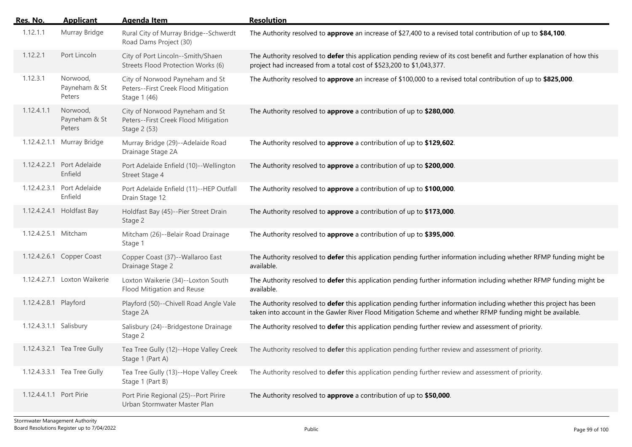| Res. No.                | <b>Applicant</b>                      | <b>Agenda Item</b>                                                                      | <b>Resolution</b>                                                                                                                                                                                                                   |
|-------------------------|---------------------------------------|-----------------------------------------------------------------------------------------|-------------------------------------------------------------------------------------------------------------------------------------------------------------------------------------------------------------------------------------|
| 1.12.1.1                | Murray Bridge                         | Rural City of Murray Bridge--Schwerdt<br>Road Dams Project (30)                         | The Authority resolved to approve an increase of \$27,400 to a revised total contribution of up to \$84,100.                                                                                                                        |
| 1.12.2.1                | Port Lincoln                          | City of Port Lincoln--Smith/Shaen<br>Streets Flood Protection Works (6)                 | The Authority resolved to defer this application pending review of its cost benefit and further explanation of how this<br>project had increased from a total cost of \$523,200 to \$1,043,377.                                     |
| 1.12.3.1                | Norwood,<br>Payneham & St<br>Peters   | City of Norwood Payneham and St<br>Peters--First Creek Flood Mitigation<br>Stage 1 (46) | The Authority resolved to approve an increase of \$100,000 to a revised total contribution of up to \$825,000.                                                                                                                      |
| 1.12.4.1.1              | Norwood,<br>Payneham & St<br>Peters   | City of Norwood Payneham and St<br>Peters--First Creek Flood Mitigation<br>Stage 2 (53) | The Authority resolved to approve a contribution of up to \$280,000.                                                                                                                                                                |
|                         | 1.12.4.2.1.1 Murray Bridge            | Murray Bridge (29)--Adelaide Road<br>Drainage Stage 2A                                  | The Authority resolved to approve a contribution of up to \$129,602.                                                                                                                                                                |
|                         | 1.12.4.2.2.1 Port Adelaide<br>Enfield | Port Adelaide Enfield (10)--Wellington<br>Street Stage 4                                | The Authority resolved to approve a contribution of up to \$200,000.                                                                                                                                                                |
|                         | 1.12.4.2.3.1 Port Adelaide<br>Enfield | Port Adelaide Enfield (11)--HEP Outfall<br>Drain Stage 12                               | The Authority resolved to approve a contribution of up to \$100,000.                                                                                                                                                                |
|                         | 1.12.4.2.4.1 Holdfast Bay             | Holdfast Bay (45)--Pier Street Drain<br>Stage 2                                         | The Authority resolved to approve a contribution of up to \$173,000.                                                                                                                                                                |
| 1.12.4.2.5.1 Mitcham    |                                       | Mitcham (26)--Belair Road Drainage<br>Stage 1                                           | The Authority resolved to approve a contribution of up to \$395,000.                                                                                                                                                                |
|                         | 1.12.4.2.6.1 Copper Coast             | Copper Coast (37)--Wallaroo East<br>Drainage Stage 2                                    | The Authority resolved to defer this application pending further information including whether RFMP funding might be<br>available.                                                                                                  |
|                         | 1.12.4.2.7.1 Loxton Waikerie          | Loxton Waikerie (34)--Loxton South<br>Flood Mitigation and Reuse                        | The Authority resolved to defer this application pending further information including whether RFMP funding might be<br>available.                                                                                                  |
| 1.12.4.2.8.1 Playford   |                                       | Playford (50)--Chivell Road Angle Vale<br>Stage 2A                                      | The Authority resolved to defer this application pending further information including whether this project has been<br>taken into account in the Gawler River Flood Mitigation Scheme and whether RFMP funding might be available. |
| 1.12.4.3.1.1 Salisbury  |                                       | Salisbury (24)--Bridgestone Drainage<br>Stage 2                                         | The Authority resolved to defer this application pending further review and assessment of priority.                                                                                                                                 |
|                         | 1.12.4.3.2.1 Tea Tree Gully           | Tea Tree Gully (12)--Hope Valley Creek<br>Stage 1 (Part A)                              | The Authority resolved to defer this application pending further review and assessment of priority.                                                                                                                                 |
|                         | 1.12.4.3.3.1 Tea Tree Gully           | Tea Tree Gully (13)--Hope Valley Creek<br>Stage 1 (Part B)                              | The Authority resolved to defer this application pending further review and assessment of priority.                                                                                                                                 |
| 1.12.4.4.1.1 Port Pirie |                                       | Port Pirie Regional (25)--Port Pirire<br>Urban Stormwater Master Plan                   | The Authority resolved to approve a contribution of up to \$50,000.                                                                                                                                                                 |
|                         |                                       |                                                                                         |                                                                                                                                                                                                                                     |